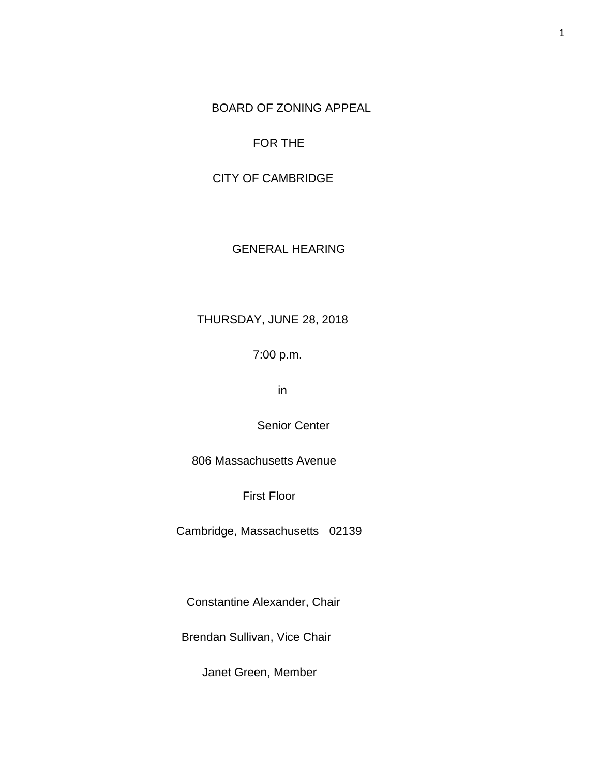BOARD OF ZONING APPEAL

## FOR THE

# CITY OF CAMBRIDGE

## GENERAL HEARING

# THURSDAY, JUNE 28, 2018

## 7:00 p.m.

in

Senior Center

806 Massachusetts Avenue

First Floor

Cambridge, Massachusetts 02139

Constantine Alexander, Chair

Brendan Sullivan, Vice Chair

Janet Green, Member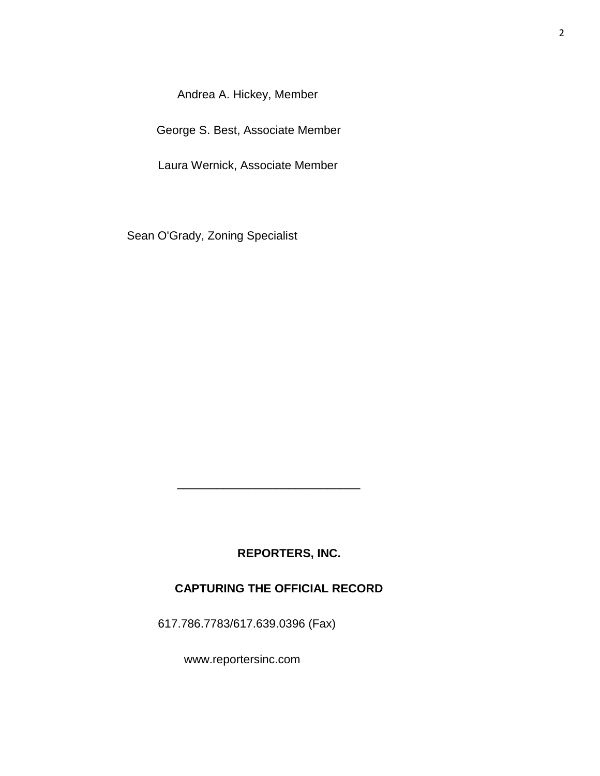Andrea A. Hickey, Member

George S. Best, Associate Member

Laura Wernick, Associate Member

Sean O'Grady, Zoning Specialist

## **REPORTERS, INC.**

## **CAPTURING THE OFFICIAL RECORD**

617.786.7783/617.639.0396 (Fax)

 $\frac{1}{\sqrt{2}}$  ,  $\frac{1}{\sqrt{2}}$  ,  $\frac{1}{\sqrt{2}}$  ,  $\frac{1}{\sqrt{2}}$  ,  $\frac{1}{\sqrt{2}}$  ,  $\frac{1}{\sqrt{2}}$  ,  $\frac{1}{\sqrt{2}}$  ,  $\frac{1}{\sqrt{2}}$  ,  $\frac{1}{\sqrt{2}}$  ,  $\frac{1}{\sqrt{2}}$  ,  $\frac{1}{\sqrt{2}}$  ,  $\frac{1}{\sqrt{2}}$  ,  $\frac{1}{\sqrt{2}}$  ,  $\frac{1}{\sqrt{2}}$  ,  $\frac{1}{\sqrt{2}}$ 

www.reportersinc.com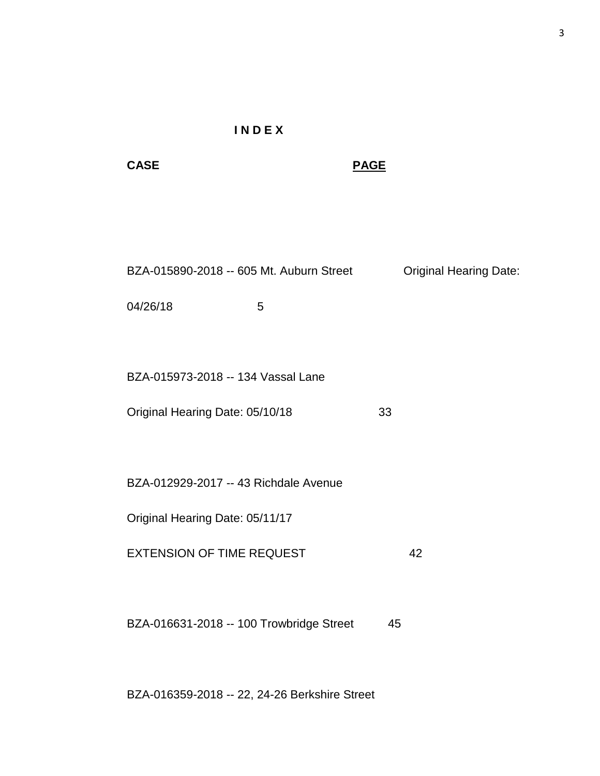# **I N D E X**

**CASE PAGE**

| BZA-015890-2018 -- 605 Mt. Auburn Street | <b>Original Hearing Date:</b> |
|------------------------------------------|-------------------------------|
|                                          |                               |

04/26/18 5

BZA-015973-2018 -- 134 Vassal Lane

Original Hearing Date: 05/10/18 33

BZA-012929-2017 -- 43 Richdale Avenue

Original Hearing Date: 05/11/17

EXTENSION OF TIME REQUEST 42

BZA-016631-2018 -- 100 Trowbridge Street 45

BZA-016359-2018 -- 22, 24-26 Berkshire Street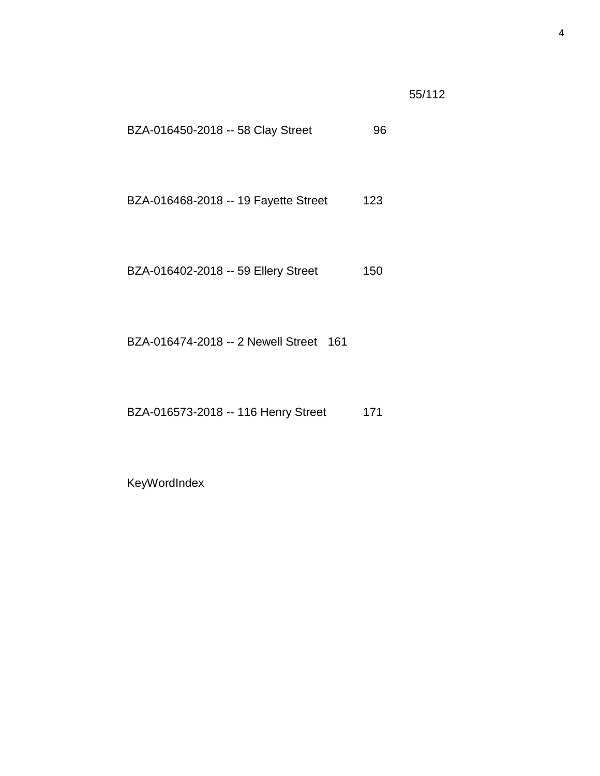55/112

- BZA-016450-2018 -- 58 Clay Street 96
- BZA-016468-2018 -- 19 Fayette Street 123
- BZA-016402-2018 -- 59 Ellery Street 150

BZA-016474-2018 -- 2 Newell Street 161

BZA-016573-2018 -- 116 Henry Street 171

KeyWordIndex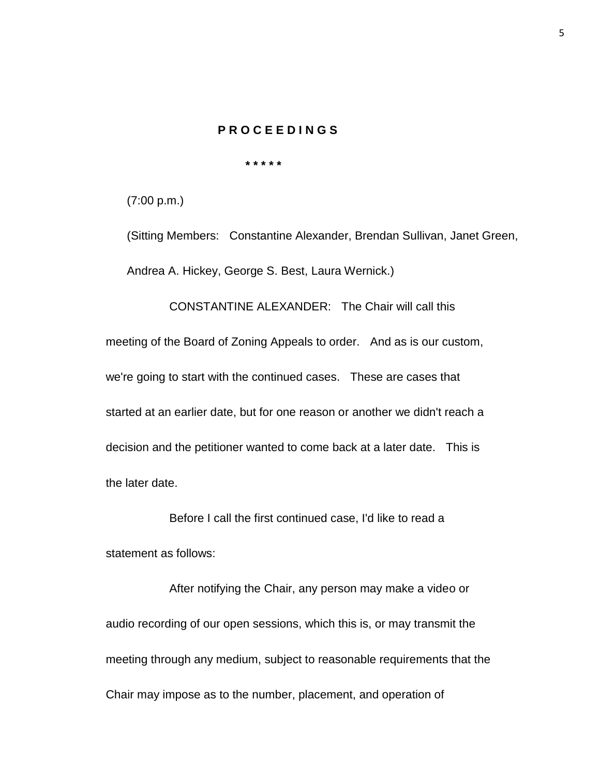## **P R O C E E D I N G S**

 **\* \* \* \* \*** 

(7:00 p.m.)

(Sitting Members: Constantine Alexander, Brendan Sullivan, Janet Green, Andrea A. Hickey, George S. Best, Laura Wernick.)

CONSTANTINE ALEXANDER: The Chair will call this meeting of the Board of Zoning Appeals to order. And as is our custom, we're going to start with the continued cases. These are cases that started at an earlier date, but for one reason or another we didn't reach a decision and the petitioner wanted to come back at a later date. This is the later date.

Before I call the first continued case, I'd like to read a statement as follows:

After notifying the Chair, any person may make a video or audio recording of our open sessions, which this is, or may transmit the meeting through any medium, subject to reasonable requirements that the Chair may impose as to the number, placement, and operation of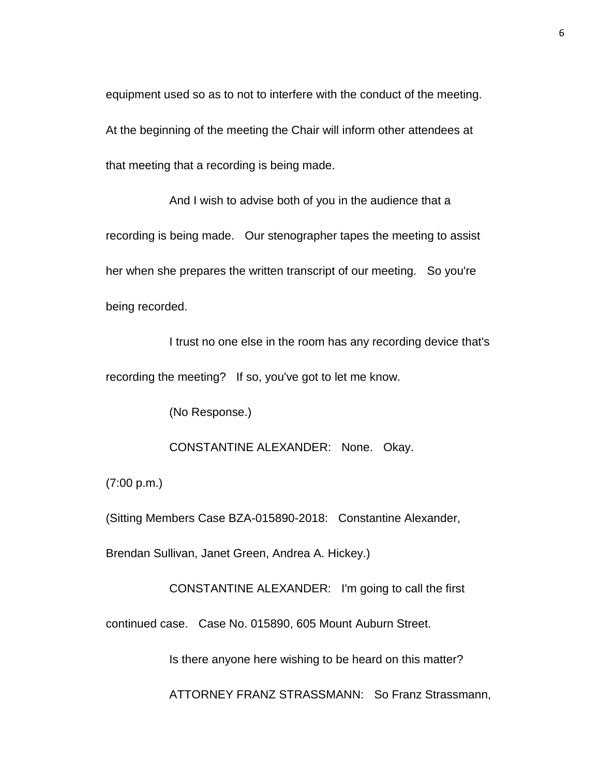equipment used so as to not to interfere with the conduct of the meeting. At the beginning of the meeting the Chair will inform other attendees at that meeting that a recording is being made.

And I wish to advise both of you in the audience that a recording is being made. Our stenographer tapes the meeting to assist her when she prepares the written transcript of our meeting. So you're being recorded.

I trust no one else in the room has any recording device that's recording the meeting? If so, you've got to let me know.

(No Response.)

CONSTANTINE ALEXANDER: None. Okay.

(7:00 p.m.)

(Sitting Members Case BZA-015890-2018: Constantine Alexander,

Brendan Sullivan, Janet Green, Andrea A. Hickey.)

CONSTANTINE ALEXANDER: I'm going to call the first

continued case. Case No. 015890, 605 Mount Auburn Street.

Is there anyone here wishing to be heard on this matter?

ATTORNEY FRANZ STRASSMANN: So Franz Strassmann,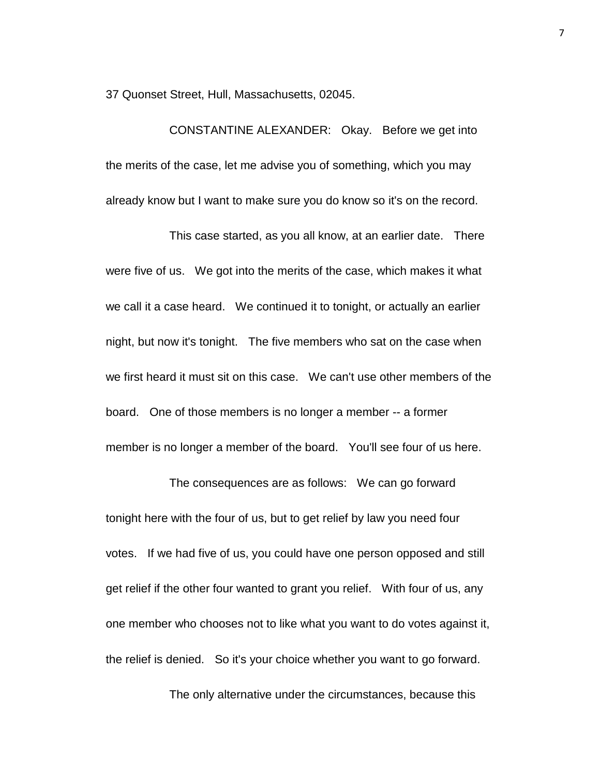37 Quonset Street, Hull, Massachusetts, 02045.

CONSTANTINE ALEXANDER: Okay. Before we get into the merits of the case, let me advise you of something, which you may already know but I want to make sure you do know so it's on the record.

This case started, as you all know, at an earlier date. There were five of us. We got into the merits of the case, which makes it what we call it a case heard. We continued it to tonight, or actually an earlier night, but now it's tonight. The five members who sat on the case when we first heard it must sit on this case. We can't use other members of the board. One of those members is no longer a member -- a former member is no longer a member of the board. You'll see four of us here.

The consequences are as follows: We can go forward tonight here with the four of us, but to get relief by law you need four votes. If we had five of us, you could have one person opposed and still get relief if the other four wanted to grant you relief. With four of us, any one member who chooses not to like what you want to do votes against it, the relief is denied. So it's your choice whether you want to go forward.

The only alternative under the circumstances, because this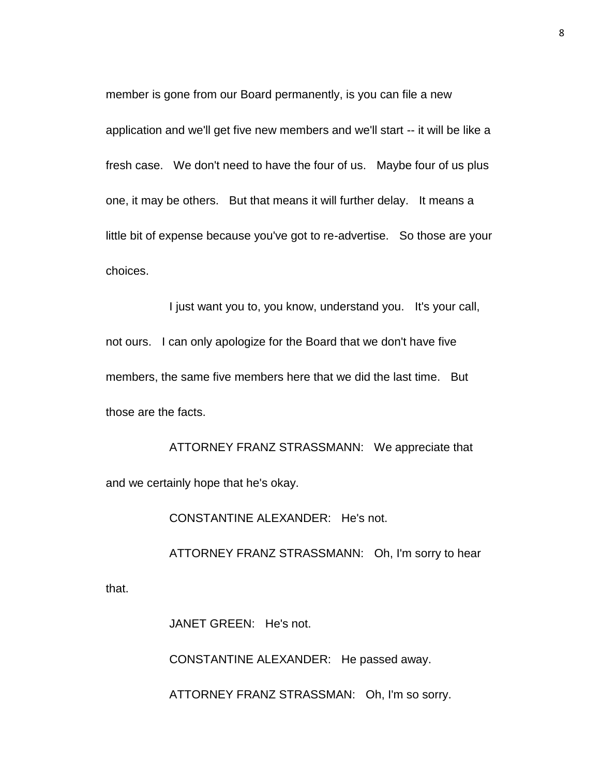member is gone from our Board permanently, is you can file a new application and we'll get five new members and we'll start -- it will be like a fresh case. We don't need to have the four of us. Maybe four of us plus one, it may be others. But that means it will further delay. It means a little bit of expense because you've got to re-advertise. So those are your choices.

I just want you to, you know, understand you. It's your call, not ours. I can only apologize for the Board that we don't have five members, the same five members here that we did the last time. But those are the facts.

ATTORNEY FRANZ STRASSMANN: We appreciate that and we certainly hope that he's okay.

CONSTANTINE ALEXANDER: He's not.

ATTORNEY FRANZ STRASSMANN: Oh, I'm sorry to hear

that.

JANET GREEN: He's not.

CONSTANTINE ALEXANDER: He passed away.

ATTORNEY FRANZ STRASSMAN: Oh, I'm so sorry.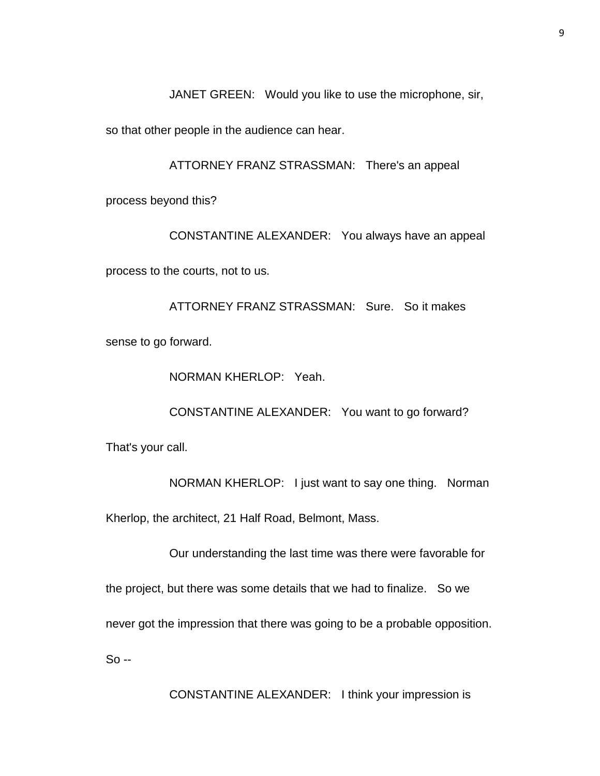JANET GREEN: Would you like to use the microphone, sir,

so that other people in the audience can hear.

ATTORNEY FRANZ STRASSMAN: There's an appeal

process beyond this?

CONSTANTINE ALEXANDER: You always have an appeal

process to the courts, not to us.

ATTORNEY FRANZ STRASSMAN: Sure. So it makes sense to go forward.

NORMAN KHERLOP: Yeah.

CONSTANTINE ALEXANDER: You want to go forward?

That's your call.

NORMAN KHERLOP: I just want to say one thing. Norman

Kherlop, the architect, 21 Half Road, Belmont, Mass.

Our understanding the last time was there were favorable for

the project, but there was some details that we had to finalize. So we

never got the impression that there was going to be a probable opposition.

So --

CONSTANTINE ALEXANDER: I think your impression is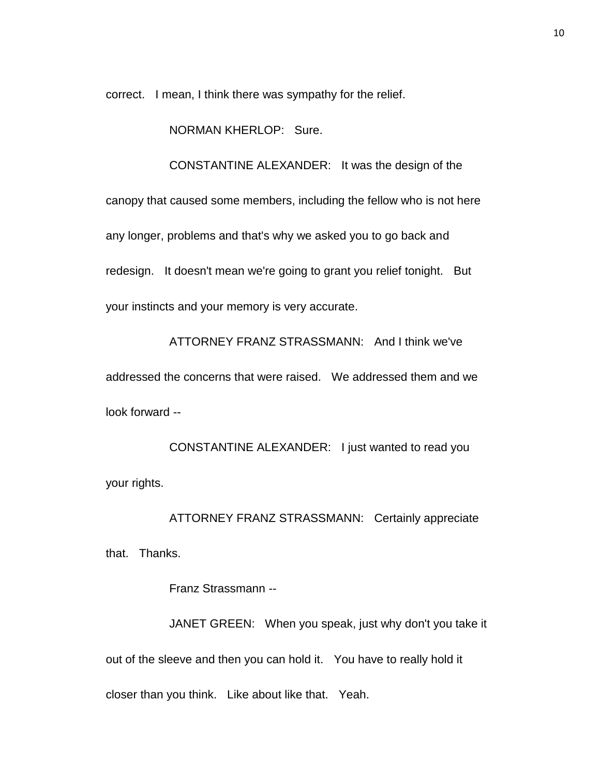correct. I mean, I think there was sympathy for the relief.

NORMAN KHERLOP: Sure.

CONSTANTINE ALEXANDER: It was the design of the

canopy that caused some members, including the fellow who is not here any longer, problems and that's why we asked you to go back and redesign. It doesn't mean we're going to grant you relief tonight. But your instincts and your memory is very accurate.

ATTORNEY FRANZ STRASSMANN: And I think we've addressed the concerns that were raised. We addressed them and we look forward --

CONSTANTINE ALEXANDER: I just wanted to read you your rights.

ATTORNEY FRANZ STRASSMANN: Certainly appreciate that. Thanks.

Franz Strassmann --

JANET GREEN: When you speak, just why don't you take it out of the sleeve and then you can hold it. You have to really hold it closer than you think. Like about like that. Yeah.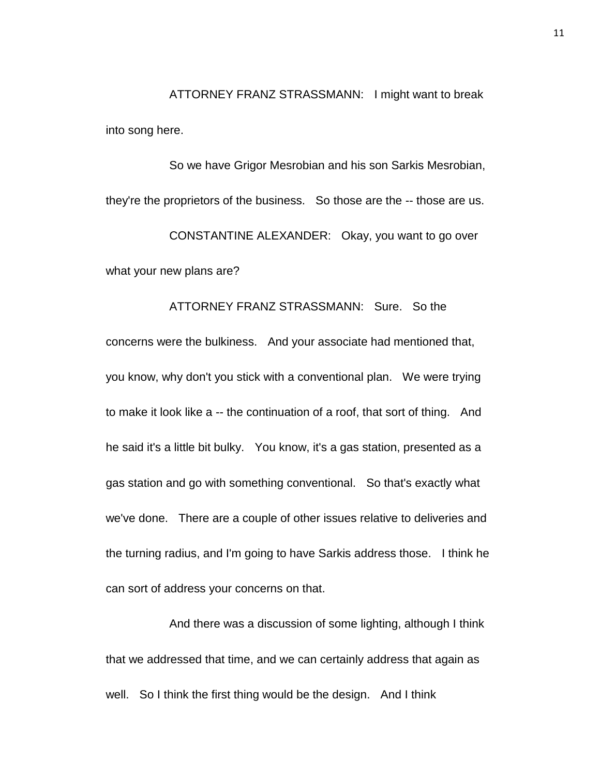ATTORNEY FRANZ STRASSMANN: I might want to break into song here.

So we have Grigor Mesrobian and his son Sarkis Mesrobian, they're the proprietors of the business. So those are the -- those are us. CONSTANTINE ALEXANDER: Okay, you want to go over what your new plans are?

# ATTORNEY FRANZ STRASSMANN: Sure. So the concerns were the bulkiness. And your associate had mentioned that, you know, why don't you stick with a conventional plan. We were trying to make it look like a -- the continuation of a roof, that sort of thing. And he said it's a little bit bulky. You know, it's a gas station, presented as a gas station and go with something conventional. So that's exactly what we've done. There are a couple of other issues relative to deliveries and the turning radius, and I'm going to have Sarkis address those. I think he can sort of address your concerns on that.

And there was a discussion of some lighting, although I think that we addressed that time, and we can certainly address that again as well. So I think the first thing would be the design. And I think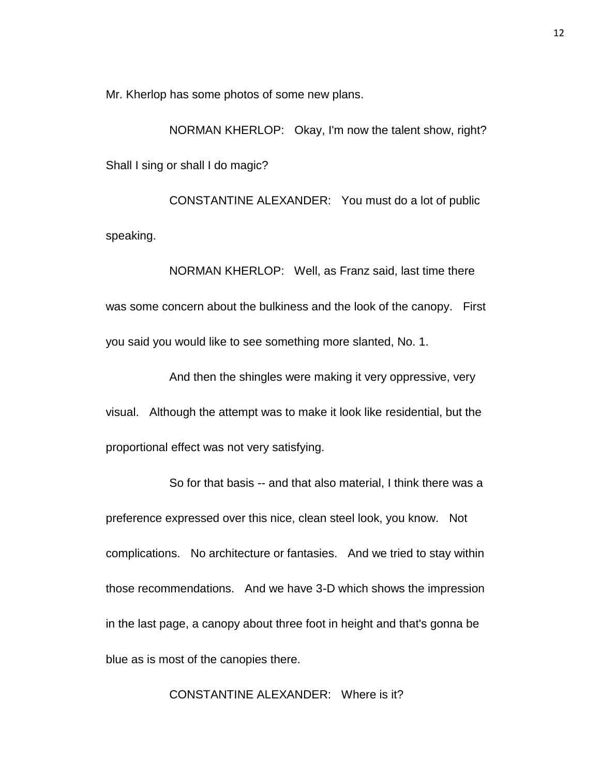Mr. Kherlop has some photos of some new plans.

NORMAN KHERLOP: Okay, I'm now the talent show, right? Shall I sing or shall I do magic?

CONSTANTINE ALEXANDER: You must do a lot of public speaking.

NORMAN KHERLOP: Well, as Franz said, last time there was some concern about the bulkiness and the look of the canopy. First you said you would like to see something more slanted, No. 1.

And then the shingles were making it very oppressive, very visual. Although the attempt was to make it look like residential, but the proportional effect was not very satisfying.

So for that basis -- and that also material, I think there was a preference expressed over this nice, clean steel look, you know. Not complications. No architecture or fantasies. And we tried to stay within those recommendations. And we have 3-D which shows the impression in the last page, a canopy about three foot in height and that's gonna be blue as is most of the canopies there.

CONSTANTINE ALEXANDER: Where is it?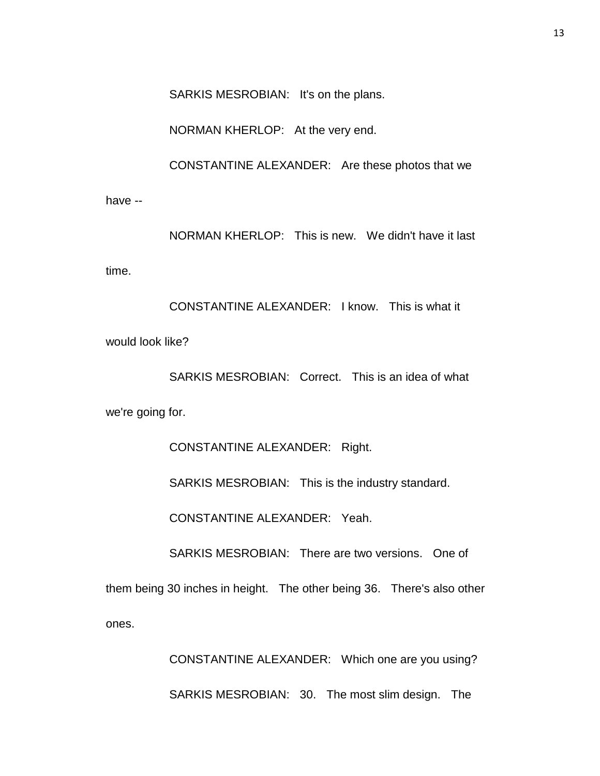SARKIS MESROBIAN: It's on the plans.

NORMAN KHERLOP: At the very end.

CONSTANTINE ALEXANDER: Are these photos that we

have --

NORMAN KHERLOP: This is new. We didn't have it last

time.

CONSTANTINE ALEXANDER: I know. This is what it would look like?

SARKIS MESROBIAN: Correct. This is an idea of what we're going for.

CONSTANTINE ALEXANDER: Right.

SARKIS MESROBIAN: This is the industry standard.

CONSTANTINE ALEXANDER: Yeah.

SARKIS MESROBIAN: There are two versions. One of

them being 30 inches in height. The other being 36. There's also other ones.

> CONSTANTINE ALEXANDER: Which one are you using? SARKIS MESROBIAN: 30. The most slim design. The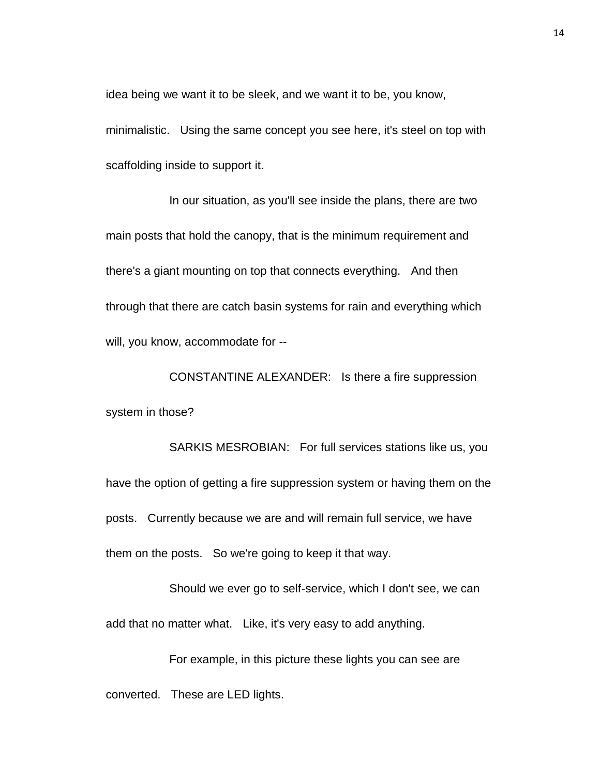idea being we want it to be sleek, and we want it to be, you know,

minimalistic. Using the same concept you see here, it's steel on top with scaffolding inside to support it.

In our situation, as you'll see inside the plans, there are two main posts that hold the canopy, that is the minimum requirement and there's a giant mounting on top that connects everything. And then through that there are catch basin systems for rain and everything which will, you know, accommodate for --

CONSTANTINE ALEXANDER: Is there a fire suppression system in those?

SARKIS MESROBIAN: For full services stations like us, you have the option of getting a fire suppression system or having them on the posts. Currently because we are and will remain full service, we have them on the posts. So we're going to keep it that way.

Should we ever go to self-service, which I don't see, we can add that no matter what. Like, it's very easy to add anything.

For example, in this picture these lights you can see are converted. These are LED lights.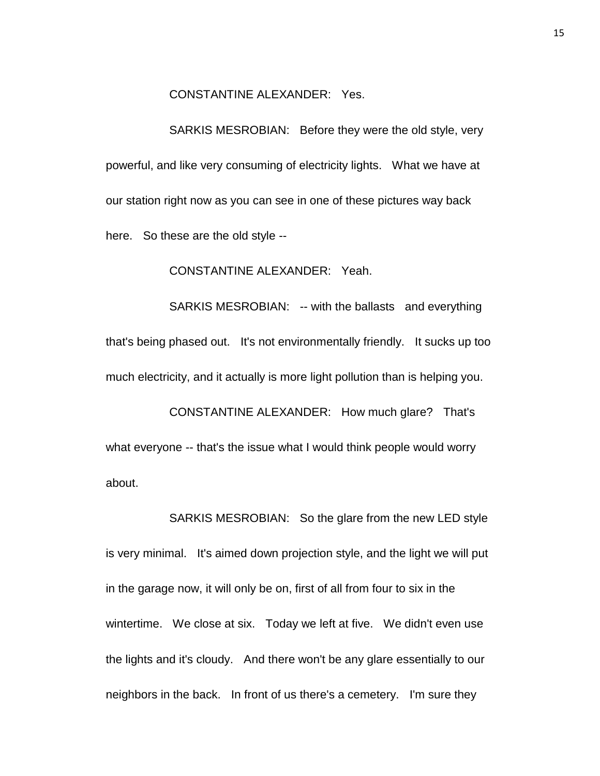## CONSTANTINE ALEXANDER: Yes.

SARKIS MESROBIAN: Before they were the old style, very powerful, and like very consuming of electricity lights. What we have at our station right now as you can see in one of these pictures way back here. So these are the old style --

## CONSTANTINE ALEXANDER: Yeah.

SARKIS MESROBIAN: -- with the ballasts and everything that's being phased out. It's not environmentally friendly. It sucks up too much electricity, and it actually is more light pollution than is helping you.

CONSTANTINE ALEXANDER: How much glare? That's what everyone -- that's the issue what I would think people would worry about.

SARKIS MESROBIAN: So the glare from the new LED style is very minimal. It's aimed down projection style, and the light we will put in the garage now, it will only be on, first of all from four to six in the wintertime. We close at six. Today we left at five. We didn't even use the lights and it's cloudy. And there won't be any glare essentially to our neighbors in the back. In front of us there's a cemetery. I'm sure they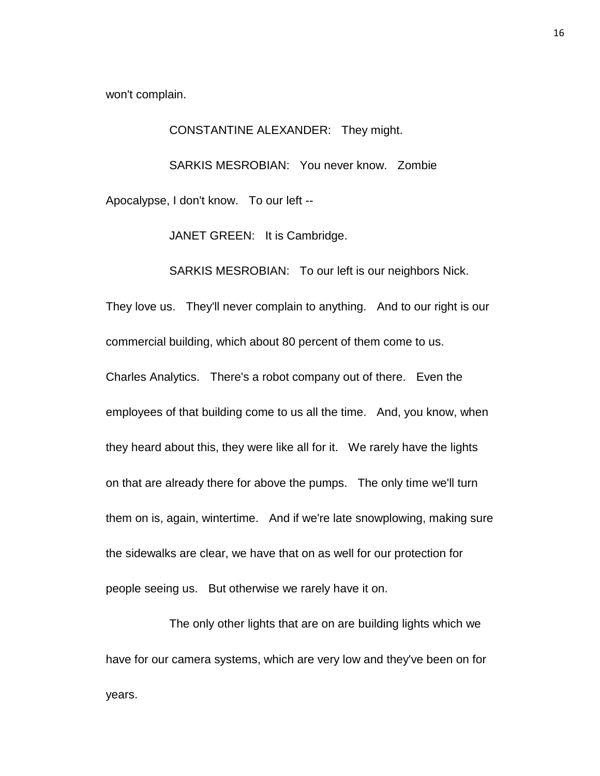won't complain.

CONSTANTINE ALEXANDER: They might.

SARKIS MESROBIAN: You never know. Zombie Apocalypse, I don't know. To our left --

JANET GREEN: It is Cambridge.

SARKIS MESROBIAN: To our left is our neighbors Nick.

They love us. They'll never complain to anything. And to our right is our commercial building, which about 80 percent of them come to us.

Charles Analytics. There's a robot company out of there. Even the employees of that building come to us all the time. And, you know, when they heard about this, they were like all for it. We rarely have the lights on that are already there for above the pumps. The only time we'll turn them on is, again, wintertime. And if we're late snowplowing, making sure the sidewalks are clear, we have that on as well for our protection for people seeing us. But otherwise we rarely have it on.

The only other lights that are on are building lights which we have for our camera systems, which are very low and they've been on for years.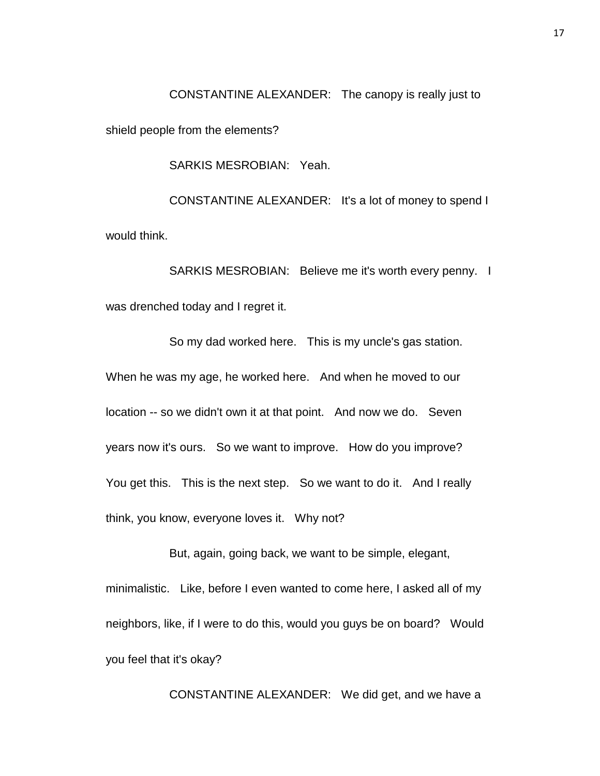CONSTANTINE ALEXANDER: The canopy is really just to shield people from the elements?

SARKIS MESROBIAN: Yeah.

CONSTANTINE ALEXANDER: It's a lot of money to spend I would think.

SARKIS MESROBIAN: Believe me it's worth every penny. I was drenched today and I regret it.

So my dad worked here. This is my uncle's gas station. When he was my age, he worked here. And when he moved to our location -- so we didn't own it at that point. And now we do. Seven years now it's ours. So we want to improve. How do you improve? You get this. This is the next step. So we want to do it. And I really think, you know, everyone loves it. Why not?

But, again, going back, we want to be simple, elegant, minimalistic. Like, before I even wanted to come here, I asked all of my neighbors, like, if I were to do this, would you guys be on board? Would you feel that it's okay?

CONSTANTINE ALEXANDER: We did get, and we have a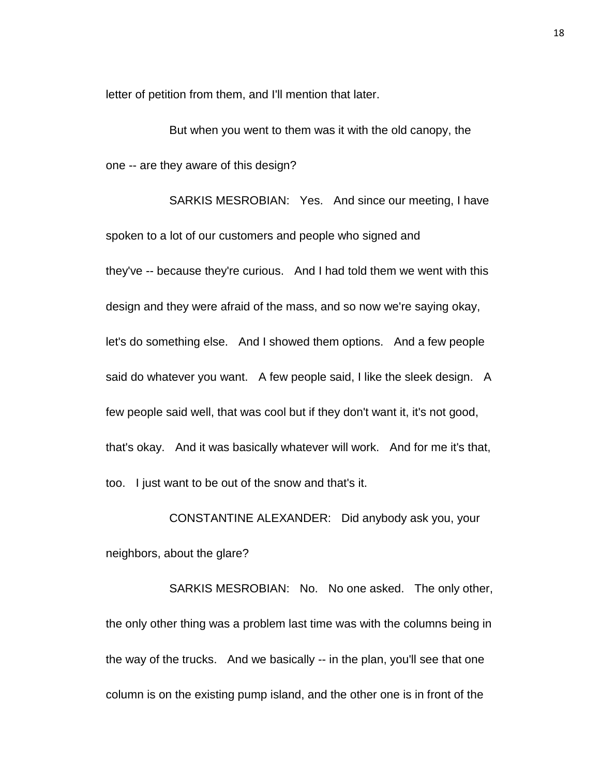letter of petition from them, and I'll mention that later.

But when you went to them was it with the old canopy, the one -- are they aware of this design?

SARKIS MESROBIAN: Yes. And since our meeting, I have spoken to a lot of our customers and people who signed and they've -- because they're curious. And I had told them we went with this design and they were afraid of the mass, and so now we're saying okay, let's do something else. And I showed them options. And a few people said do whatever you want. A few people said, I like the sleek design. A few people said well, that was cool but if they don't want it, it's not good, that's okay. And it was basically whatever will work. And for me it's that, too. I just want to be out of the snow and that's it.

CONSTANTINE ALEXANDER: Did anybody ask you, your neighbors, about the glare?

SARKIS MESROBIAN: No. No one asked. The only other, the only other thing was a problem last time was with the columns being in the way of the trucks. And we basically -- in the plan, you'll see that one column is on the existing pump island, and the other one is in front of the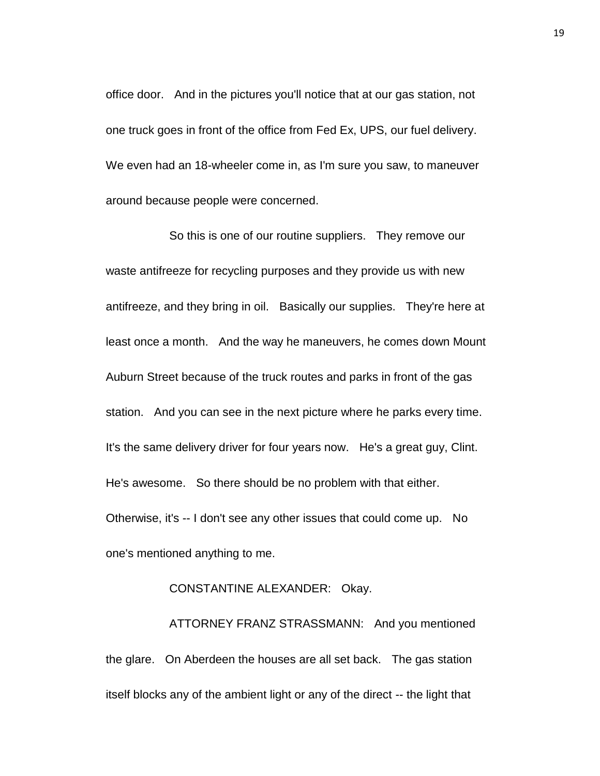office door. And in the pictures you'll notice that at our gas station, not one truck goes in front of the office from Fed Ex, UPS, our fuel delivery. We even had an 18-wheeler come in, as I'm sure you saw, to maneuver around because people were concerned.

So this is one of our routine suppliers. They remove our waste antifreeze for recycling purposes and they provide us with new antifreeze, and they bring in oil. Basically our supplies. They're here at least once a month. And the way he maneuvers, he comes down Mount Auburn Street because of the truck routes and parks in front of the gas station. And you can see in the next picture where he parks every time. It's the same delivery driver for four years now. He's a great guy, Clint. He's awesome. So there should be no problem with that either. Otherwise, it's -- I don't see any other issues that could come up. No one's mentioned anything to me.

## CONSTANTINE ALEXANDER: Okay.

ATTORNEY FRANZ STRASSMANN: And you mentioned the glare. On Aberdeen the houses are all set back. The gas station itself blocks any of the ambient light or any of the direct -- the light that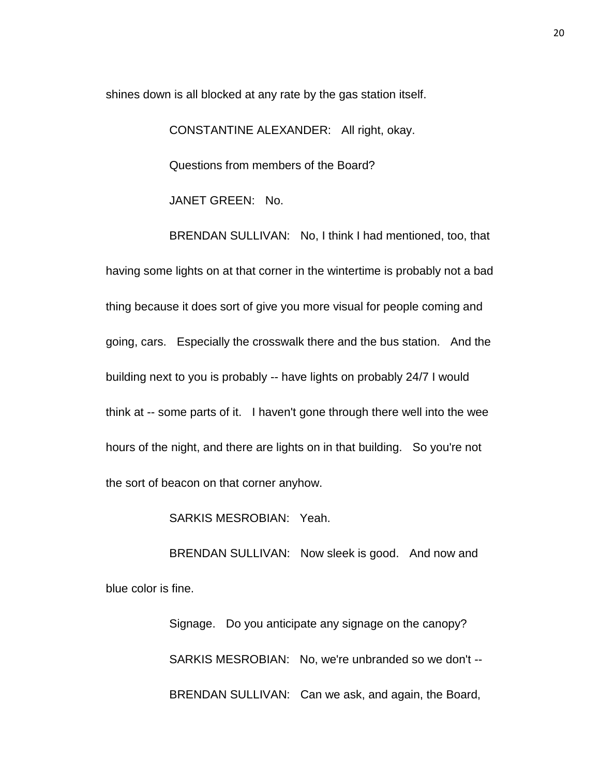shines down is all blocked at any rate by the gas station itself.

CONSTANTINE ALEXANDER: All right, okay. Questions from members of the Board? JANET GREEN: No.

BRENDAN SULLIVAN: No, I think I had mentioned, too, that having some lights on at that corner in the wintertime is probably not a bad thing because it does sort of give you more visual for people coming and going, cars. Especially the crosswalk there and the bus station. And the building next to you is probably -- have lights on probably 24/7 I would think at -- some parts of it. I haven't gone through there well into the wee hours of the night, and there are lights on in that building. So you're not the sort of beacon on that corner anyhow.

SARKIS MESROBIAN: Yeah.

BRENDAN SULLIVAN: Now sleek is good. And now and blue color is fine.

> Signage. Do you anticipate any signage on the canopy? SARKIS MESROBIAN: No, we're unbranded so we don't -- BRENDAN SULLIVAN: Can we ask, and again, the Board,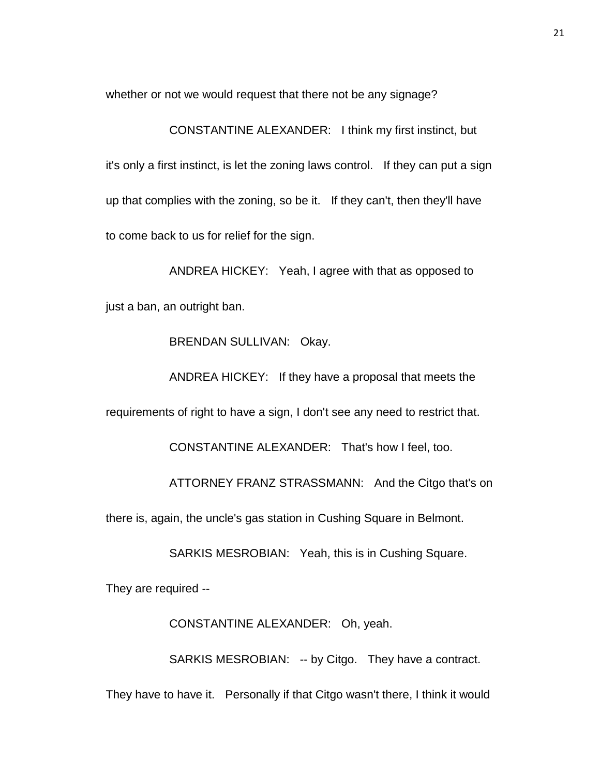whether or not we would request that there not be any signage?

CONSTANTINE ALEXANDER: I think my first instinct, but it's only a first instinct, is let the zoning laws control. If they can put a sign up that complies with the zoning, so be it. If they can't, then they'll have to come back to us for relief for the sign.

ANDREA HICKEY: Yeah, I agree with that as opposed to just a ban, an outright ban.

BRENDAN SULLIVAN: Okay.

ANDREA HICKEY: If they have a proposal that meets the requirements of right to have a sign, I don't see any need to restrict that.

CONSTANTINE ALEXANDER: That's how I feel, too.

ATTORNEY FRANZ STRASSMANN: And the Citgo that's on

there is, again, the uncle's gas station in Cushing Square in Belmont.

SARKIS MESROBIAN: Yeah, this is in Cushing Square.

They are required --

CONSTANTINE ALEXANDER: Oh, yeah.

SARKIS MESROBIAN: -- by Citgo. They have a contract.

They have to have it. Personally if that Citgo wasn't there, I think it would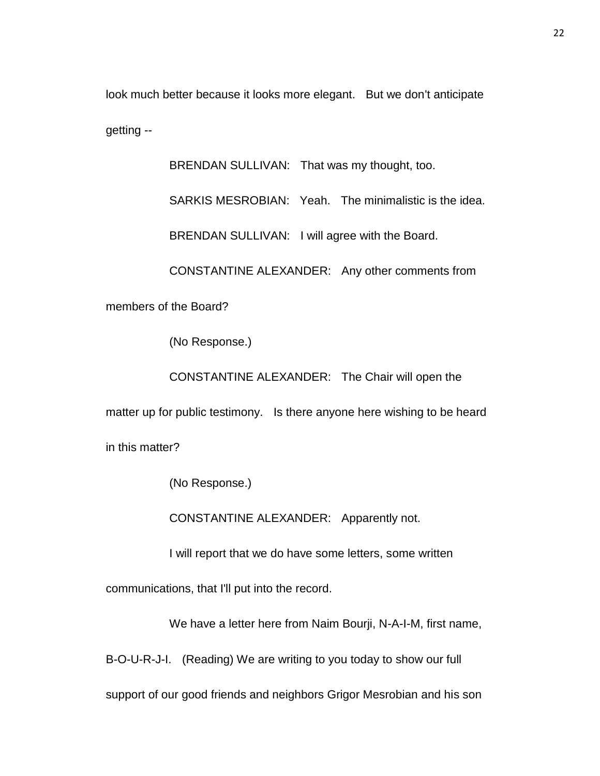look much better because it looks more elegant. But we don't anticipate getting --

BRENDAN SULLIVAN: That was my thought, too.

SARKIS MESROBIAN: Yeah. The minimalistic is the idea.

BRENDAN SULLIVAN: I will agree with the Board.

CONSTANTINE ALEXANDER: Any other comments from

members of the Board?

(No Response.)

CONSTANTINE ALEXANDER: The Chair will open the

matter up for public testimony. Is there anyone here wishing to be heard

in this matter?

(No Response.)

CONSTANTINE ALEXANDER: Apparently not.

I will report that we do have some letters, some written

communications, that I'll put into the record.

We have a letter here from Naim Bourji, N-A-I-M, first name,

B-O-U-R-J-I. (Reading) We are writing to you today to show our full

support of our good friends and neighbors Grigor Mesrobian and his son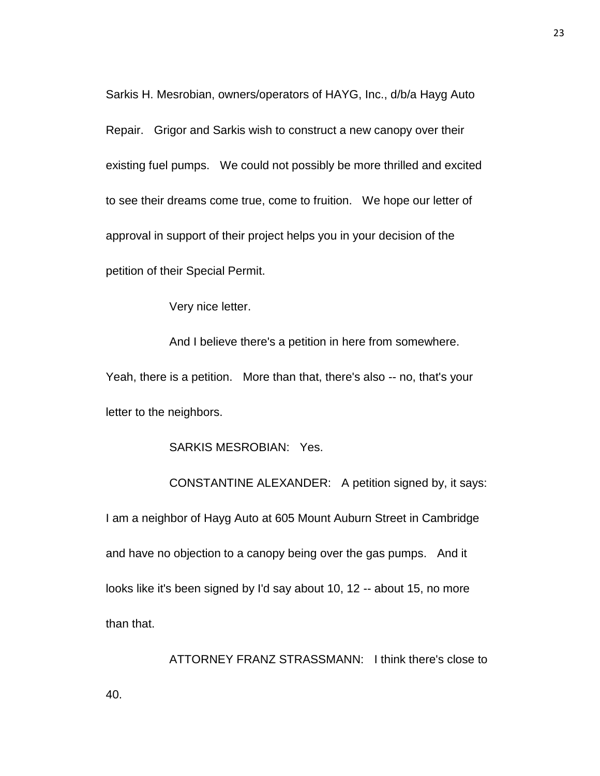Sarkis H. Mesrobian, owners/operators of HAYG, Inc., d/b/a Hayg Auto Repair. Grigor and Sarkis wish to construct a new canopy over their existing fuel pumps. We could not possibly be more thrilled and excited to see their dreams come true, come to fruition. We hope our letter of approval in support of their project helps you in your decision of the petition of their Special Permit.

Very nice letter.

And I believe there's a petition in here from somewhere. Yeah, there is a petition. More than that, there's also -- no, that's your letter to the neighbors.

SARKIS MESROBIAN: Yes.

CONSTANTINE ALEXANDER: A petition signed by, it says: I am a neighbor of Hayg Auto at 605 Mount Auburn Street in Cambridge and have no objection to a canopy being over the gas pumps. And it looks like it's been signed by I'd say about 10, 12 -- about 15, no more than that.

ATTORNEY FRANZ STRASSMANN: I think there's close to 40.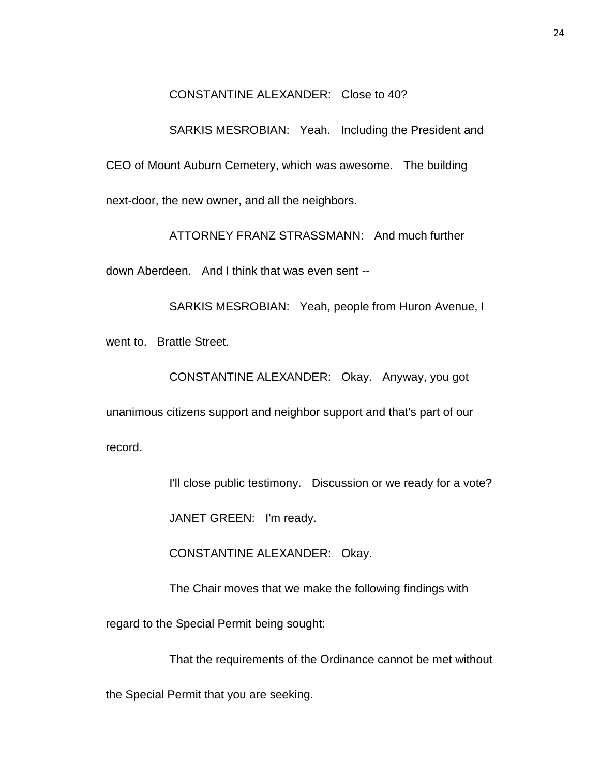## CONSTANTINE ALEXANDER: Close to 40?

SARKIS MESROBIAN: Yeah. Including the President and CEO of Mount Auburn Cemetery, which was awesome. The building next-door, the new owner, and all the neighbors.

ATTORNEY FRANZ STRASSMANN: And much further

down Aberdeen. And I think that was even sent --

SARKIS MESROBIAN: Yeah, people from Huron Avenue, I went to. Brattle Street.

CONSTANTINE ALEXANDER: Okay. Anyway, you got unanimous citizens support and neighbor support and that's part of our record.

I'll close public testimony. Discussion or we ready for a vote?

JANET GREEN: I'm ready.

CONSTANTINE ALEXANDER: Okay.

The Chair moves that we make the following findings with

regard to the Special Permit being sought:

That the requirements of the Ordinance cannot be met without

the Special Permit that you are seeking.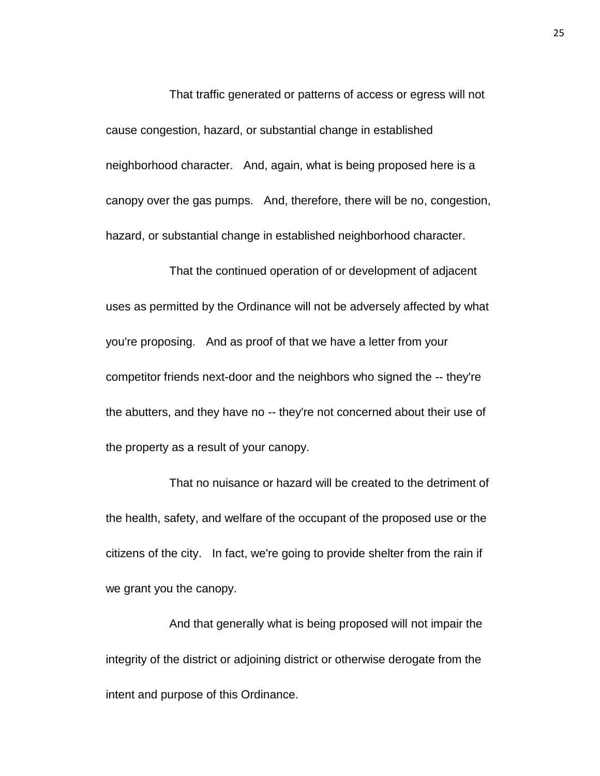That traffic generated or patterns of access or egress will not cause congestion, hazard, or substantial change in established neighborhood character. And, again, what is being proposed here is a canopy over the gas pumps. And, therefore, there will be no, congestion, hazard, or substantial change in established neighborhood character.

That the continued operation of or development of adjacent uses as permitted by the Ordinance will not be adversely affected by what you're proposing. And as proof of that we have a letter from your competitor friends next-door and the neighbors who signed the -- they're the abutters, and they have no -- they're not concerned about their use of the property as a result of your canopy.

That no nuisance or hazard will be created to the detriment of the health, safety, and welfare of the occupant of the proposed use or the citizens of the city. In fact, we're going to provide shelter from the rain if we grant you the canopy.

And that generally what is being proposed will not impair the integrity of the district or adjoining district or otherwise derogate from the intent and purpose of this Ordinance.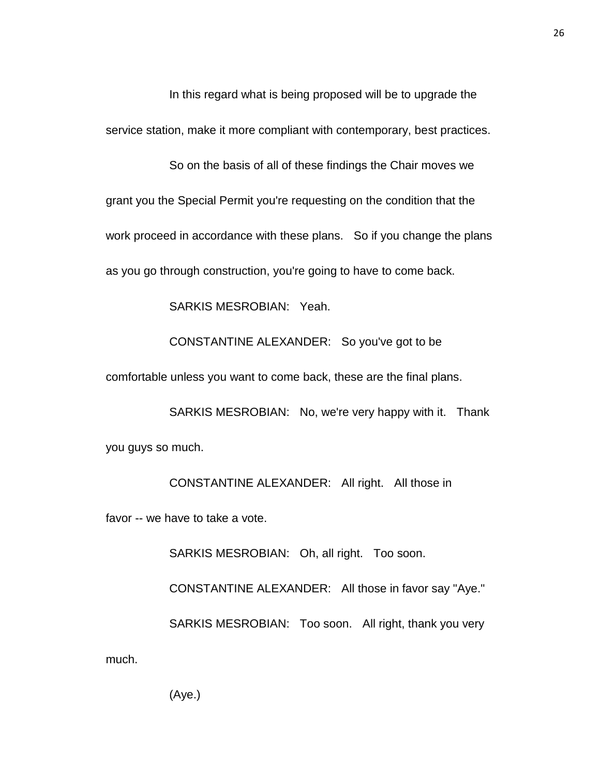In this regard what is being proposed will be to upgrade the service station, make it more compliant with contemporary, best practices.

So on the basis of all of these findings the Chair moves we grant you the Special Permit you're requesting on the condition that the work proceed in accordance with these plans. So if you change the plans as you go through construction, you're going to have to come back.

SARKIS MESROBIAN: Yeah.

CONSTANTINE ALEXANDER: So you've got to be

comfortable unless you want to come back, these are the final plans.

SARKIS MESROBIAN: No, we're very happy with it. Thank you guys so much.

CONSTANTINE ALEXANDER: All right. All those in

favor -- we have to take a vote.

SARKIS MESROBIAN: Oh, all right. Too soon.

CONSTANTINE ALEXANDER: All those in favor say "Aye." SARKIS MESROBIAN: Too soon. All right, thank you very

much.

(Aye.)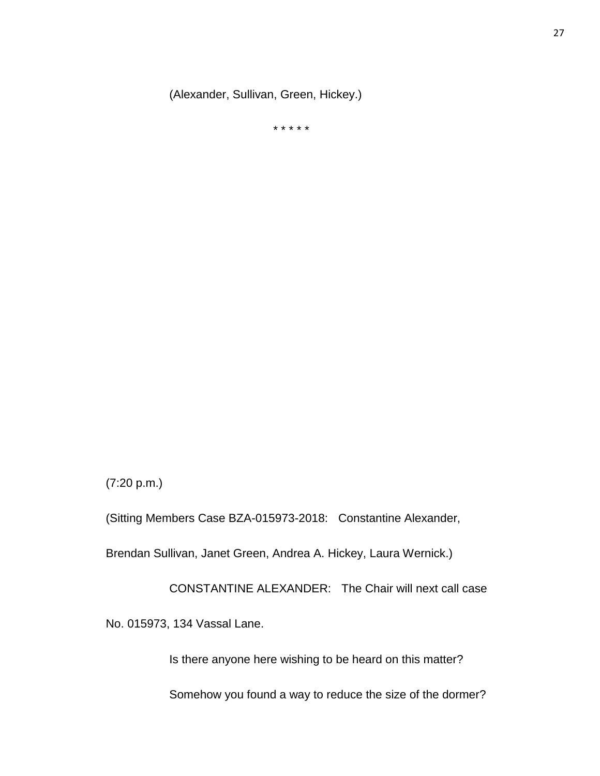(Alexander, Sullivan, Green, Hickey.)

\* \* \* \* \*

(7:20 p.m.)

(Sitting Members Case BZA-015973-2018: Constantine Alexander,

Brendan Sullivan, Janet Green, Andrea A. Hickey, Laura Wernick.)

CONSTANTINE ALEXANDER: The Chair will next call case

No. 015973, 134 Vassal Lane.

Is there anyone here wishing to be heard on this matter?

Somehow you found a way to reduce the size of the dormer?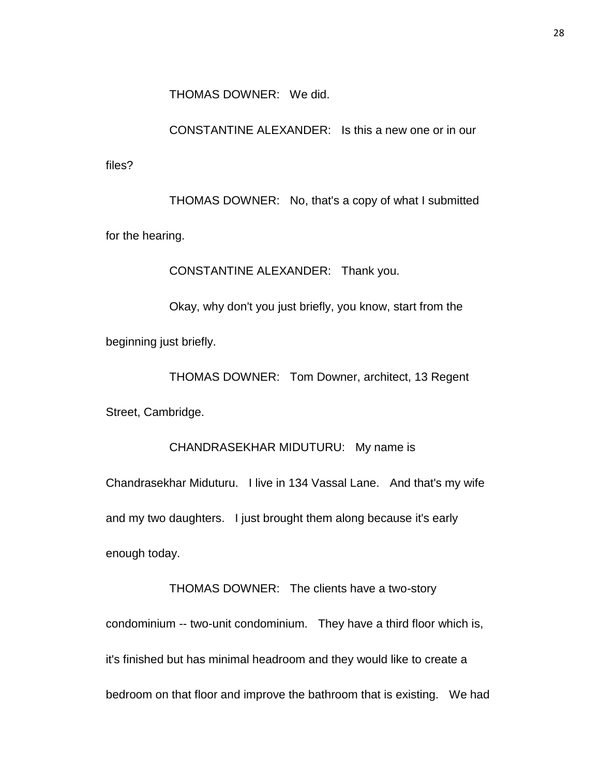THOMAS DOWNER: We did.

CONSTANTINE ALEXANDER: Is this a new one or in our

files?

THOMAS DOWNER: No, that's a copy of what I submitted for the hearing.

CONSTANTINE ALEXANDER: Thank you.

Okay, why don't you just briefly, you know, start from the beginning just briefly.

THOMAS DOWNER: Tom Downer, architect, 13 Regent Street, Cambridge.

CHANDRASEKHAR MIDUTURU: My name is Chandrasekhar Miduturu. I live in 134 Vassal Lane. And that's my wife and my two daughters. I just brought them along because it's early enough today.

THOMAS DOWNER: The clients have a two-story condominium -- two-unit condominium. They have a third floor which is, it's finished but has minimal headroom and they would like to create a bedroom on that floor and improve the bathroom that is existing. We had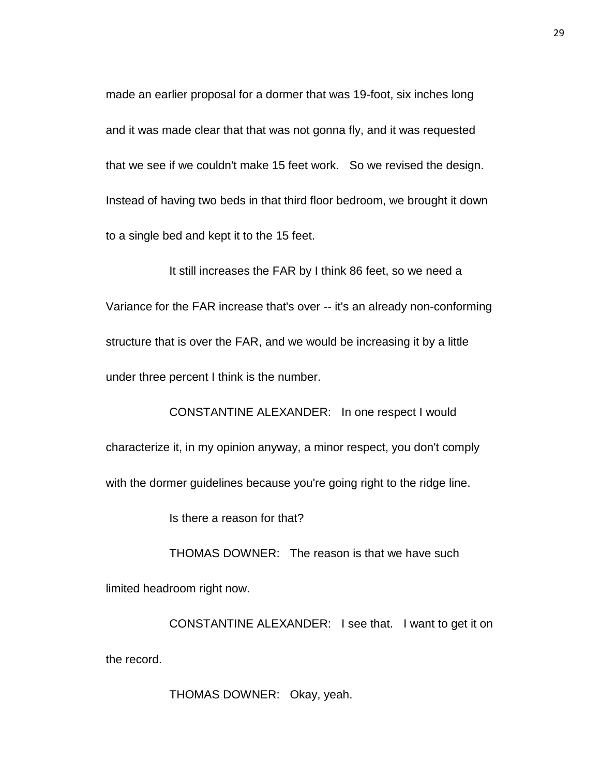made an earlier proposal for a dormer that was 19-foot, six inches long and it was made clear that that was not gonna fly, and it was requested that we see if we couldn't make 15 feet work. So we revised the design. Instead of having two beds in that third floor bedroom, we brought it down to a single bed and kept it to the 15 feet.

It still increases the FAR by I think 86 feet, so we need a Variance for the FAR increase that's over -- it's an already non-conforming structure that is over the FAR, and we would be increasing it by a little under three percent I think is the number.

CONSTANTINE ALEXANDER: In one respect I would characterize it, in my opinion anyway, a minor respect, you don't comply with the dormer guidelines because you're going right to the ridge line.

Is there a reason for that?

THOMAS DOWNER: The reason is that we have such limited headroom right now.

CONSTANTINE ALEXANDER: I see that. I want to get it on the record.

THOMAS DOWNER: Okay, yeah.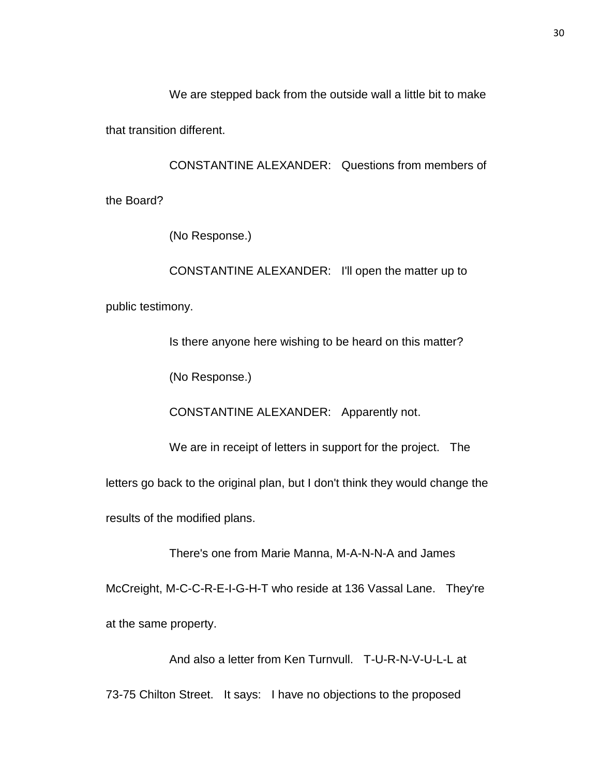We are stepped back from the outside wall a little bit to make

that transition different.

CONSTANTINE ALEXANDER: Questions from members of

the Board?

(No Response.)

CONSTANTINE ALEXANDER: I'll open the matter up to public testimony.

Is there anyone here wishing to be heard on this matter?

(No Response.)

CONSTANTINE ALEXANDER: Apparently not.

We are in receipt of letters in support for the project. The

letters go back to the original plan, but I don't think they would change the

results of the modified plans.

There's one from Marie Manna, M-A-N-N-A and James

McCreight, M-C-C-R-E-I-G-H-T who reside at 136 Vassal Lane. They're at the same property.

And also a letter from Ken Turnvull. T-U-R-N-V-U-L-L at 73-75 Chilton Street. It says: I have no objections to the proposed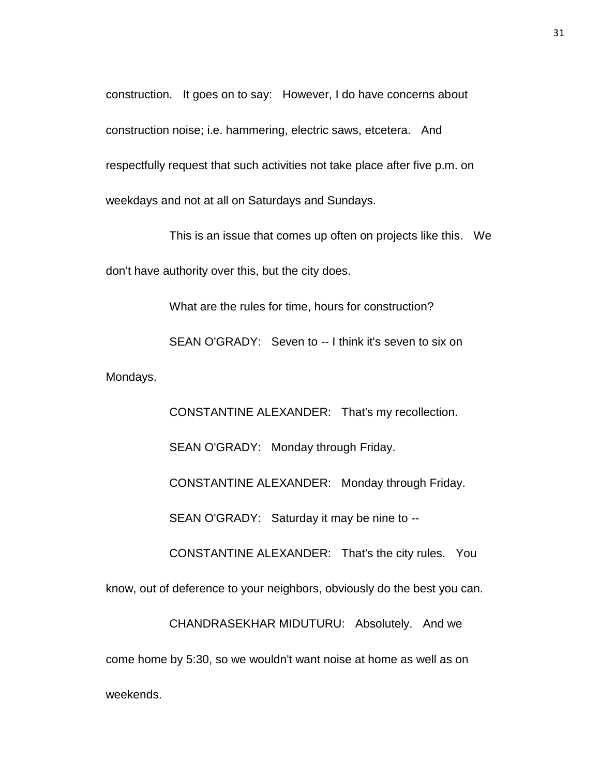construction. It goes on to say: However, I do have concerns about construction noise; i.e. hammering, electric saws, etcetera. And respectfully request that such activities not take place after five p.m. on weekdays and not at all on Saturdays and Sundays.

This is an issue that comes up often on projects like this. We don't have authority over this, but the city does.

What are the rules for time, hours for construction? SEAN O'GRADY: Seven to -- I think it's seven to six on

Mondays.

CONSTANTINE ALEXANDER: That's my recollection. SEAN O'GRADY: Monday through Friday. CONSTANTINE ALEXANDER: Monday through Friday. SEAN O'GRADY: Saturday it may be nine to -- CONSTANTINE ALEXANDER: That's the city rules. You know, out of deference to your neighbors, obviously do the best you can. CHANDRASEKHAR MIDUTURU: Absolutely. And we come home by 5:30, so we wouldn't want noise at home as well as on weekends.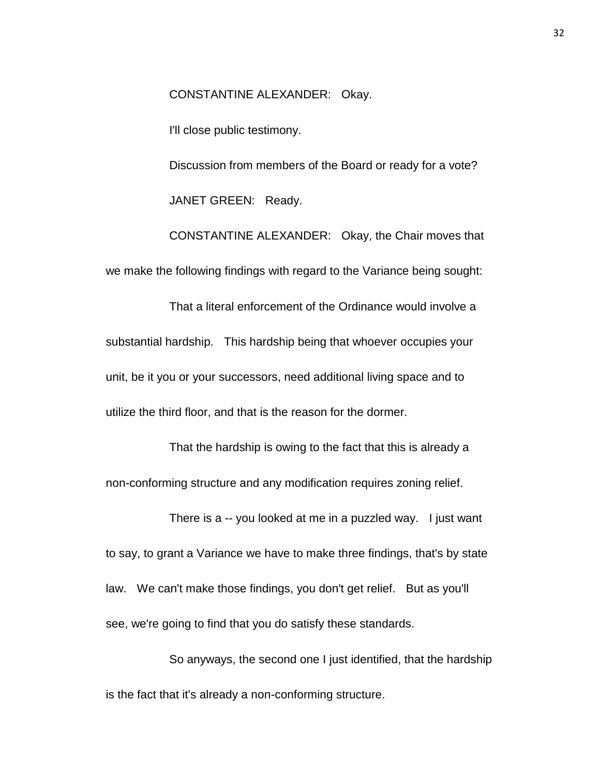CONSTANTINE ALEXANDER: Okay.

I'll close public testimony.

Discussion from members of the Board or ready for a vote? JANET GREEN: Ready.

CONSTANTINE ALEXANDER: Okay, the Chair moves that we make the following findings with regard to the Variance being sought:

That a literal enforcement of the Ordinance would involve a substantial hardship. This hardship being that whoever occupies your unit, be it you or your successors, need additional living space and to utilize the third floor, and that is the reason for the dormer.

That the hardship is owing to the fact that this is already a non-conforming structure and any modification requires zoning relief.

There is a -- you looked at me in a puzzled way. I just want to say, to grant a Variance we have to make three findings, that's by state law. We can't make those findings, you don't get relief. But as you'll see, we're going to find that you do satisfy these standards.

So anyways, the second one I just identified, that the hardship is the fact that it's already a non-conforming structure.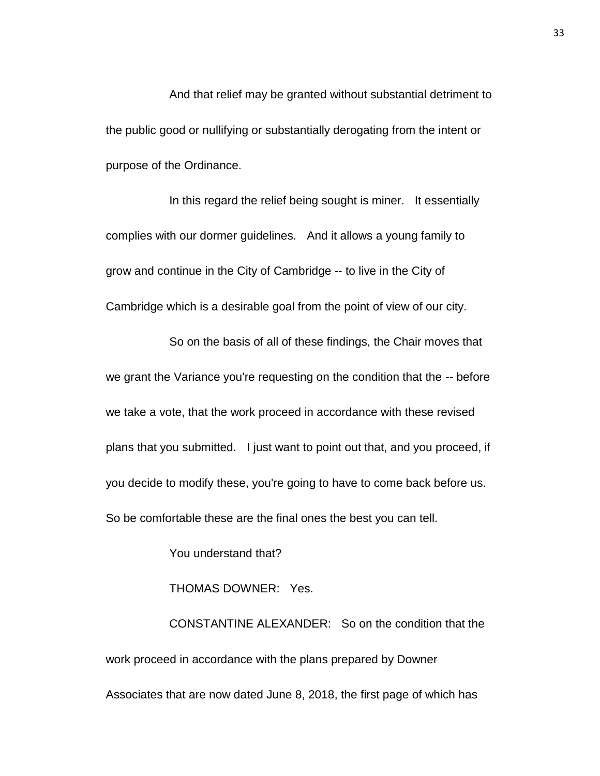And that relief may be granted without substantial detriment to the public good or nullifying or substantially derogating from the intent or purpose of the Ordinance.

In this regard the relief being sought is miner. It essentially complies with our dormer guidelines. And it allows a young family to grow and continue in the City of Cambridge -- to live in the City of Cambridge which is a desirable goal from the point of view of our city.

So on the basis of all of these findings, the Chair moves that we grant the Variance you're requesting on the condition that the -- before we take a vote, that the work proceed in accordance with these revised plans that you submitted. I just want to point out that, and you proceed, if you decide to modify these, you're going to have to come back before us. So be comfortable these are the final ones the best you can tell.

You understand that?

THOMAS DOWNER: Yes.

CONSTANTINE ALEXANDER: So on the condition that the work proceed in accordance with the plans prepared by Downer Associates that are now dated June 8, 2018, the first page of which has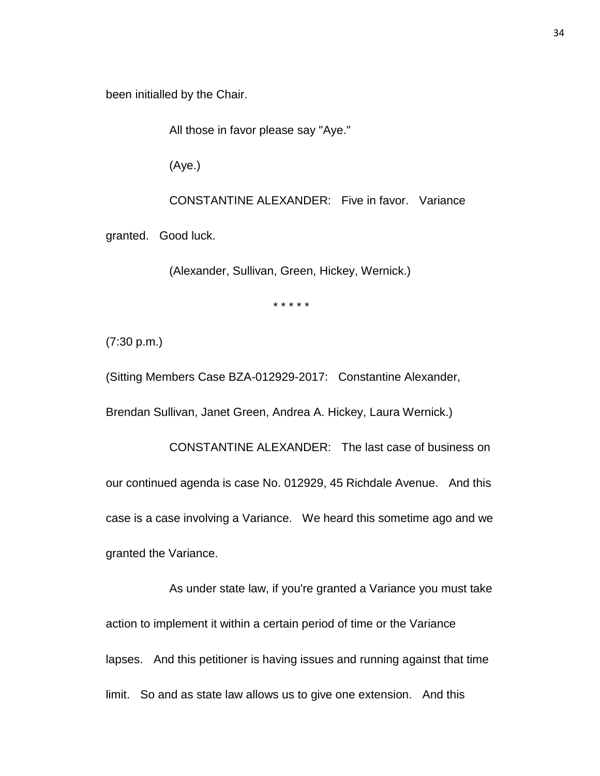been initialled by the Chair.

All those in favor please say "Aye."

(Aye.)

CONSTANTINE ALEXANDER: Five in favor. Variance

granted. Good luck.

(Alexander, Sullivan, Green, Hickey, Wernick.)

\* \* \* \* \*

(7:30 p.m.)

(Sitting Members Case BZA-012929-2017: Constantine Alexander,

Brendan Sullivan, Janet Green, Andrea A. Hickey, Laura Wernick.)

CONSTANTINE ALEXANDER: The last case of business on our continued agenda is case No. 012929, 45 Richdale Avenue. And this case is a case involving a Variance. We heard this sometime ago and we granted the Variance.

As under state law, if you're granted a Variance you must take action to implement it within a certain period of time or the Variance lapses. And this petitioner is having issues and running against that time limit. So and as state law allows us to give one extension. And this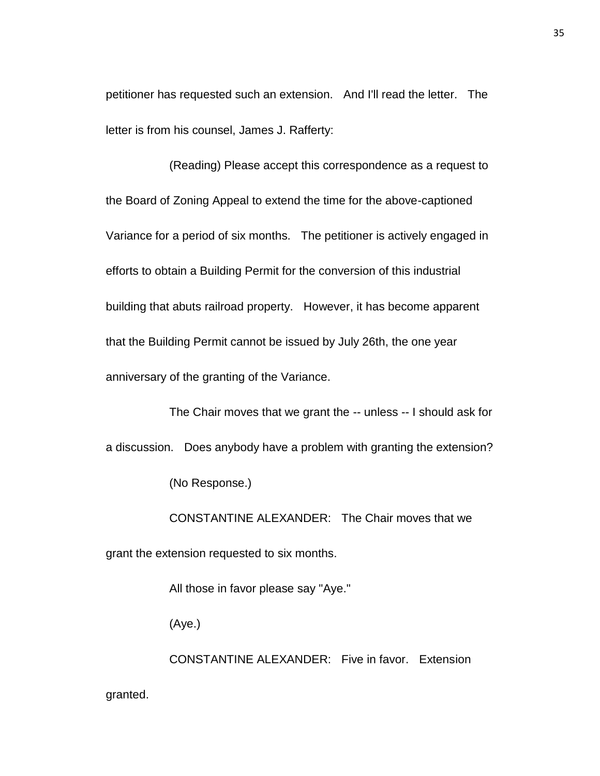petitioner has requested such an extension. And I'll read the letter. The letter is from his counsel, James J. Rafferty:

(Reading) Please accept this correspondence as a request to the Board of Zoning Appeal to extend the time for the above-captioned Variance for a period of six months. The petitioner is actively engaged in efforts to obtain a Building Permit for the conversion of this industrial building that abuts railroad property. However, it has become apparent that the Building Permit cannot be issued by July 26th, the one year anniversary of the granting of the Variance.

The Chair moves that we grant the -- unless -- I should ask for a discussion. Does anybody have a problem with granting the extension? (No Response.)

CONSTANTINE ALEXANDER: The Chair moves that we grant the extension requested to six months.

All those in favor please say "Aye."

(Aye.)

CONSTANTINE ALEXANDER: Five in favor. Extension granted.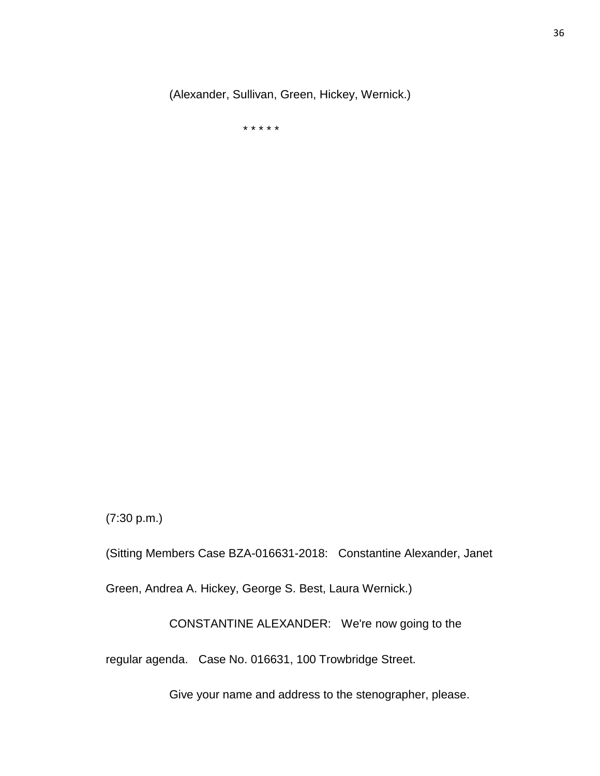(Alexander, Sullivan, Green, Hickey, Wernick.)

\* \* \* \* \*

(7:30 p.m.)

(Sitting Members Case BZA-016631-2018: Constantine Alexander, Janet

Green, Andrea A. Hickey, George S. Best, Laura Wernick.)

CONSTANTINE ALEXANDER: We're now going to the

regular agenda. Case No. 016631, 100 Trowbridge Street.

Give your name and address to the stenographer, please.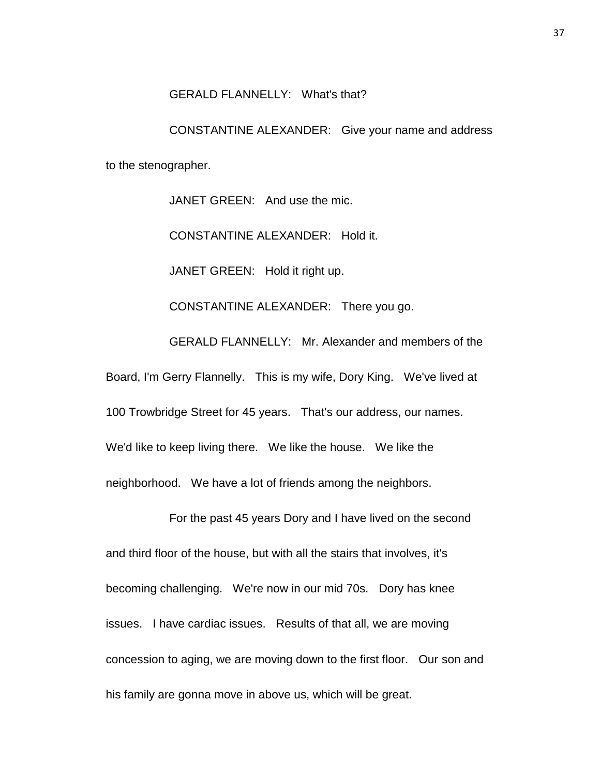## GERALD FLANNELLY: What's that?

CONSTANTINE ALEXANDER: Give your name and address to the stenographer.

JANET GREEN: And use the mic.

CONSTANTINE ALEXANDER: Hold it.

JANET GREEN: Hold it right up.

CONSTANTINE ALEXANDER: There you go.

GERALD FLANNELLY: Mr. Alexander and members of the

Board, I'm Gerry Flannelly. This is my wife, Dory King. We've lived at

100 Trowbridge Street for 45 years. That's our address, our names.

We'd like to keep living there. We like the house. We like the

neighborhood. We have a lot of friends among the neighbors.

For the past 45 years Dory and I have lived on the second and third floor of the house, but with all the stairs that involves, it's becoming challenging. We're now in our mid 70s. Dory has knee issues. I have cardiac issues. Results of that all, we are moving concession to aging, we are moving down to the first floor. Our son and his family are gonna move in above us, which will be great.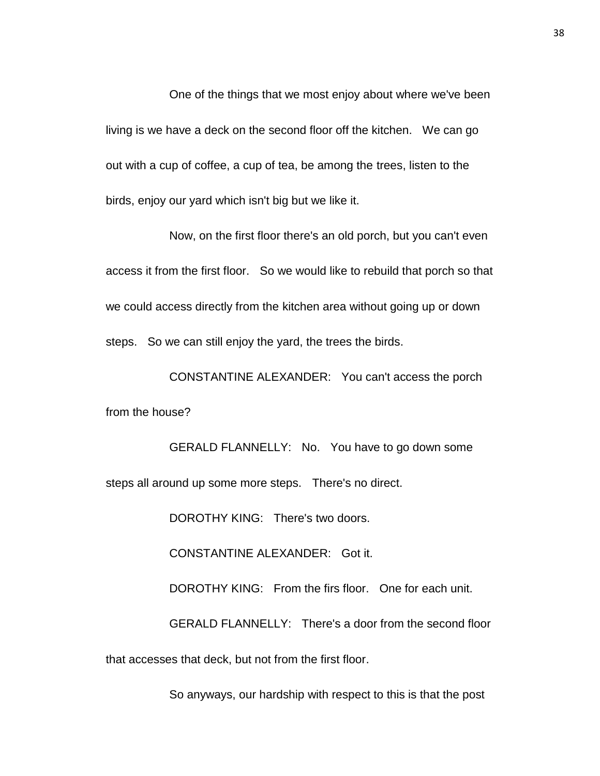One of the things that we most enjoy about where we've been living is we have a deck on the second floor off the kitchen. We can go out with a cup of coffee, a cup of tea, be among the trees, listen to the birds, enjoy our yard which isn't big but we like it.

Now, on the first floor there's an old porch, but you can't even access it from the first floor. So we would like to rebuild that porch so that we could access directly from the kitchen area without going up or down steps. So we can still enjoy the yard, the trees the birds.

CONSTANTINE ALEXANDER: You can't access the porch from the house?

GERALD FLANNELLY: No. You have to go down some steps all around up some more steps. There's no direct.

DOROTHY KING: There's two doors.

CONSTANTINE ALEXANDER: Got it.

DOROTHY KING: From the firs floor. One for each unit.

GERALD FLANNELLY: There's a door from the second floor that accesses that deck, but not from the first floor.

So anyways, our hardship with respect to this is that the post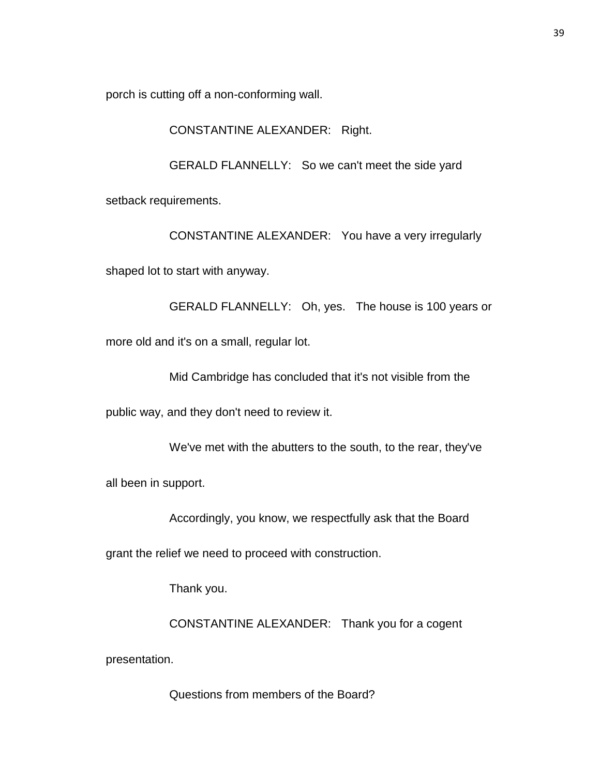porch is cutting off a non-conforming wall.

CONSTANTINE ALEXANDER: Right.

GERALD FLANNELLY: So we can't meet the side yard

setback requirements.

CONSTANTINE ALEXANDER: You have a very irregularly

shaped lot to start with anyway.

GERALD FLANNELLY: Oh, yes. The house is 100 years or more old and it's on a small, regular lot.

Mid Cambridge has concluded that it's not visible from the

public way, and they don't need to review it.

We've met with the abutters to the south, to the rear, they've

all been in support.

Accordingly, you know, we respectfully ask that the Board

grant the relief we need to proceed with construction.

Thank you.

CONSTANTINE ALEXANDER: Thank you for a cogent

presentation.

Questions from members of the Board?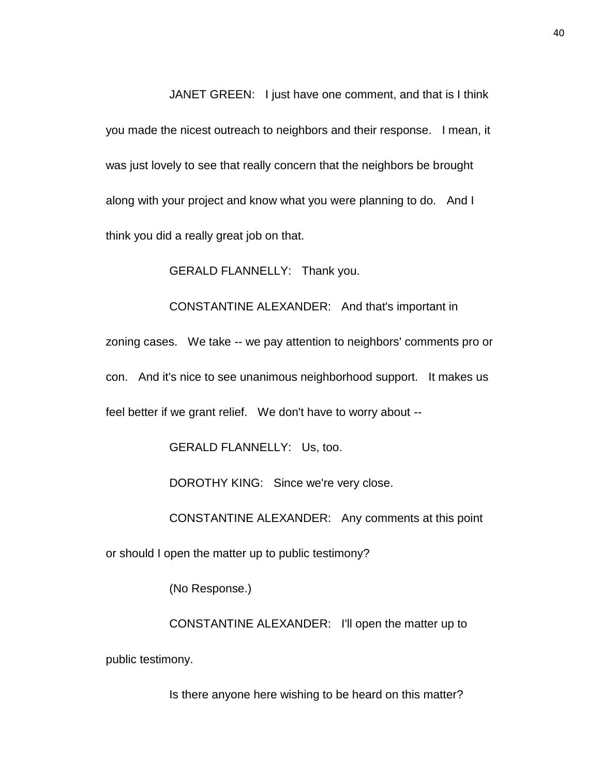JANET GREEN: I just have one comment, and that is I think

you made the nicest outreach to neighbors and their response. I mean, it was just lovely to see that really concern that the neighbors be brought along with your project and know what you were planning to do. And I think you did a really great job on that.

GERALD FLANNELLY: Thank you.

CONSTANTINE ALEXANDER: And that's important in

zoning cases. We take -- we pay attention to neighbors' comments pro or con. And it's nice to see unanimous neighborhood support. It makes us feel better if we grant relief. We don't have to worry about --

GERALD FLANNELLY: Us, too.

DOROTHY KING: Since we're very close.

CONSTANTINE ALEXANDER: Any comments at this point

or should I open the matter up to public testimony?

(No Response.)

CONSTANTINE ALEXANDER: I'll open the matter up to public testimony.

Is there anyone here wishing to be heard on this matter?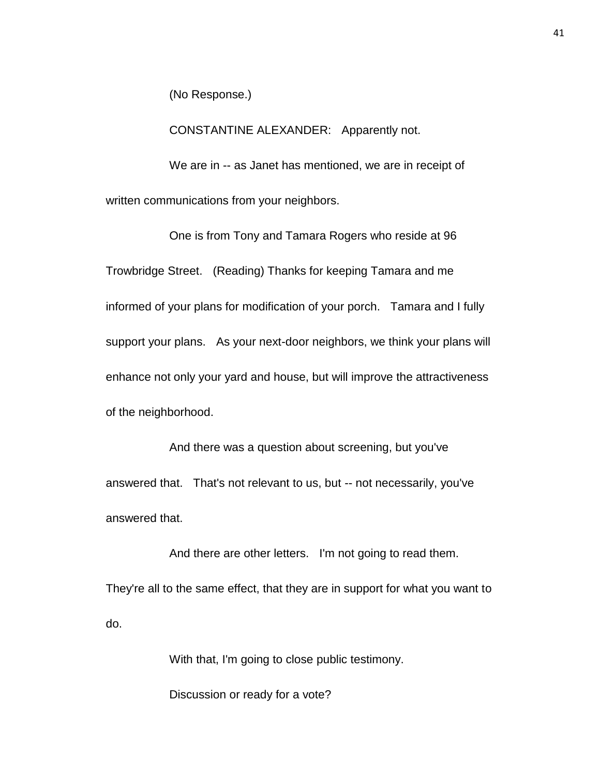(No Response.)

CONSTANTINE ALEXANDER: Apparently not.

We are in -- as Janet has mentioned, we are in receipt of written communications from your neighbors.

One is from Tony and Tamara Rogers who reside at 96 Trowbridge Street. (Reading) Thanks for keeping Tamara and me informed of your plans for modification of your porch. Tamara and I fully support your plans. As your next-door neighbors, we think your plans will enhance not only your yard and house, but will improve the attractiveness of the neighborhood.

And there was a question about screening, but you've answered that. That's not relevant to us, but -- not necessarily, you've answered that.

And there are other letters. I'm not going to read them. They're all to the same effect, that they are in support for what you want to do.

With that, I'm going to close public testimony.

Discussion or ready for a vote?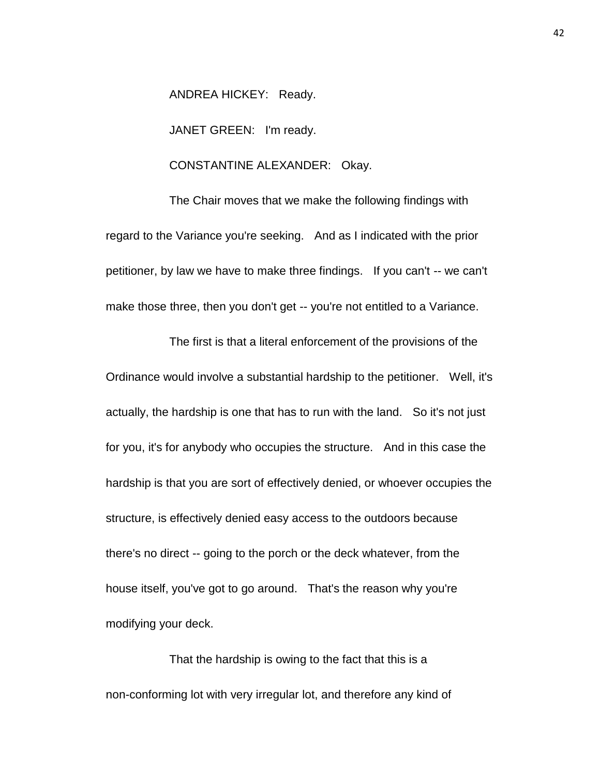ANDREA HICKEY: Ready.

JANET GREEN: I'm ready.

## CONSTANTINE ALEXANDER: Okay.

The Chair moves that we make the following findings with regard to the Variance you're seeking. And as I indicated with the prior petitioner, by law we have to make three findings. If you can't -- we can't make those three, then you don't get -- you're not entitled to a Variance.

The first is that a literal enforcement of the provisions of the Ordinance would involve a substantial hardship to the petitioner. Well, it's actually, the hardship is one that has to run with the land. So it's not just for you, it's for anybody who occupies the structure. And in this case the hardship is that you are sort of effectively denied, or whoever occupies the structure, is effectively denied easy access to the outdoors because there's no direct -- going to the porch or the deck whatever, from the house itself, you've got to go around. That's the reason why you're modifying your deck.

That the hardship is owing to the fact that this is a non-conforming lot with very irregular lot, and therefore any kind of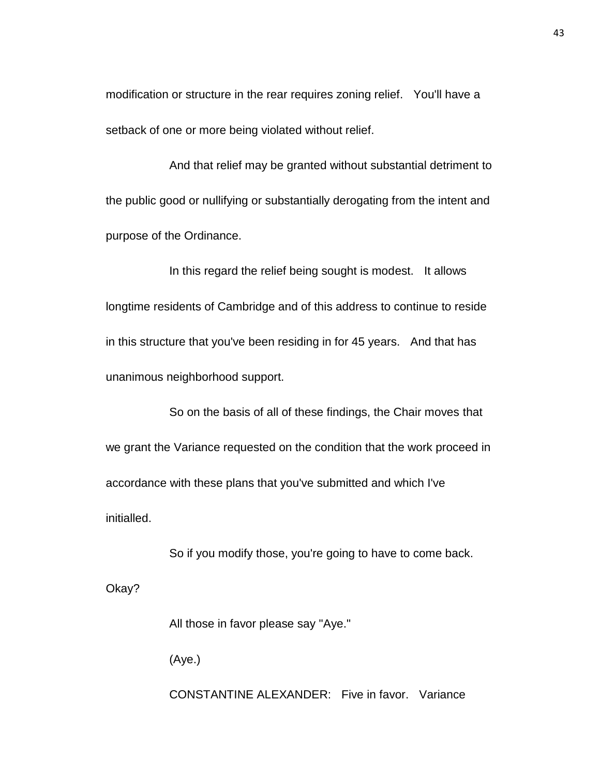modification or structure in the rear requires zoning relief. You'll have a setback of one or more being violated without relief.

And that relief may be granted without substantial detriment to the public good or nullifying or substantially derogating from the intent and purpose of the Ordinance.

In this regard the relief being sought is modest. It allows longtime residents of Cambridge and of this address to continue to reside in this structure that you've been residing in for 45 years. And that has unanimous neighborhood support.

So on the basis of all of these findings, the Chair moves that we grant the Variance requested on the condition that the work proceed in accordance with these plans that you've submitted and which I've initialled.

So if you modify those, you're going to have to come back.

Okay?

All those in favor please say "Aye."

(Aye.)

CONSTANTINE ALEXANDER: Five in favor. Variance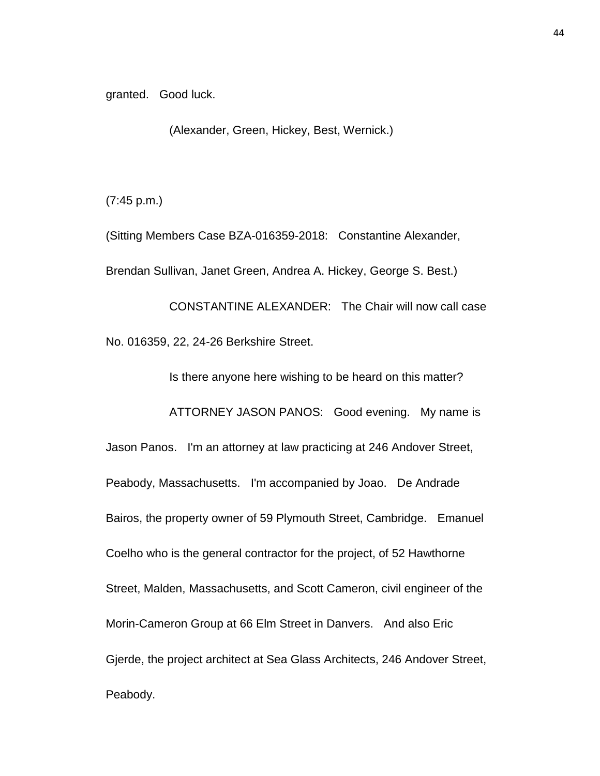granted. Good luck.

(Alexander, Green, Hickey, Best, Wernick.)

(7:45 p.m.)

(Sitting Members Case BZA-016359-2018: Constantine Alexander, Brendan Sullivan, Janet Green, Andrea A. Hickey, George S. Best.)

CONSTANTINE ALEXANDER: The Chair will now call case No. 016359, 22, 24-26 Berkshire Street.

Is there anyone here wishing to be heard on this matter?

ATTORNEY JASON PANOS: Good evening. My name is

Jason Panos. I'm an attorney at law practicing at 246 Andover Street, Peabody, Massachusetts. I'm accompanied by Joao. De Andrade Bairos, the property owner of 59 Plymouth Street, Cambridge. Emanuel Coelho who is the general contractor for the project, of 52 Hawthorne Street, Malden, Massachusetts, and Scott Cameron, civil engineer of the Morin-Cameron Group at 66 Elm Street in Danvers. And also Eric Gjerde, the project architect at Sea Glass Architects, 246 Andover Street, Peabody.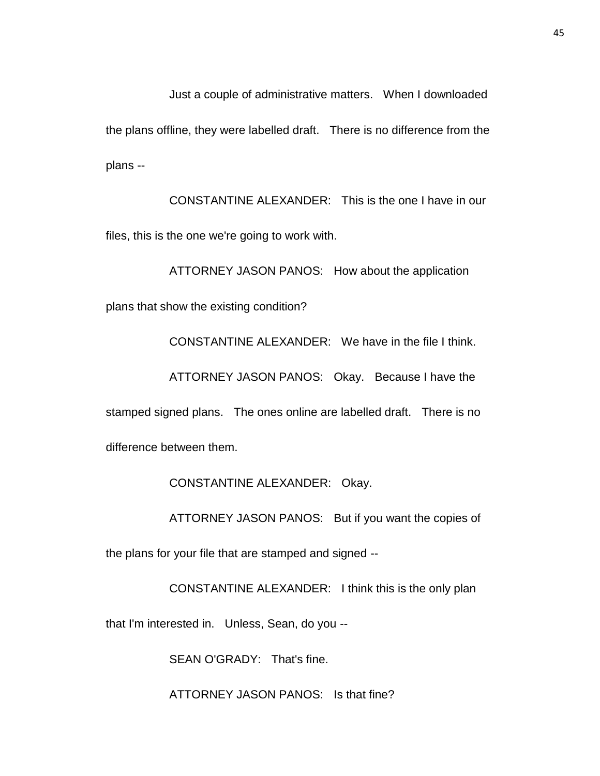Just a couple of administrative matters. When I downloaded the plans offline, they were labelled draft. There is no difference from the plans --

CONSTANTINE ALEXANDER: This is the one I have in our files, this is the one we're going to work with.

ATTORNEY JASON PANOS: How about the application plans that show the existing condition? CONSTANTINE ALEXANDER: We have in the file I think.

ATTORNEY JASON PANOS: Okay. Because I have the

stamped signed plans. The ones online are labelled draft. There is no difference between them.

CONSTANTINE ALEXANDER: Okay.

ATTORNEY JASON PANOS: But if you want the copies of

the plans for your file that are stamped and signed --

CONSTANTINE ALEXANDER: I think this is the only plan

that I'm interested in. Unless, Sean, do you --

SEAN O'GRADY: That's fine.

ATTORNEY JASON PANOS: Is that fine?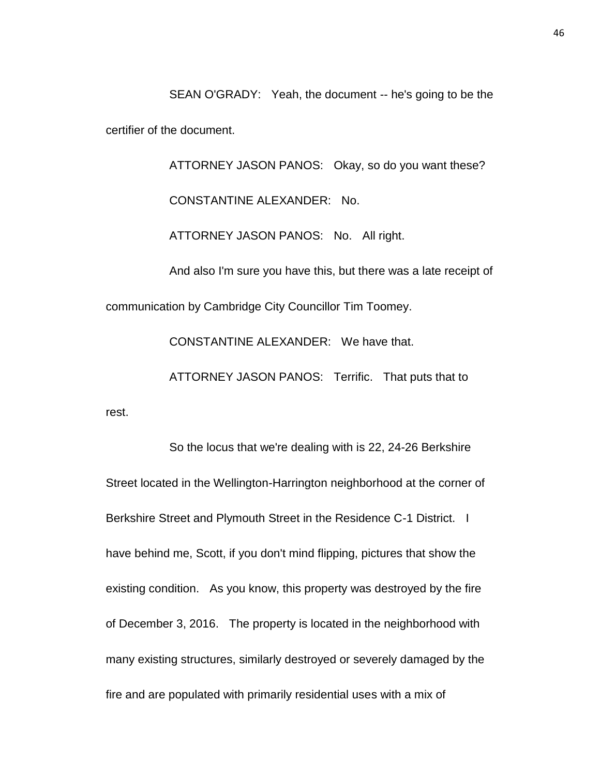SEAN O'GRADY: Yeah, the document -- he's going to be the certifier of the document.

ATTORNEY JASON PANOS: Okay, so do you want these? CONSTANTINE ALEXANDER: No. ATTORNEY JASON PANOS: No. All right. And also I'm sure you have this, but there was a late receipt of communication by Cambridge City Councillor Tim Toomey. CONSTANTINE ALEXANDER: We have that.

ATTORNEY JASON PANOS: Terrific. That puts that to

rest.

So the locus that we're dealing with is 22, 24-26 Berkshire Street located in the Wellington-Harrington neighborhood at the corner of Berkshire Street and Plymouth Street in the Residence C-1 District. I have behind me, Scott, if you don't mind flipping, pictures that show the existing condition. As you know, this property was destroyed by the fire of December 3, 2016. The property is located in the neighborhood with many existing structures, similarly destroyed or severely damaged by the fire and are populated with primarily residential uses with a mix of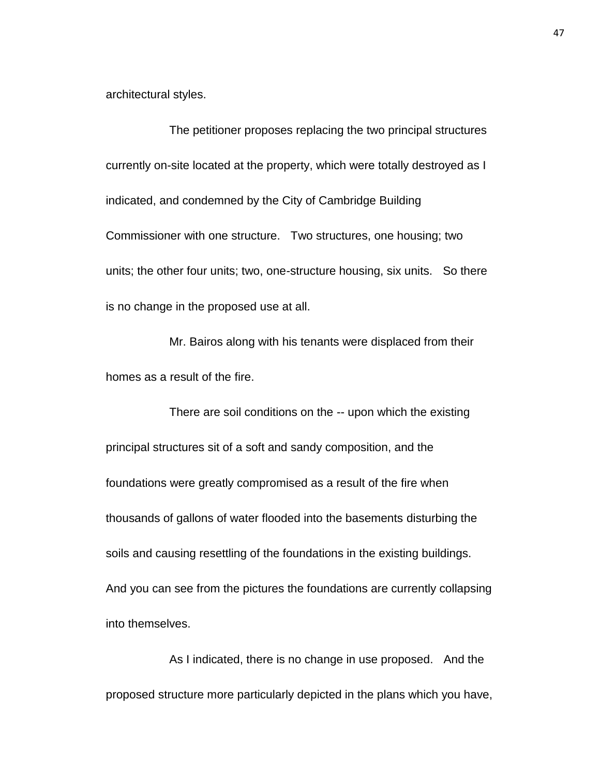architectural styles.

The petitioner proposes replacing the two principal structures currently on-site located at the property, which were totally destroyed as I indicated, and condemned by the City of Cambridge Building Commissioner with one structure. Two structures, one housing; two units; the other four units; two, one-structure housing, six units. So there is no change in the proposed use at all.

Mr. Bairos along with his tenants were displaced from their homes as a result of the fire.

There are soil conditions on the -- upon which the existing principal structures sit of a soft and sandy composition, and the foundations were greatly compromised as a result of the fire when thousands of gallons of water flooded into the basements disturbing the soils and causing resettling of the foundations in the existing buildings. And you can see from the pictures the foundations are currently collapsing into themselves.

As I indicated, there is no change in use proposed. And the proposed structure more particularly depicted in the plans which you have,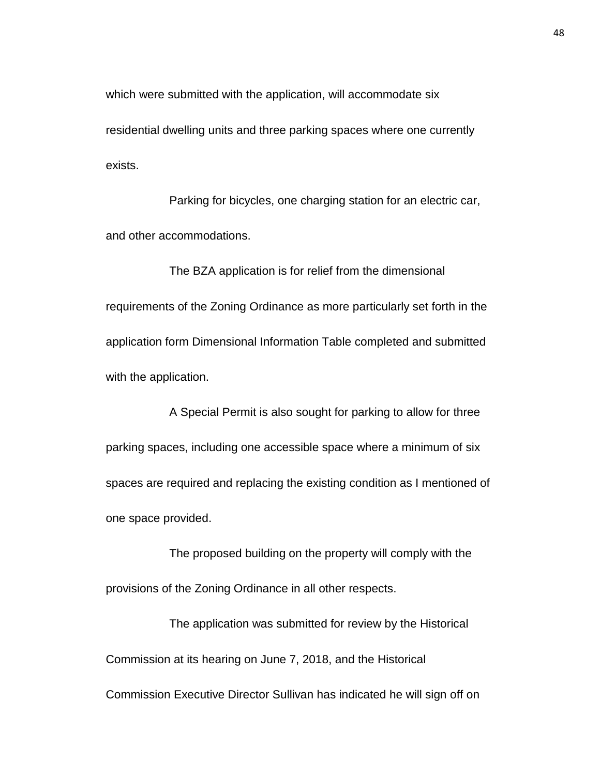which were submitted with the application, will accommodate six residential dwelling units and three parking spaces where one currently exists.

Parking for bicycles, one charging station for an electric car, and other accommodations.

The BZA application is for relief from the dimensional requirements of the Zoning Ordinance as more particularly set forth in the application form Dimensional Information Table completed and submitted with the application.

A Special Permit is also sought for parking to allow for three parking spaces, including one accessible space where a minimum of six spaces are required and replacing the existing condition as I mentioned of one space provided.

The proposed building on the property will comply with the provisions of the Zoning Ordinance in all other respects.

The application was submitted for review by the Historical Commission at its hearing on June 7, 2018, and the Historical Commission Executive Director Sullivan has indicated he will sign off on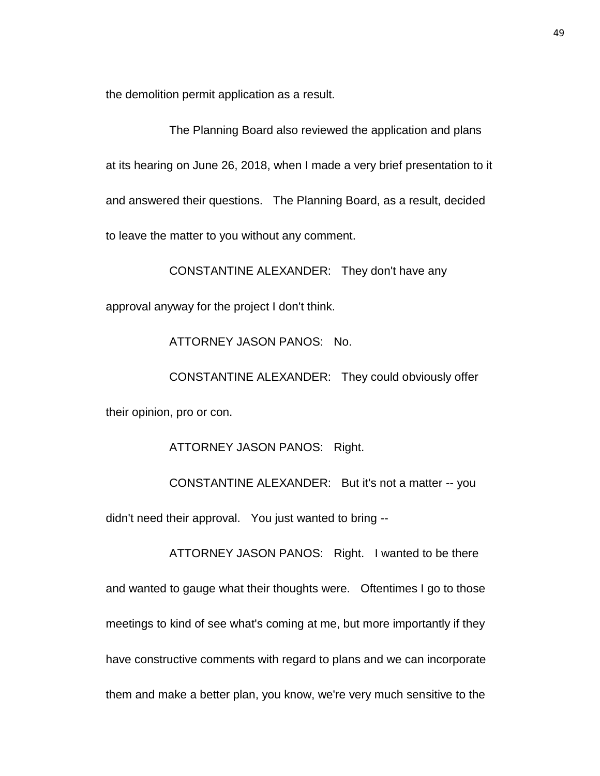the demolition permit application as a result.

The Planning Board also reviewed the application and plans at its hearing on June 26, 2018, when I made a very brief presentation to it and answered their questions. The Planning Board, as a result, decided to leave the matter to you without any comment.

CONSTANTINE ALEXANDER: They don't have any approval anyway for the project I don't think.

ATTORNEY JASON PANOS: No.

CONSTANTINE ALEXANDER: They could obviously offer their opinion, pro or con.

ATTORNEY JASON PANOS: Right.

CONSTANTINE ALEXANDER: But it's not a matter -- you didn't need their approval. You just wanted to bring --

ATTORNEY JASON PANOS: Right. I wanted to be there and wanted to gauge what their thoughts were. Oftentimes I go to those meetings to kind of see what's coming at me, but more importantly if they have constructive comments with regard to plans and we can incorporate them and make a better plan, you know, we're very much sensitive to the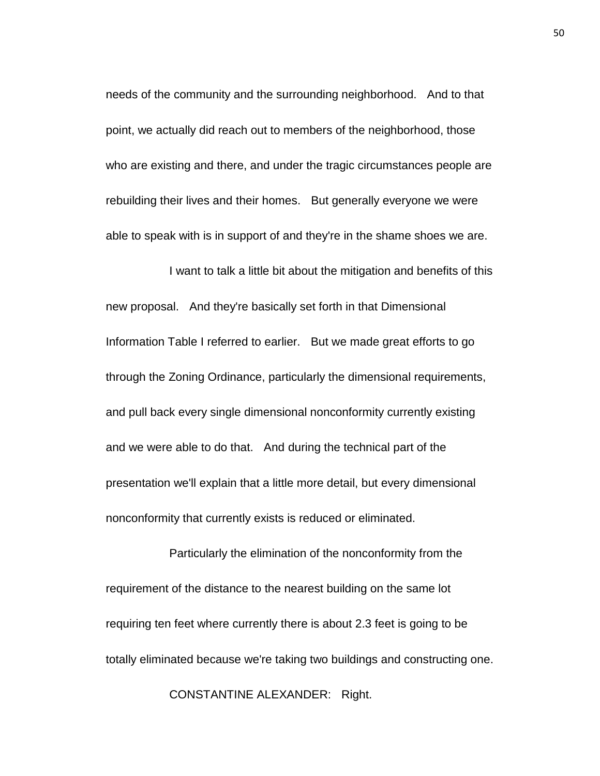needs of the community and the surrounding neighborhood. And to that point, we actually did reach out to members of the neighborhood, those who are existing and there, and under the tragic circumstances people are rebuilding their lives and their homes. But generally everyone we were able to speak with is in support of and they're in the shame shoes we are.

I want to talk a little bit about the mitigation and benefits of this new proposal. And they're basically set forth in that Dimensional Information Table I referred to earlier. But we made great efforts to go through the Zoning Ordinance, particularly the dimensional requirements, and pull back every single dimensional nonconformity currently existing and we were able to do that. And during the technical part of the presentation we'll explain that a little more detail, but every dimensional nonconformity that currently exists is reduced or eliminated.

Particularly the elimination of the nonconformity from the requirement of the distance to the nearest building on the same lot requiring ten feet where currently there is about 2.3 feet is going to be totally eliminated because we're taking two buildings and constructing one.

CONSTANTINE ALEXANDER: Right.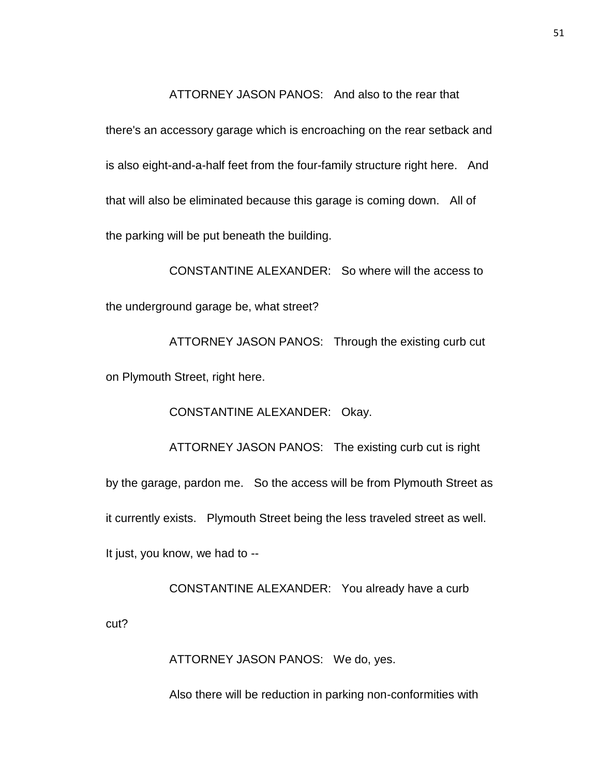## ATTORNEY JASON PANOS: And also to the rear that

there's an accessory garage which is encroaching on the rear setback and is also eight-and-a-half feet from the four-family structure right here. And that will also be eliminated because this garage is coming down. All of the parking will be put beneath the building.

CONSTANTINE ALEXANDER: So where will the access to the underground garage be, what street?

ATTORNEY JASON PANOS: Through the existing curb cut on Plymouth Street, right here.

CONSTANTINE ALEXANDER: Okay.

ATTORNEY JASON PANOS: The existing curb cut is right by the garage, pardon me. So the access will be from Plymouth Street as it currently exists. Plymouth Street being the less traveled street as well. It just, you know, we had to --

CONSTANTINE ALEXANDER: You already have a curb

ATTORNEY JASON PANOS: We do, yes.

cut?

Also there will be reduction in parking non-conformities with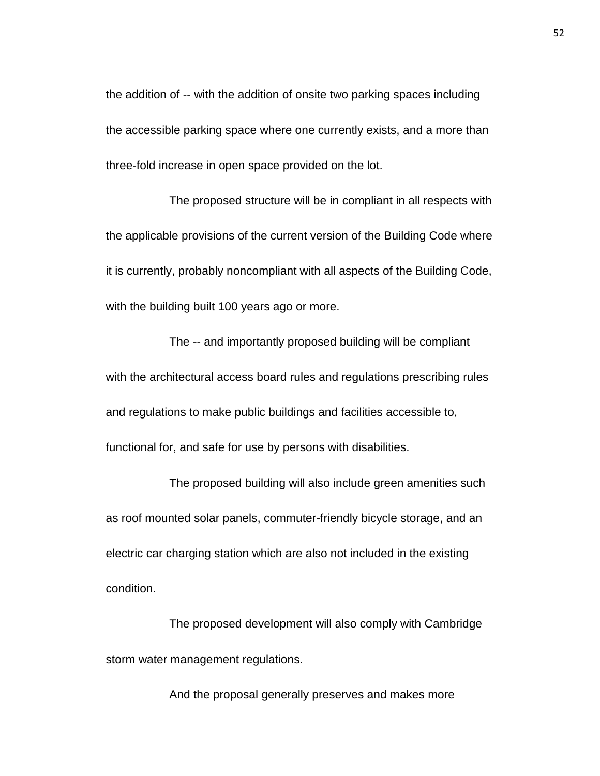the addition of -- with the addition of onsite two parking spaces including the accessible parking space where one currently exists, and a more than three-fold increase in open space provided on the lot.

The proposed structure will be in compliant in all respects with the applicable provisions of the current version of the Building Code where it is currently, probably noncompliant with all aspects of the Building Code, with the building built 100 years ago or more.

The -- and importantly proposed building will be compliant with the architectural access board rules and regulations prescribing rules and regulations to make public buildings and facilities accessible to, functional for, and safe for use by persons with disabilities.

The proposed building will also include green amenities such as roof mounted solar panels, commuter-friendly bicycle storage, and an electric car charging station which are also not included in the existing condition.

The proposed development will also comply with Cambridge storm water management regulations.

And the proposal generally preserves and makes more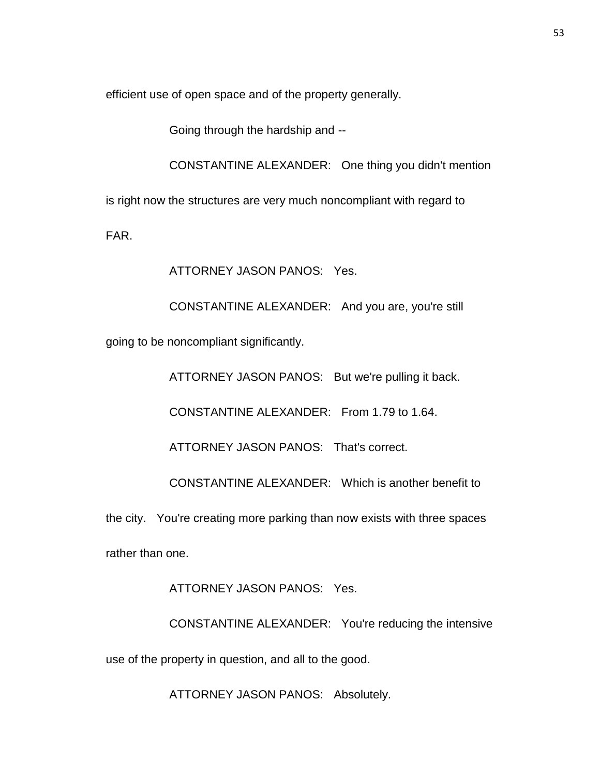efficient use of open space and of the property generally.

Going through the hardship and --

CONSTANTINE ALEXANDER: One thing you didn't mention

is right now the structures are very much noncompliant with regard to

FAR.

ATTORNEY JASON PANOS: Yes.

CONSTANTINE ALEXANDER: And you are, you're still going to be noncompliant significantly.

ATTORNEY JASON PANOS: But we're pulling it back.

CONSTANTINE ALEXANDER: From 1.79 to 1.64.

ATTORNEY JASON PANOS: That's correct.

CONSTANTINE ALEXANDER: Which is another benefit to

the city. You're creating more parking than now exists with three spaces rather than one.

ATTORNEY JASON PANOS: Yes.

CONSTANTINE ALEXANDER: You're reducing the intensive use of the property in question, and all to the good.

ATTORNEY JASON PANOS: Absolutely.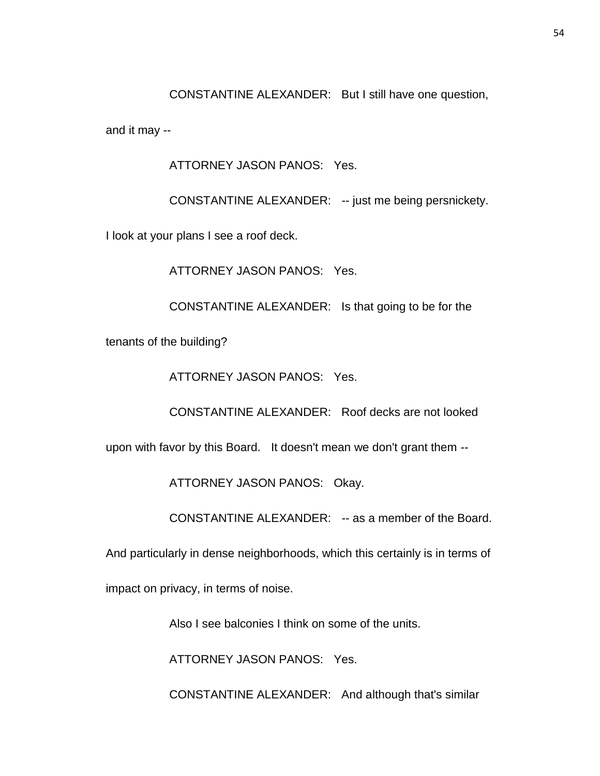CONSTANTINE ALEXANDER: But I still have one question,

and it may --

ATTORNEY JASON PANOS: Yes.

CONSTANTINE ALEXANDER: -- just me being persnickety.

I look at your plans I see a roof deck.

ATTORNEY JASON PANOS: Yes.

CONSTANTINE ALEXANDER: Is that going to be for the

tenants of the building?

ATTORNEY JASON PANOS: Yes.

CONSTANTINE ALEXANDER: Roof decks are not looked

upon with favor by this Board. It doesn't mean we don't grant them --

ATTORNEY JASON PANOS: Okay.

CONSTANTINE ALEXANDER: -- as a member of the Board.

And particularly in dense neighborhoods, which this certainly is in terms of

impact on privacy, in terms of noise.

Also I see balconies I think on some of the units.

ATTORNEY JASON PANOS: Yes.

CONSTANTINE ALEXANDER: And although that's similar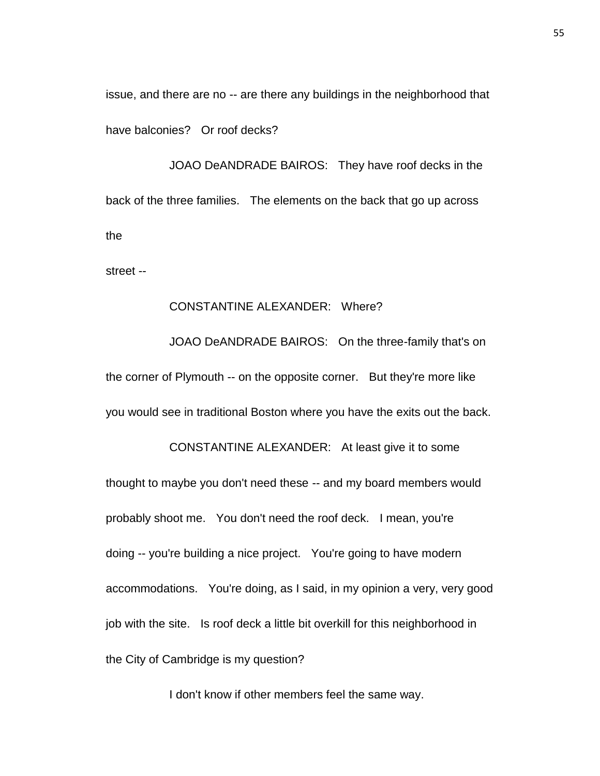issue, and there are no -- are there any buildings in the neighborhood that have balconies? Or roof decks?

JOAO DeANDRADE BAIROS: They have roof decks in the back of the three families. The elements on the back that go up across the

street --

## CONSTANTINE ALEXANDER: Where?

JOAO DeANDRADE BAIROS: On the three-family that's on the corner of Plymouth -- on the opposite corner. But they're more like you would see in traditional Boston where you have the exits out the back.

CONSTANTINE ALEXANDER: At least give it to some thought to maybe you don't need these -- and my board members would probably shoot me. You don't need the roof deck. I mean, you're doing -- you're building a nice project. You're going to have modern accommodations. You're doing, as I said, in my opinion a very, very good job with the site. Is roof deck a little bit overkill for this neighborhood in the City of Cambridge is my question?

I don't know if other members feel the same way.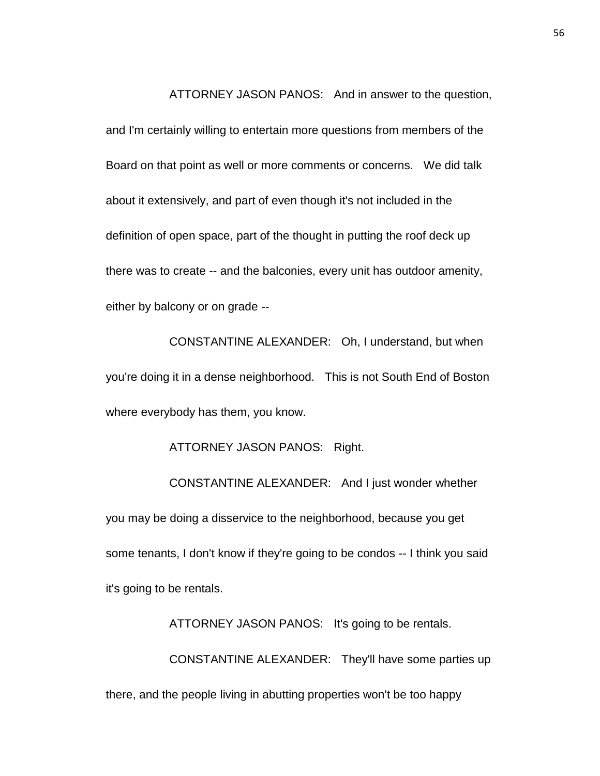ATTORNEY JASON PANOS: And in answer to the question,

and I'm certainly willing to entertain more questions from members of the Board on that point as well or more comments or concerns. We did talk about it extensively, and part of even though it's not included in the definition of open space, part of the thought in putting the roof deck up there was to create -- and the balconies, every unit has outdoor amenity, either by balcony or on grade --

CONSTANTINE ALEXANDER: Oh, I understand, but when you're doing it in a dense neighborhood. This is not South End of Boston where everybody has them, you know.

ATTORNEY JASON PANOS: Right.

CONSTANTINE ALEXANDER: And I just wonder whether you may be doing a disservice to the neighborhood, because you get some tenants, I don't know if they're going to be condos -- I think you said it's going to be rentals.

ATTORNEY JASON PANOS: It's going to be rentals. CONSTANTINE ALEXANDER: They'll have some parties up there, and the people living in abutting properties won't be too happy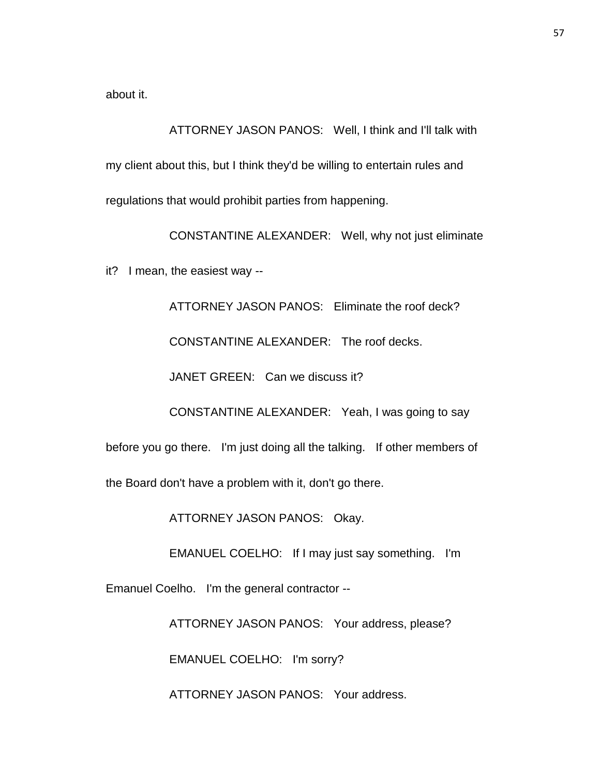about it.

ATTORNEY JASON PANOS: Well, I think and I'll talk with my client about this, but I think they'd be willing to entertain rules and regulations that would prohibit parties from happening.

CONSTANTINE ALEXANDER: Well, why not just eliminate

it? I mean, the easiest way --

ATTORNEY JASON PANOS: Eliminate the roof deck?

CONSTANTINE ALEXANDER: The roof decks.

JANET GREEN: Can we discuss it?

CONSTANTINE ALEXANDER: Yeah, I was going to say

before you go there. I'm just doing all the talking. If other members of

the Board don't have a problem with it, don't go there.

ATTORNEY JASON PANOS: Okay.

EMANUEL COELHO: If I may just say something. I'm

Emanuel Coelho. I'm the general contractor --

ATTORNEY JASON PANOS: Your address, please?

EMANUEL COELHO: I'm sorry?

ATTORNEY JASON PANOS: Your address.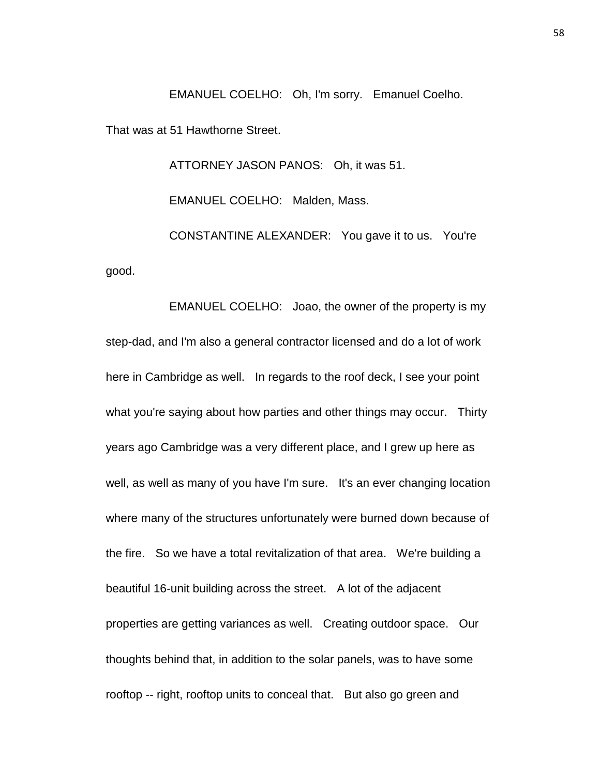EMANUEL COELHO: Oh, I'm sorry. Emanuel Coelho.

That was at 51 Hawthorne Street.

ATTORNEY JASON PANOS: Oh, it was 51.

EMANUEL COELHO: Malden, Mass.

CONSTANTINE ALEXANDER: You gave it to us. You're good.

EMANUEL COELHO: Joao, the owner of the property is my step-dad, and I'm also a general contractor licensed and do a lot of work here in Cambridge as well. In regards to the roof deck, I see your point what you're saying about how parties and other things may occur. Thirty years ago Cambridge was a very different place, and I grew up here as well, as well as many of you have I'm sure. It's an ever changing location where many of the structures unfortunately were burned down because of the fire. So we have a total revitalization of that area. We're building a beautiful 16-unit building across the street. A lot of the adjacent properties are getting variances as well. Creating outdoor space. Our thoughts behind that, in addition to the solar panels, was to have some rooftop -- right, rooftop units to conceal that. But also go green and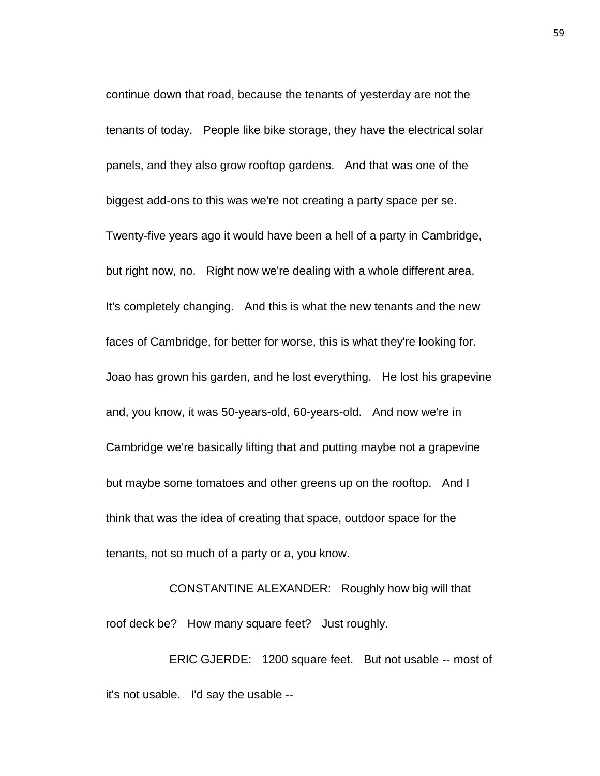continue down that road, because the tenants of yesterday are not the tenants of today. People like bike storage, they have the electrical solar panels, and they also grow rooftop gardens. And that was one of the biggest add-ons to this was we're not creating a party space per se. Twenty-five years ago it would have been a hell of a party in Cambridge, but right now, no. Right now we're dealing with a whole different area. It's completely changing. And this is what the new tenants and the new faces of Cambridge, for better for worse, this is what they're looking for. Joao has grown his garden, and he lost everything. He lost his grapevine and, you know, it was 50-years-old, 60-years-old. And now we're in Cambridge we're basically lifting that and putting maybe not a grapevine but maybe some tomatoes and other greens up on the rooftop. And I think that was the idea of creating that space, outdoor space for the tenants, not so much of a party or a, you know.

CONSTANTINE ALEXANDER: Roughly how big will that roof deck be? How many square feet? Just roughly.

ERIC GJERDE: 1200 square feet. But not usable -- most of it's not usable. I'd say the usable --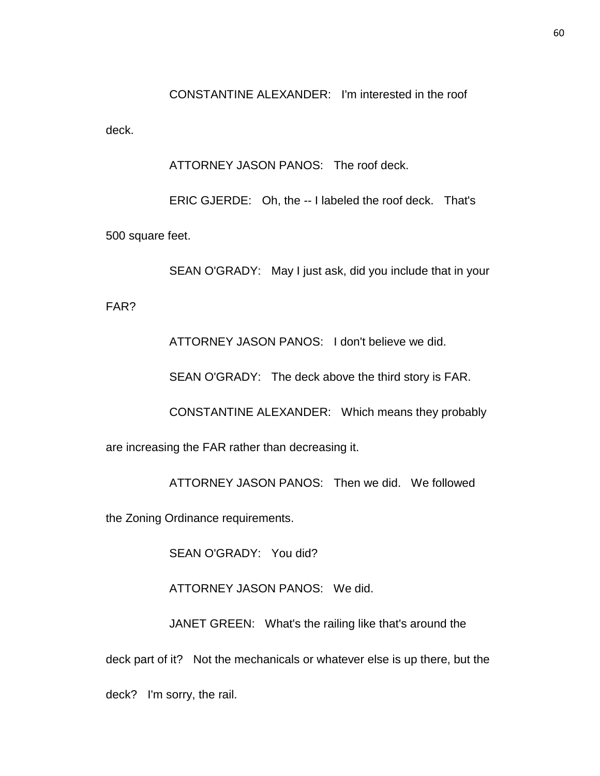CONSTANTINE ALEXANDER: I'm interested in the roof

deck.

ATTORNEY JASON PANOS: The roof deck.

ERIC GJERDE: Oh, the -- I labeled the roof deck. That's 500 square feet.

SEAN O'GRADY: May I just ask, did you include that in your

FAR?

ATTORNEY JASON PANOS: I don't believe we did.

SEAN O'GRADY: The deck above the third story is FAR.

CONSTANTINE ALEXANDER: Which means they probably

are increasing the FAR rather than decreasing it.

ATTORNEY JASON PANOS: Then we did. We followed

the Zoning Ordinance requirements.

SEAN O'GRADY: You did?

ATTORNEY JASON PANOS: We did.

JANET GREEN: What's the railing like that's around the deck part of it? Not the mechanicals or whatever else is up there, but the deck? I'm sorry, the rail.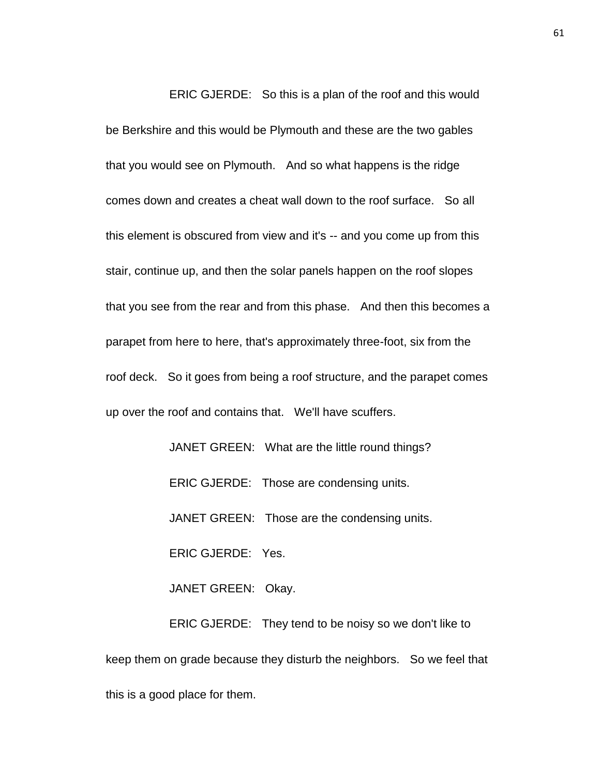ERIC GJERDE: So this is a plan of the roof and this would

be Berkshire and this would be Plymouth and these are the two gables that you would see on Plymouth. And so what happens is the ridge comes down and creates a cheat wall down to the roof surface. So all this element is obscured from view and it's -- and you come up from this stair, continue up, and then the solar panels happen on the roof slopes that you see from the rear and from this phase. And then this becomes a parapet from here to here, that's approximately three-foot, six from the roof deck. So it goes from being a roof structure, and the parapet comes up over the roof and contains that. We'll have scuffers.

> JANET GREEN: What are the little round things? ERIC GJERDE: Those are condensing units. JANET GREEN: Those are the condensing units. ERIC GJERDE: Yes. JANET GREEN: Okay. ERIC GJERDE: They tend to be noisy so we don't like to

keep them on grade because they disturb the neighbors. So we feel that this is a good place for them.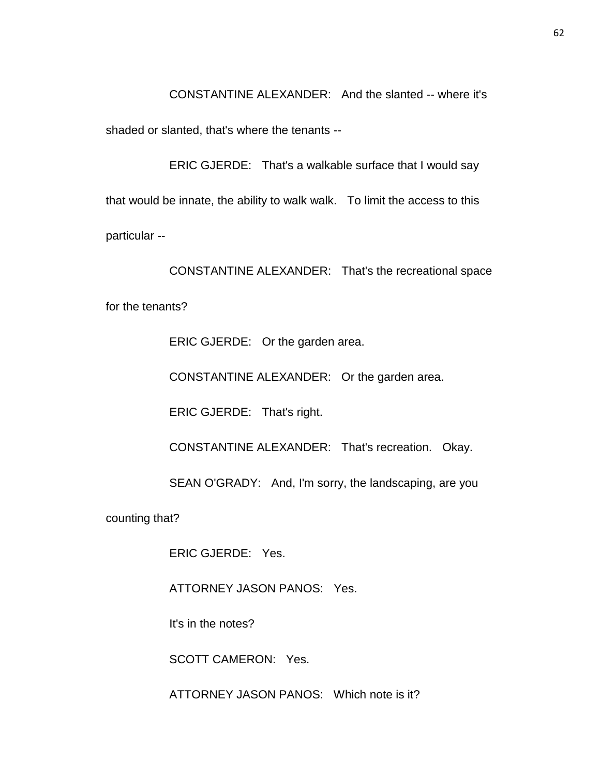CONSTANTINE ALEXANDER: And the slanted -- where it's

shaded or slanted, that's where the tenants --

ERIC GJERDE: That's a walkable surface that I would say that would be innate, the ability to walk walk. To limit the access to this particular --

CONSTANTINE ALEXANDER: That's the recreational space for the tenants?

ERIC GJERDE: Or the garden area.

CONSTANTINE ALEXANDER: Or the garden area.

ERIC GJERDE: That's right.

CONSTANTINE ALEXANDER: That's recreation. Okay.

SEAN O'GRADY: And, I'm sorry, the landscaping, are you

counting that?

ERIC GJERDE: Yes.

ATTORNEY JASON PANOS: Yes.

It's in the notes?

SCOTT CAMERON: Yes.

ATTORNEY JASON PANOS: Which note is it?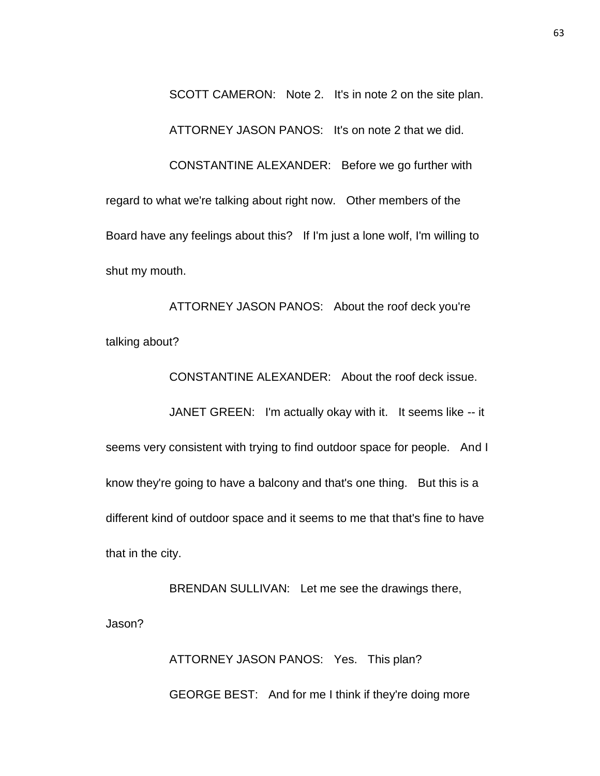SCOTT CAMERON: Note 2. It's in note 2 on the site plan. ATTORNEY JASON PANOS: It's on note 2 that we did. CONSTANTINE ALEXANDER: Before we go further with regard to what we're talking about right now. Other members of the Board have any feelings about this? If I'm just a lone wolf, I'm willing to shut my mouth.

ATTORNEY JASON PANOS: About the roof deck you're talking about?

CONSTANTINE ALEXANDER: About the roof deck issue.

JANET GREEN: I'm actually okay with it. It seems like -- it seems very consistent with trying to find outdoor space for people. And I know they're going to have a balcony and that's one thing. But this is a different kind of outdoor space and it seems to me that that's fine to have that in the city.

BRENDAN SULLIVAN: Let me see the drawings there, Jason?

> ATTORNEY JASON PANOS: Yes. This plan? GEORGE BEST: And for me I think if they're doing more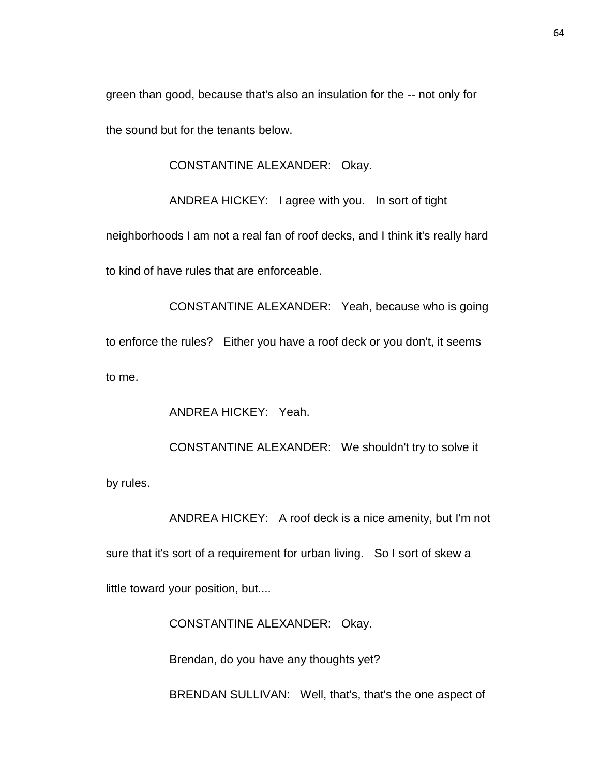green than good, because that's also an insulation for the -- not only for the sound but for the tenants below.

CONSTANTINE ALEXANDER: Okay.

ANDREA HICKEY: I agree with you. In sort of tight

neighborhoods I am not a real fan of roof decks, and I think it's really hard to kind of have rules that are enforceable.

CONSTANTINE ALEXANDER: Yeah, because who is going to enforce the rules? Either you have a roof deck or you don't, it seems to me.

ANDREA HICKEY: Yeah.

CONSTANTINE ALEXANDER: We shouldn't try to solve it by rules.

ANDREA HICKEY: A roof deck is a nice amenity, but I'm not sure that it's sort of a requirement for urban living. So I sort of skew a little toward your position, but....

CONSTANTINE ALEXANDER: Okay.

Brendan, do you have any thoughts yet?

BRENDAN SULLIVAN: Well, that's, that's the one aspect of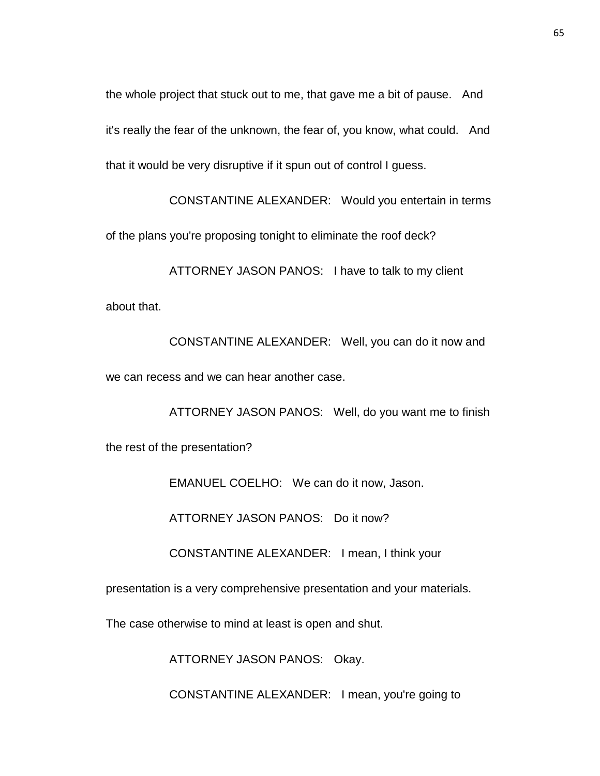the whole project that stuck out to me, that gave me a bit of pause. And it's really the fear of the unknown, the fear of, you know, what could. And that it would be very disruptive if it spun out of control I guess.

CONSTANTINE ALEXANDER: Would you entertain in terms of the plans you're proposing tonight to eliminate the roof deck?

ATTORNEY JASON PANOS: I have to talk to my client about that.

CONSTANTINE ALEXANDER: Well, you can do it now and we can recess and we can hear another case.

ATTORNEY JASON PANOS: Well, do you want me to finish the rest of the presentation?

EMANUEL COELHO: We can do it now, Jason.

ATTORNEY JASON PANOS: Do it now?

CONSTANTINE ALEXANDER: I mean, I think your

presentation is a very comprehensive presentation and your materials.

The case otherwise to mind at least is open and shut.

ATTORNEY JASON PANOS: Okay.

CONSTANTINE ALEXANDER: I mean, you're going to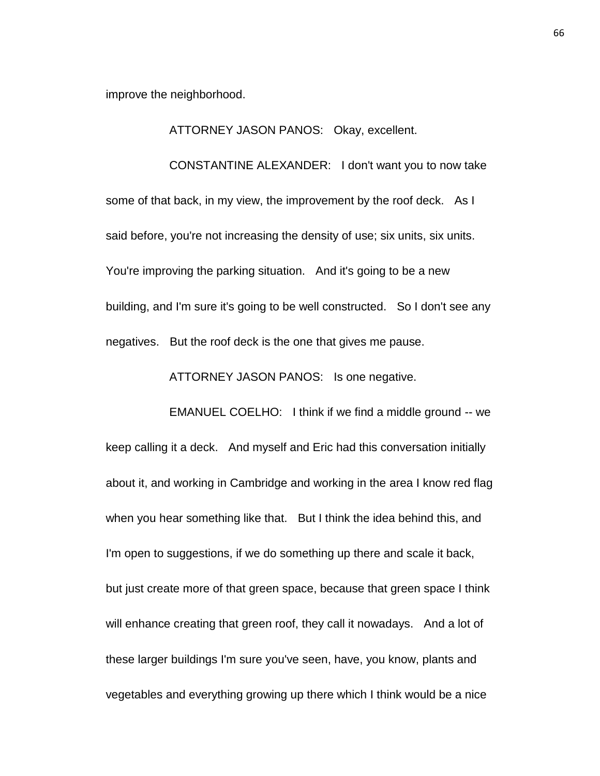improve the neighborhood.

ATTORNEY JASON PANOS: Okay, excellent.

CONSTANTINE ALEXANDER: I don't want you to now take some of that back, in my view, the improvement by the roof deck. As I said before, you're not increasing the density of use; six units, six units. You're improving the parking situation. And it's going to be a new building, and I'm sure it's going to be well constructed. So I don't see any negatives. But the roof deck is the one that gives me pause.

ATTORNEY JASON PANOS: Is one negative.

EMANUEL COELHO: I think if we find a middle ground -- we keep calling it a deck. And myself and Eric had this conversation initially about it, and working in Cambridge and working in the area I know red flag when you hear something like that. But I think the idea behind this, and I'm open to suggestions, if we do something up there and scale it back, but just create more of that green space, because that green space I think will enhance creating that green roof, they call it nowadays. And a lot of these larger buildings I'm sure you've seen, have, you know, plants and vegetables and everything growing up there which I think would be a nice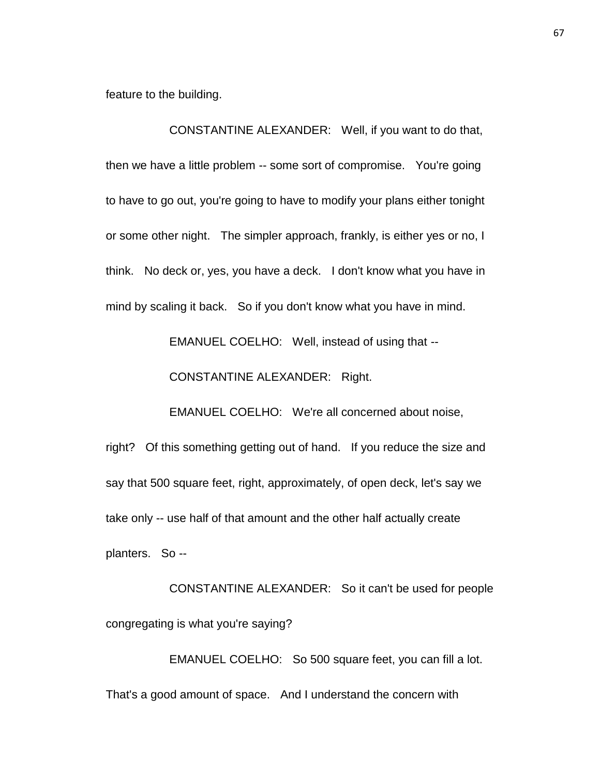feature to the building.

CONSTANTINE ALEXANDER: Well, if you want to do that, then we have a little problem -- some sort of compromise. You're going to have to go out, you're going to have to modify your plans either tonight or some other night. The simpler approach, frankly, is either yes or no, I think. No deck or, yes, you have a deck. I don't know what you have in mind by scaling it back. So if you don't know what you have in mind.

EMANUEL COELHO: Well, instead of using that --

CONSTANTINE ALEXANDER: Right.

EMANUEL COELHO: We're all concerned about noise,

right? Of this something getting out of hand. If you reduce the size and say that 500 square feet, right, approximately, of open deck, let's say we take only -- use half of that amount and the other half actually create planters. So --

CONSTANTINE ALEXANDER: So it can't be used for people congregating is what you're saying?

EMANUEL COELHO: So 500 square feet, you can fill a lot. That's a good amount of space. And I understand the concern with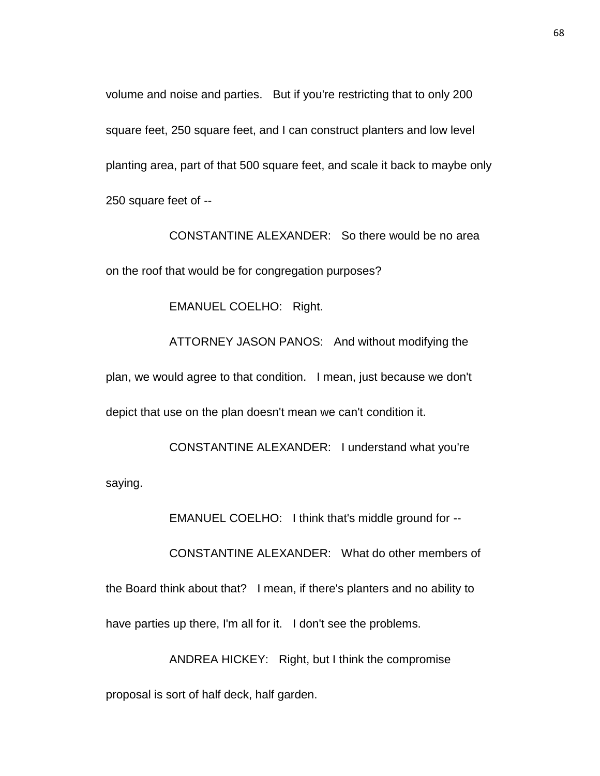volume and noise and parties. But if you're restricting that to only 200 square feet, 250 square feet, and I can construct planters and low level planting area, part of that 500 square feet, and scale it back to maybe only 250 square feet of --

CONSTANTINE ALEXANDER: So there would be no area on the roof that would be for congregation purposes?

EMANUEL COELHO: Right.

ATTORNEY JASON PANOS: And without modifying the plan, we would agree to that condition. I mean, just because we don't depict that use on the plan doesn't mean we can't condition it.

CONSTANTINE ALEXANDER: I understand what you're saying.

EMANUEL COELHO: I think that's middle ground for --

CONSTANTINE ALEXANDER: What do other members of the Board think about that? I mean, if there's planters and no ability to have parties up there, I'm all for it. I don't see the problems.

ANDREA HICKEY: Right, but I think the compromise proposal is sort of half deck, half garden.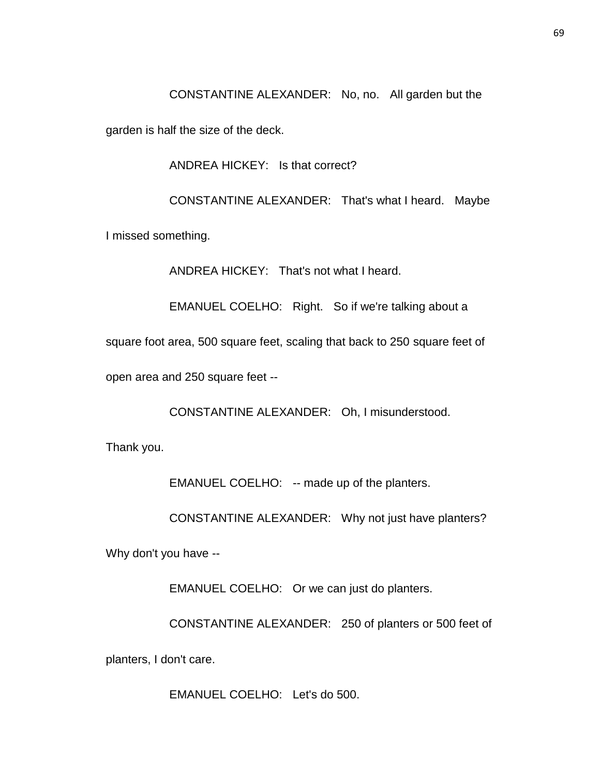CONSTANTINE ALEXANDER: No, no. All garden but the

garden is half the size of the deck.

ANDREA HICKEY: Is that correct?

CONSTANTINE ALEXANDER: That's what I heard. Maybe

I missed something.

ANDREA HICKEY: That's not what I heard.

EMANUEL COELHO: Right. So if we're talking about a

square foot area, 500 square feet, scaling that back to 250 square feet of

open area and 250 square feet --

CONSTANTINE ALEXANDER: Oh, I misunderstood.

Thank you.

EMANUEL COELHO: -- made up of the planters.

CONSTANTINE ALEXANDER: Why not just have planters?

Why don't you have --

EMANUEL COELHO: Or we can just do planters.

CONSTANTINE ALEXANDER: 250 of planters or 500 feet of

planters, I don't care.

EMANUEL COELHO: Let's do 500.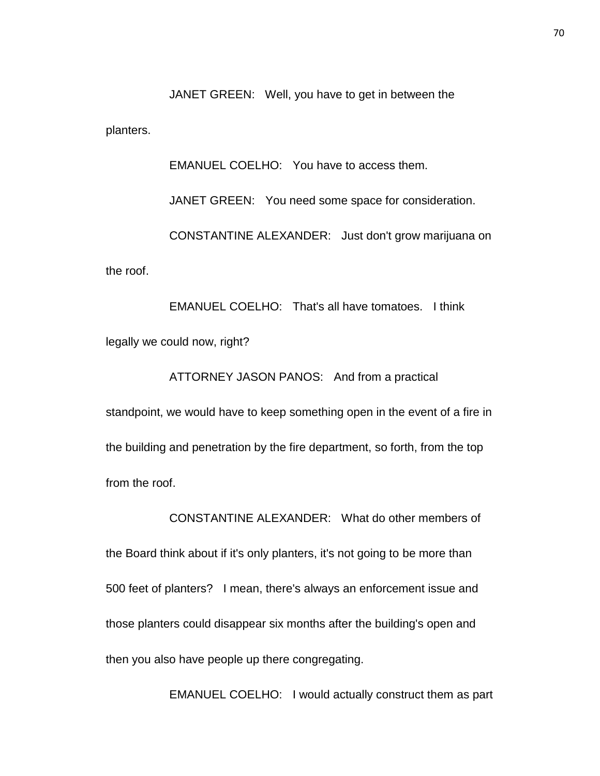JANET GREEN: Well, you have to get in between the

planters.

EMANUEL COELHO: You have to access them.

JANET GREEN: You need some space for consideration. CONSTANTINE ALEXANDER: Just don't grow marijuana on the roof.

EMANUEL COELHO: That's all have tomatoes. I think legally we could now, right?

ATTORNEY JASON PANOS: And from a practical standpoint, we would have to keep something open in the event of a fire in the building and penetration by the fire department, so forth, from the top from the roof.

CONSTANTINE ALEXANDER: What do other members of the Board think about if it's only planters, it's not going to be more than 500 feet of planters? I mean, there's always an enforcement issue and those planters could disappear six months after the building's open and then you also have people up there congregating.

EMANUEL COELHO: I would actually construct them as part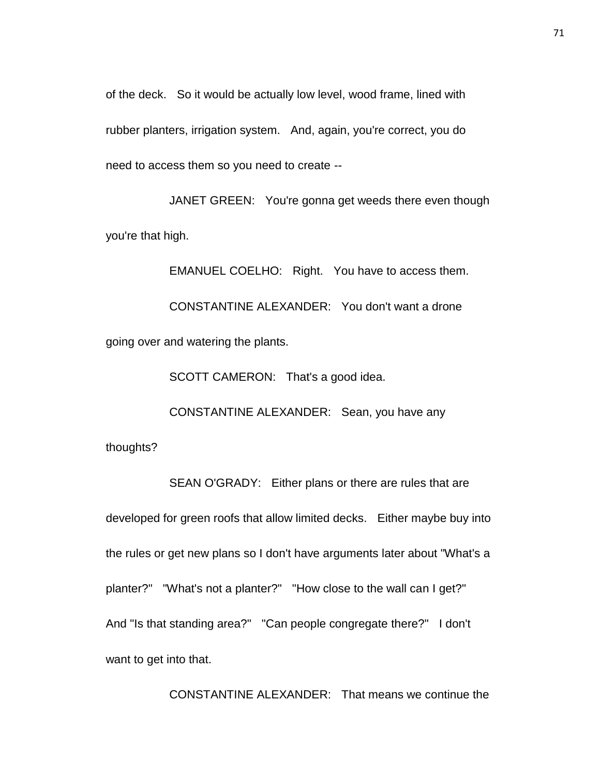of the deck. So it would be actually low level, wood frame, lined with rubber planters, irrigation system. And, again, you're correct, you do need to access them so you need to create --

JANET GREEN: You're gonna get weeds there even though you're that high.

EMANUEL COELHO: Right. You have to access them. CONSTANTINE ALEXANDER: You don't want a drone going over and watering the plants.

SCOTT CAMERON: That's a good idea.

CONSTANTINE ALEXANDER: Sean, you have any

thoughts?

SEAN O'GRADY: Either plans or there are rules that are developed for green roofs that allow limited decks. Either maybe buy into the rules or get new plans so I don't have arguments later about "What's a planter?" "What's not a planter?" "How close to the wall can I get?" And "Is that standing area?" "Can people congregate there?" I don't want to get into that.

CONSTANTINE ALEXANDER: That means we continue the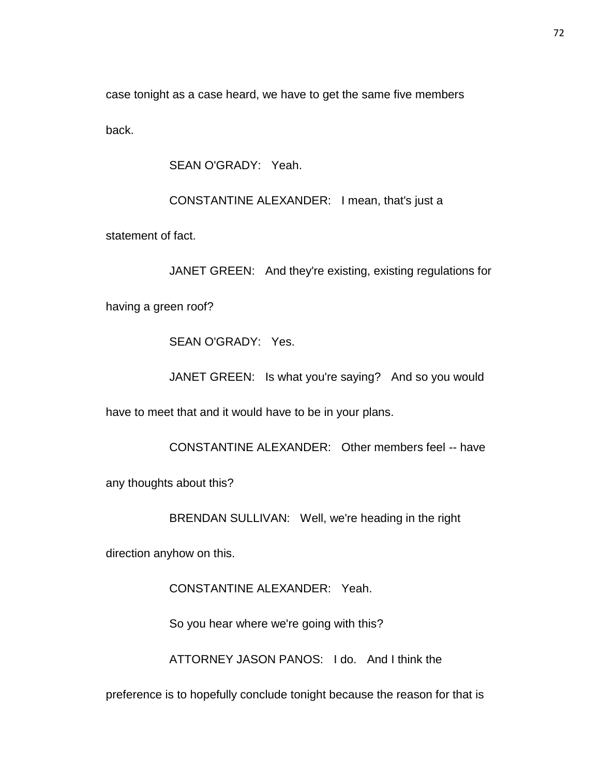case tonight as a case heard, we have to get the same five members back.

SEAN O'GRADY: Yeah.

CONSTANTINE ALEXANDER: I mean, that's just a

statement of fact.

JANET GREEN: And they're existing, existing regulations for

having a green roof?

SEAN O'GRADY: Yes.

JANET GREEN: Is what you're saying? And so you would

have to meet that and it would have to be in your plans.

CONSTANTINE ALEXANDER: Other members feel -- have

any thoughts about this?

BRENDAN SULLIVAN: Well, we're heading in the right

direction anyhow on this.

CONSTANTINE ALEXANDER: Yeah.

So you hear where we're going with this?

ATTORNEY JASON PANOS: I do. And I think the

preference is to hopefully conclude tonight because the reason for that is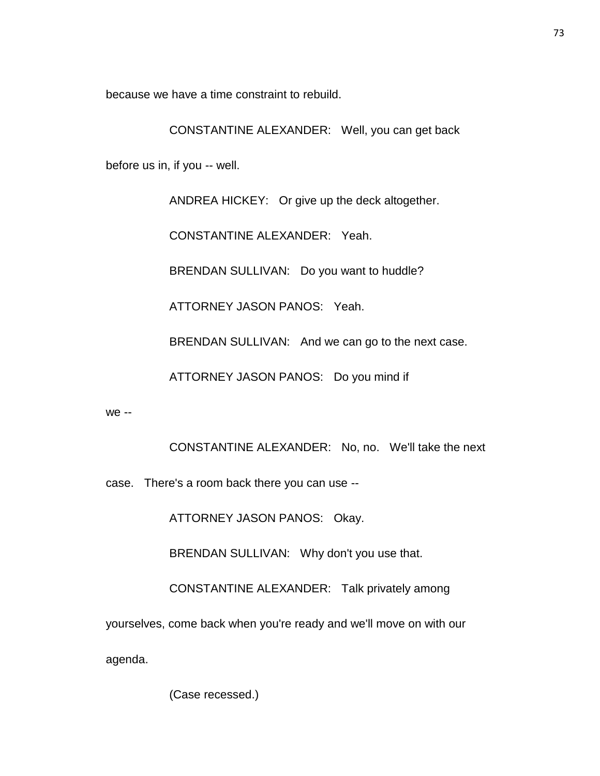because we have a time constraint to rebuild.

CONSTANTINE ALEXANDER: Well, you can get back

before us in, if you -- well.

ANDREA HICKEY: Or give up the deck altogether.

CONSTANTINE ALEXANDER: Yeah.

BRENDAN SULLIVAN: Do you want to huddle?

ATTORNEY JASON PANOS: Yeah.

BRENDAN SULLIVAN: And we can go to the next case.

ATTORNEY JASON PANOS: Do you mind if

we --

CONSTANTINE ALEXANDER: No, no. We'll take the next

case. There's a room back there you can use --

ATTORNEY JASON PANOS: Okay.

BRENDAN SULLIVAN: Why don't you use that.

CONSTANTINE ALEXANDER: Talk privately among

yourselves, come back when you're ready and we'll move on with our

agenda.

(Case recessed.)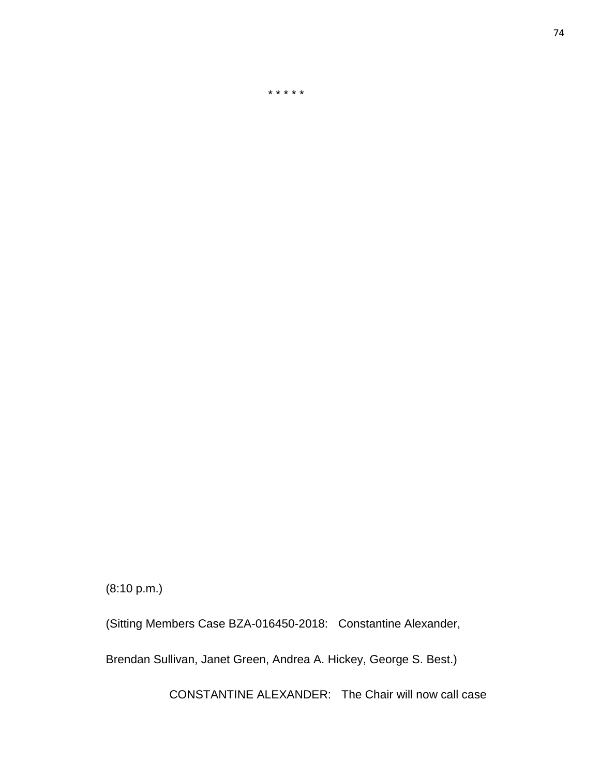(8:10 p.m.)

(Sitting Members Case BZA-016450-2018: Constantine Alexander,

\* \* \* \* \*

Brendan Sullivan, Janet Green, Andrea A. Hickey, George S. Best.)

CONSTANTINE ALEXANDER: The Chair will now call case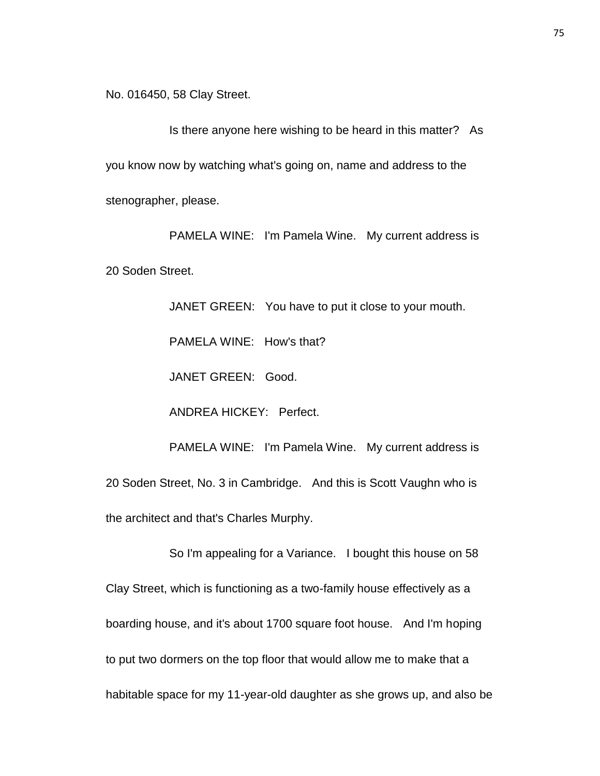No. 016450, 58 Clay Street.

Is there anyone here wishing to be heard in this matter? As you know now by watching what's going on, name and address to the stenographer, please.

PAMELA WINE: I'm Pamela Wine. My current address is 20 Soden Street.

> JANET GREEN: You have to put it close to your mouth. PAMELA WINE: How's that? JANET GREEN: Good. ANDREA HICKEY: Perfect. PAMELA WINE: I'm Pamela Wine. My current address is

20 Soden Street, No. 3 in Cambridge. And this is Scott Vaughn who is the architect and that's Charles Murphy.

So I'm appealing for a Variance. I bought this house on 58 Clay Street, which is functioning as a two-family house effectively as a boarding house, and it's about 1700 square foot house. And I'm hoping to put two dormers on the top floor that would allow me to make that a habitable space for my 11-year-old daughter as she grows up, and also be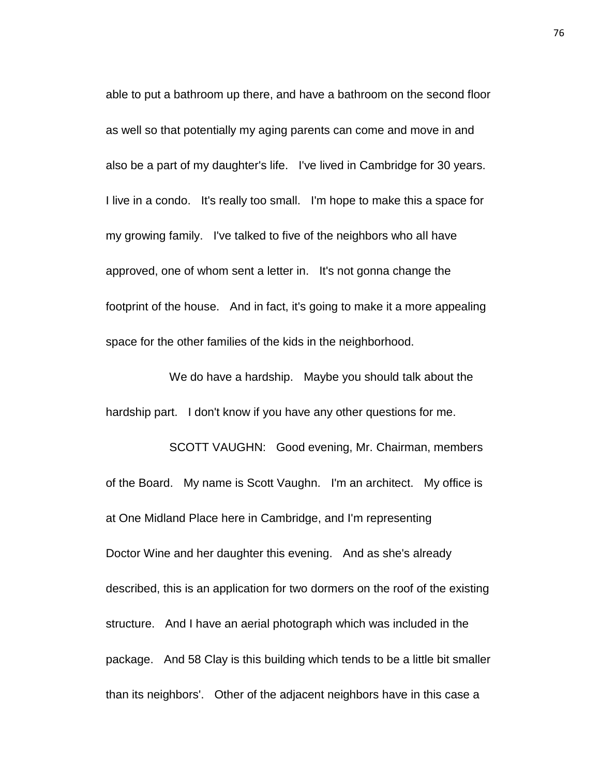able to put a bathroom up there, and have a bathroom on the second floor as well so that potentially my aging parents can come and move in and also be a part of my daughter's life. I've lived in Cambridge for 30 years. I live in a condo. It's really too small. I'm hope to make this a space for my growing family. I've talked to five of the neighbors who all have approved, one of whom sent a letter in. It's not gonna change the footprint of the house. And in fact, it's going to make it a more appealing space for the other families of the kids in the neighborhood.

We do have a hardship. Maybe you should talk about the hardship part. I don't know if you have any other questions for me.

SCOTT VAUGHN: Good evening, Mr. Chairman, members of the Board. My name is Scott Vaughn. I'm an architect. My office is at One Midland Place here in Cambridge, and I'm representing Doctor Wine and her daughter this evening. And as she's already described, this is an application for two dormers on the roof of the existing structure. And I have an aerial photograph which was included in the package. And 58 Clay is this building which tends to be a little bit smaller than its neighbors'. Other of the adjacent neighbors have in this case a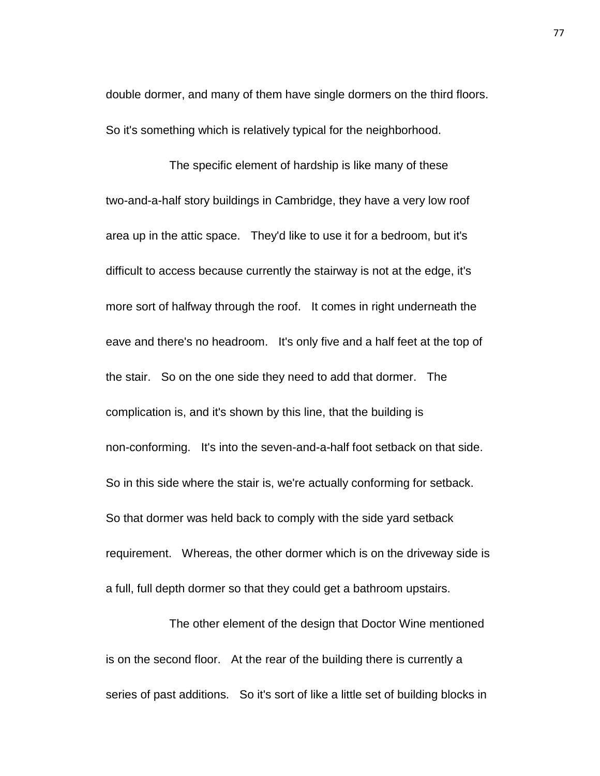double dormer, and many of them have single dormers on the third floors. So it's something which is relatively typical for the neighborhood.

The specific element of hardship is like many of these two-and-a-half story buildings in Cambridge, they have a very low roof area up in the attic space. They'd like to use it for a bedroom, but it's difficult to access because currently the stairway is not at the edge, it's more sort of halfway through the roof. It comes in right underneath the eave and there's no headroom. It's only five and a half feet at the top of the stair. So on the one side they need to add that dormer. The complication is, and it's shown by this line, that the building is non-conforming. It's into the seven-and-a-half foot setback on that side. So in this side where the stair is, we're actually conforming for setback. So that dormer was held back to comply with the side yard setback requirement. Whereas, the other dormer which is on the driveway side is a full, full depth dormer so that they could get a bathroom upstairs.

The other element of the design that Doctor Wine mentioned is on the second floor. At the rear of the building there is currently a series of past additions. So it's sort of like a little set of building blocks in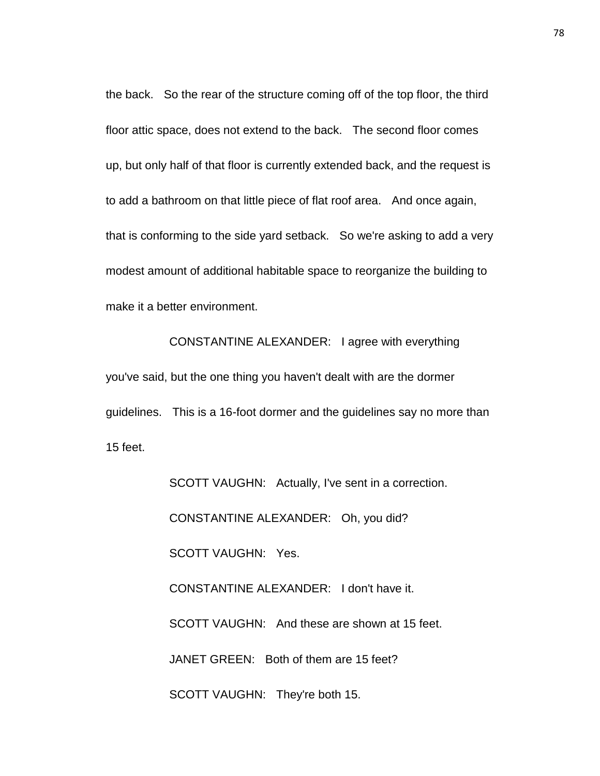the back. So the rear of the structure coming off of the top floor, the third floor attic space, does not extend to the back. The second floor comes up, but only half of that floor is currently extended back, and the request is to add a bathroom on that little piece of flat roof area. And once again, that is conforming to the side yard setback. So we're asking to add a very modest amount of additional habitable space to reorganize the building to make it a better environment.

CONSTANTINE ALEXANDER: I agree with everything you've said, but the one thing you haven't dealt with are the dormer guidelines. This is a 16-foot dormer and the guidelines say no more than 15 feet.

> SCOTT VAUGHN: Actually, I've sent in a correction. CONSTANTINE ALEXANDER: Oh, you did? SCOTT VAUGHN: Yes. CONSTANTINE ALEXANDER: I don't have it. SCOTT VAUGHN: And these are shown at 15 feet. JANET GREEN: Both of them are 15 feet? SCOTT VAUGHN: They're both 15.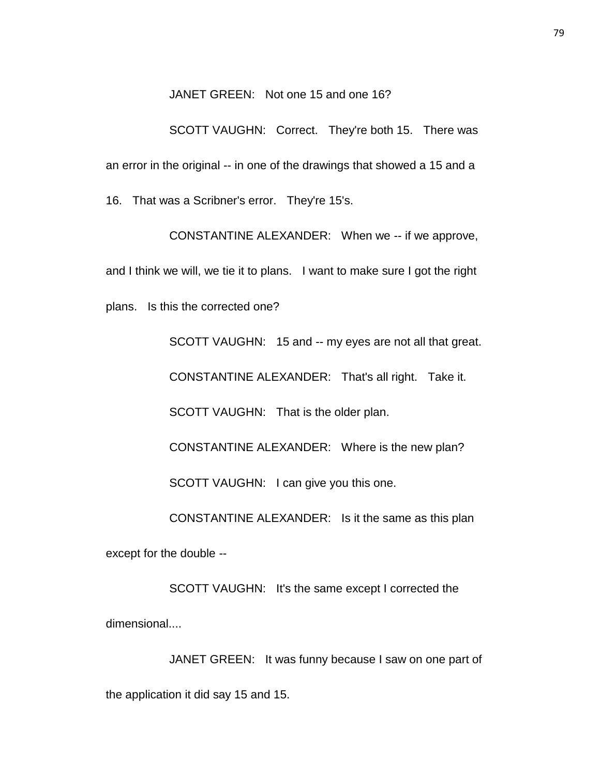JANET GREEN: Not one 15 and one 16?

SCOTT VAUGHN: Correct. They're both 15. There was an error in the original -- in one of the drawings that showed a 15 and a 16. That was a Scribner's error. They're 15's.

CONSTANTINE ALEXANDER: When we -- if we approve, and I think we will, we tie it to plans. I want to make sure I got the right plans. Is this the corrected one?

SCOTT VAUGHN: 15 and -- my eyes are not all that great. CONSTANTINE ALEXANDER: That's all right. Take it. SCOTT VAUGHN: That is the older plan. CONSTANTINE ALEXANDER: Where is the new plan? SCOTT VAUGHN: I can give you this one. CONSTANTINE ALEXANDER: Is it the same as this plan except for the double --

SCOTT VAUGHN: It's the same except I corrected the dimensional....

JANET GREEN: It was funny because I saw on one part of the application it did say 15 and 15.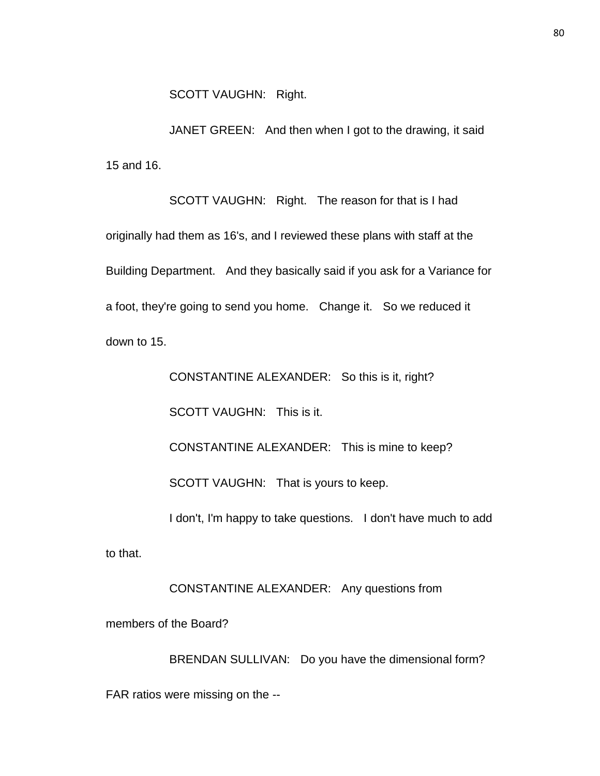JANET GREEN: And then when I got to the drawing, it said 15 and 16.

SCOTT VAUGHN: Right. The reason for that is I had originally had them as 16's, and I reviewed these plans with staff at the Building Department. And they basically said if you ask for a Variance for a foot, they're going to send you home. Change it. So we reduced it down to 15.

CONSTANTINE ALEXANDER: So this is it, right?

SCOTT VAUGHN: This is it.

CONSTANTINE ALEXANDER: This is mine to keep?

SCOTT VAUGHN: That is yours to keep.

I don't, I'm happy to take questions. I don't have much to add

to that.

CONSTANTINE ALEXANDER: Any questions from

members of the Board?

BRENDAN SULLIVAN: Do you have the dimensional form? FAR ratios were missing on the --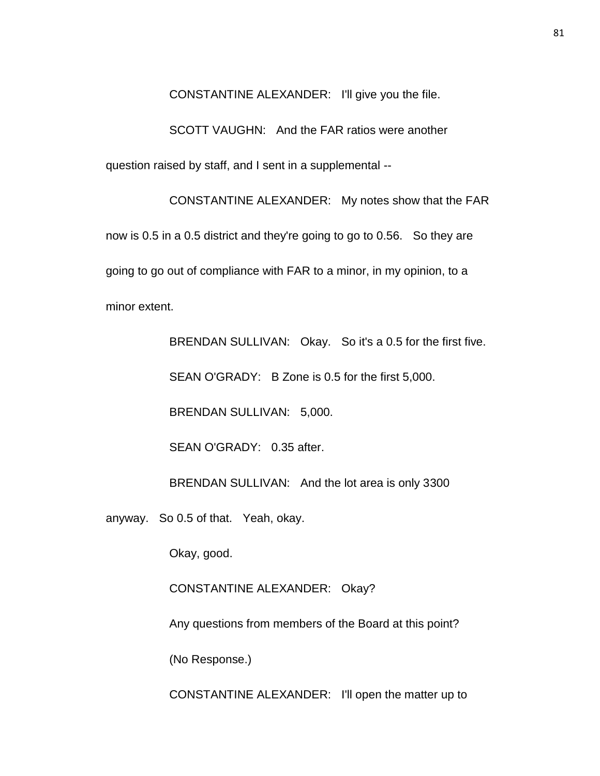CONSTANTINE ALEXANDER: I'll give you the file.

SCOTT VAUGHN: And the FAR ratios were another

question raised by staff, and I sent in a supplemental --

CONSTANTINE ALEXANDER: My notes show that the FAR now is 0.5 in a 0.5 district and they're going to go to 0.56. So they are going to go out of compliance with FAR to a minor, in my opinion, to a minor extent.

BRENDAN SULLIVAN: Okay. So it's a 0.5 for the first five.

SEAN O'GRADY: B Zone is 0.5 for the first 5,000.

BRENDAN SULLIVAN: 5,000.

SEAN O'GRADY: 0.35 after.

BRENDAN SULLIVAN: And the lot area is only 3300

anyway. So 0.5 of that. Yeah, okay.

Okay, good.

CONSTANTINE ALEXANDER: Okay?

Any questions from members of the Board at this point?

(No Response.)

CONSTANTINE ALEXANDER: I'll open the matter up to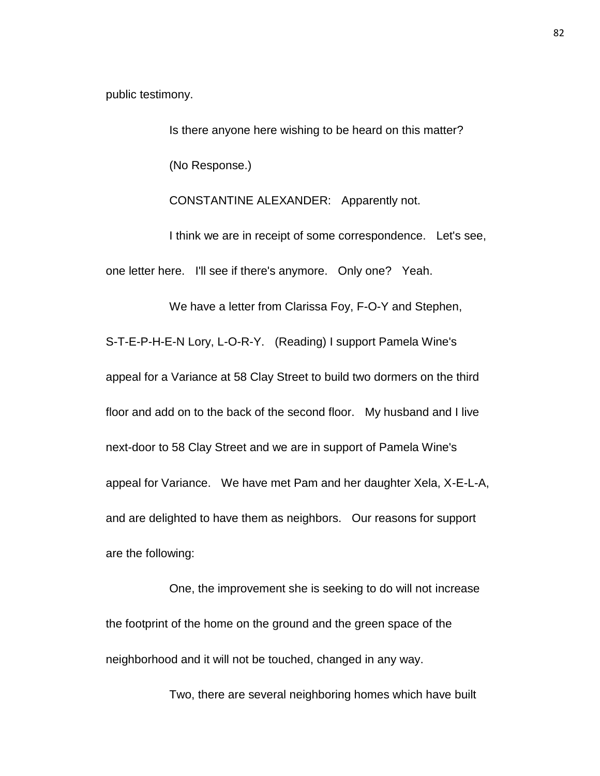public testimony.

Is there anyone here wishing to be heard on this matter? (No Response.)

CONSTANTINE ALEXANDER: Apparently not.

I think we are in receipt of some correspondence. Let's see, one letter here. I'll see if there's anymore. Only one? Yeah.

We have a letter from Clarissa Foy, F-O-Y and Stephen, S-T-E-P-H-E-N Lory, L-O-R-Y. (Reading) I support Pamela Wine's appeal for a Variance at 58 Clay Street to build two dormers on the third floor and add on to the back of the second floor. My husband and I live next-door to 58 Clay Street and we are in support of Pamela Wine's appeal for Variance. We have met Pam and her daughter Xela, X-E-L-A, and are delighted to have them as neighbors. Our reasons for support are the following:

One, the improvement she is seeking to do will not increase the footprint of the home on the ground and the green space of the neighborhood and it will not be touched, changed in any way.

Two, there are several neighboring homes which have built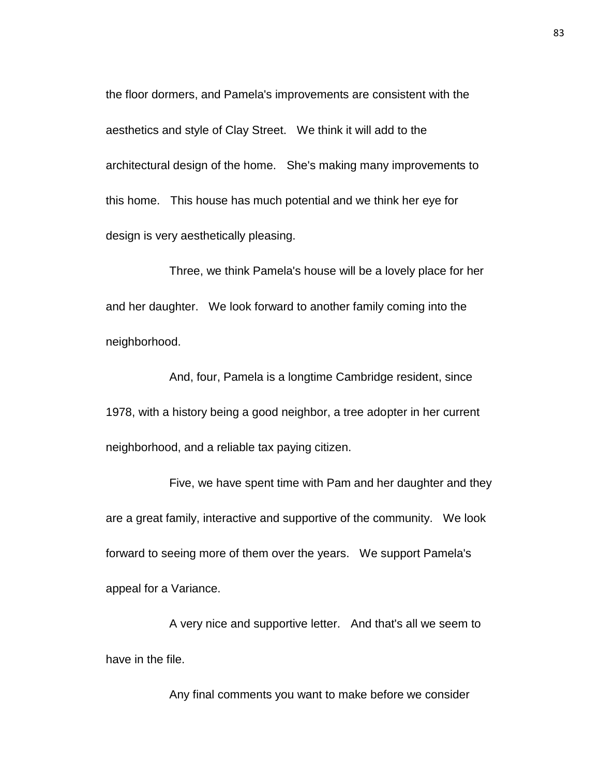the floor dormers, and Pamela's improvements are consistent with the aesthetics and style of Clay Street. We think it will add to the architectural design of the home. She's making many improvements to this home. This house has much potential and we think her eye for design is very aesthetically pleasing.

Three, we think Pamela's house will be a lovely place for her and her daughter. We look forward to another family coming into the neighborhood.

And, four, Pamela is a longtime Cambridge resident, since 1978, with a history being a good neighbor, a tree adopter in her current neighborhood, and a reliable tax paying citizen.

Five, we have spent time with Pam and her daughter and they are a great family, interactive and supportive of the community. We look forward to seeing more of them over the years. We support Pamela's appeal for a Variance.

A very nice and supportive letter. And that's all we seem to have in the file.

Any final comments you want to make before we consider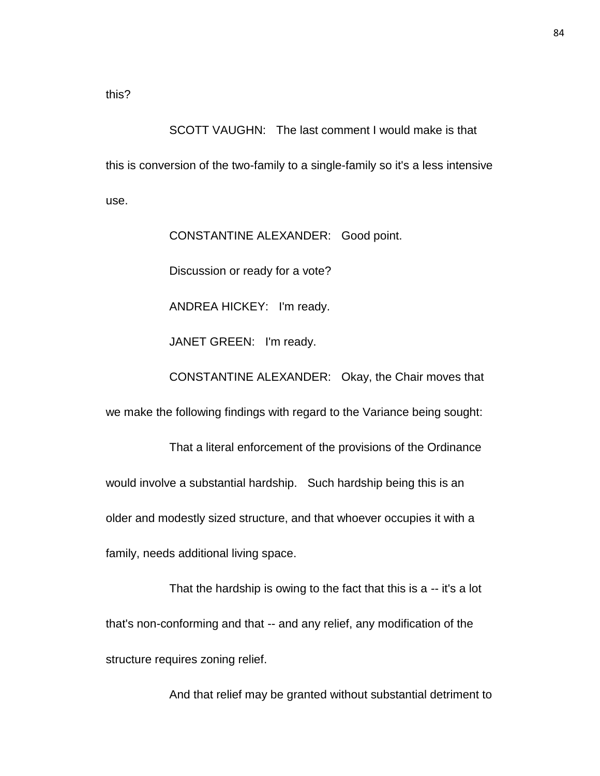SCOTT VAUGHN: The last comment I would make is that this is conversion of the two-family to a single-family so it's a less intensive use.

CONSTANTINE ALEXANDER: Good point.

Discussion or ready for a vote?

ANDREA HICKEY: I'm ready.

JANET GREEN: I'm ready.

CONSTANTINE ALEXANDER: Okay, the Chair moves that

we make the following findings with regard to the Variance being sought:

That a literal enforcement of the provisions of the Ordinance would involve a substantial hardship. Such hardship being this is an older and modestly sized structure, and that whoever occupies it with a family, needs additional living space.

That the hardship is owing to the fact that this is a -- it's a lot that's non-conforming and that -- and any relief, any modification of the structure requires zoning relief.

And that relief may be granted without substantial detriment to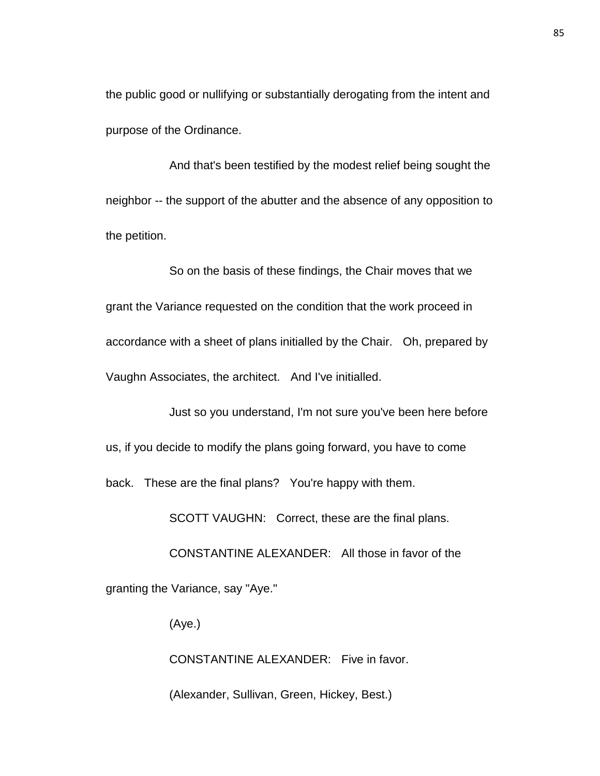the public good or nullifying or substantially derogating from the intent and purpose of the Ordinance.

And that's been testified by the modest relief being sought the neighbor -- the support of the abutter and the absence of any opposition to the petition.

So on the basis of these findings, the Chair moves that we grant the Variance requested on the condition that the work proceed in accordance with a sheet of plans initialled by the Chair. Oh, prepared by Vaughn Associates, the architect. And I've initialled.

Just so you understand, I'm not sure you've been here before us, if you decide to modify the plans going forward, you have to come back. These are the final plans? You're happy with them.

SCOTT VAUGHN: Correct, these are the final plans.

CONSTANTINE ALEXANDER: All those in favor of the granting the Variance, say "Aye."

(Aye.)

CONSTANTINE ALEXANDER: Five in favor.

(Alexander, Sullivan, Green, Hickey, Best.)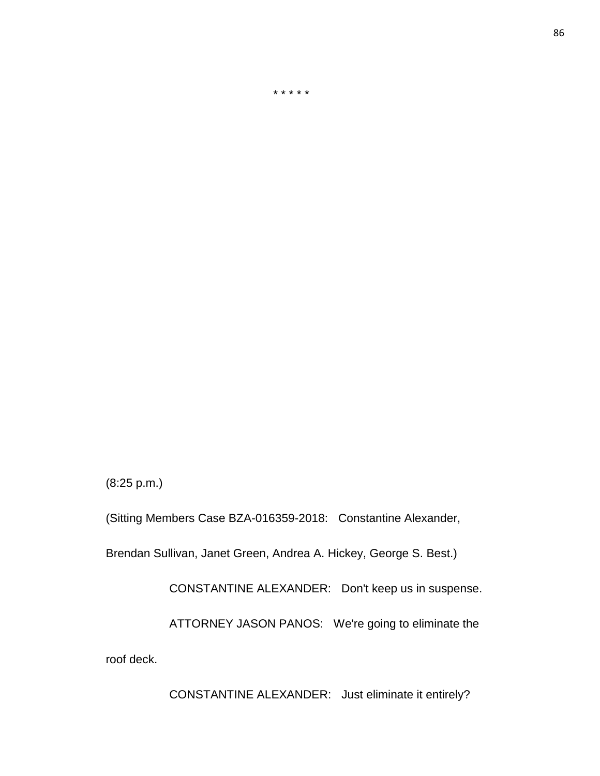CONSTANTINE ALEXANDER: Just eliminate it entirely?

roof deck.

CONSTANTINE ALEXANDER: Don't keep us in suspense.

ATTORNEY JASON PANOS: We're going to eliminate the

Brendan Sullivan, Janet Green, Andrea A. Hickey, George S. Best.)

(Sitting Members Case BZA-016359-2018: Constantine Alexander,

(8:25 p.m.)

\* \* \* \* \*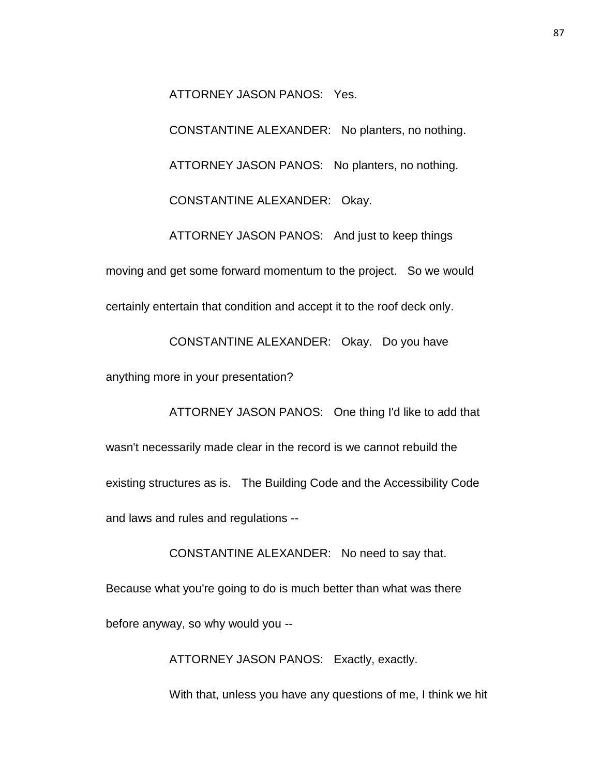ATTORNEY JASON PANOS: Yes.

CONSTANTINE ALEXANDER: No planters, no nothing. ATTORNEY JASON PANOS: No planters, no nothing. CONSTANTINE ALEXANDER: Okay. ATTORNEY JASON PANOS: And just to keep things moving and get some forward momentum to the project. So we would

certainly entertain that condition and accept it to the roof deck only.

CONSTANTINE ALEXANDER: Okay. Do you have

anything more in your presentation?

ATTORNEY JASON PANOS: One thing I'd like to add that wasn't necessarily made clear in the record is we cannot rebuild the existing structures as is. The Building Code and the Accessibility Code and laws and rules and regulations --

CONSTANTINE ALEXANDER: No need to say that.

Because what you're going to do is much better than what was there before anyway, so why would you --

ATTORNEY JASON PANOS: Exactly, exactly.

With that, unless you have any questions of me, I think we hit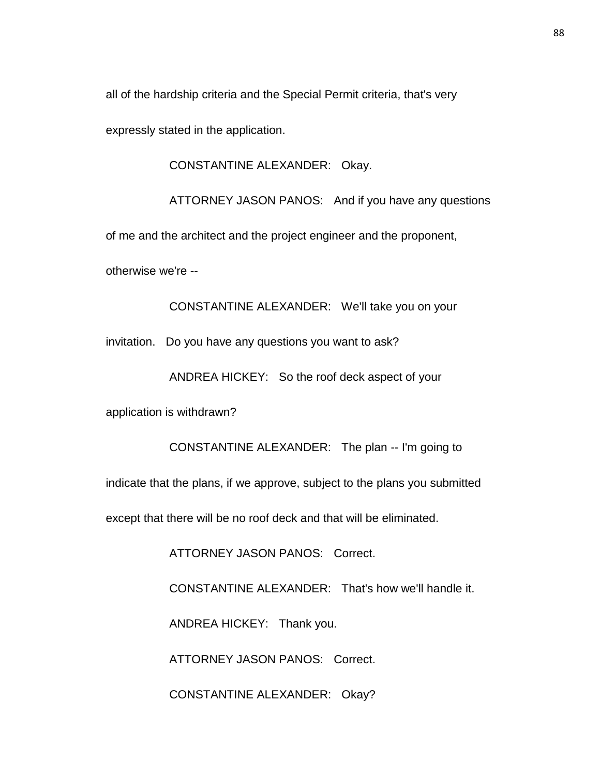all of the hardship criteria and the Special Permit criteria, that's very

expressly stated in the application.

CONSTANTINE ALEXANDER: Okay.

ATTORNEY JASON PANOS: And if you have any questions

of me and the architect and the project engineer and the proponent,

otherwise we're --

CONSTANTINE ALEXANDER: We'll take you on your

invitation. Do you have any questions you want to ask?

ANDREA HICKEY: So the roof deck aspect of your

application is withdrawn?

CONSTANTINE ALEXANDER: The plan -- I'm going to indicate that the plans, if we approve, subject to the plans you submitted except that there will be no roof deck and that will be eliminated. ATTORNEY JASON PANOS: Correct.

CONSTANTINE ALEXANDER: That's how we'll handle it.

ANDREA HICKEY: Thank you.

ATTORNEY JASON PANOS: Correct.

CONSTANTINE ALEXANDER: Okay?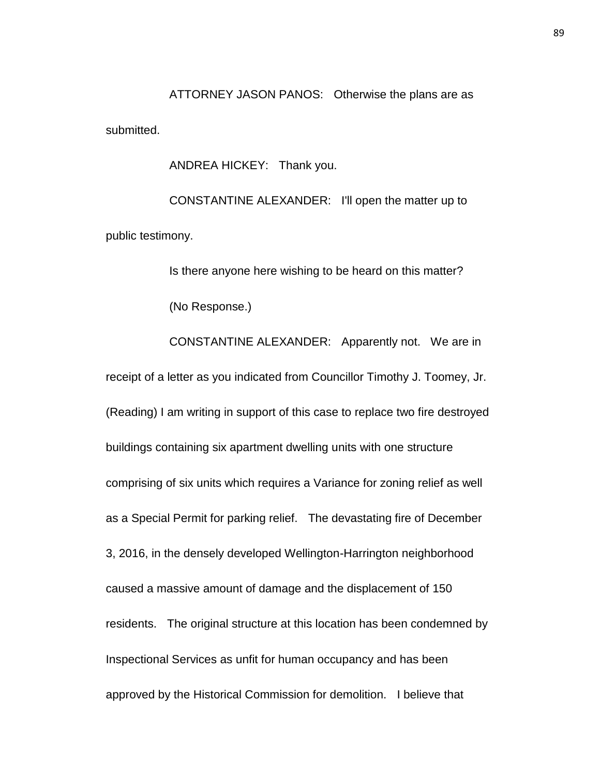ATTORNEY JASON PANOS: Otherwise the plans are as submitted.

ANDREA HICKEY: Thank you.

CONSTANTINE ALEXANDER: I'll open the matter up to public testimony.

Is there anyone here wishing to be heard on this matter?

(No Response.)

CONSTANTINE ALEXANDER: Apparently not. We are in receipt of a letter as you indicated from Councillor Timothy J. Toomey, Jr. (Reading) I am writing in support of this case to replace two fire destroyed buildings containing six apartment dwelling units with one structure comprising of six units which requires a Variance for zoning relief as well as a Special Permit for parking relief. The devastating fire of December 3, 2016, in the densely developed Wellington-Harrington neighborhood caused a massive amount of damage and the displacement of 150 residents. The original structure at this location has been condemned by Inspectional Services as unfit for human occupancy and has been approved by the Historical Commission for demolition. I believe that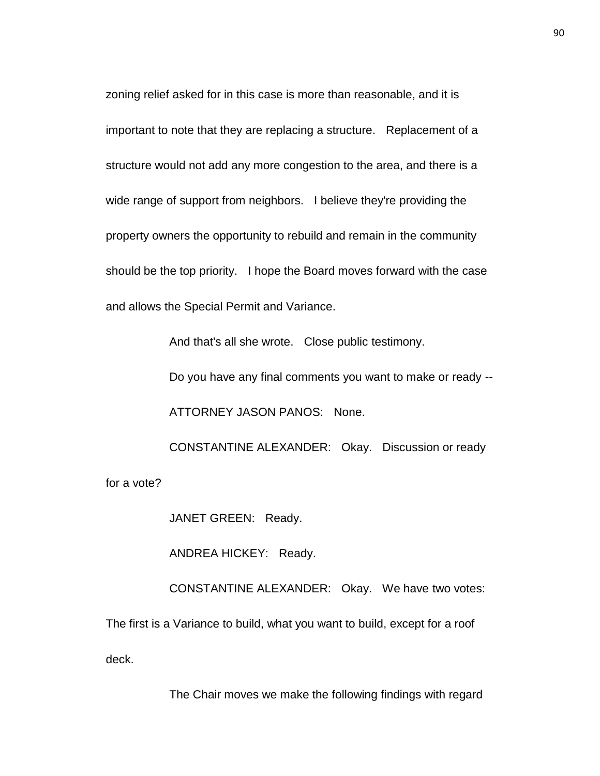zoning relief asked for in this case is more than reasonable, and it is important to note that they are replacing a structure. Replacement of a structure would not add any more congestion to the area, and there is a wide range of support from neighbors. I believe they're providing the property owners the opportunity to rebuild and remain in the community should be the top priority. I hope the Board moves forward with the case and allows the Special Permit and Variance.

And that's all she wrote. Close public testimony.

Do you have any final comments you want to make or ready --

ATTORNEY JASON PANOS: None.

CONSTANTINE ALEXANDER: Okay. Discussion or ready for a vote?

JANET GREEN: Ready.

ANDREA HICKEY: Ready.

CONSTANTINE ALEXANDER: Okay. We have two votes: The first is a Variance to build, what you want to build, except for a roof deck.

The Chair moves we make the following findings with regard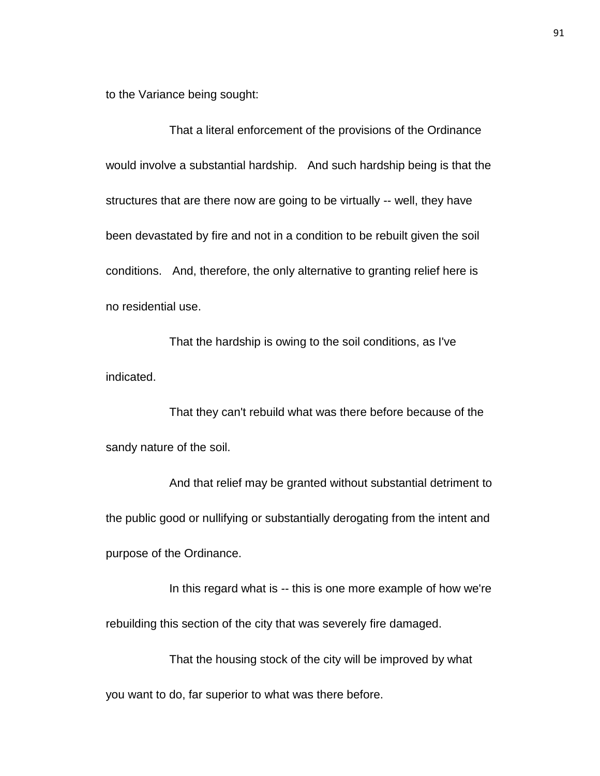to the Variance being sought:

That a literal enforcement of the provisions of the Ordinance would involve a substantial hardship. And such hardship being is that the structures that are there now are going to be virtually -- well, they have been devastated by fire and not in a condition to be rebuilt given the soil conditions. And, therefore, the only alternative to granting relief here is no residential use.

That the hardship is owing to the soil conditions, as I've indicated.

That they can't rebuild what was there before because of the sandy nature of the soil.

And that relief may be granted without substantial detriment to the public good or nullifying or substantially derogating from the intent and purpose of the Ordinance.

In this regard what is -- this is one more example of how we're rebuilding this section of the city that was severely fire damaged.

That the housing stock of the city will be improved by what you want to do, far superior to what was there before.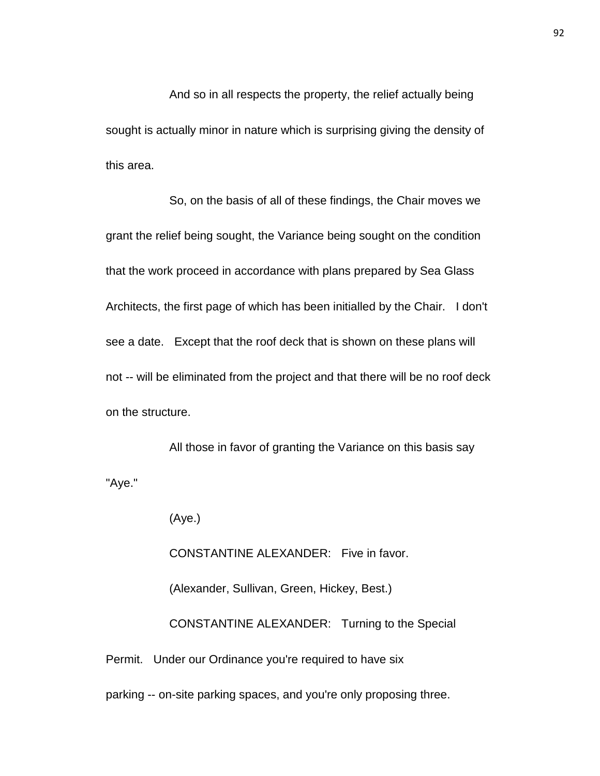And so in all respects the property, the relief actually being sought is actually minor in nature which is surprising giving the density of this area.

So, on the basis of all of these findings, the Chair moves we grant the relief being sought, the Variance being sought on the condition that the work proceed in accordance with plans prepared by Sea Glass Architects, the first page of which has been initialled by the Chair. I don't see a date. Except that the roof deck that is shown on these plans will not -- will be eliminated from the project and that there will be no roof deck on the structure.

All those in favor of granting the Variance on this basis say "Aye."

(Aye.)

CONSTANTINE ALEXANDER: Five in favor.

(Alexander, Sullivan, Green, Hickey, Best.)

CONSTANTINE ALEXANDER: Turning to the Special

Permit. Under our Ordinance you're required to have six

parking -- on-site parking spaces, and you're only proposing three.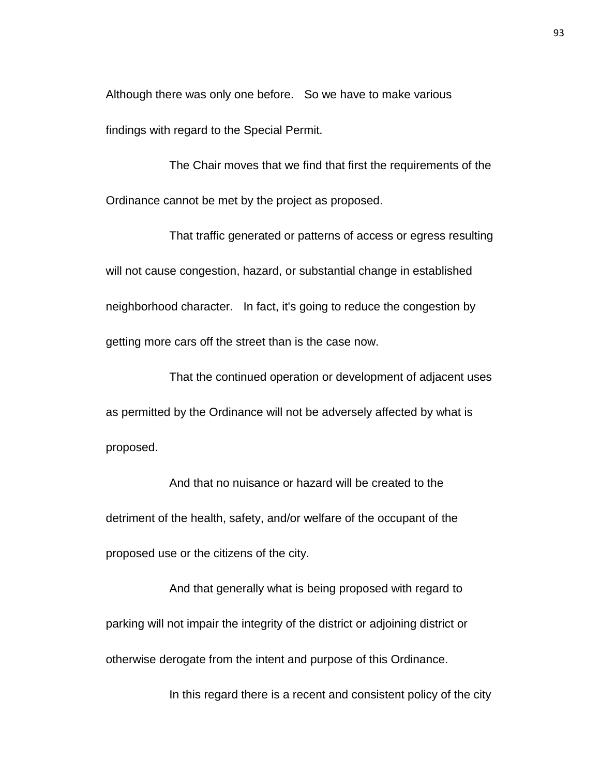Although there was only one before. So we have to make various findings with regard to the Special Permit.

The Chair moves that we find that first the requirements of the Ordinance cannot be met by the project as proposed.

That traffic generated or patterns of access or egress resulting will not cause congestion, hazard, or substantial change in established neighborhood character. In fact, it's going to reduce the congestion by getting more cars off the street than is the case now.

That the continued operation or development of adjacent uses as permitted by the Ordinance will not be adversely affected by what is proposed.

And that no nuisance or hazard will be created to the detriment of the health, safety, and/or welfare of the occupant of the proposed use or the citizens of the city.

And that generally what is being proposed with regard to parking will not impair the integrity of the district or adjoining district or otherwise derogate from the intent and purpose of this Ordinance.

In this regard there is a recent and consistent policy of the city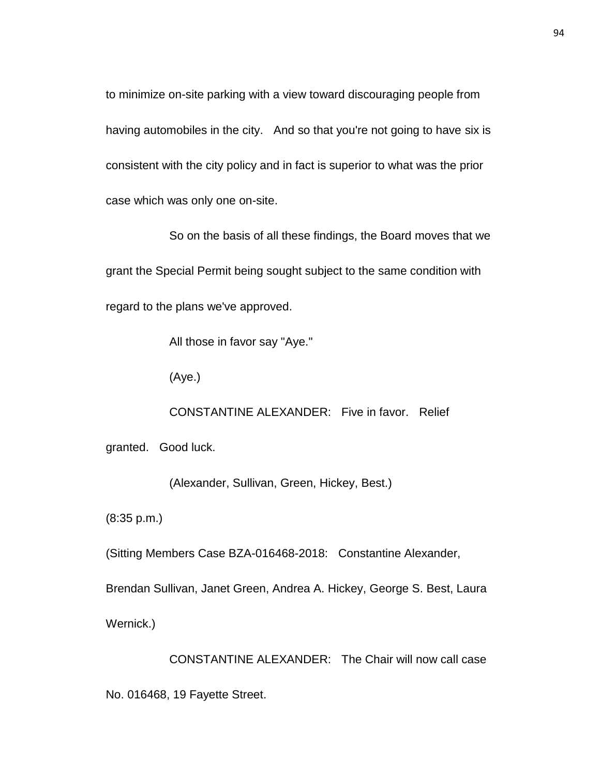to minimize on-site parking with a view toward discouraging people from having automobiles in the city. And so that you're not going to have six is consistent with the city policy and in fact is superior to what was the prior case which was only one on-site.

So on the basis of all these findings, the Board moves that we grant the Special Permit being sought subject to the same condition with regard to the plans we've approved.

All those in favor say "Aye."

(Aye.)

CONSTANTINE ALEXANDER: Five in favor. Relief

granted. Good luck.

(Alexander, Sullivan, Green, Hickey, Best.)

(8:35 p.m.)

(Sitting Members Case BZA-016468-2018: Constantine Alexander,

Brendan Sullivan, Janet Green, Andrea A. Hickey, George S. Best, Laura

Wernick.)

CONSTANTINE ALEXANDER: The Chair will now call case No. 016468, 19 Fayette Street.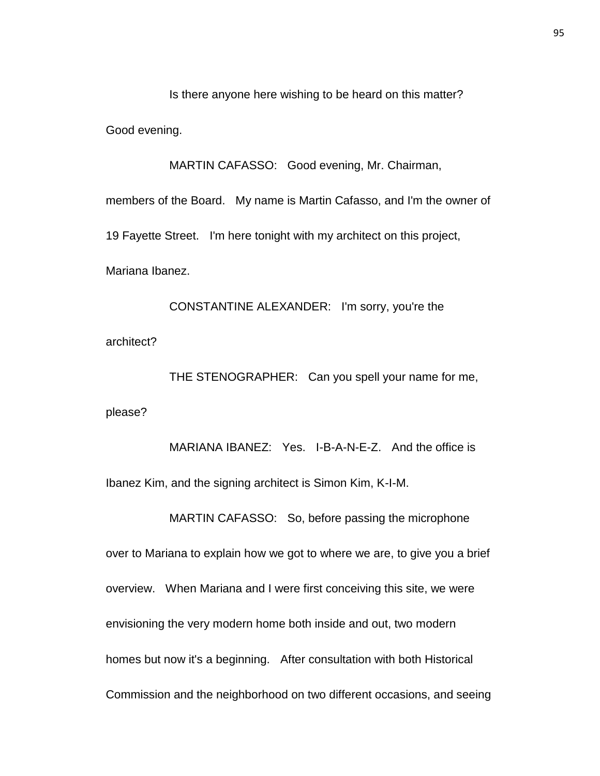Is there anyone here wishing to be heard on this matter?

Good evening.

MARTIN CAFASSO: Good evening, Mr. Chairman,

members of the Board. My name is Martin Cafasso, and I'm the owner of 19 Fayette Street. I'm here tonight with my architect on this project, Mariana Ibanez.

CONSTANTINE ALEXANDER: I'm sorry, you're the architect?

THE STENOGRAPHER: Can you spell your name for me, please?

MARIANA IBANEZ: Yes. I-B-A-N-E-Z. And the office is Ibanez Kim, and the signing architect is Simon Kim, K-I-M.

MARTIN CAFASSO: So, before passing the microphone

over to Mariana to explain how we got to where we are, to give you a brief overview. When Mariana and I were first conceiving this site, we were envisioning the very modern home both inside and out, two modern homes but now it's a beginning. After consultation with both Historical Commission and the neighborhood on two different occasions, and seeing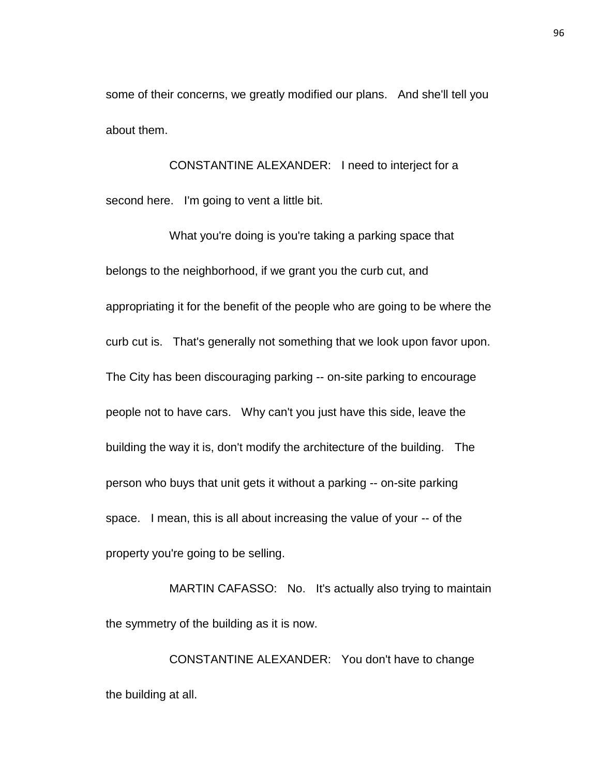some of their concerns, we greatly modified our plans. And she'll tell you about them.

CONSTANTINE ALEXANDER: I need to interject for a second here. I'm going to vent a little bit.

What you're doing is you're taking a parking space that belongs to the neighborhood, if we grant you the curb cut, and appropriating it for the benefit of the people who are going to be where the curb cut is. That's generally not something that we look upon favor upon. The City has been discouraging parking -- on-site parking to encourage people not to have cars. Why can't you just have this side, leave the building the way it is, don't modify the architecture of the building. The person who buys that unit gets it without a parking -- on-site parking space. I mean, this is all about increasing the value of your -- of the property you're going to be selling.

MARTIN CAFASSO: No. It's actually also trying to maintain the symmetry of the building as it is now.

CONSTANTINE ALEXANDER: You don't have to change the building at all.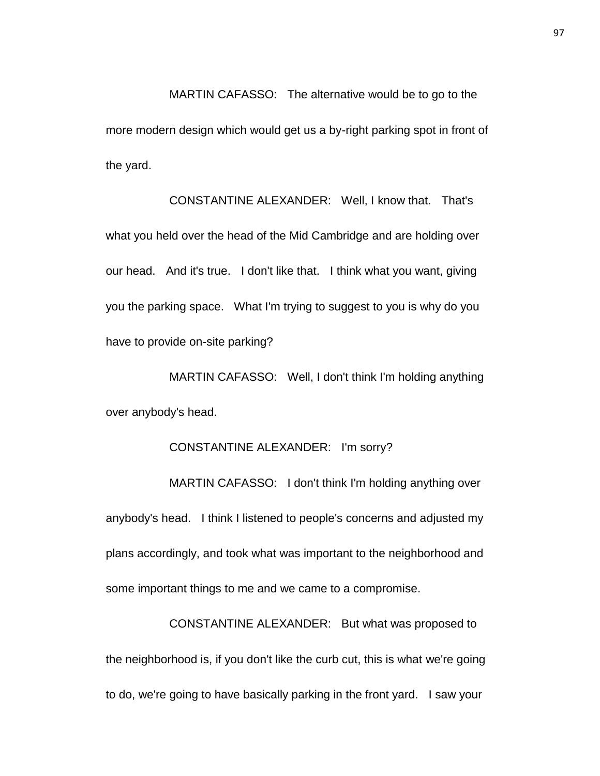MARTIN CAFASSO: The alternative would be to go to the more modern design which would get us a by-right parking spot in front of the yard.

CONSTANTINE ALEXANDER: Well, I know that. That's what you held over the head of the Mid Cambridge and are holding over our head. And it's true. I don't like that. I think what you want, giving you the parking space. What I'm trying to suggest to you is why do you have to provide on-site parking?

MARTIN CAFASSO: Well, I don't think I'm holding anything over anybody's head.

## CONSTANTINE ALEXANDER: I'm sorry?

MARTIN CAFASSO: I don't think I'm holding anything over anybody's head. I think I listened to people's concerns and adjusted my plans accordingly, and took what was important to the neighborhood and some important things to me and we came to a compromise.

CONSTANTINE ALEXANDER: But what was proposed to the neighborhood is, if you don't like the curb cut, this is what we're going to do, we're going to have basically parking in the front yard. I saw your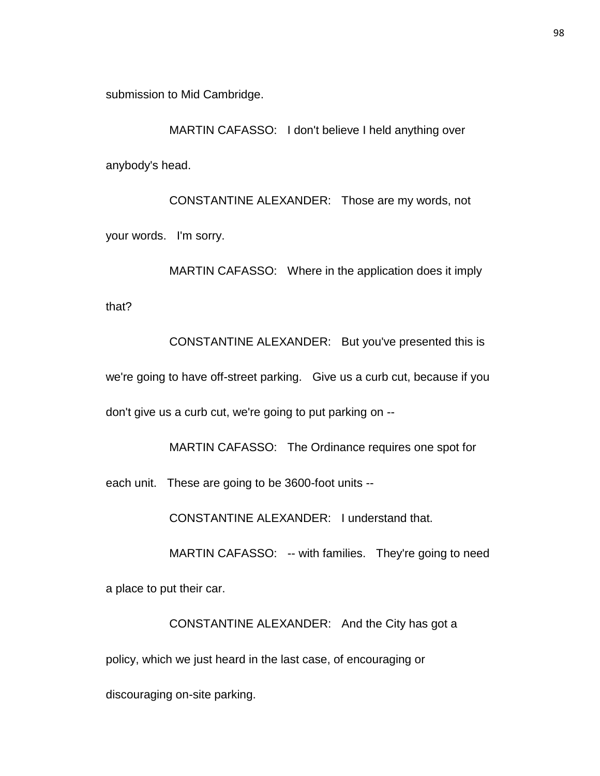submission to Mid Cambridge.

MARTIN CAFASSO: I don't believe I held anything over anybody's head.

CONSTANTINE ALEXANDER: Those are my words, not your words. I'm sorry.

MARTIN CAFASSO: Where in the application does it imply that?

CONSTANTINE ALEXANDER: But you've presented this is we're going to have off-street parking. Give us a curb cut, because if you don't give us a curb cut, we're going to put parking on --

MARTIN CAFASSO: The Ordinance requires one spot for each unit. These are going to be 3600-foot units --

CONSTANTINE ALEXANDER: I understand that.

MARTIN CAFASSO: -- with families. They're going to need

a place to put their car.

CONSTANTINE ALEXANDER: And the City has got a policy, which we just heard in the last case, of encouraging or discouraging on-site parking.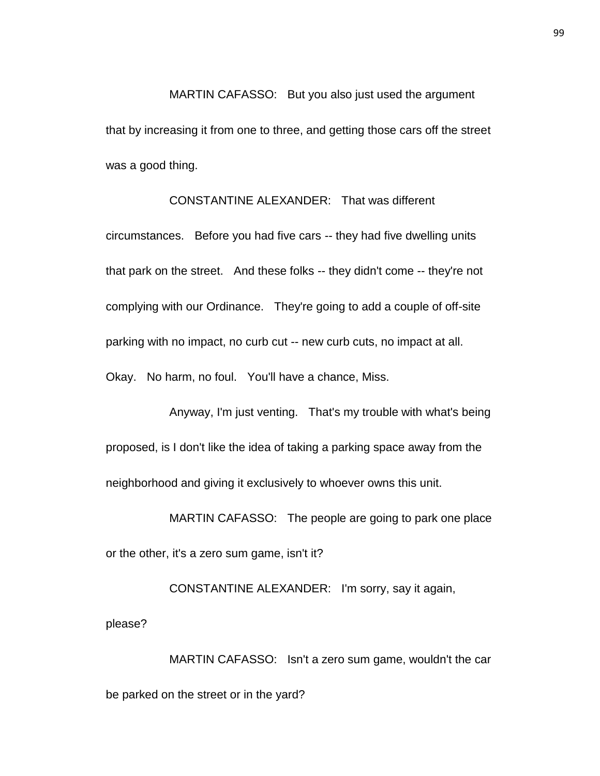MARTIN CAFASSO: But you also just used the argument that by increasing it from one to three, and getting those cars off the street was a good thing.

## CONSTANTINE ALEXANDER: That was different

circumstances. Before you had five cars -- they had five dwelling units that park on the street. And these folks -- they didn't come -- they're not complying with our Ordinance. They're going to add a couple of off-site parking with no impact, no curb cut -- new curb cuts, no impact at all. Okay. No harm, no foul. You'll have a chance, Miss.

Anyway, I'm just venting. That's my trouble with what's being proposed, is I don't like the idea of taking a parking space away from the neighborhood and giving it exclusively to whoever owns this unit.

MARTIN CAFASSO: The people are going to park one place or the other, it's a zero sum game, isn't it?

CONSTANTINE ALEXANDER: I'm sorry, say it again, please?

MARTIN CAFASSO: Isn't a zero sum game, wouldn't the car be parked on the street or in the yard?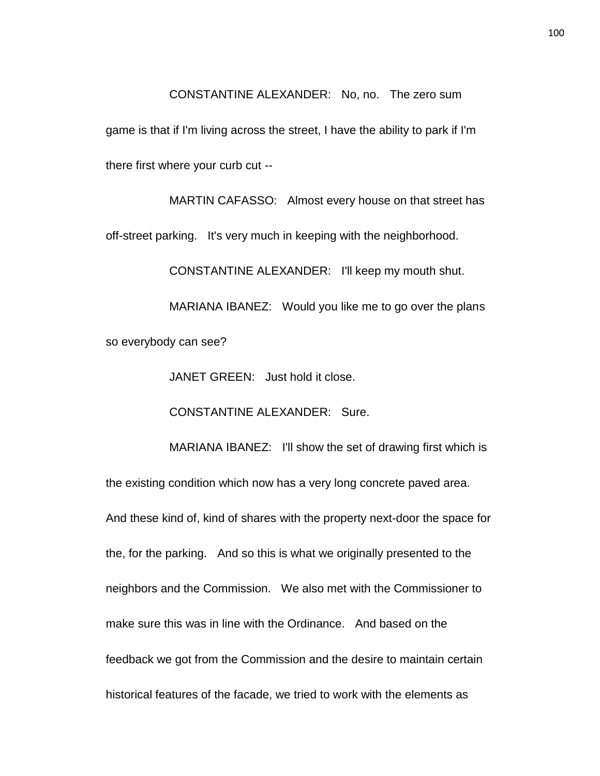CONSTANTINE ALEXANDER: No, no. The zero sum

game is that if I'm living across the street, I have the ability to park if I'm there first where your curb cut --

MARTIN CAFASSO: Almost every house on that street has off-street parking. It's very much in keeping with the neighborhood.

CONSTANTINE ALEXANDER: I'll keep my mouth shut.

MARIANA IBANEZ: Would you like me to go over the plans so everybody can see?

JANET GREEN: Just hold it close.

CONSTANTINE ALEXANDER: Sure.

MARIANA IBANEZ: I'll show the set of drawing first which is the existing condition which now has a very long concrete paved area. And these kind of, kind of shares with the property next-door the space for the, for the parking. And so this is what we originally presented to the neighbors and the Commission. We also met with the Commissioner to make sure this was in line with the Ordinance. And based on the feedback we got from the Commission and the desire to maintain certain historical features of the facade, we tried to work with the elements as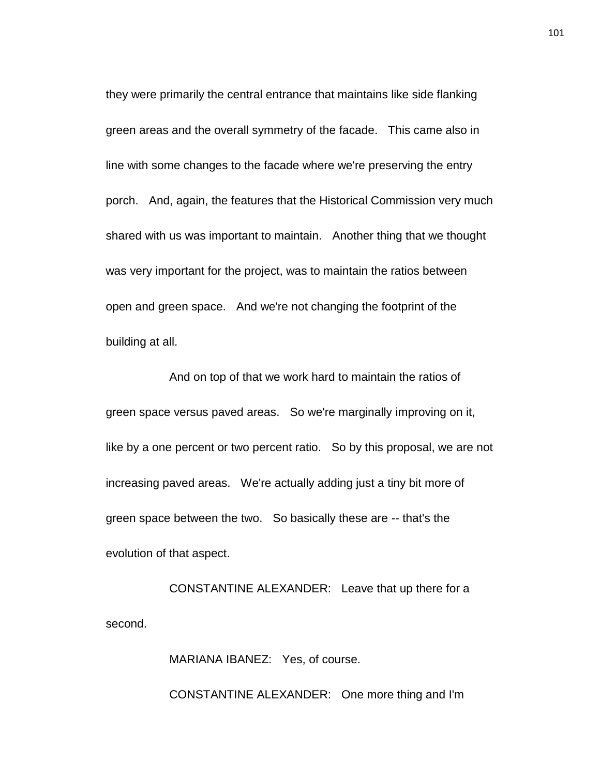they were primarily the central entrance that maintains like side flanking green areas and the overall symmetry of the facade. This came also in line with some changes to the facade where we're preserving the entry porch. And, again, the features that the Historical Commission very much shared with us was important to maintain. Another thing that we thought was very important for the project, was to maintain the ratios between open and green space. And we're not changing the footprint of the building at all.

And on top of that we work hard to maintain the ratios of green space versus paved areas. So we're marginally improving on it, like by a one percent or two percent ratio. So by this proposal, we are not increasing paved areas. We're actually adding just a tiny bit more of green space between the two. So basically these are -- that's the evolution of that aspect.

CONSTANTINE ALEXANDER: Leave that up there for a second.

MARIANA IBANEZ: Yes, of course.

CONSTANTINE ALEXANDER: One more thing and I'm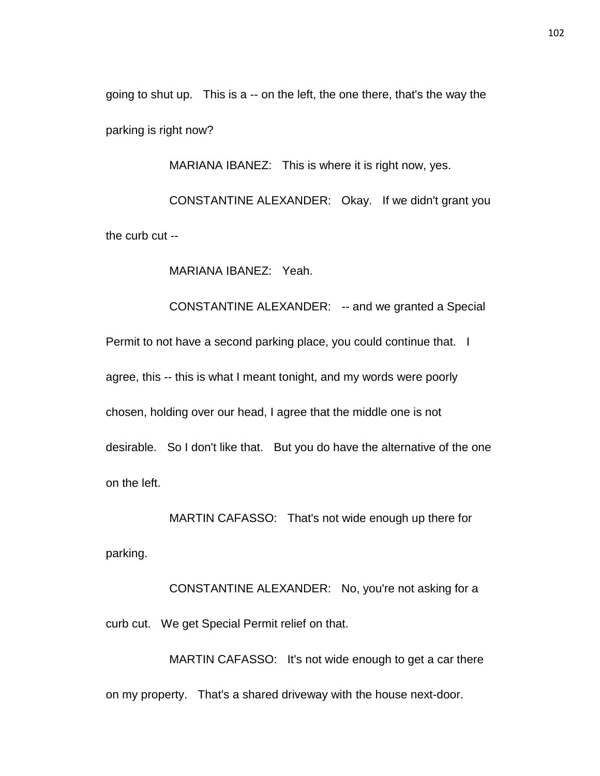going to shut up. This is a -- on the left, the one there, that's the way the parking is right now?

MARIANA IBANEZ: This is where it is right now, yes.

CONSTANTINE ALEXANDER: Okay. If we didn't grant you the curb cut --

MARIANA IBANEZ: Yeah.

CONSTANTINE ALEXANDER: -- and we granted a Special Permit to not have a second parking place, you could continue that. I agree, this -- this is what I meant tonight, and my words were poorly chosen, holding over our head, I agree that the middle one is not desirable. So I don't like that. But you do have the alternative of the one on the left.

MARTIN CAFASSO: That's not wide enough up there for parking.

CONSTANTINE ALEXANDER: No, you're not asking for a curb cut. We get Special Permit relief on that.

MARTIN CAFASSO: It's not wide enough to get a car there on my property. That's a shared driveway with the house next-door.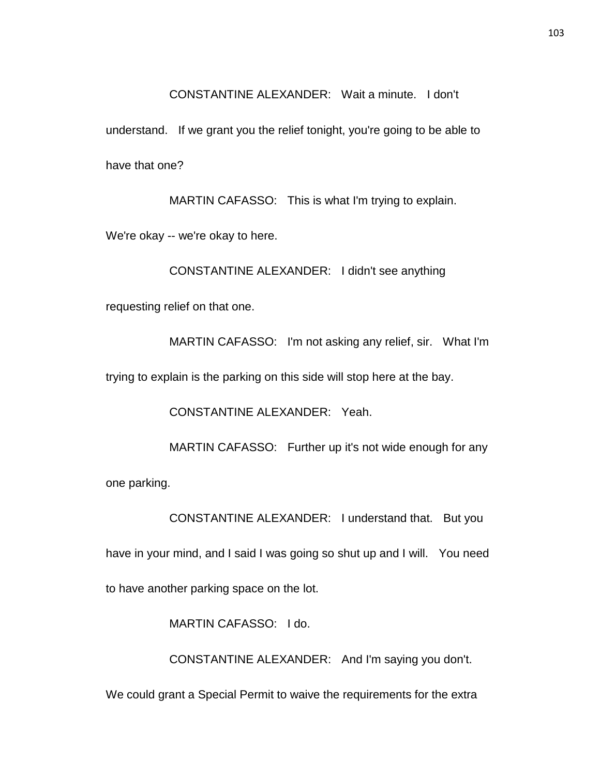CONSTANTINE ALEXANDER: Wait a minute. I don't

understand. If we grant you the relief tonight, you're going to be able to have that one?

MARTIN CAFASSO: This is what I'm trying to explain.

We're okay -- we're okay to here.

CONSTANTINE ALEXANDER: I didn't see anything

requesting relief on that one.

MARTIN CAFASSO: I'm not asking any relief, sir. What I'm

trying to explain is the parking on this side will stop here at the bay.

CONSTANTINE ALEXANDER: Yeah.

MARTIN CAFASSO: Further up it's not wide enough for any

one parking.

CONSTANTINE ALEXANDER: I understand that. But you

have in your mind, and I said I was going so shut up and I will. You need

to have another parking space on the lot.

MARTIN CAFASSO: I do.

CONSTANTINE ALEXANDER: And I'm saying you don't.

We could grant a Special Permit to waive the requirements for the extra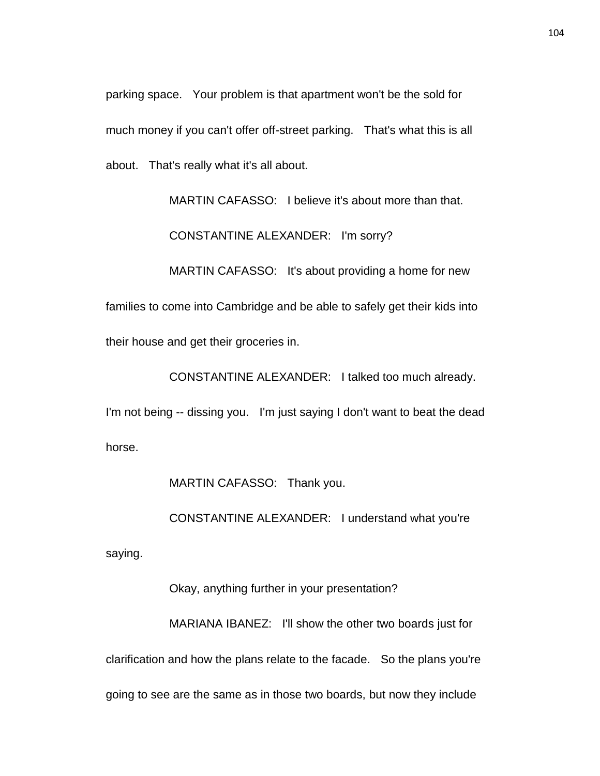parking space. Your problem is that apartment won't be the sold for much money if you can't offer off-street parking. That's what this is all about. That's really what it's all about.

MARTIN CAFASSO: I believe it's about more than that. CONSTANTINE ALEXANDER: I'm sorry? MARTIN CAFASSO: It's about providing a home for new families to come into Cambridge and be able to safely get their kids into their house and get their groceries in.

I'm not being -- dissing you. I'm just saying I don't want to beat the dead horse.

MARTIN CAFASSO: Thank you.

CONSTANTINE ALEXANDER: I understand what you're

CONSTANTINE ALEXANDER: I talked too much already.

saying.

Okay, anything further in your presentation?

MARIANA IBANEZ: I'll show the other two boards just for clarification and how the plans relate to the facade. So the plans you're going to see are the same as in those two boards, but now they include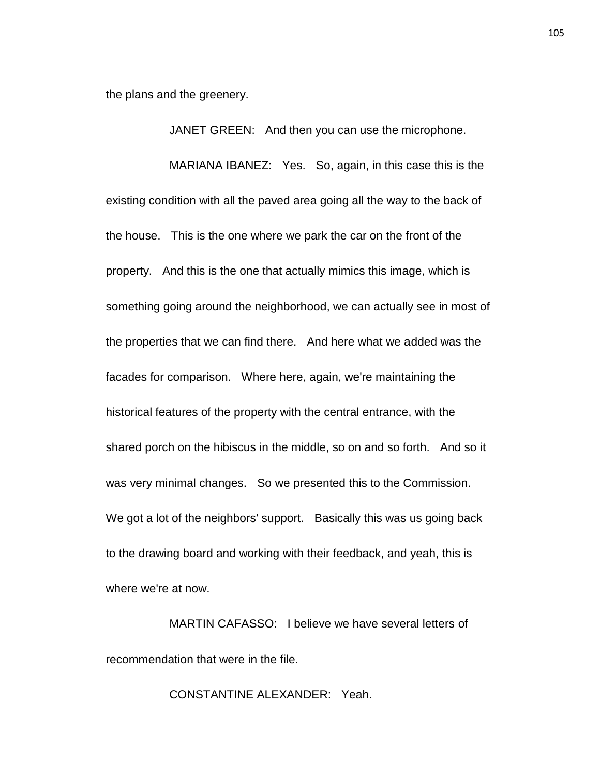the plans and the greenery.

JANET GREEN: And then you can use the microphone.

MARIANA IBANEZ: Yes. So, again, in this case this is the existing condition with all the paved area going all the way to the back of the house. This is the one where we park the car on the front of the property. And this is the one that actually mimics this image, which is something going around the neighborhood, we can actually see in most of the properties that we can find there. And here what we added was the facades for comparison. Where here, again, we're maintaining the historical features of the property with the central entrance, with the shared porch on the hibiscus in the middle, so on and so forth. And so it was very minimal changes. So we presented this to the Commission. We got a lot of the neighbors' support. Basically this was us going back to the drawing board and working with their feedback, and yeah, this is where we're at now.

MARTIN CAFASSO: I believe we have several letters of recommendation that were in the file.

CONSTANTINE ALEXANDER: Yeah.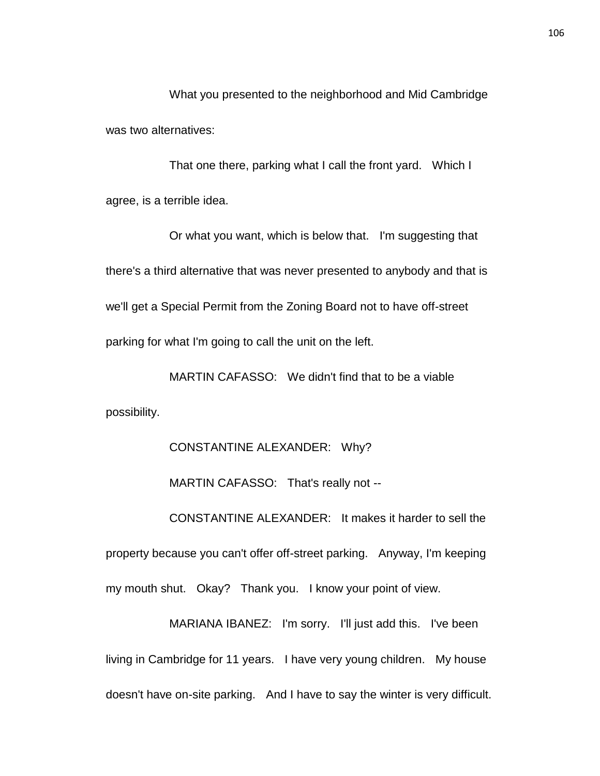What you presented to the neighborhood and Mid Cambridge was two alternatives:

That one there, parking what I call the front yard. Which I agree, is a terrible idea.

Or what you want, which is below that. I'm suggesting that there's a third alternative that was never presented to anybody and that is we'll get a Special Permit from the Zoning Board not to have off-street parking for what I'm going to call the unit on the left.

MARTIN CAFASSO: We didn't find that to be a viable possibility.

CONSTANTINE ALEXANDER: Why?

MARTIN CAFASSO: That's really not -- CONSTANTINE ALEXANDER: It makes it harder to sell the property because you can't offer off-street parking. Anyway, I'm keeping my mouth shut. Okay? Thank you. I know your point of view.

MARIANA IBANEZ: I'm sorry. I'll just add this. I've been living in Cambridge for 11 years. I have very young children. My house doesn't have on-site parking. And I have to say the winter is very difficult.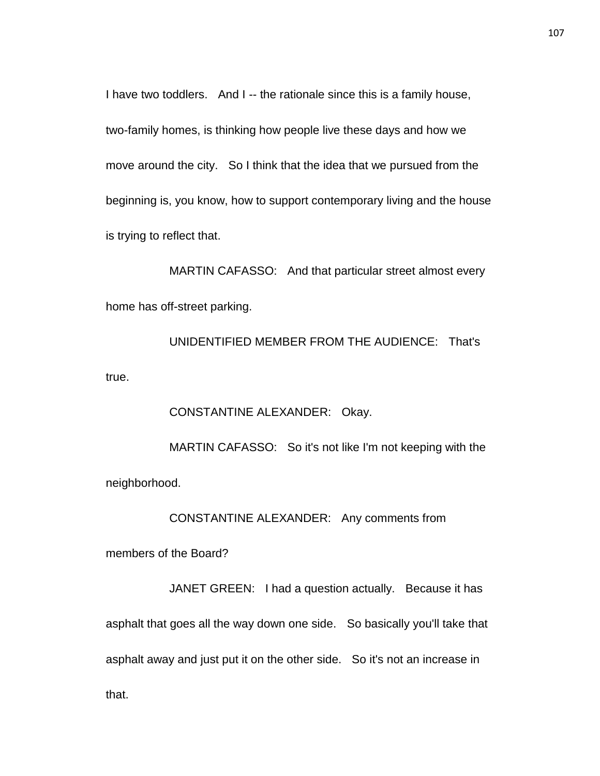I have two toddlers. And I -- the rationale since this is a family house, two-family homes, is thinking how people live these days and how we move around the city. So I think that the idea that we pursued from the beginning is, you know, how to support contemporary living and the house is trying to reflect that.

MARTIN CAFASSO: And that particular street almost every home has off-street parking.

UNIDENTIFIED MEMBER FROM THE AUDIENCE: That's true.

CONSTANTINE ALEXANDER: Okay. MARTIN CAFASSO: So it's not like I'm not keeping with the neighborhood.

CONSTANTINE ALEXANDER: Any comments from

members of the Board?

JANET GREEN: I had a question actually. Because it has asphalt that goes all the way down one side. So basically you'll take that asphalt away and just put it on the other side. So it's not an increase in that.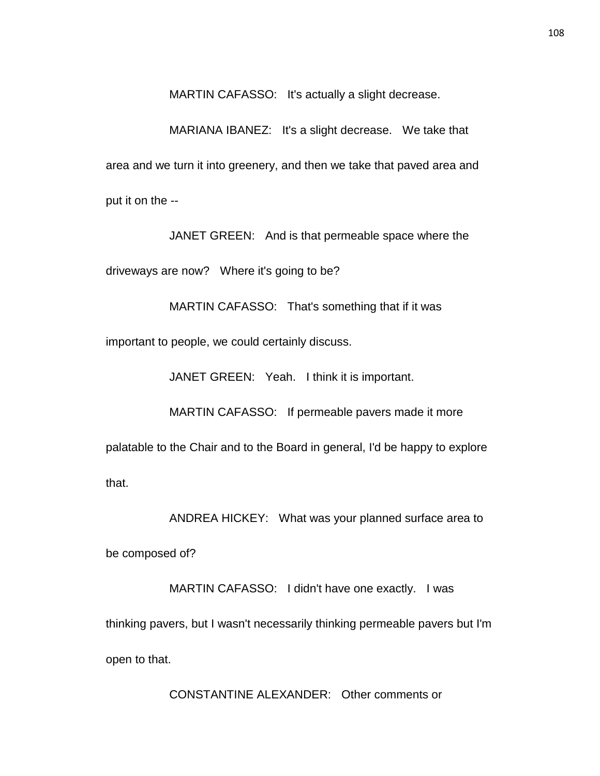MARTIN CAFASSO: It's actually a slight decrease.

MARIANA IBANEZ: It's a slight decrease. We take that area and we turn it into greenery, and then we take that paved area and put it on the --

JANET GREEN: And is that permeable space where the

driveways are now? Where it's going to be?

MARTIN CAFASSO: That's something that if it was

important to people, we could certainly discuss.

JANET GREEN: Yeah. I think it is important.

MARTIN CAFASSO: If permeable pavers made it more

palatable to the Chair and to the Board in general, I'd be happy to explore

that.

ANDREA HICKEY: What was your planned surface area to

be composed of?

MARTIN CAFASSO: I didn't have one exactly. I was thinking pavers, but I wasn't necessarily thinking permeable pavers but I'm open to that.

CONSTANTINE ALEXANDER: Other comments or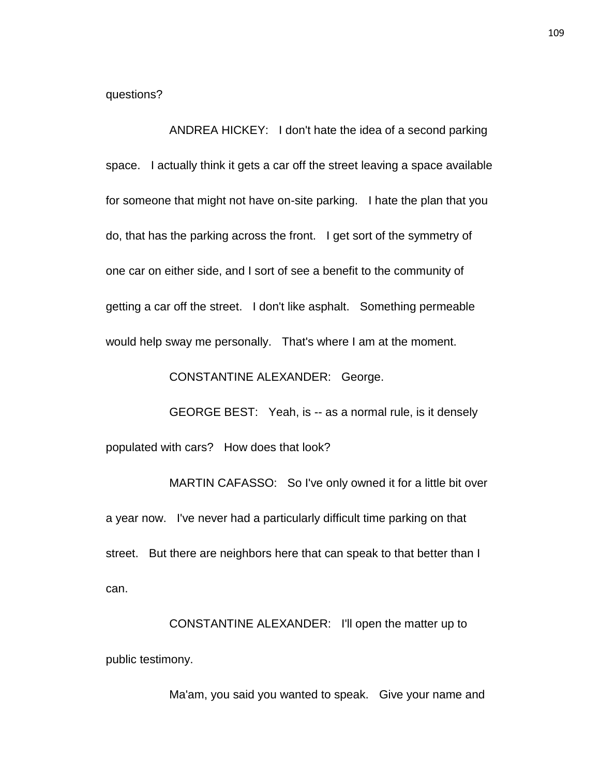questions?

ANDREA HICKEY: I don't hate the idea of a second parking space. I actually think it gets a car off the street leaving a space available for someone that might not have on-site parking. I hate the plan that you do, that has the parking across the front. I get sort of the symmetry of one car on either side, and I sort of see a benefit to the community of getting a car off the street. I don't like asphalt. Something permeable would help sway me personally. That's where I am at the moment.

CONSTANTINE ALEXANDER: George.

GEORGE BEST: Yeah, is -- as a normal rule, is it densely populated with cars? How does that look?

MARTIN CAFASSO: So I've only owned it for a little bit over a year now. I've never had a particularly difficult time parking on that street. But there are neighbors here that can speak to that better than I can.

CONSTANTINE ALEXANDER: I'll open the matter up to public testimony.

Ma'am, you said you wanted to speak. Give your name and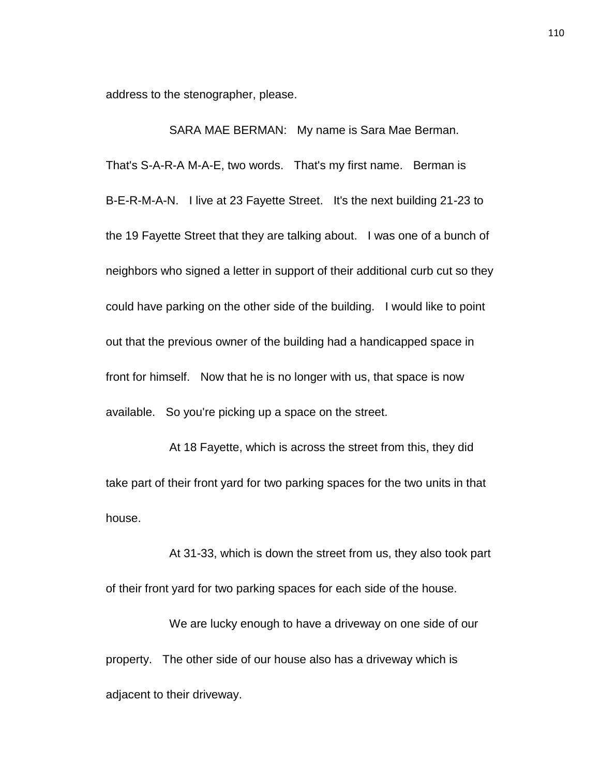address to the stenographer, please.

SARA MAE BERMAN: My name is Sara Mae Berman. That's S-A-R-A M-A-E, two words. That's my first name. Berman is B-E-R-M-A-N. I live at 23 Fayette Street. It's the next building 21-23 to the 19 Fayette Street that they are talking about. I was one of a bunch of neighbors who signed a letter in support of their additional curb cut so they could have parking on the other side of the building. I would like to point out that the previous owner of the building had a handicapped space in front for himself. Now that he is no longer with us, that space is now available. So you're picking up a space on the street.

At 18 Fayette, which is across the street from this, they did take part of their front yard for two parking spaces for the two units in that house.

At 31-33, which is down the street from us, they also took part of their front yard for two parking spaces for each side of the house.

We are lucky enough to have a driveway on one side of our property. The other side of our house also has a driveway which is adjacent to their driveway.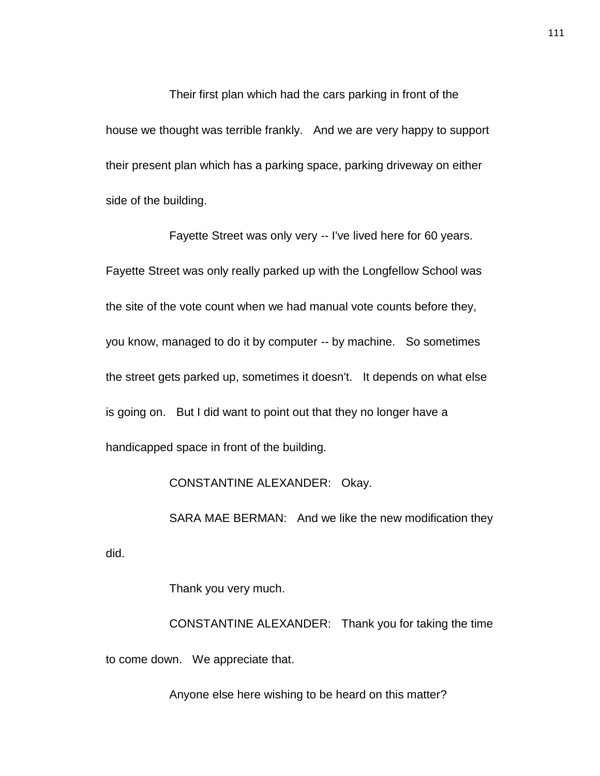Their first plan which had the cars parking in front of the house we thought was terrible frankly. And we are very happy to support their present plan which has a parking space, parking driveway on either side of the building.

Fayette Street was only very -- I've lived here for 60 years. Fayette Street was only really parked up with the Longfellow School was the site of the vote count when we had manual vote counts before they, you know, managed to do it by computer -- by machine. So sometimes the street gets parked up, sometimes it doesn't. It depends on what else is going on. But I did want to point out that they no longer have a handicapped space in front of the building.

CONSTANTINE ALEXANDER: Okay.

SARA MAE BERMAN: And we like the new modification they

did.

Thank you very much.

CONSTANTINE ALEXANDER: Thank you for taking the time to come down. We appreciate that.

Anyone else here wishing to be heard on this matter?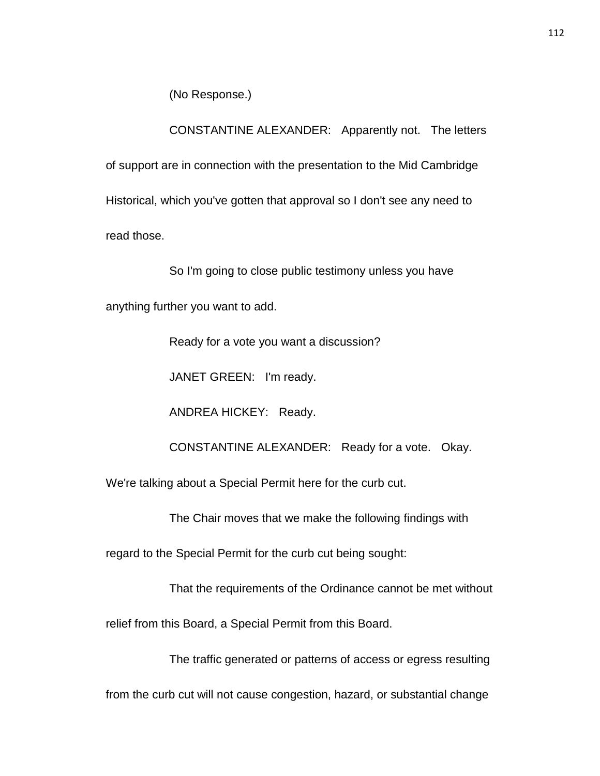(No Response.)

CONSTANTINE ALEXANDER: Apparently not. The letters

of support are in connection with the presentation to the Mid Cambridge Historical, which you've gotten that approval so I don't see any need to read those.

So I'm going to close public testimony unless you have

anything further you want to add.

Ready for a vote you want a discussion?

JANET GREEN: I'm ready.

ANDREA HICKEY: Ready.

CONSTANTINE ALEXANDER: Ready for a vote. Okay.

We're talking about a Special Permit here for the curb cut.

The Chair moves that we make the following findings with

regard to the Special Permit for the curb cut being sought:

That the requirements of the Ordinance cannot be met without

relief from this Board, a Special Permit from this Board.

The traffic generated or patterns of access or egress resulting

from the curb cut will not cause congestion, hazard, or substantial change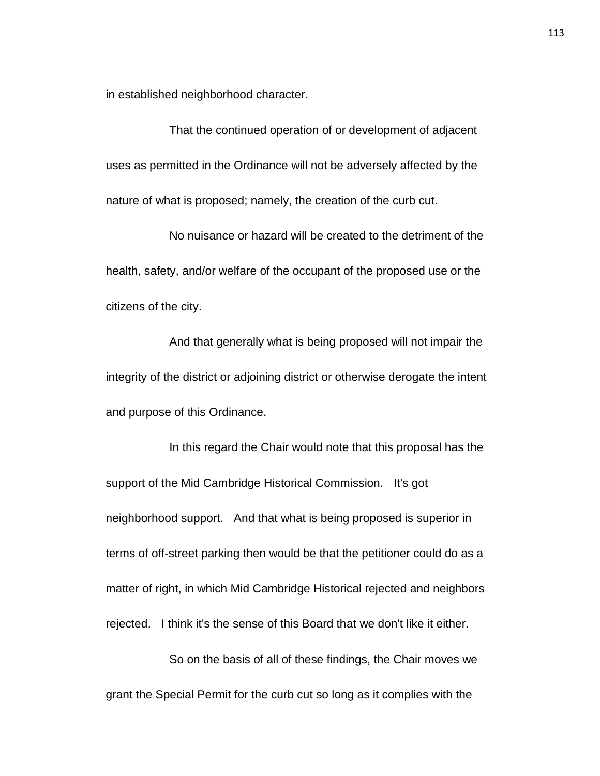in established neighborhood character.

That the continued operation of or development of adjacent uses as permitted in the Ordinance will not be adversely affected by the nature of what is proposed; namely, the creation of the curb cut.

No nuisance or hazard will be created to the detriment of the health, safety, and/or welfare of the occupant of the proposed use or the citizens of the city.

And that generally what is being proposed will not impair the integrity of the district or adjoining district or otherwise derogate the intent and purpose of this Ordinance.

In this regard the Chair would note that this proposal has the support of the Mid Cambridge Historical Commission. It's got neighborhood support. And that what is being proposed is superior in terms of off-street parking then would be that the petitioner could do as a matter of right, in which Mid Cambridge Historical rejected and neighbors rejected. I think it's the sense of this Board that we don't like it either.

So on the basis of all of these findings, the Chair moves we grant the Special Permit for the curb cut so long as it complies with the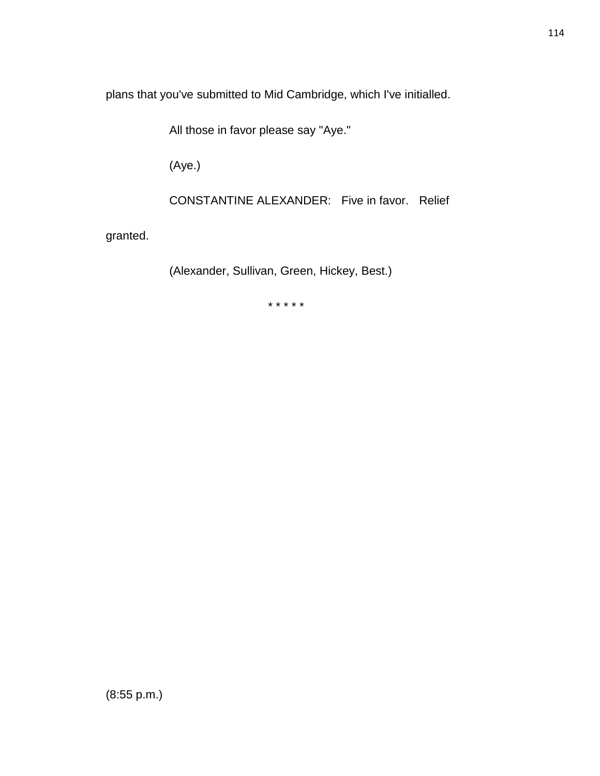plans that you've submitted to Mid Cambridge, which I've initialled.

All those in favor please say "Aye."

(Aye.)

CONSTANTINE ALEXANDER: Five in favor. Relief

granted.

(Alexander, Sullivan, Green, Hickey, Best.)

\* \* \* \* \*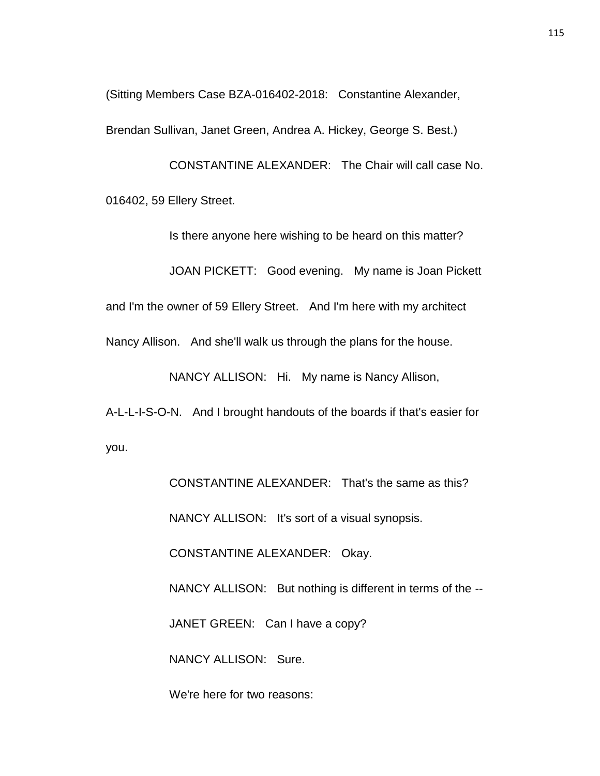(Sitting Members Case BZA-016402-2018: Constantine Alexander,

Brendan Sullivan, Janet Green, Andrea A. Hickey, George S. Best.)

CONSTANTINE ALEXANDER: The Chair will call case No. 016402, 59 Ellery Street.

Is there anyone here wishing to be heard on this matter?

JOAN PICKETT: Good evening. My name is Joan Pickett

and I'm the owner of 59 Ellery Street. And I'm here with my architect

Nancy Allison. And she'll walk us through the plans for the house.

NANCY ALLISON: Hi. My name is Nancy Allison,

A-L-L-I-S-O-N. And I brought handouts of the boards if that's easier for you.

> CONSTANTINE ALEXANDER: That's the same as this? NANCY ALLISON: It's sort of a visual synopsis. CONSTANTINE ALEXANDER: Okay. NANCY ALLISON: But nothing is different in terms of the -- JANET GREEN: Can I have a copy? NANCY ALLISON: Sure.

We're here for two reasons: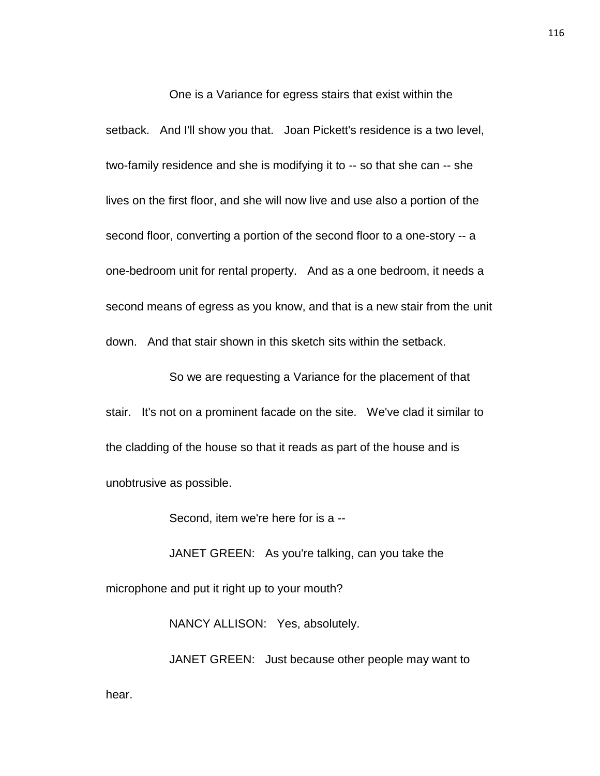One is a Variance for egress stairs that exist within the setback. And I'll show you that. Joan Pickett's residence is a two level, two-family residence and she is modifying it to -- so that she can -- she lives on the first floor, and she will now live and use also a portion of the second floor, converting a portion of the second floor to a one-story -- a one-bedroom unit for rental property. And as a one bedroom, it needs a second means of egress as you know, and that is a new stair from the unit down. And that stair shown in this sketch sits within the setback.

So we are requesting a Variance for the placement of that stair. It's not on a prominent facade on the site. We've clad it similar to the cladding of the house so that it reads as part of the house and is unobtrusive as possible.

Second, item we're here for is a --

JANET GREEN: As you're talking, can you take the microphone and put it right up to your mouth?

NANCY ALLISON: Yes, absolutely.

JANET GREEN: Just because other people may want to hear.

116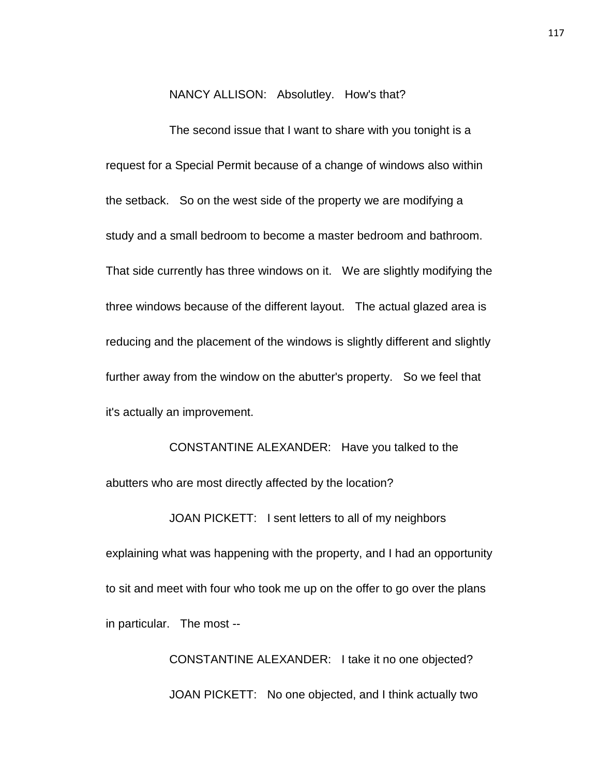NANCY ALLISON: Absolutley. How's that?

The second issue that I want to share with you tonight is a request for a Special Permit because of a change of windows also within the setback. So on the west side of the property we are modifying a study and a small bedroom to become a master bedroom and bathroom. That side currently has three windows on it. We are slightly modifying the three windows because of the different layout. The actual glazed area is reducing and the placement of the windows is slightly different and slightly further away from the window on the abutter's property. So we feel that it's actually an improvement.

CONSTANTINE ALEXANDER: Have you talked to the abutters who are most directly affected by the location?

JOAN PICKETT: I sent letters to all of my neighbors explaining what was happening with the property, and I had an opportunity to sit and meet with four who took me up on the offer to go over the plans in particular. The most --

> CONSTANTINE ALEXANDER: I take it no one objected? JOAN PICKETT: No one objected, and I think actually two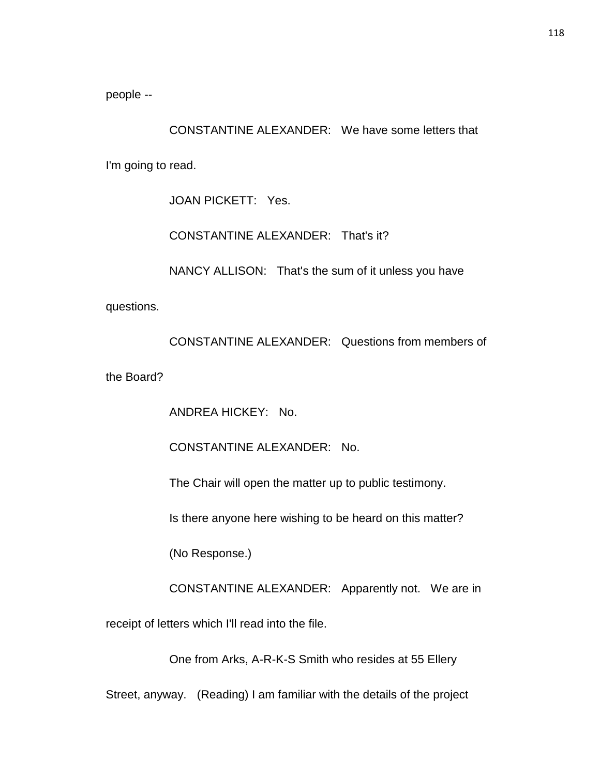people --

CONSTANTINE ALEXANDER: We have some letters that I'm going to read.

JOAN PICKETT: Yes.

CONSTANTINE ALEXANDER: That's it?

NANCY ALLISON: That's the sum of it unless you have

questions.

CONSTANTINE ALEXANDER: Questions from members of

the Board?

ANDREA HICKEY: No.

CONSTANTINE ALEXANDER: No.

The Chair will open the matter up to public testimony.

Is there anyone here wishing to be heard on this matter?

(No Response.)

CONSTANTINE ALEXANDER: Apparently not. We are in

receipt of letters which I'll read into the file.

One from Arks, A-R-K-S Smith who resides at 55 Ellery

Street, anyway. (Reading) I am familiar with the details of the project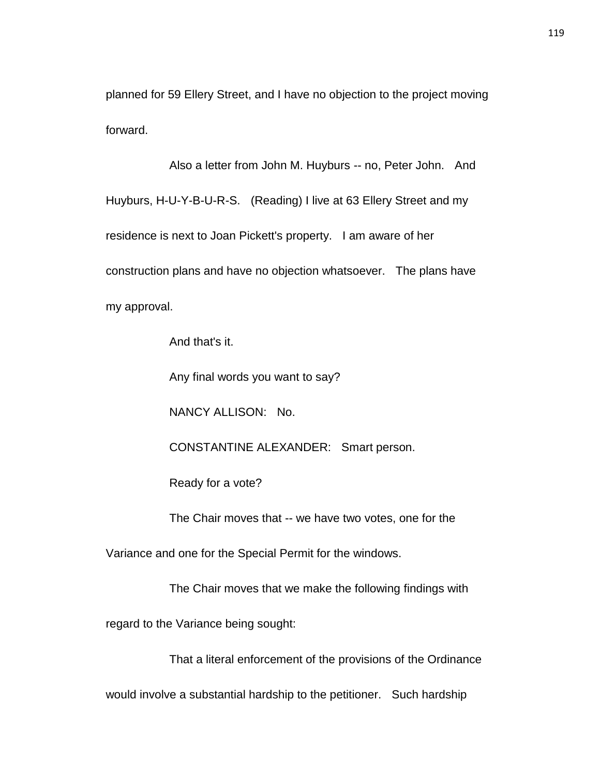planned for 59 Ellery Street, and I have no objection to the project moving forward.

Also a letter from John M. Huyburs -- no, Peter John. And Huyburs, H-U-Y-B-U-R-S. (Reading) I live at 63 Ellery Street and my residence is next to Joan Pickett's property. I am aware of her construction plans and have no objection whatsoever. The plans have my approval.

And that's it.

Any final words you want to say?

NANCY ALLISON: No.

CONSTANTINE ALEXANDER: Smart person.

Ready for a vote?

The Chair moves that -- we have two votes, one for the

Variance and one for the Special Permit for the windows.

The Chair moves that we make the following findings with

regard to the Variance being sought:

That a literal enforcement of the provisions of the Ordinance

would involve a substantial hardship to the petitioner. Such hardship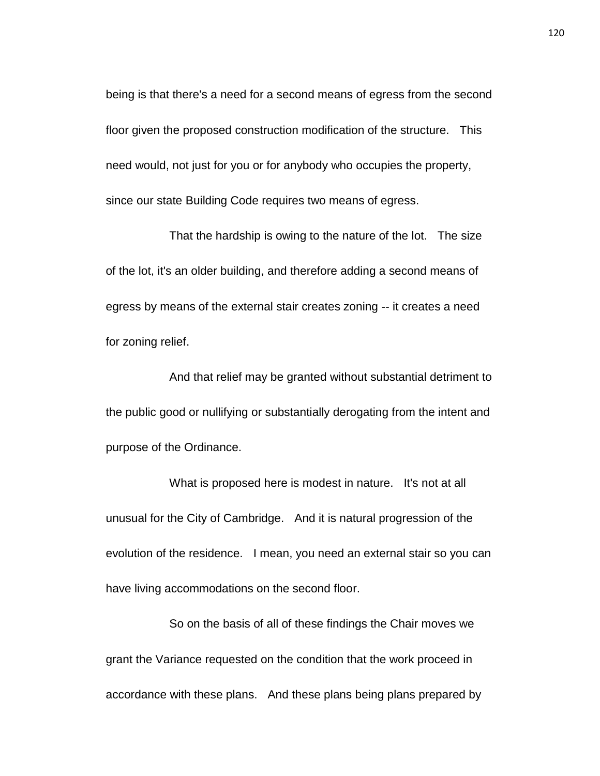being is that there's a need for a second means of egress from the second floor given the proposed construction modification of the structure. This need would, not just for you or for anybody who occupies the property, since our state Building Code requires two means of egress.

That the hardship is owing to the nature of the lot. The size of the lot, it's an older building, and therefore adding a second means of egress by means of the external stair creates zoning -- it creates a need for zoning relief.

And that relief may be granted without substantial detriment to the public good or nullifying or substantially derogating from the intent and purpose of the Ordinance.

What is proposed here is modest in nature. It's not at all unusual for the City of Cambridge. And it is natural progression of the evolution of the residence. I mean, you need an external stair so you can have living accommodations on the second floor.

So on the basis of all of these findings the Chair moves we grant the Variance requested on the condition that the work proceed in accordance with these plans. And these plans being plans prepared by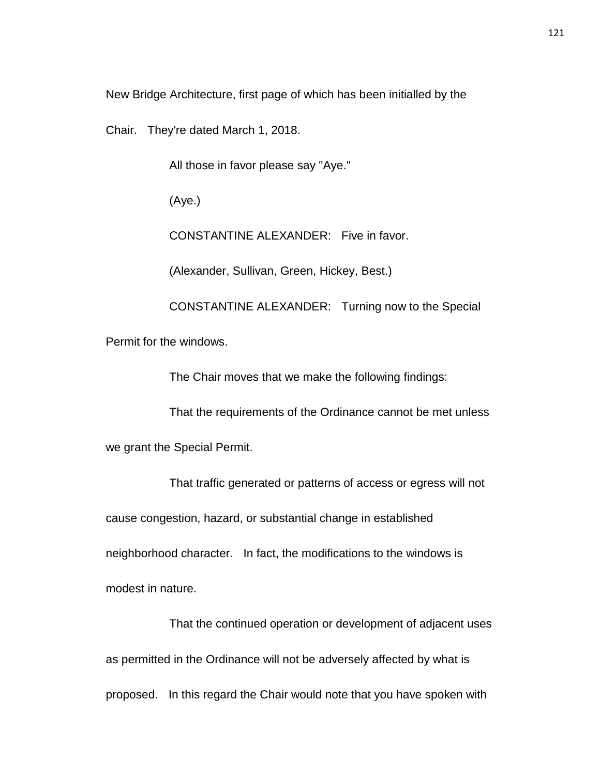New Bridge Architecture, first page of which has been initialled by the

Chair. They're dated March 1, 2018.

All those in favor please say "Aye."

(Aye.)

CONSTANTINE ALEXANDER: Five in favor.

(Alexander, Sullivan, Green, Hickey, Best.)

CONSTANTINE ALEXANDER: Turning now to the Special Permit for the windows.

The Chair moves that we make the following findings:

That the requirements of the Ordinance cannot be met unless

we grant the Special Permit.

That traffic generated or patterns of access or egress will not cause congestion, hazard, or substantial change in established neighborhood character. In fact, the modifications to the windows is modest in nature.

That the continued operation or development of adjacent uses as permitted in the Ordinance will not be adversely affected by what is proposed. In this regard the Chair would note that you have spoken with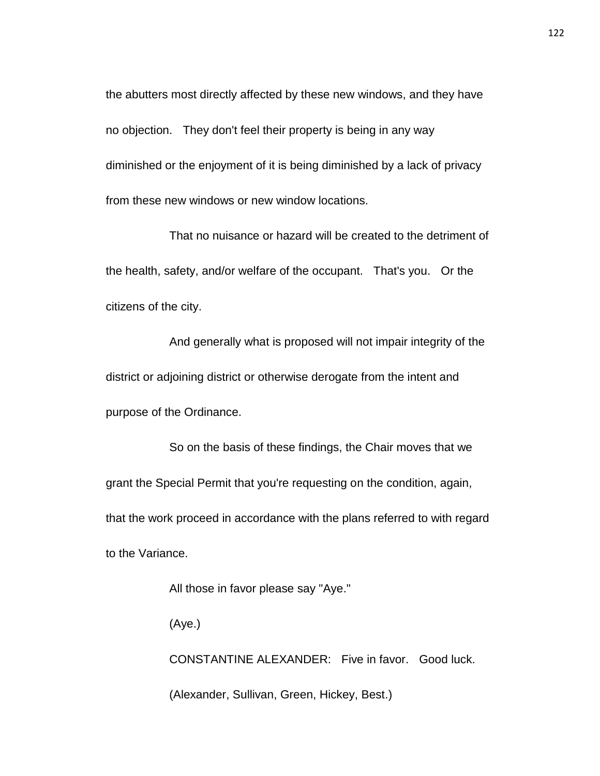the abutters most directly affected by these new windows, and they have no objection. They don't feel their property is being in any way diminished or the enjoyment of it is being diminished by a lack of privacy from these new windows or new window locations.

That no nuisance or hazard will be created to the detriment of the health, safety, and/or welfare of the occupant. That's you. Or the citizens of the city.

And generally what is proposed will not impair integrity of the district or adjoining district or otherwise derogate from the intent and purpose of the Ordinance.

So on the basis of these findings, the Chair moves that we grant the Special Permit that you're requesting on the condition, again, that the work proceed in accordance with the plans referred to with regard to the Variance.

All those in favor please say "Aye."

(Aye.)

CONSTANTINE ALEXANDER: Five in favor. Good luck.

(Alexander, Sullivan, Green, Hickey, Best.)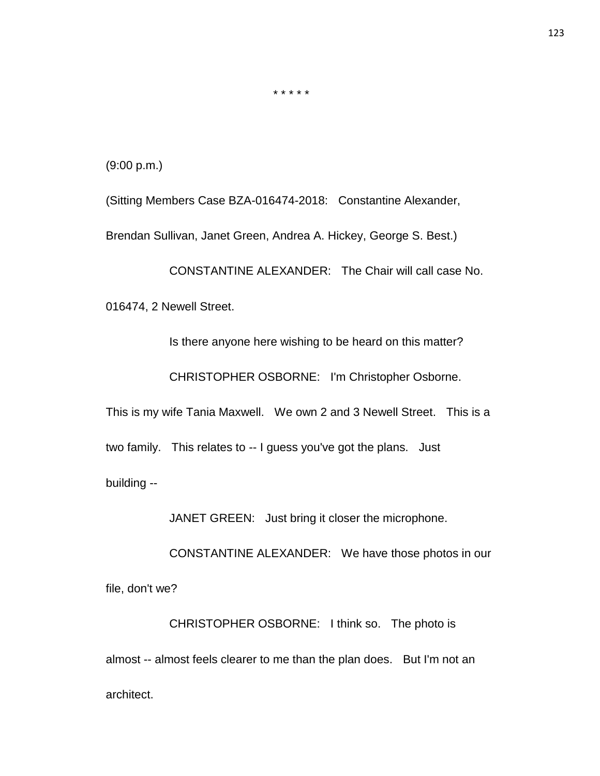(9:00 p.m.)

(Sitting Members Case BZA-016474-2018: Constantine Alexander,

\* \* \* \* \*

Brendan Sullivan, Janet Green, Andrea A. Hickey, George S. Best.)

CONSTANTINE ALEXANDER: The Chair will call case No.

016474, 2 Newell Street.

Is there anyone here wishing to be heard on this matter?

CHRISTOPHER OSBORNE: I'm Christopher Osborne.

This is my wife Tania Maxwell. We own 2 and 3 Newell Street. This is a

two family. This relates to -- I guess you've got the plans. Just

building --

JANET GREEN: Just bring it closer the microphone.

CONSTANTINE ALEXANDER: We have those photos in our

file, don't we?

CHRISTOPHER OSBORNE: I think so. The photo is almost -- almost feels clearer to me than the plan does. But I'm not an architect.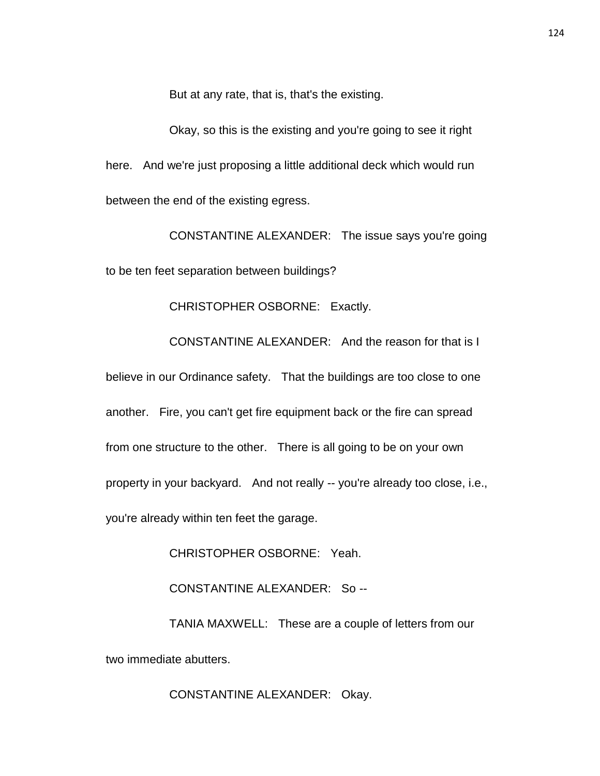But at any rate, that is, that's the existing.

Okay, so this is the existing and you're going to see it right here. And we're just proposing a little additional deck which would run between the end of the existing egress.

CONSTANTINE ALEXANDER: The issue says you're going to be ten feet separation between buildings?

CHRISTOPHER OSBORNE: Exactly.

CONSTANTINE ALEXANDER: And the reason for that is I

believe in our Ordinance safety. That the buildings are too close to one another. Fire, you can't get fire equipment back or the fire can spread from one structure to the other. There is all going to be on your own property in your backyard. And not really -- you're already too close, i.e., you're already within ten feet the garage.

CHRISTOPHER OSBORNE: Yeah.

CONSTANTINE ALEXANDER: So --

TANIA MAXWELL: These are a couple of letters from our two immediate abutters.

CONSTANTINE ALEXANDER: Okay.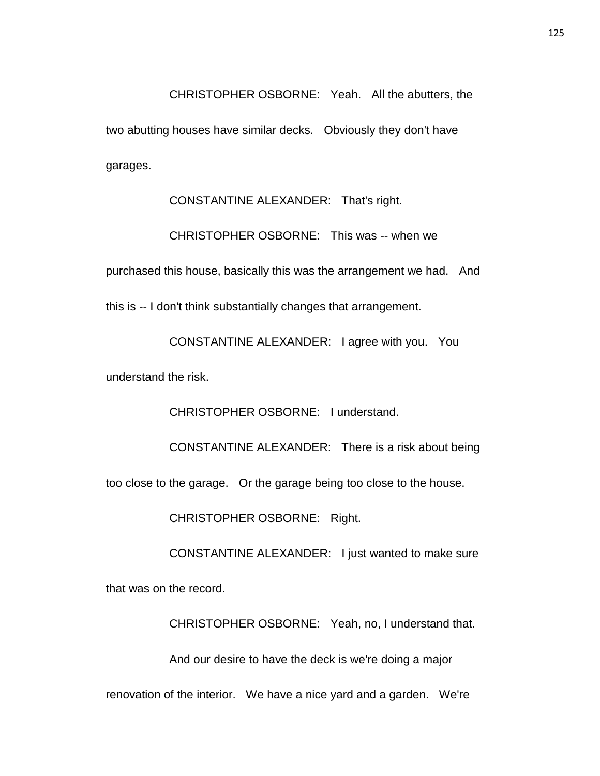CHRISTOPHER OSBORNE: Yeah. All the abutters, the two abutting houses have similar decks. Obviously they don't have garages.

CONSTANTINE ALEXANDER: That's right. CHRISTOPHER OSBORNE: This was -- when we purchased this house, basically this was the arrangement we had. And this is -- I don't think substantially changes that arrangement.

CONSTANTINE ALEXANDER: I agree with you. You

understand the risk.

CHRISTOPHER OSBORNE: I understand.

CONSTANTINE ALEXANDER: There is a risk about being

too close to the garage. Or the garage being too close to the house.

CHRISTOPHER OSBORNE: Right.

CONSTANTINE ALEXANDER: I just wanted to make sure

that was on the record.

CHRISTOPHER OSBORNE: Yeah, no, I understand that.

And our desire to have the deck is we're doing a major

renovation of the interior. We have a nice yard and a garden. We're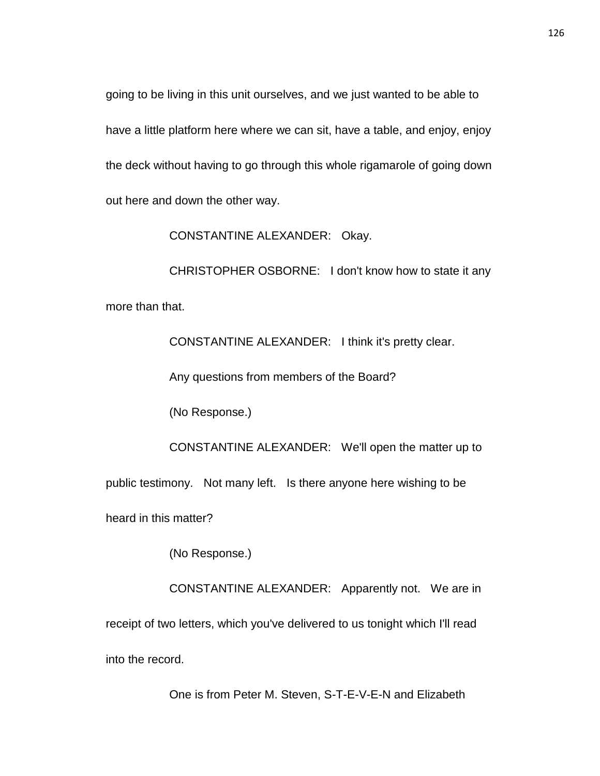going to be living in this unit ourselves, and we just wanted to be able to have a little platform here where we can sit, have a table, and enjoy, enjoy the deck without having to go through this whole rigamarole of going down out here and down the other way.

CONSTANTINE ALEXANDER: Okay.

CHRISTOPHER OSBORNE: I don't know how to state it any more than that.

CONSTANTINE ALEXANDER: I think it's pretty clear.

Any questions from members of the Board?

(No Response.)

CONSTANTINE ALEXANDER: We'll open the matter up to public testimony. Not many left. Is there anyone here wishing to be heard in this matter?

(No Response.)

CONSTANTINE ALEXANDER: Apparently not. We are in receipt of two letters, which you've delivered to us tonight which I'll read into the record.

One is from Peter M. Steven, S-T-E-V-E-N and Elizabeth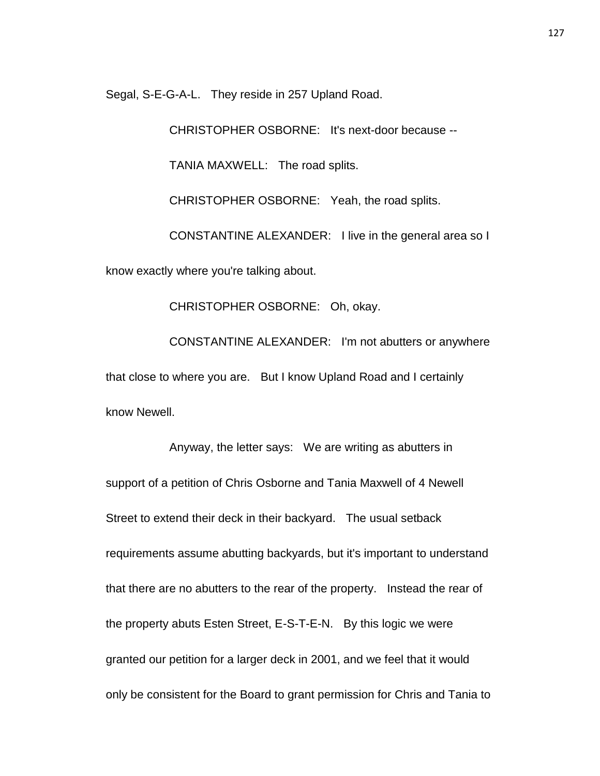Segal, S-E-G-A-L. They reside in 257 Upland Road.

CHRISTOPHER OSBORNE: It's next-door because --

TANIA MAXWELL: The road splits.

CHRISTOPHER OSBORNE: Yeah, the road splits.

CONSTANTINE ALEXANDER: I live in the general area so I

know exactly where you're talking about.

CHRISTOPHER OSBORNE: Oh, okay.

CONSTANTINE ALEXANDER: I'm not abutters or anywhere that close to where you are. But I know Upland Road and I certainly know Newell.

Anyway, the letter says: We are writing as abutters in support of a petition of Chris Osborne and Tania Maxwell of 4 Newell Street to extend their deck in their backyard. The usual setback requirements assume abutting backyards, but it's important to understand that there are no abutters to the rear of the property. Instead the rear of the property abuts Esten Street, E-S-T-E-N. By this logic we were granted our petition for a larger deck in 2001, and we feel that it would only be consistent for the Board to grant permission for Chris and Tania to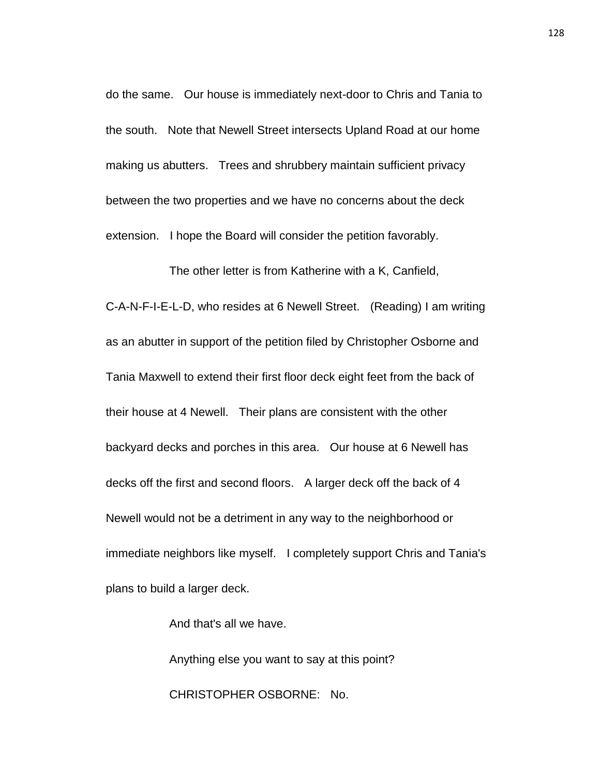do the same. Our house is immediately next-door to Chris and Tania to the south. Note that Newell Street intersects Upland Road at our home making us abutters. Trees and shrubbery maintain sufficient privacy between the two properties and we have no concerns about the deck extension. I hope the Board will consider the petition favorably.

The other letter is from Katherine with a K, Canfield, C-A-N-F-I-E-L-D, who resides at 6 Newell Street. (Reading) I am writing as an abutter in support of the petition filed by Christopher Osborne and Tania Maxwell to extend their first floor deck eight feet from the back of their house at 4 Newell. Their plans are consistent with the other backyard decks and porches in this area. Our house at 6 Newell has decks off the first and second floors. A larger deck off the back of 4 Newell would not be a detriment in any way to the neighborhood or immediate neighbors like myself. I completely support Chris and Tania's plans to build a larger deck.

And that's all we have.

Anything else you want to say at this point? CHRISTOPHER OSBORNE: No.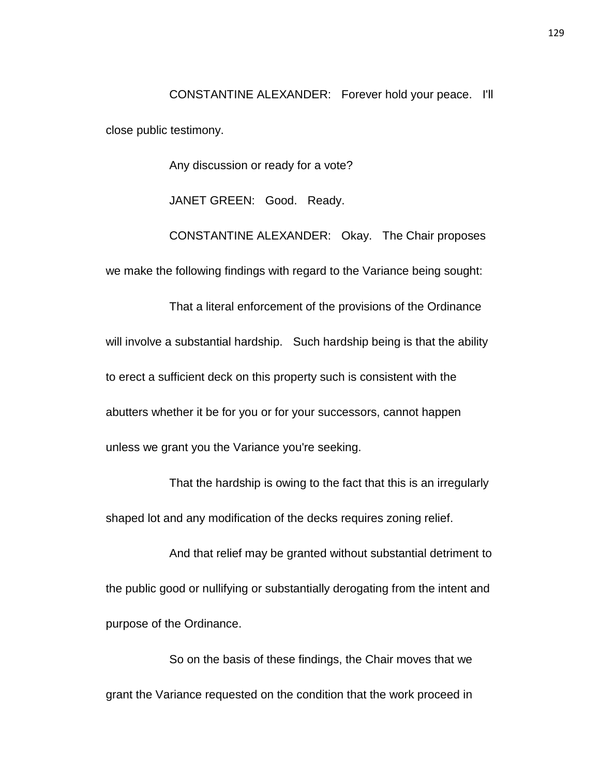CONSTANTINE ALEXANDER: Forever hold your peace. I'll close public testimony.

Any discussion or ready for a vote?

JANET GREEN: Good. Ready.

CONSTANTINE ALEXANDER: Okay. The Chair proposes we make the following findings with regard to the Variance being sought:

That a literal enforcement of the provisions of the Ordinance will involve a substantial hardship. Such hardship being is that the ability to erect a sufficient deck on this property such is consistent with the abutters whether it be for you or for your successors, cannot happen unless we grant you the Variance you're seeking.

That the hardship is owing to the fact that this is an irregularly shaped lot and any modification of the decks requires zoning relief.

And that relief may be granted without substantial detriment to the public good or nullifying or substantially derogating from the intent and purpose of the Ordinance.

So on the basis of these findings, the Chair moves that we grant the Variance requested on the condition that the work proceed in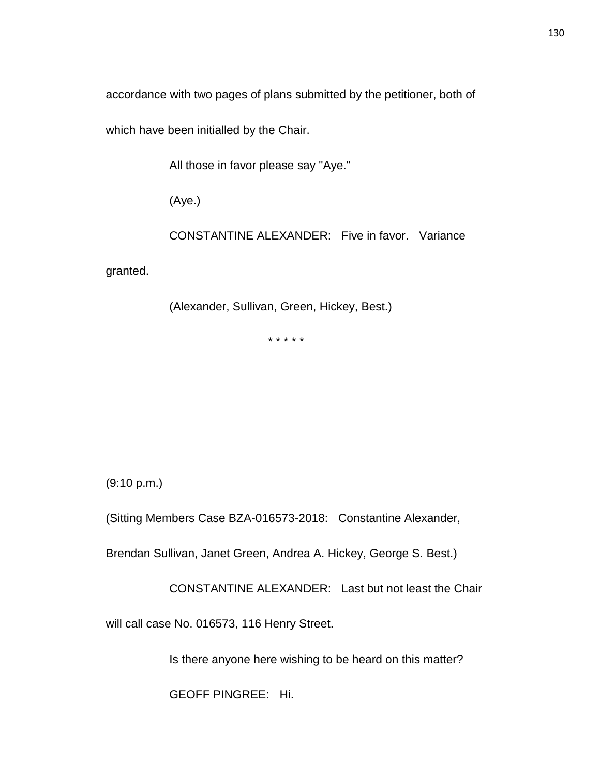accordance with two pages of plans submitted by the petitioner, both of

which have been initialled by the Chair.

All those in favor please say "Aye."

(Aye.)

CONSTANTINE ALEXANDER: Five in favor. Variance

granted.

(Alexander, Sullivan, Green, Hickey, Best.)

\* \* \* \* \*

(9:10 p.m.)

(Sitting Members Case BZA-016573-2018: Constantine Alexander,

Brendan Sullivan, Janet Green, Andrea A. Hickey, George S. Best.)

CONSTANTINE ALEXANDER: Last but not least the Chair

will call case No. 016573, 116 Henry Street.

Is there anyone here wishing to be heard on this matter?

GEOFF PINGREE: Hi.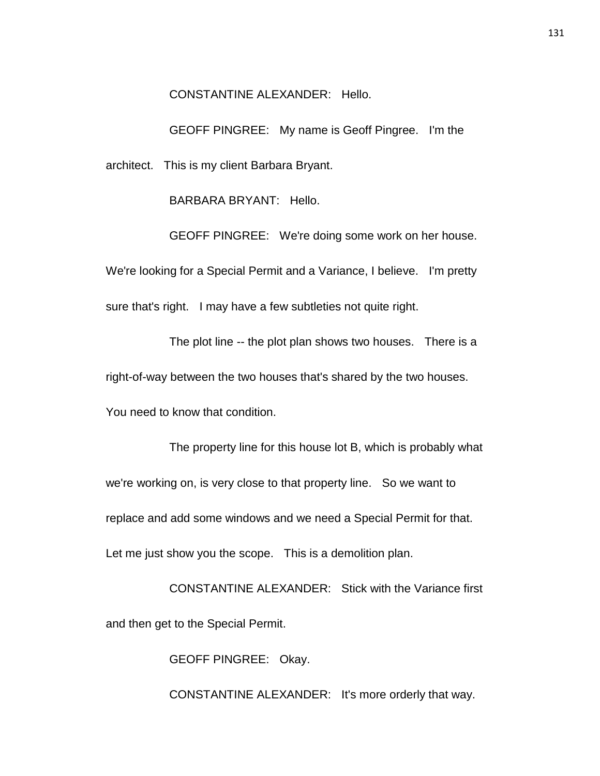CONSTANTINE ALEXANDER: Hello.

GEOFF PINGREE: My name is Geoff Pingree. I'm the architect. This is my client Barbara Bryant.

BARBARA BRYANT: Hello.

GEOFF PINGREE: We're doing some work on her house. We're looking for a Special Permit and a Variance, I believe. I'm pretty sure that's right. I may have a few subtleties not quite right.

The plot line -- the plot plan shows two houses. There is a right-of-way between the two houses that's shared by the two houses. You need to know that condition.

The property line for this house lot B, which is probably what we're working on, is very close to that property line. So we want to replace and add some windows and we need a Special Permit for that. Let me just show you the scope. This is a demolition plan.

CONSTANTINE ALEXANDER: Stick with the Variance first and then get to the Special Permit.

GEOFF PINGREE: Okay.

CONSTANTINE ALEXANDER: It's more orderly that way.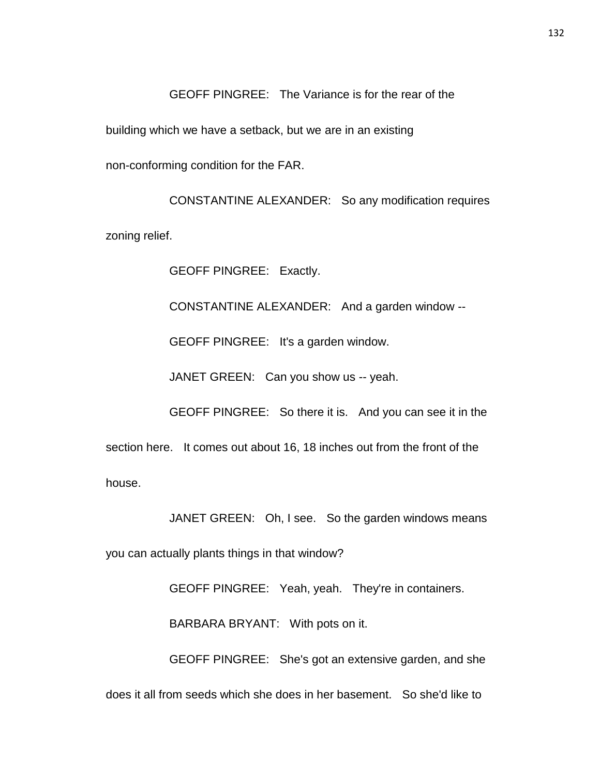GEOFF PINGREE: The Variance is for the rear of the building which we have a setback, but we are in an existing non-conforming condition for the FAR.

CONSTANTINE ALEXANDER: So any modification requires zoning relief.

GEOFF PINGREE: Exactly.

CONSTANTINE ALEXANDER: And a garden window --

GEOFF PINGREE: It's a garden window.

JANET GREEN: Can you show us -- yeah.

GEOFF PINGREE: So there it is. And you can see it in the section here. It comes out about 16, 18 inches out from the front of the house.

JANET GREEN: Oh, I see. So the garden windows means

you can actually plants things in that window?

GEOFF PINGREE: Yeah, yeah. They're in containers.

BARBARA BRYANT: With pots on it.

GEOFF PINGREE: She's got an extensive garden, and she does it all from seeds which she does in her basement. So she'd like to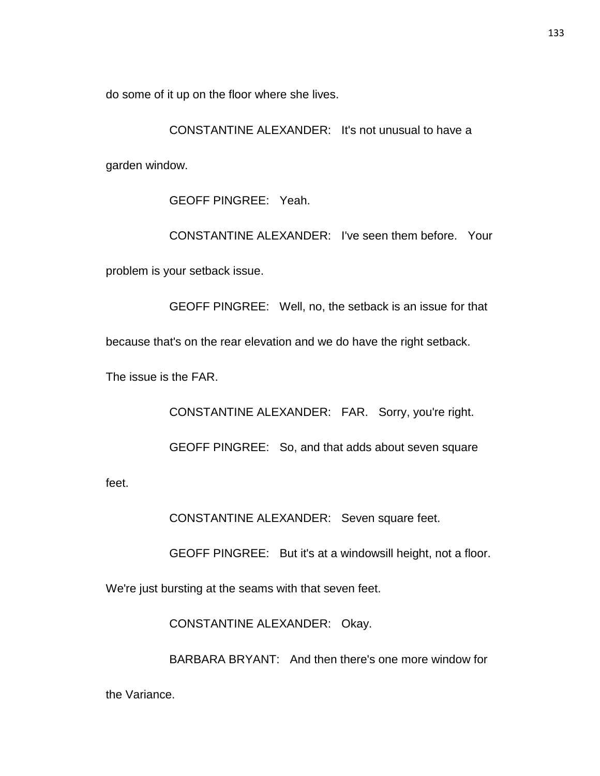do some of it up on the floor where she lives.

CONSTANTINE ALEXANDER: It's not unusual to have a garden window.

GEOFF PINGREE: Yeah.

CONSTANTINE ALEXANDER: I've seen them before. Your problem is your setback issue.

GEOFF PINGREE: Well, no, the setback is an issue for that because that's on the rear elevation and we do have the right setback. The issue is the FAR.

CONSTANTINE ALEXANDER: FAR. Sorry, you're right.

GEOFF PINGREE: So, and that adds about seven square

feet.

CONSTANTINE ALEXANDER: Seven square feet.

GEOFF PINGREE: But it's at a windowsill height, not a floor.

We're just bursting at the seams with that seven feet.

CONSTANTINE ALEXANDER: Okay.

BARBARA BRYANT: And then there's one more window for

the Variance.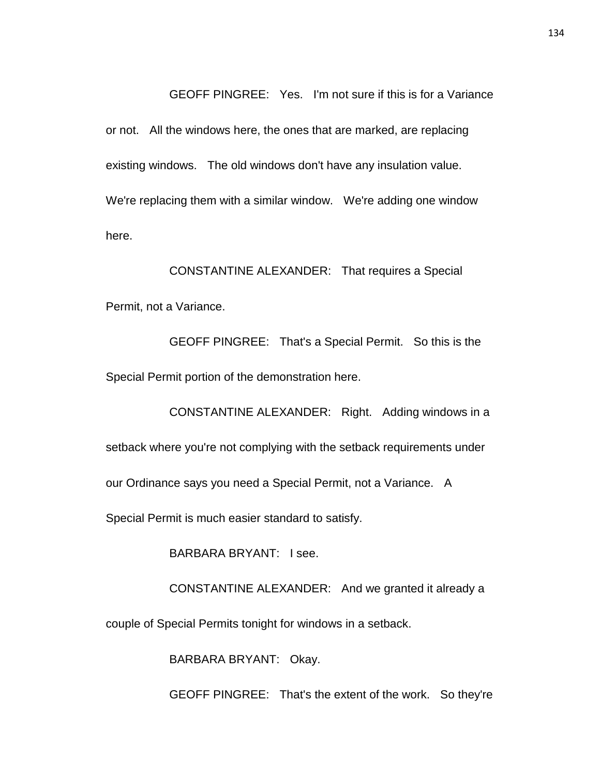GEOFF PINGREE: Yes. I'm not sure if this is for a Variance or not. All the windows here, the ones that are marked, are replacing existing windows. The old windows don't have any insulation value. We're replacing them with a similar window. We're adding one window here.

CONSTANTINE ALEXANDER: That requires a Special Permit, not a Variance.

GEOFF PINGREE: That's a Special Permit. So this is the Special Permit portion of the demonstration here.

CONSTANTINE ALEXANDER: Right. Adding windows in a setback where you're not complying with the setback requirements under our Ordinance says you need a Special Permit, not a Variance. A Special Permit is much easier standard to satisfy.

BARBARA BRYANT: I see.

CONSTANTINE ALEXANDER: And we granted it already a

couple of Special Permits tonight for windows in a setback.

BARBARA BRYANT: Okay.

GEOFF PINGREE: That's the extent of the work. So they're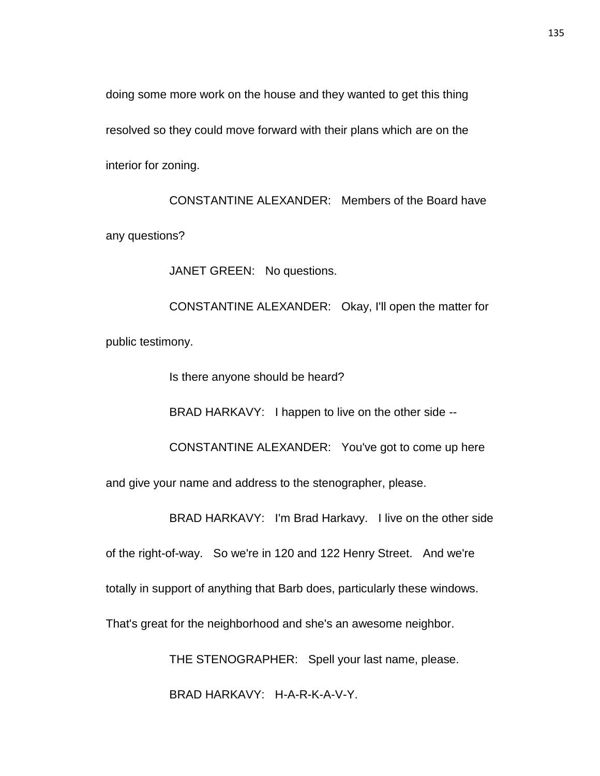doing some more work on the house and they wanted to get this thing resolved so they could move forward with their plans which are on the interior for zoning.

CONSTANTINE ALEXANDER: Members of the Board have any questions?

JANET GREEN: No questions.

CONSTANTINE ALEXANDER: Okay, I'll open the matter for public testimony.

Is there anyone should be heard?

BRAD HARKAVY: I happen to live on the other side --

CONSTANTINE ALEXANDER: You've got to come up here and give your name and address to the stenographer, please.

BRAD HARKAVY: I'm Brad Harkavy. I live on the other side

of the right-of-way. So we're in 120 and 122 Henry Street. And we're totally in support of anything that Barb does, particularly these windows.

That's great for the neighborhood and she's an awesome neighbor.

THE STENOGRAPHER: Spell your last name, please.

BRAD HARKAVY: H-A-R-K-A-V-Y.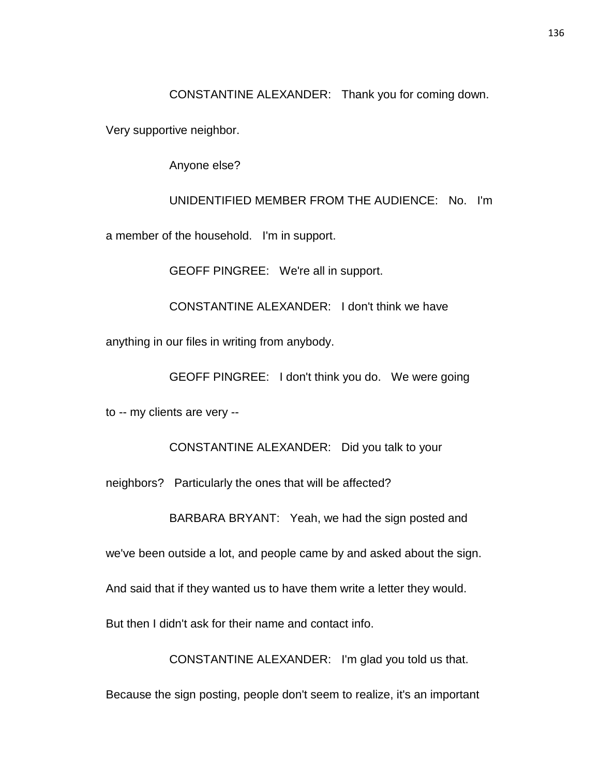CONSTANTINE ALEXANDER: Thank you for coming down.

Very supportive neighbor.

Anyone else?

UNIDENTIFIED MEMBER FROM THE AUDIENCE: No. I'm a member of the household. I'm in support.

GEOFF PINGREE: We're all in support.

CONSTANTINE ALEXANDER: I don't think we have

anything in our files in writing from anybody.

GEOFF PINGREE: I don't think you do. We were going

to -- my clients are very --

CONSTANTINE ALEXANDER: Did you talk to your

neighbors? Particularly the ones that will be affected?

BARBARA BRYANT: Yeah, we had the sign posted and

we've been outside a lot, and people came by and asked about the sign.

And said that if they wanted us to have them write a letter they would.

But then I didn't ask for their name and contact info.

CONSTANTINE ALEXANDER: I'm glad you told us that.

Because the sign posting, people don't seem to realize, it's an important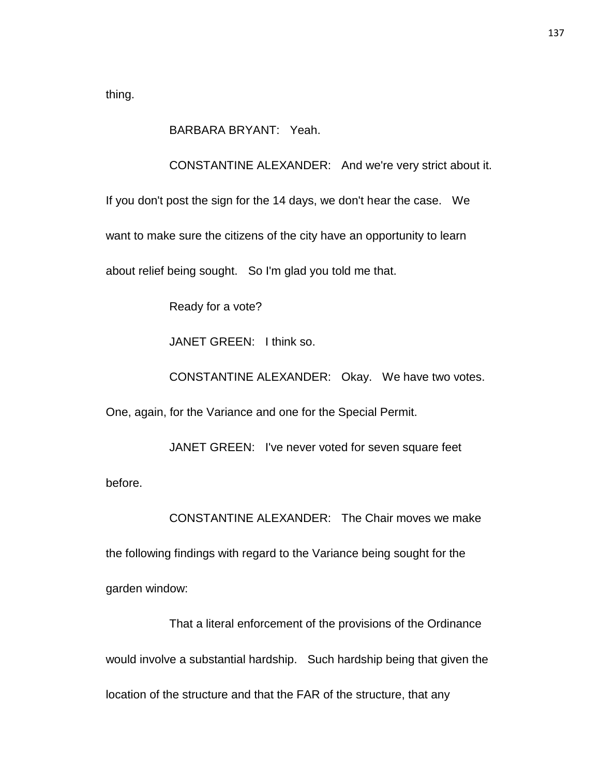thing.

BARBARA BRYANT: Yeah.

CONSTANTINE ALEXANDER: And we're very strict about it.

If you don't post the sign for the 14 days, we don't hear the case. We

want to make sure the citizens of the city have an opportunity to learn

about relief being sought. So I'm glad you told me that.

Ready for a vote?

JANET GREEN: I think so.

CONSTANTINE ALEXANDER: Okay. We have two votes.

One, again, for the Variance and one for the Special Permit.

JANET GREEN: I've never voted for seven square feet

before.

CONSTANTINE ALEXANDER: The Chair moves we make

the following findings with regard to the Variance being sought for the

garden window:

That a literal enforcement of the provisions of the Ordinance would involve a substantial hardship. Such hardship being that given the location of the structure and that the FAR of the structure, that any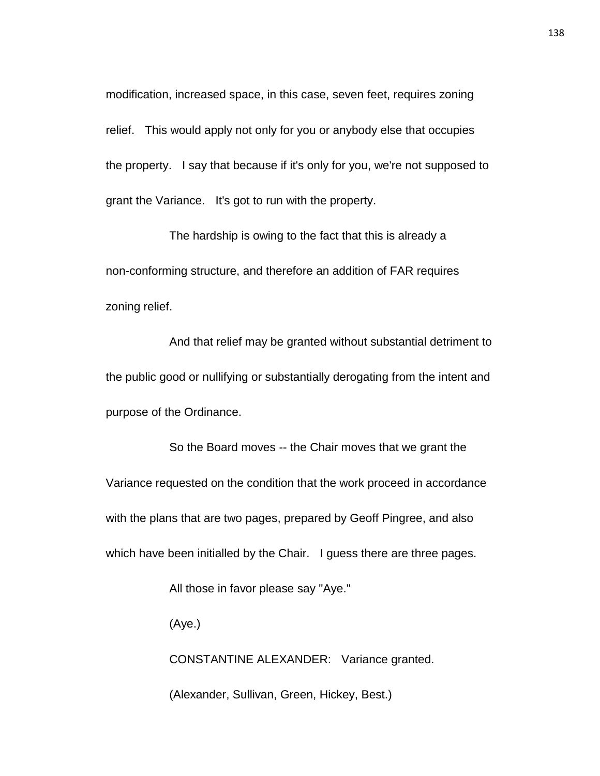modification, increased space, in this case, seven feet, requires zoning relief. This would apply not only for you or anybody else that occupies the property. I say that because if it's only for you, we're not supposed to grant the Variance. It's got to run with the property.

The hardship is owing to the fact that this is already a non-conforming structure, and therefore an addition of FAR requires zoning relief.

And that relief may be granted without substantial detriment to the public good or nullifying or substantially derogating from the intent and purpose of the Ordinance.

So the Board moves -- the Chair moves that we grant the Variance requested on the condition that the work proceed in accordance with the plans that are two pages, prepared by Geoff Pingree, and also which have been initialled by the Chair. I guess there are three pages.

All those in favor please say "Aye."

(Aye.)

CONSTANTINE ALEXANDER: Variance granted.

(Alexander, Sullivan, Green, Hickey, Best.)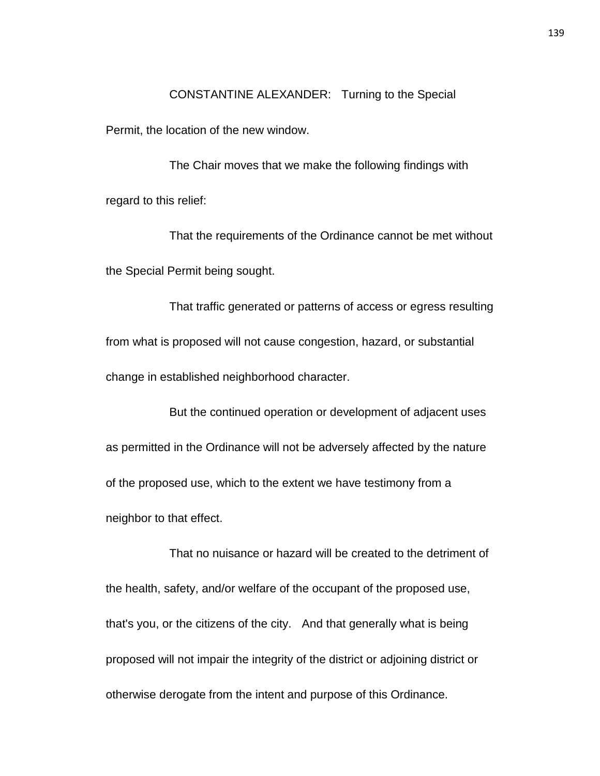CONSTANTINE ALEXANDER: Turning to the Special

Permit, the location of the new window.

The Chair moves that we make the following findings with regard to this relief:

That the requirements of the Ordinance cannot be met without the Special Permit being sought.

That traffic generated or patterns of access or egress resulting from what is proposed will not cause congestion, hazard, or substantial change in established neighborhood character.

But the continued operation or development of adjacent uses as permitted in the Ordinance will not be adversely affected by the nature of the proposed use, which to the extent we have testimony from a neighbor to that effect.

That no nuisance or hazard will be created to the detriment of the health, safety, and/or welfare of the occupant of the proposed use, that's you, or the citizens of the city. And that generally what is being proposed will not impair the integrity of the district or adjoining district or otherwise derogate from the intent and purpose of this Ordinance.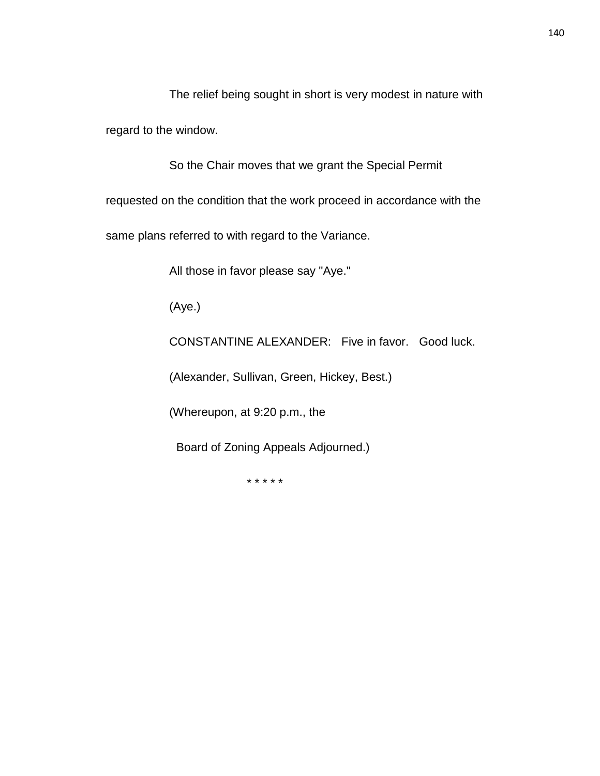The relief being sought in short is very modest in nature with regard to the window.

So the Chair moves that we grant the Special Permit

requested on the condition that the work proceed in accordance with the

same plans referred to with regard to the Variance.

All those in favor please say "Aye."

(Aye.)

CONSTANTINE ALEXANDER: Five in favor. Good luck.

(Alexander, Sullivan, Green, Hickey, Best.)

(Whereupon, at 9:20 p.m., the

Board of Zoning Appeals Adjourned.)

\* \* \* \* \*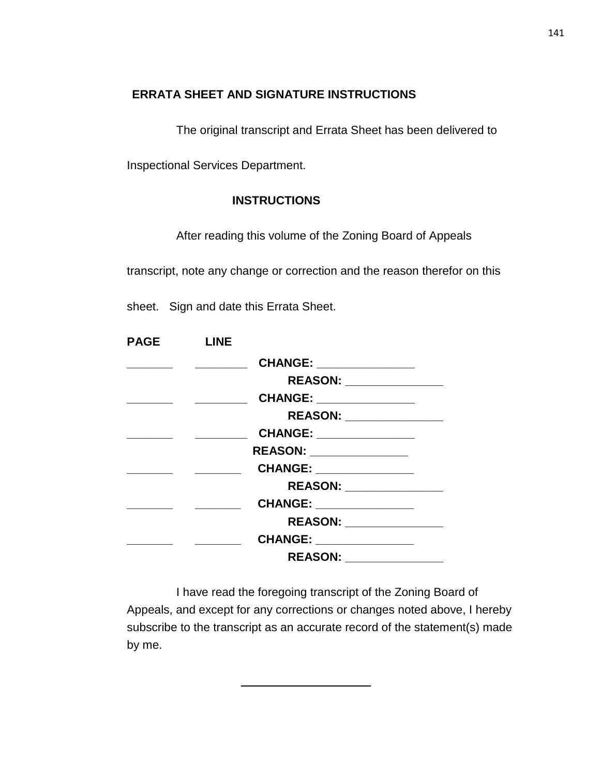## **ERRATA SHEET AND SIGNATURE INSTRUCTIONS**

The original transcript and Errata Sheet has been delivered to

Inspectional Services Department.

## **INSTRUCTIONS**

After reading this volume of the Zoning Board of Appeals

transcript, note any change or correction and the reason therefor on this

sheet. Sign and date this Errata Sheet.

| <b>PAGE</b> | <b>LINE</b> |                           |  |
|-------------|-------------|---------------------------|--|
|             |             | CHANGE: _______________   |  |
|             |             | REASON: _______________   |  |
|             |             | CHANGE: _______________   |  |
|             |             | REASON: _________________ |  |
|             |             | CHANGE: _______________   |  |
|             |             | REASON: ______________    |  |
|             |             | CHANGE: _______________   |  |
|             |             | REASON: ________________  |  |
|             |             | CHANGE: ______________    |  |
|             |             | REASON: _______________   |  |
|             |             | CHANGE: _______________   |  |
|             |             |                           |  |

I have read the foregoing transcript of the Zoning Board of Appeals, and except for any corrections or changes noted above, I hereby subscribe to the transcript as an accurate record of the statement(s) made by me.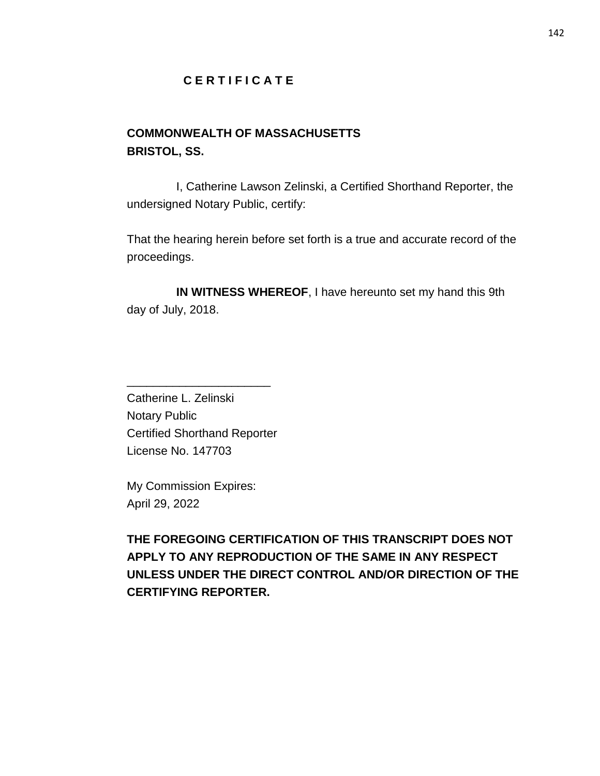## **C E R T I F I C A T E**

# **COMMONWEALTH OF MASSACHUSETTS BRISTOL, SS.**

I, Catherine Lawson Zelinski, a Certified Shorthand Reporter, the undersigned Notary Public, certify:

That the hearing herein before set forth is a true and accurate record of the proceedings.

**IN WITNESS WHEREOF**, I have hereunto set my hand this 9th day of July, 2018.

Catherine L. Zelinski Notary Public Certified Shorthand Reporter License No. 147703

\_\_\_\_\_\_\_\_\_\_\_\_\_\_\_\_\_\_\_\_\_\_

My Commission Expires: April 29, 2022

**THE FOREGOING CERTIFICATION OF THIS TRANSCRIPT DOES NOT APPLY TO ANY REPRODUCTION OF THE SAME IN ANY RESPECT UNLESS UNDER THE DIRECT CONTROL AND/OR DIRECTION OF THE CERTIFYING REPORTER.**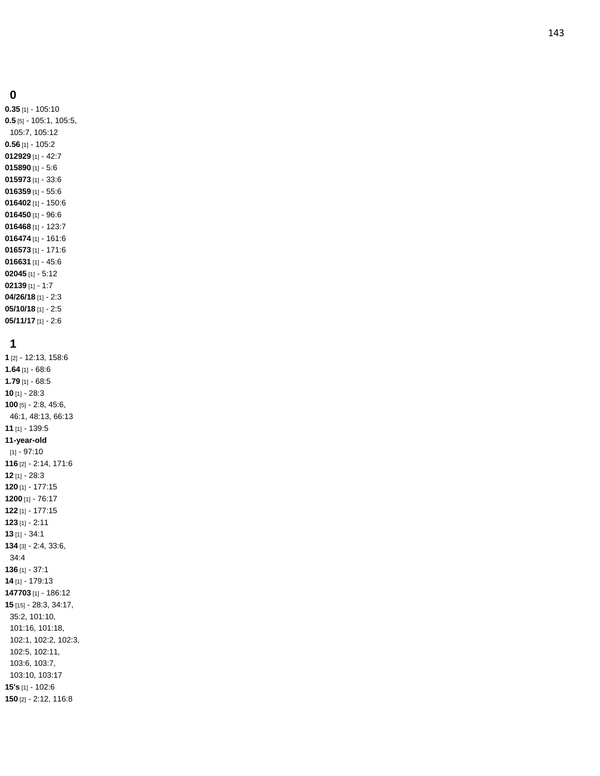#### 

**0.35** [1] - 105:10 **0.5** [5] - 105:1, 105:5, 105:7, 105:12 **0.56** [1] - 105:2 [1] - 42:7 [1] - 5:6 [1] - 33:6 [1] - 55:6 [1] - 150:6 [1] - 96:6 [1] - 123:7 [1] - 161:6 [1] - 171:6 [1] - 45:6 [1] - 5:12 [1] - 1:7 **04/26/18** [1] - 2:3 **05/10/18** [1] - 2:5 **05/11/17** [1] - 2:6

## 

 [2] - 12:13, 158:6 **1.64** [1] - 68:6 **1.79** [1] - 68:5 [1] - 28:3 [5] - 2:8, 45:6, 46:1, 48:13, 66:13 [1] - 139:5 **-year -old** [1] - 97:10 [2] - 2:14, 171:6 [1] - 28:3 [1] - 177:15 [1] - 76:17 [1] - 177:15 [1] - 2:11 [1] - 34:1 [3] - 2:4, 33:6, 34:4 [1] - 37:1 [1] - 179:13 [1] - 186:12 [15] - 28:3, 34:17, 35:2, 101:10, 101:16, 101:18, 102:1, 102:2, 102:3, 102:5, 102:11, 103:6, 103:7, 103:10, 103:17 **15's** [1] - 102:6 [2] - 2:12, 116:8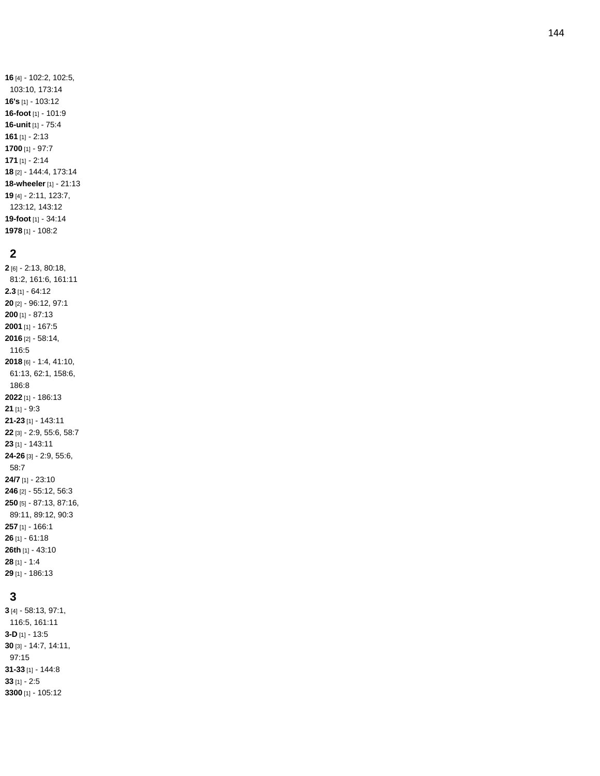### 

[1] - 108:2

 [6] - 2:13, 80:18, 81:2, 161:6, 161:11 **2.3** [1] - 64:12 [2] - 96:12, 97:1 [1] - 87:13 [1] - 167:5 [2] - 58:14, 116:5 [6] - 1:4, 41:10, 61:13, 62:1, 158:6, 186:8 [1] - 186:13 [1] - 9:3 **-23** [1] - 143:11 [3] - 2:9, 55:6, 58:7 [1] - 143:11 **-26** [3] - 2:9, 55:6, 58:7 **24/7** [1] - 23:10 [2] - 55:12, 56:3 [5] - 87:13, 87:16, 89:11, 89:12, 90:3 [1] - 166:1 [1] - 61:18 **26th** [1] - 43:10 [1] - 1:4 [1] - 186:13

## 

 [4] - 58:13, 97:1, 116:5, 161:11 **- D** [1] - 13:5 [3] - 14:7, 14:11, 97:15 **-33** [1] - 144:8 [1] - 2:5 [1] - 105:12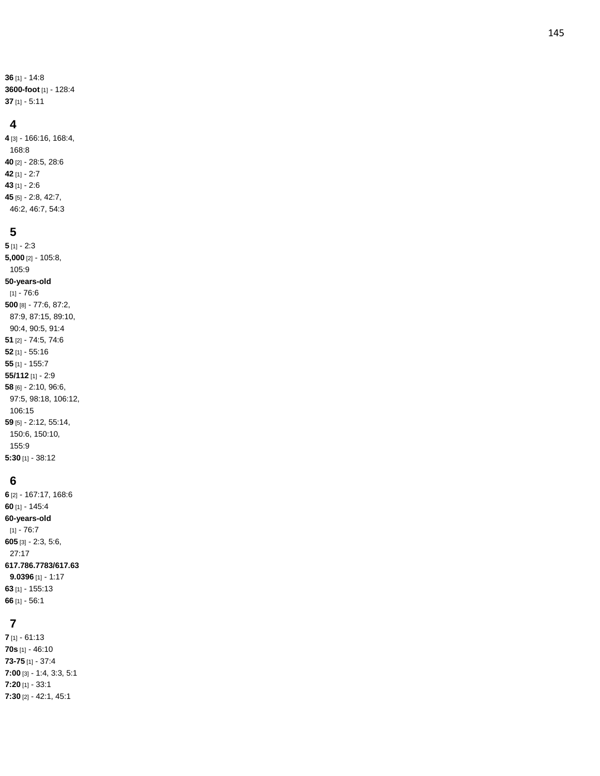**36** [1] - 14:8 **3600 -foot** [1] - 128:4 **37** [1] - 5:11

#### **4**

 [3] - 166:16, 168:4, 168:8 [2] - 28:5, 28:6 [1] - 2:7 [1] - 2:6 [5] - 2:8, 42:7, 46:2, 46:7, 54:3

#### **5**

**5** [1] - 2:3 **5,000** [2] - 105:8, 105:9 **50 -years -old** [1] - 76:6 **500** [8] - 77:6, 87:2, 87:9, 87:15, 89:10, 90:4, 90:5, 91:4 **51** [2] - 74:5, 74:6 **52** [1] - 55:16 **55** [1] - 155:7 **55/112** [1] - 2:9 **58** [6] - 2:10, 96:6, 97:5, 98:18, 106:12, 106:15 **59** [5] - 2:12, 55:14, 150:6, 150:10, 155:9 **5:30** [1] - 38:12

#### **6**

**6** [2] - 167:17, 168:6 **60** [1] - 145:4 **60 -years -old** [1] - 76:7 **605** [3] - 2:3, 5:6, 27:17 **617.786.7783/617.63 9.0396** [1] - 1:17 **63** [1] - 155:13 **66** [1] - 56:1

#### **7**

**7** [1] - 61:13 **70s** [1] - 46:10 **73 -75** [1] - 37:4 **7:00** [3] - 1:4, 3:3, 5:1 **7:20** [1] - 33:1 **7:30** [2] - 42:1, 45:1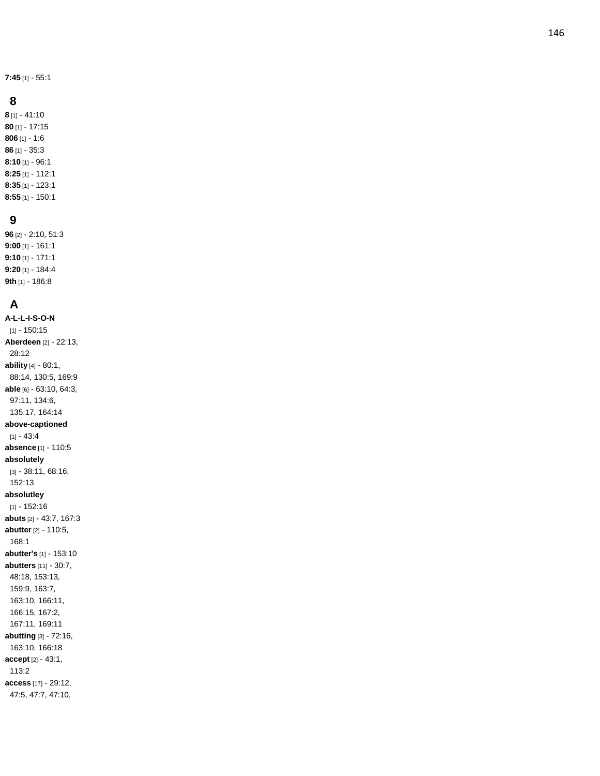**7:45** [1] - 55:1

#### **8**

**8** [1] - 41:10 **80** [1] - 17:15 **806** [1] - 1:6 **86** [1] - 35:3 **8:10** [1] - 96:1 **8:25** [1] - 112:1 **8:35** [1] - 123:1 **8:55** [1] - 150:1

### **9**

**96** [2] - 2:10, 51:3 **9:00** [1] - 161:1 **9:10** [1] - 171:1 **9:20** [1] - 184:4 **9th** [1] - 186:8

## **A**

**A-L-L - I - S - O - N** [1] - 150:15 **Aberdeen** [2] - 22:13, 28:12 **ability** [4] - 80:1, 88:14, 130:5, 169:9 **able** [6] - 63:10, 64:3, 97:11, 134:6, 135:17, 164:14 **above -captioned** [1] - 43:4 **absence** [1] - 110:5 **absolutely** [3] - 38:11, 68:16, 152:13 **absolutley** [1] - 152:16 **abuts** [2] - 43:7, 167:3 **abutter** [2] - 110:5, 168:1 **abutter's** [1] - 153:10 **abutters** [11] - 30:7, 48:18, 153:13, 159:9, 163:7, 163:10, 166:11, 166:15, 167:2, 167:11, 169:11 **abutting** [3] - 72:16, 163:10, 166:18 **accept** [2] - 43:1, 113:2 **access** [17] - 29:12, 47:5, 47:7, 47:10,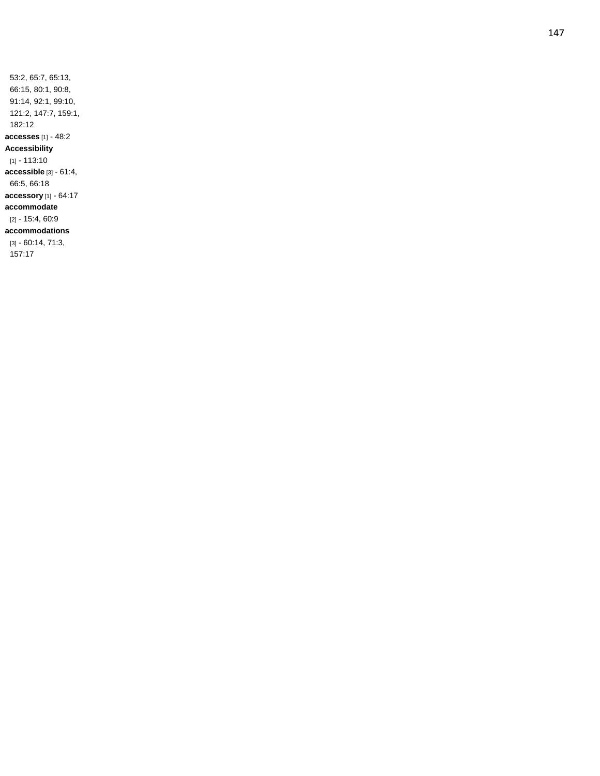53:2, 65:7, 65:13, 66:15, 80:1, 90:8, 91:14, 92:1, 99:10, 121:2, 147:7, 159:1, 182:12 **accesses** [1] - 48:2 **Accessibility** [1] - 113:10 **accessible** [3] - 61:4, 66:5, 66:18 **accessory** [1] - 64:17 **accommodate** [2] - 15:4, 60:9 **accommodations** [3] - 60:14, 71:3, 157:17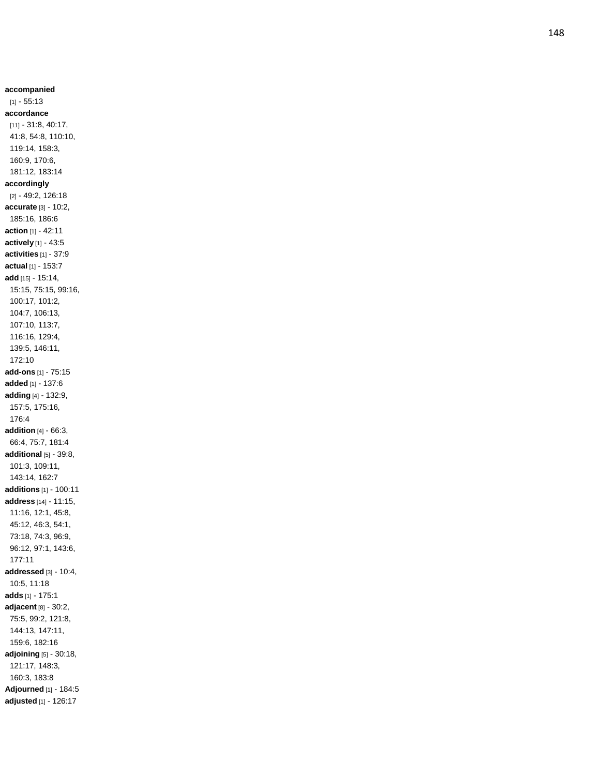**accompanied**  $[1] - 55:13$ **accordance** [11] - 31:8, 40:17, 41:8, 54:8, 110:10, 119:14, 158:3, 160:9, 170:6, 181:12, 183:14 **accordingly** [2] - 49:2, 126:18 **accurate** [3] - 10:2, 185:16, 186:6 **action** [1] - 42:11 **actively** [1] - 43:5 **activities** [1] - 37:9 **actual** [1] - 153:7 **add** [15] - 15:14, 15:15, 75:15, 99:16, 100:17, 101:2, 104:7, 106:13, 107:10, 113:7, 116:16, 129:4, 139:5, 146:11, 172:10 **add -ons** [1] - 75:15 **added** [1] - 137:6 **adding** [4] - 132:9, 157:5, 175:16, 176:4 **addition** [4] - 66:3, 66:4, 75:7, 181:4 **additional** [5] - 39:8, 101:3, 109:11, 143:14, 162:7 **additions** [1] - 100:11 **address** [14] - 11:15, 11:16, 12:1, 45:8, 45:12, 46:3, 54:1, 73:18, 74:3, 96:9, 96:12, 97:1, 143:6, 177:11 **addressed** [3 ] - 10:4, 10:5, 11:18 **adds** [1] - 175:1 **adjacent** [8] - 30:2, 75:5, 99:2, 121:8, 144:13, 147:11, 159:6, 182:16 **adjoining** [5] - 30:18, 121:17, 148:3, 160:3, 183:8 **Adjourned** [1] - 184:5 **adjusted** [1] - 126:17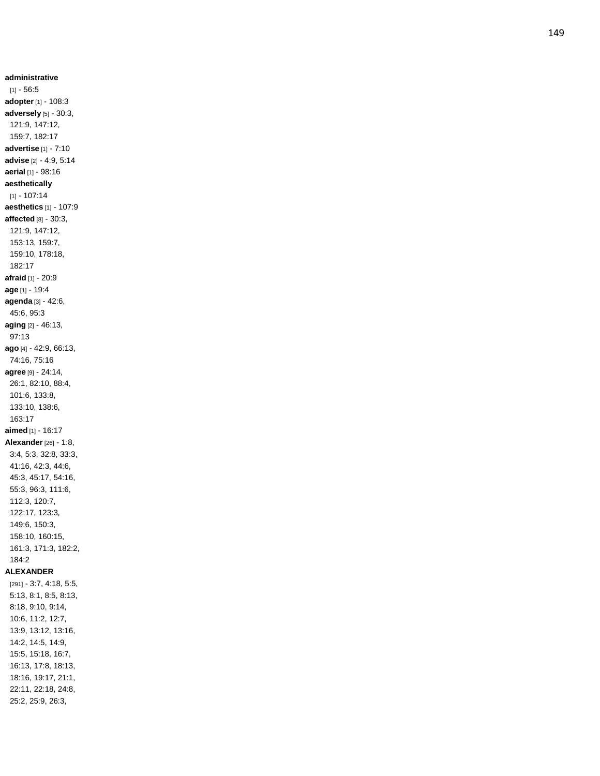**administrative** [1] - 56:5 **adopter** [1] - 108:3 **adversely** [5] - 30:3, 121:9, 147:12, 159:7, 182:17 **advertise** [1] - 7:10 **advise** [2] - 4:9, 5:14 **aerial** [1] - 98:16 **aesthetically** [1] - 107:14 **aesthetics** [1] - 107:9 **affected** [8] - 30:3, 121:9, 147:12, 153:13, 159:7, 159:10, 178:18, 182:17 **afraid** [1] - 20:9 **age** [1] - 19:4 **agenda** [3] - 42:6, 45:6, 95:3 **aging** [2] - 46:13, 97:13 **ago** [4] - 42:9, 66:13, 74:16, 75:16 **agree** [9] - 24:14, 26:1, 82:10, 88:4, 101:6, 133:8, 133:10, 138:6, 163:17 **aimed** [1] - 16:17 **Alexander** [26] - 1:8, 3:4, 5:3, 32:8, 33:3, 41:16, 42:3, 44:6, 45:3, 45:17, 54:16, 55:3, 96:3, 111:6, 112:3, 120:7, 122:17, 123:3, 149:6, 150:3, 158:10, 160:15, 161:3, 171:3, 182:2, 184:2 **ALEXANDER** [291] - 3:7, 4:18, 5:5, 5:13, 8:1, 8:5, 8:13, 8:18, 9:10, 9:14, 10:6, 11:2, 12:7, 13:9, 13:12, 13:16, 14:2, 14:5, 14:9, 15:5, 15:18, 16:7, 16:13, 17:8, 18:13, 18:16, 19:17, 21:1, 22:11, 22:18, 24:8, 25:2, 25:9, 26:3,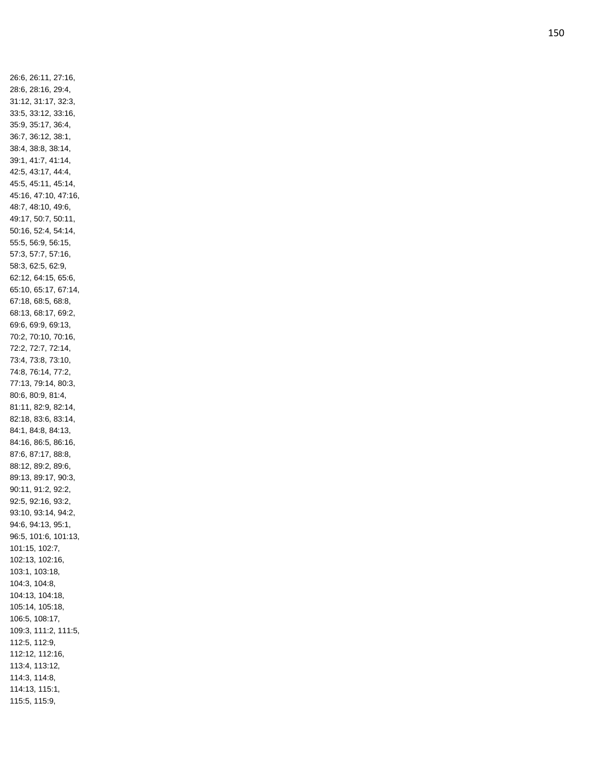26:6, 26:11, 27:16, 28:6, 28:16, 29:4, 31:12, 31:17, 32:3, 33:5, 33:12, 33:16, 35:9, 35:17, 36:4, 36:7, 36:12, 38:1, 38:4, 38:8, 38:14, 39:1, 41:7, 41:14, 42:5, 43:17, 44:4, 45:5, 45:11, 45:14, 45:16, 47:10, 47:16, 48:7, 48:10, 49:6, 49:17, 50:7, 50:11, 50:16, 52:4, 54:14, 55:5, 56:9, 56:15, 57:3, 57:7, 57:16, 58:3, 62:5, 62:9, 62:12, 64:15, 65:6, 65:10, 65:17, 67:14, 67:18, 68:5, 68:8, 68:13, 68:17, 69:2, 69:6, 69:9, 69:13, 70:2, 70:10, 70:16, 72:2, 72:7, 72:14, 73:4, 73:8, 73:10, 74:8, 76:14, 77:2, 77:13, 79:14, 80:3, 80:6, 80:9, 81:4, 81:11, 82:9, 82:14, 82:18, 83:6, 83:14, 84:1, 84:8, 84:13, 84:16, 86:5, 86:16, 87:6, 87:17, 88:8, 88:12, 89:2, 89:6, 89:13, 89:17, 90:3, 90:11, 91:2, 92:2, 92:5, 92:16, 93:2, 93:10, 93:14, 94:2, 94:6, 94:13, 95:1, 96:5, 101:6, 101:13, 101:15, 102:7, 102:13, 102:16, 103:1, 103:18, 104:3, 104:8, 104:13, 104:18, 105:14, 105:18, 106:5, 108:17, 109:3, 111:2, 111:5, 112:5, 112:9, 112:12, 112:16, 113:4, 113:12, 114:3, 114:8, 114:13, 115:1, 115:5, 115:9,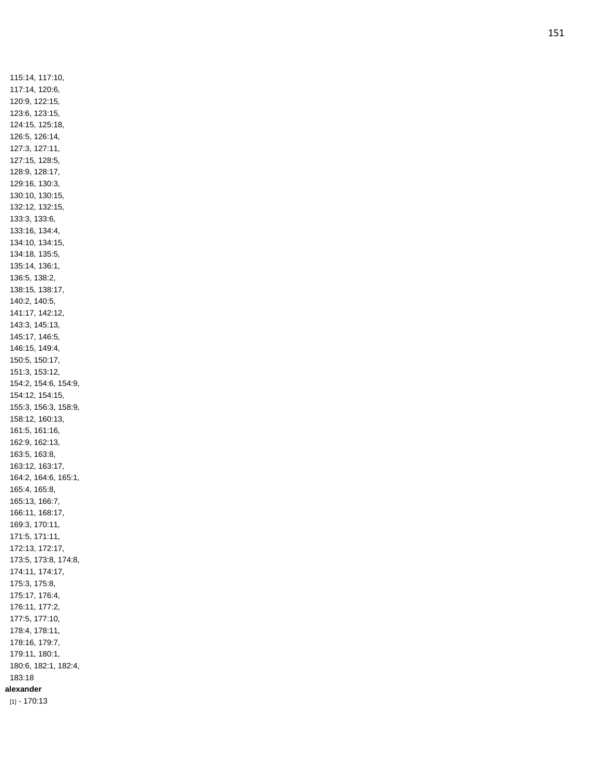115:14, 117:10, 117:14, 120:6, 120:9, 122:15, 123:6, 123:15, 124:15, 125:18, 126:5, 126:14, 127:3, 127:11, 127:15, 128:5, 128:9, 128:17, 129:16, 130:3, 130:10, 130:15, 132:12, 132:15, 133:3, 133:6, 133:16, 134:4, 134:10, 134:15, 134:18, 135:5, 135:14, 136:1, 136:5, 138:2, 138:15, 138:17, 140:2, 140:5, 141:17, 142:12, 143:3, 145:13, 145:17, 146:5, 146:15, 149:4, 150:5, 150:17, 151:3, 153:12, 154:2, 154:6, 154:9, 154:12, 154:15, 155:3, 156:3, 158:9, 158:12, 160:13, 161:5, 161:16, 162:9, 162:13, 163:5, 163:8, 163:12, 163:17, 164:2, 164:6, 165:1, 165:4, 165:8, 165:13, 166:7, 166:11, 168:17, 169:3, 170:11, 171:5, 171:11, 172:13, 172:17, 173:5, 173:8, 174:8, 174:11, 174:17, 175:3, 175:8, 175:17, 176:4, 176:11, 177:2, 177:5, 177:10, 178:4, 178:11, 178:16, 179:7, 179:11, 180:1, 180:6, 182:1, 182:4, 183:18 **alexander** [1] - 170:13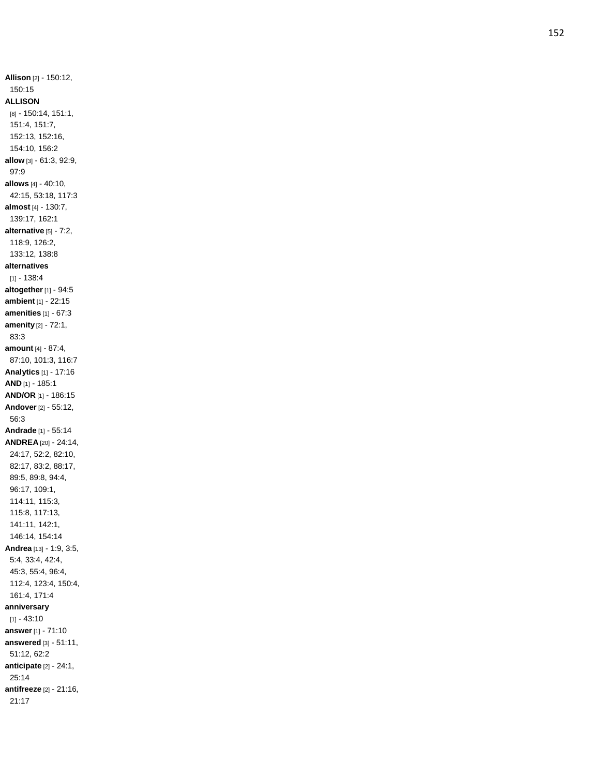**Allison** [2] - 150:12, 150:15 **ALLISON** [8] - 150:14, 151:1, 151:4, 151:7, 152:13, 152:16, 154:10, 156:2 **allow** [3] - 61:3, 92:9, 97:9 **allows** [4] - 40:10, 42:15, 53:18, 117:3 **almost** [4] - 130:7, 139:17, 162:1 **alternative** [5] - 7:2, 118:9, 126:2, 133:12, 138:8 **alternatives**  $[1] - 138.4$ **altogether** [1] - 94:5 **ambient** [1] - 22:15 **amenities** [1] - 67:3 **amenity** [2] - 72:1, 83:3 **amount** [4] - 87:4, 87:10, 101:3, 116:7 **Analytics** [1] - 17:16 **AND** [1] - 185:1 **AND/OR** [1] - 186:15 **Andover** [2] - 55:12, 56:3 **Andrade** [1] - 55:14 **ANDREA** [20] - 24:14, 24:17, 52:2, 82:10, 82:17, 83:2, 88:17, 89:5, 89:8, 94:4, 96:17, 109:1, 114:11, 115:3, 115:8, 117:13, 141:11, 142:1, 146:14, 154:14 **Andrea** [13] - 1:9, 3:5, 5:4, 33:4, 42:4, 45:3, 55:4, 96:4, 112:4, 123:4, 150:4, 161:4, 171:4 **anniversary**  $[1] - 43:10$ **answer** [1] - 71:10 **answered** [3] - 51:11, 51:12, 62:2 **anticipate** [2] - 24:1, 25:14 **antifreeze** [2] - 21:16, 21:17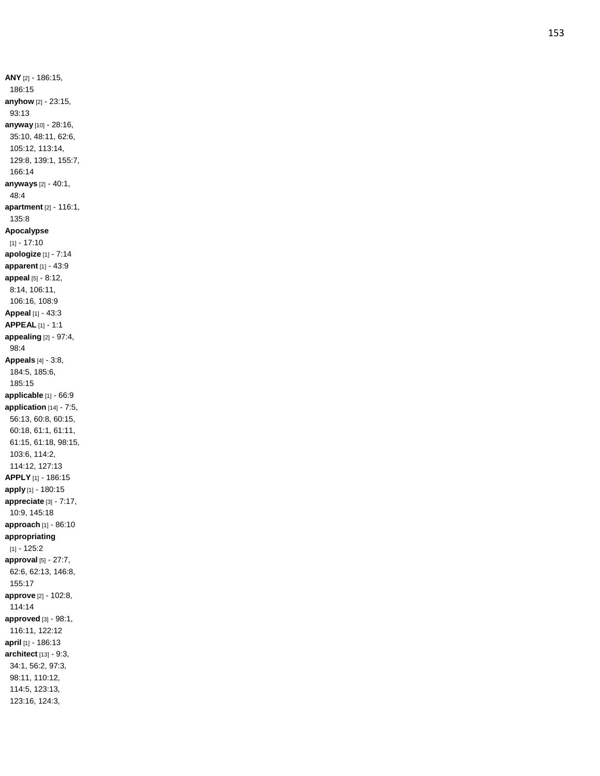**ANY** [2] - 186:15, 186:15 **anyhow** [2] - 23:15, 93:13 **anyway** [10] - 28:16, 35:10, 48:11, 62:6, 105:12, 113:14, 129:8, 139:1, 155:7, 166:14 **anyways** [2] - 40:1, 48:4 **apartment** [2] - 116:1, 135:8 **Apocalypse**  $[1] - 17:10$ **apologize** [1] - 7:14 **apparent** [1] - 43:9 **appeal** [5] - 8:12, 8:14, 106:11, 106:16, 108:9 **Appeal** [1] - 43:3 **APPEAL** [1] - 1:1 **appealing** [2] - 97:4, 98:4 **Appeals** [4] - 3:8, 184:5, 185:6, 185:15 **applicable** [1] - 66:9 **application** [14] - 7:5, 56:13, 60:8, 60:15, 60:18, 61:1, 61:11, 61:15, 61:18, 98:15, 103:6, 114:2, 114:12, 127:13 **APPLY** [1] - 186:15 **apply** [1] - 180:15 **appreciate** [3] - 7:17, 10:9, 145:18 **approach** [1] - 86:10 **appropriating**  $[1] - 125:2$ **approval** [5] - 27:7, 62:6, 62:13, 146:8, 155:17 **approve** [2] - 102:8, 114:14 **approved** [3] - 98:1, 116:11, 122:12 **april** [1] - 186:13 **architect** [13] - 9:3, 34:1, 56:2, 97:3, 98:11, 110:12, 114:5, 123:13, 123:16, 124:3,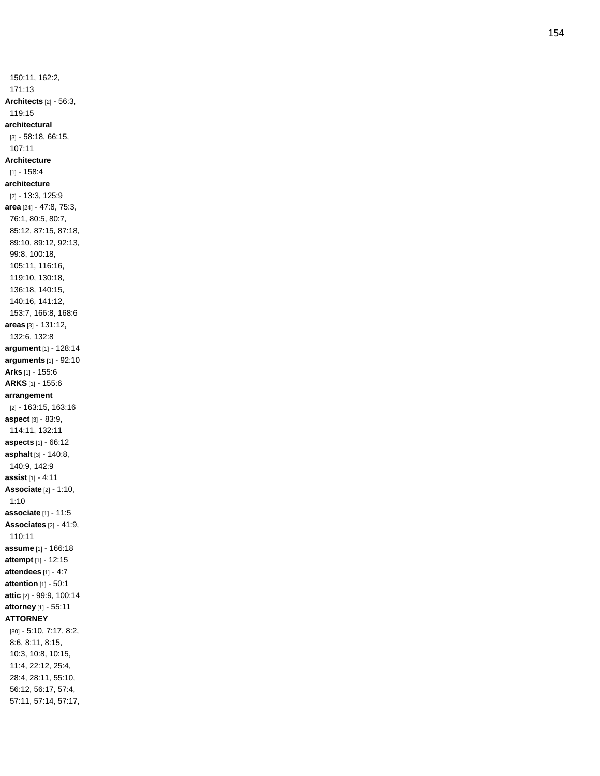150:11, 162:2, 171:13 **Architects** [2] - 56:3, 119:15 **architectural** [3] - 58:18, 66:15, 107:11 **Architecture**  $[1] - 158.4$ **architecture** [2] - 13:3, 125:9 **area** [24] - 47:8, 75:3, 76:1, 80:5, 80:7, 85:12, 87:15, 87:18, 89:10, 89:12, 92:13, 99:8, 100:18, 105:11, 116:16, 119:10, 130:18, 136:18, 140:15, 140:16, 141:12, 153:7, 166:8, 168:6 **areas** [3] - 131:12, 132:6, 132:8 **argument** [1] - 128:14 **arguments** [1] - 92:10 **Arks** [1] - 155:6 **ARKS** [1] - 155:6 **arrangement** [2] - 163:15, 163:16 **aspect** [3] - 83:9, 114:11, 132:11 **aspects** [1] - 66:12 **asphalt** [3] - 140:8, 140:9, 142:9 **assist** [1] - 4:11 **Associate** [2] - 1:10, 1:10 **associate** [1] - 11:5 **Associates** [2] - 41:9, 110:11 **assume** [1] - 166:18 **attempt** [1] - 12:15 **attendees** [1] - 4:7 **attention** [1] - 50:1 **attic** [2] - 99:9, 100:14 **attorney** [1] - 55:11 **ATTORNEY** [80] - 5:10, 7:17, 8:2, 8:6, 8:11, 8:15, 10:3, 10:8, 10:15, 11:4, 22:12, 25:4, 28:4, 28:11, 55:10, 56:12, 56:17, 57:4, 57:11, 57:14, 57:17,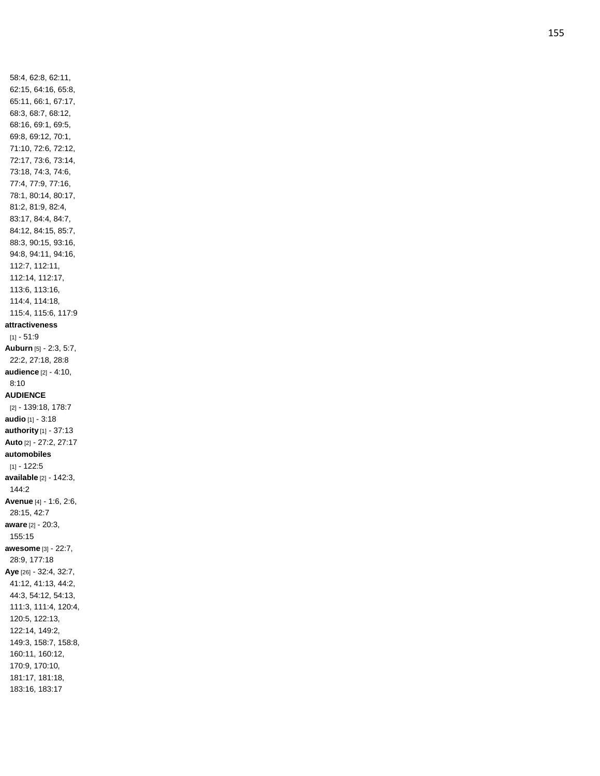58:4, 62:8, 62:11, 62:15, 64:16, 65:8, 65:11, 66:1, 67:17, 68:3, 68:7, 68:12, 68:16, 69:1, 69:5, 69:8, 69:12, 70:1, 71:10, 72:6, 72:12, 72:17, 73:6, 73:14, 73:18, 74:3, 74:6, 77:4, 77:9, 77:16, 78:1, 80:14, 80:17, 81:2, 81:9, 82:4, 83:17, 84:4, 84:7, 84:12, 84:15, 85:7, 88:3, 90:15, 93:16, 94:8, 94:11, 94:16, 112:7, 112:11, 112:14, 112:17, 113:6, 113:16, 114:4, 114:18, 115:4, 115:6, 117:9 **attractiveness** [1] - 51:9 **Auburn** [5] - 2:3, 5:7, 22:2, 27:18, 28:8 **audience** [2] - 4:10, 8:10 **AUDIENCE** [2] - 139:18, 178:7 **audio** [1] - 3:18 **authority** [1] - 37:13 **Auto** [2] - 27:2, 27:17 **automobiles** [1] - 122:5 **available** [2] - 142:3, 144:2 **Avenue** [4] - 1:6, 2:6, 28:15, 42:7 **aware** [2] - 20:3, 155:15 **awesome** [3] - 22:7, 28:9, 177:18 **Aye** [26] - 32:4, 32:7, 41:12, 41:13, 44:2, 44:3, 54:12, 54:13, 111:3, 111:4, 120:4, 120:5, 122:13, 122:14, 149:2, 149:3, 158:7, 158:8, 160:11, 160:12, 170:9, 170:10, 181:17, 181:18, 183:16, 183:17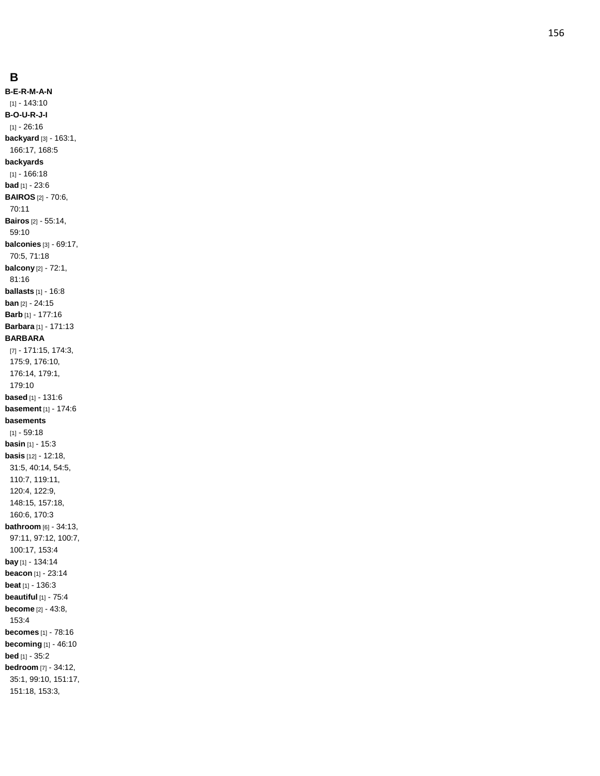**B - E - R - M - A-N** [1] - 143:10 **B - O - U - R - J - I** [1] - 26:16 **backyard** [3] - 163:1, 166:17, 168:5 **backyards** [1] - 166:18 **bad** [1] - 23:6 **BAIROS** [2] - 70:6, 70:11 **Bairos** [2] - 55:14, 59:10 **balconies** [3] - 69:17, 70:5, 71:18 **balcony** [2] - 72:1, 81:16 **ballasts** [1] - 16:8 **ban** [2] - 24:15 **Barb** [1] - 177:16 **Barbara** [1] - 171:13 **BARBARA** [7] - 171:15, 174:3, 175:9, 176:10, 176:14, 179:1, 179:10 **based** [1] - 131:6 **basement** [1] - 174:6 **basements**  $[1] - 59:18$ **basin** [1 ] - 15:3 **basis** [12] - 12:18, 31:5, 40:14, 54:5, 110:7, 119:11, 120:4, 122:9, 148:15, 157:18, 160:6, 170:3 **bathroom** [6] - 34:13, 97:11, 97:12, 100:7, 100:17, 153:4 **bay** [1] - 134:14 **beacon** [1] - 23:14 **beat** [1] - 136:3 **beautiful** [1] - 75:4 **become** [2] - 43:8, 153:4 **becomes** [1] - 78:16 **becoming** [1] - 46:10 **bed** [1] - 35:2 **bedroom** [7] - 34:12, 35:1, 99:10, 151:17, 151:18, 153:3,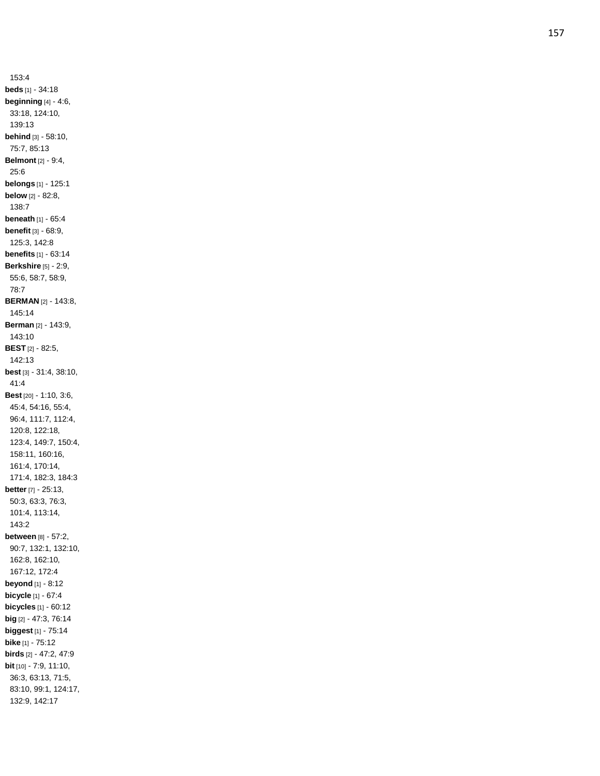153:4 **beds** [1] - 34:18 **beginning** [4] - 4:6, 33:18, 124:10, 139:13 **behind** [3] - 58:10, 75:7, 85:13 **Belmont** [2] - 9:4, 25:6 **belongs** [1] - 125:1 **below** [2] - 82:8, 138:7 **beneath** [1] - 65:4 **benefit** [3] - 68:9, 125:3, 142:8 **benefits** [1] - 63:14 **Berkshire** [5] - 2:9, 55:6, 58:7, 58:9, 78:7 **BERMAN** [2] - 143:8, 145:14 **Berman** [2] - 143:9, 143:10 **BEST** [2] - 82:5, 142:13 **best** [3] - 31:4, 38:10, 41:4 **Best** [20] - 1:10, 3:6, 45:4, 54:16, 55:4, 96:4, 111:7, 112:4, 120:8, 122:18, 123:4, 149:7, 150:4, 158:11, 160:16, 161:4, 170:14, 171:4, 182:3, 184:3 **better** [7] - 25:13, 50:3, 63:3, 76:3, 101:4, 113:14, 143:2 **between** [8] - 57:2, 90:7, 132:1, 132:10, 162:8, 162:10, 167:12, 172:4 **beyond** [1] - 8:12 **bicycle** [1] - 67:4 **bicycles** [1] - 60:12 **big** [2] - 47:3, 76:14 **biggest** [1] - 75:14 **bike** [1] - 75:12 **birds** [2] - 47:2, 47:9 **bit** [10] - 7:9, 11:10, 36:3, 63:13, 71:5, 83:10, 99:1, 124:17, 132:9, 142:17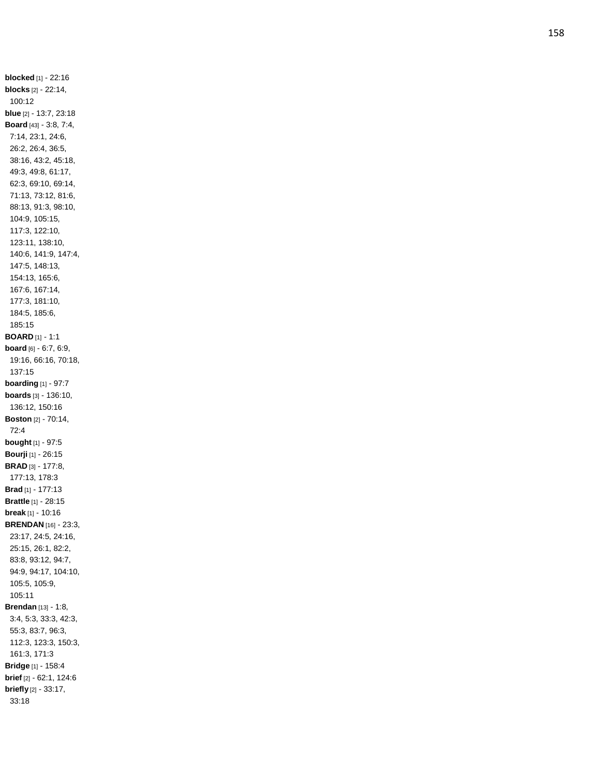**blocked** [1] - 22:16 **blocks** [2] - 22:14, 100:12 **blue** [2] - 13:7, 23:18 **Board** [43] - 3:8, 7:4, 7:14, 23:1, 24:6, 26:2, 26:4, 36:5, 38:16, 43:2, 45:18, 49:3, 49:8, 61:17, 62:3, 69:10, 69:14, 71:13, 73:12, 81:6, 88:13, 91:3, 98:10, 104:9, 105:15, 117:3, 122:10, 123:11, 138:10, 140:6, 141:9, 147:4, 147:5, 148:13, 154:13, 165:6, 167:6, 167:14, 177:3, 181:10, 184:5, 185:6, 185:15 **BOARD** [1] - 1:1 **board** [6] - 6:7, 6:9, 19:16, 66:16, 70:18, 137:15 **boarding** [1] - 97:7 **boards** [3] - 136:10, 136:12, 150:16 **Boston** [2] - 70:14, 72:4 **bought** [1] - 97:5 **Bourji** [1] - 26:15 **BRAD** [3] - 177:8, 177:13, 178:3 **Brad** [1] - 177:13 **Brattle** [1] - 28:15 **break** [1] - 10:16 **BRENDAN** [16] - 23:3, 23:17, 24:5, 24:16, 25:15, 26:1, 82:2, 83:8, 93:12, 94:7, 94:9, 94:17, 104:10, 105:5, 105:9, 105:11 **Brendan** [13] - 1:8, 3:4, 5:3, 33:3, 42:3, 55:3, 83:7, 96:3, 112:3, 123:3, 150:3, 161:3, 171:3 **Bridge** [1] - 158:4 **brief** [2] - 62:1, 124:6 **briefly** [2] - 33:17, 33:18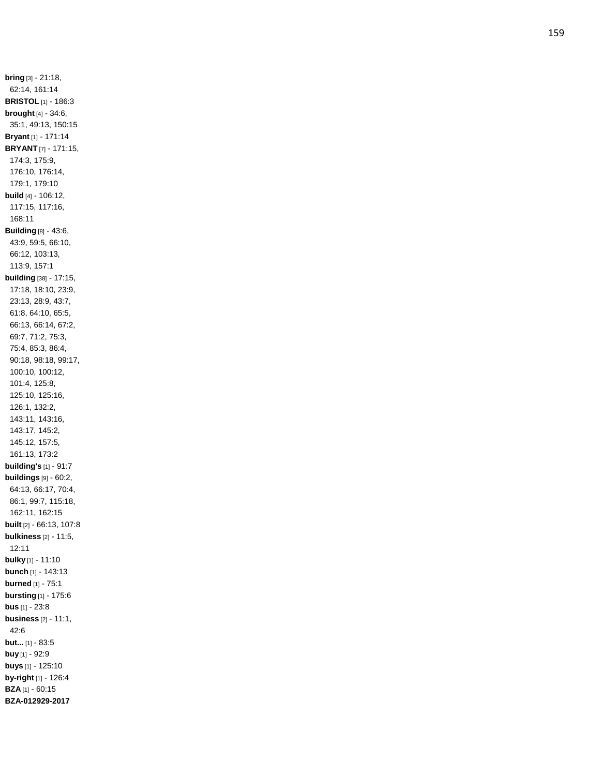**bring** [3] - 21:18, 62:14, 161:14 **BRISTOL** [1] - 186:3 **brought** [4] - 34:6, 35:1, 49:13, 150:15 **Bryant** [1] - 171:14 **BRYANT** [7] - 171:15, 174:3, 175:9, 176:10, 176:14, 179:1, 179:10 **build** [4] - 106:12, 117:15, 117:16, 168:11 **Building** [8] - 43:6, 43:9, 59:5, 66:10, 66:12, 103:13, 113:9, 157:1 **building** [38] - 17:15, 17:18, 18:10, 23:9, 23:13, 28:9, 43:7, 61:8, 64:10, 65:5, 66:13, 66:14, 67:2, 69:7, 71:2, 75:3, 75:4, 85:3, 86:4, 90:18, 98:18, 99:17, 100:10, 100:12, 101:4, 125:8, 125:10, 125:16, 126:1, 132:2, 143:11, 143:16, 143:17, 145:2, 145:12, 157:5, 161:13, 173:2 **building's** [1] - 91:7 **buildings** [9] - 60:2, 64:13, 66:17, 70:4, 86:1, 99:7, 115:18, 162:11, 162:15 **built** [2] - 66:13, 107:8 **bulkiness** [2] - 11:5, 12:11 **bulky** [1] - 11:10 **bunch** [1] - 143:13 **burned** [1] - 75:1 **bursting** [1] - 175:6 **bus** [1] - 23:8 **business** [2] - 11:1, 42:6 **but...** [1] - 83:5 **buy** [1] - 92:9 **buys** [1] - 125:10 **by -right** [1] - 126:4 **BZA** [1] - 60:15 **BZA -012929 -2017**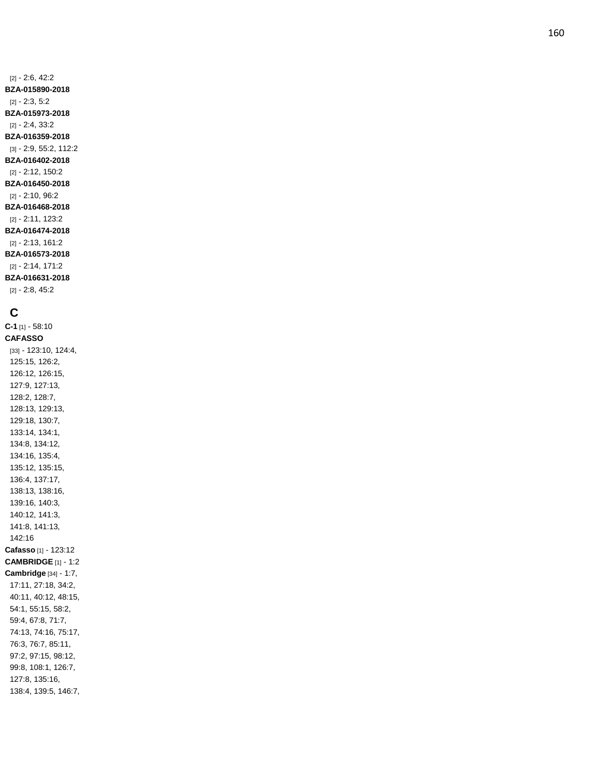[2] - 2:6, 42:2 **BZA -015890 -2018** [2] - 2:3, 5:2 **BZA -015973 -2018** [2] - 2:4, 33:2 **BZA -016359 -2018** [3] - 2:9, 55:2, 112:2 **BZA -016402 -2018** [2] - 2:12, 150:2 **BZA -016450 -2018** [2] - 2:10, 96:2 **BZA -016468 -2018** [2] - 2:11, 123:2 **BZA -016474 -2018** [2] - 2:13, 161:2 **BZA -016573 -2018** [2] - 2:14, 171:2

**BZA -016631 -2018** [2] - 2:8, 45:2

## **C**

**C - 1** [1] - 58:10 **CAFASSO** [33] - 123:10, 124:4, 125:15, 126:2, 126:12, 126:15, 127:9, 127:13, 128:2, 128:7, 128:13, 129:13, 129:18, 130:7, 133:14, 134:1, 134:8, 134:12, 134:16, 135:4, 135:12, 135:15, 136:4, 137:17, 138:13, 138:16, 139:16, 140:3, 140:12, 141:3, 141:8, 141:13, 142:16 **Cafasso** [1] - 123:12 **CAMBRIDGE** [1] - 1:2 **Cambridge** [34] - 1:7, 17:11, 27:18, 34:2, 40:11, 40:12, 48:15, 54:1, 55:15, 58:2, 59:4, 67:8, 71:7, 74:13, 74:16, 75:17, 76:3, 76:7, 85:11, 97:2, 97:15, 98:12, 99:8, 108:1, 126:7, 127:8, 135:16, 138:4, 139:5, 146:7,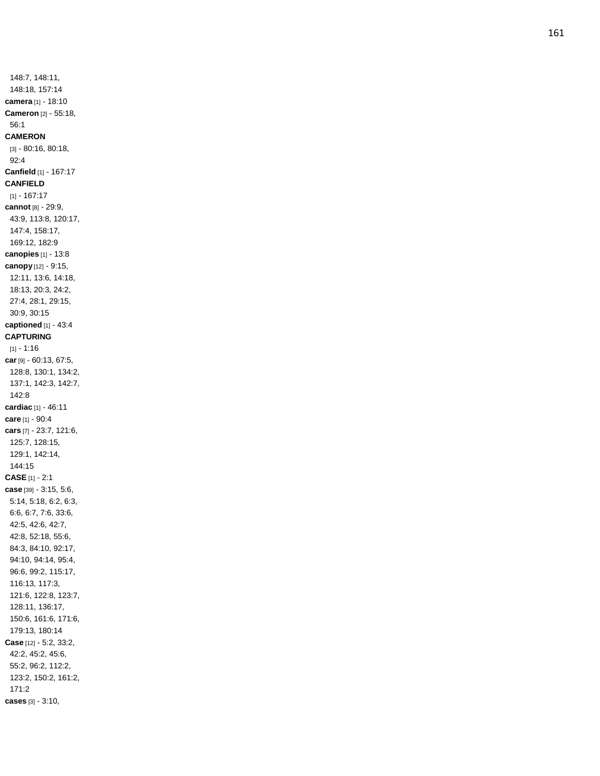148:7, 148:11, 148:18, 157:14 **camera** [1] - 18:10 **Cameron** [2] - 55:18, 56:1 **CAMERON** [3] - 80:16, 80:18, 92:4 **Canfield** [1] - 167:17 **CANFIELD** [1] - 167:17 **cannot** [8] - 29:9, 43:9, 113:8, 120:17, 147:4, 158:17, 169:12, 182:9 **canopies** [1] - 13:8 **canopy** [12] - 9:15, 12:11, 13:6, 14:18, 18:13, 20:3, 24:2, 27:4, 28:1, 29:15, 30:9, 30:15 **captioned** [1] - 43:4 **CAPTURING** [1] - 1:16 **car** [9] - 60:13, 67:5, 128:8, 130:1, 134:2, 137:1, 142:3, 142:7, 142:8 **cardiac** [1] - 46:11 **care** [1] - 90:4 **cars** [7] - 23:7, 121:6, 125:7, 128:15, 129:1, 142:14, 144:15 **CASE** [1] - 2:1 **case** [39] - 3:15, 5:6, 5:14, 5:18, 6:2, 6:3, 6:6, 6:7, 7:6, 33:6, 42:5, 42:6, 42:7, 42:8, 52:18, 55:6, 84:3, 84:10, 92:17, 94:10, 94:14, 95:4, 96:6, 99:2, 115:17, 116:13, 117:3, 121:6, 122:8, 123:7, 128:11, 136:17, 150:6, 161:6, 171:6, 179:13, 180:14 **Case** [12] - 5:2, 33:2, 42:2, 45:2, 45:6, 55:2, 96:2, 112:2, 123:2, 150:2, 161:2, 171:2 **cases** [3] - 3:10,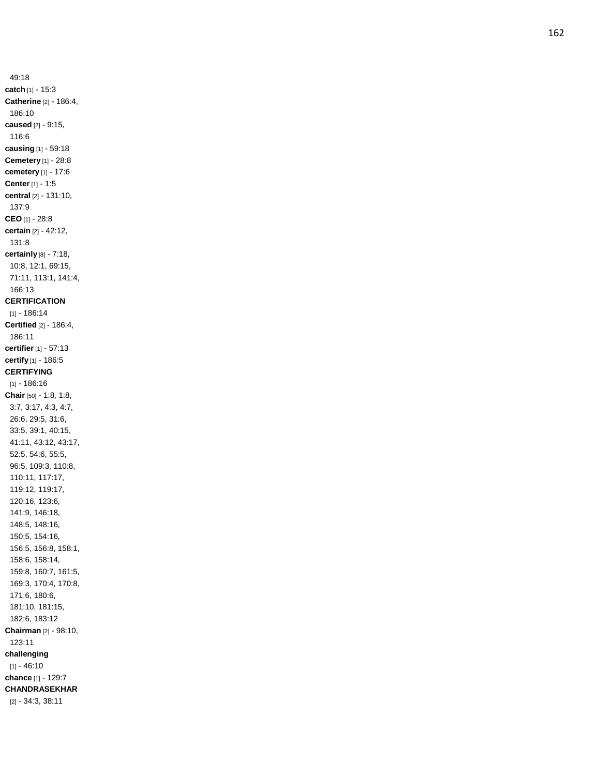49:18 **catch** [1] - 15:3 **Catherine** [2] - 186:4, 186:10 **caused** [2] - 9:15, 116:6 **causing** [1] - 59:18 **Cemetery** [1] - 28:8 **cemetery** [1] - 17:6 **Center** [1] - 1:5 **central** [2] - 131:10, 137:9 **CEO** [1] - 28:8 **certain** [2] - 42:12, 131:8 **certainly** [8] - 7:18, 10:8, 12:1, 69:15, 71:11, 113:1, 141:4, 166:13 **CERTIFICATION** [1] - 186:14 **Certified** [2] - 186:4, 186:11 **certifier** [1] - 57:13 **certify** [1] - 186:5 **CERTIFYING** [1] - 186:16 **Chair** [50] - 1:8, 1:8, 3:7, 3:17, 4:3, 4:7, 26:6, 29:5, 31:6, 33:5, 39:1, 40:15, 41:11, 43:12, 43:17, 52:5, 54:6, 55:5, 96:5, 109:3, 110:8, 110:11, 117:17, 119:12, 119:17, 120:16, 123:6, 141:9, 146:18, 148:5, 148:16, 150:5, 154:16, 156:5, 156:8, 158:1, 158:6, 158:14, 159:8, 160:7, 161:5, 169:3, 170:4, 170:8, 171:6, 180:6, 181:10, 181:15, 182:6, 183:12 **Chairman** [2] - 98:10, 123:11 **challenging**  $[1] - 46:10$ **chance** [1] - 129:7 **CHANDRASEKHAR** [2] - 34:3, 38:11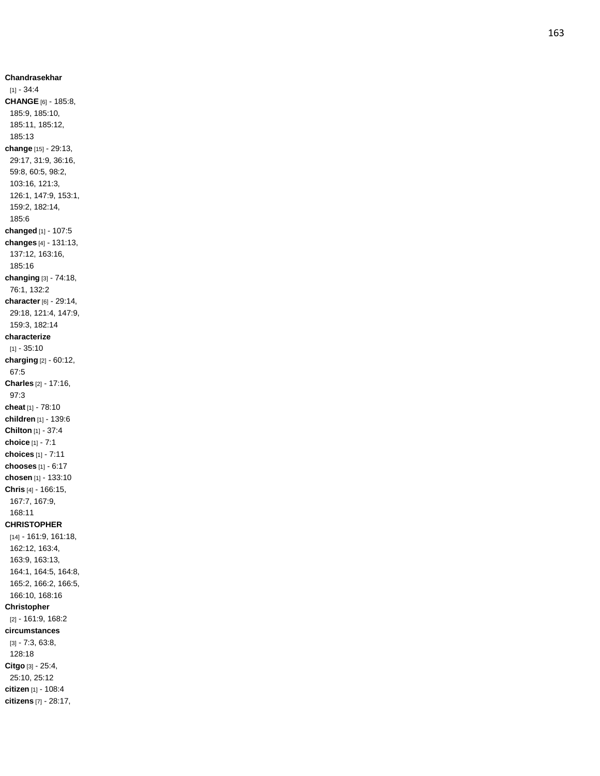**Chandrasekhar** [1] - 34:4 **CHANGE** [6] - 185:8, 185:9, 185:10, 185:11, 185:12, 185:13 **change** [15] - 29:13, 29:17, 31:9, 36:16, 59:8, 60:5, 98:2, 103:16, 121:3, 126:1, 147:9, 153:1, 159:2, 182:14, 185:6 **changed** [1] - 107:5 **changes** [4] - 131:13, 137:12, 163:16, 185:16 **changing** [3] - 74:18, 76:1, 132:2 **character** [6] - 29:14, 29:18, 121:4, 147:9, 159:3, 182:14 **characterize**  $[1] - 35:10$ **charging** [2] - 60:12, 67:5 **Charles** [2] - 17:16, 97:3 **cheat** [1] - 78:10 **children** [1] - 139:6 **Chilton** [1] - 37:4 **choice** [1] - 7:1 **choices** [1] - 7:11 **chooses** [1] - 6:17 **chosen** [1] - 133:10 **Chris** [4] - 166:15, 167:7, 167:9, 168:11 **CHRISTOPHER** [14] - 161:9, 161:18, 162:12, 163:4, 163:9, 163:13, 164:1, 164:5, 164:8, 165:2, 166:2, 166:5, 166:10, 168:16 **Christopher** [2] - 161:9, 168:2 **circumstances** [3] - 7:3, 63:8, 128:18 **Citgo** [3] - 25:4, 25:10, 25:12 **citizen** [1] - 108:4 **citizens** [7] - 28:17,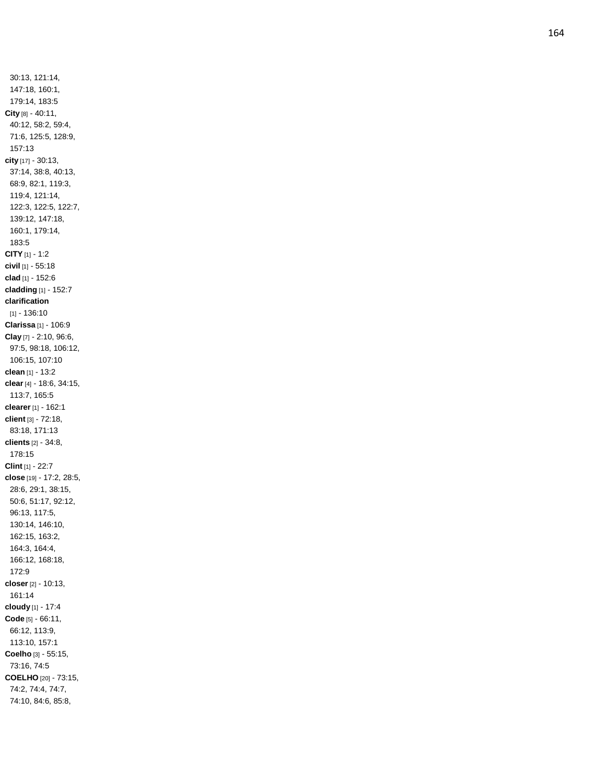30:13, 121:14, 147:18, 160:1, 179:14, 183:5 **City** [8] - 40:11, 40:12, 58:2, 59:4, 71:6, 125:5, 128:9, 157:13 **city** [17] - 30:13, 37:14, 38:8, 40:13, 68:9, 82:1, 119:3, 119:4, 121:14, 122:3, 122:5, 122:7, 139:12, 147:18, 160:1, 179:14, 183:5 **CITY** [1] - 1:2 **civil** [1] - 55:18 **clad** [1] - 152:6 **cladding** [1] - 152:7 **clarification** [1] - 136:10 **Clarissa** [1] - 106:9 **Clay** [7] - 2:10, 96:6, 97:5, 98:18, 106:12, 106:15, 107:10 **clean** [1] - 13:2 **clear** [4] - 18:6, 34:15, 113:7, 165:5 **clearer** [1] - 162:1 **client** [3] - 72:18, 83:18, 171:13 **clients** [2] - 34:8, 178:15 **Clint** [1] - 22:7 **close** [19] - 17:2, 28:5, 28:6, 29:1, 38:15, 50:6, 51:17, 92:12, 96:13, 117:5, 130:14, 146:10, 162:15, 163:2, 164:3, 164:4, 166:12, 168:18, 172:9 **closer** [2] - 10:13, 161:14 **cloudy** [1] - 17:4 **Code** [5] - 66:11, 66:12, 113:9, 113:10, 157:1 **Coelho** [3] - 55:15, 73:16, 74:5 **COELHO** [20] - 73:15, 74:2, 74:4, 74:7, 74:10, 84:6, 85:8,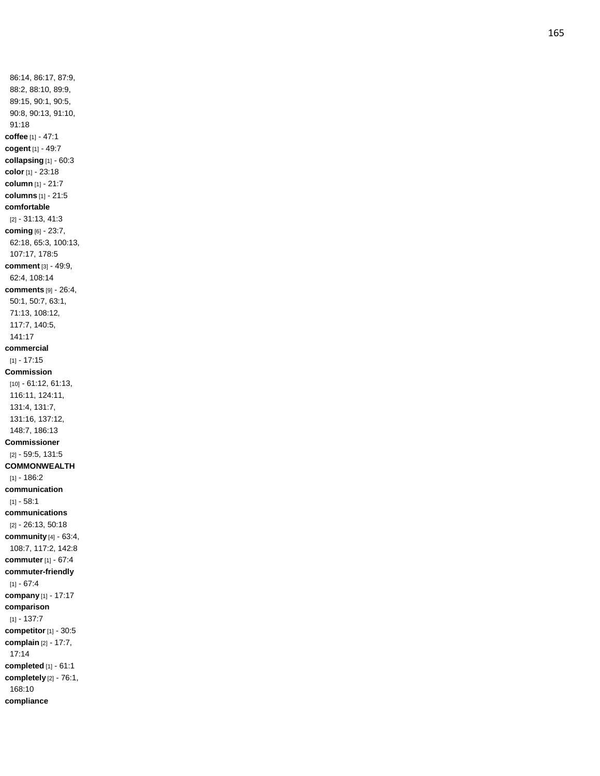86:14, 86:17, 87:9, 88:2, 88:10, 89:9, 89:15, 90:1, 90:5, 90:8, 90:13, 91:10, 91:18 **coffee** [1] - 47:1 **cogent** [1] - 49:7 **collapsing** [1] - 60:3 **color** [1] - 23:18 **column** [1] - 21:7 **columns** [1] - 21:5 **comfortable** [2] - 31:13, 41:3 **coming** [6] - 23:7, 62:18, 65:3, 100:13, 107:17, 178:5 **comment** [3] - 49:9, 62:4, 108:14 **comments** [9] - 26:4, 50:1, 50:7, 63:1, 71:13, 108:12, 117:7, 140:5, 141:17 **commercial**  $[1] - 17:15$ **Commission** [10] - 61:12, 61:13, 116:11, 124:11, 131:4, 131:7, 131:16, 137:12, 148:7, 186:13 **Commissioner** [2] - 59:5, 131:5 **COMMONWEALTH**  $[1] - 186:2$ **communication** [1] - 58:1 **communications** [2] - 26:13, 50:18 **community** [4] - 63:4, 108:7, 117:2, 142:8 **commuter** [1] - 67:4 **commuter -friendly**  $[1] - 67:4$ **company** [1] - 17:17 **comparison**  $[1] - 137:7$ **competitor** [1] - 30:5 **complain** [2] - 17:7, 17:14 **completed** [1] - 61:1 **completely** [2] - 76:1, 168:10 **compliance**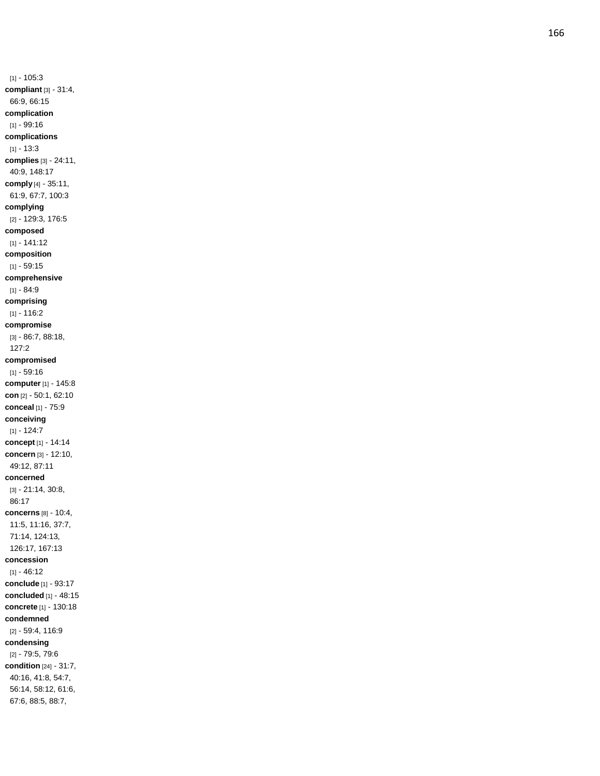$[1] - 105:3$ **compliant** [3] - 31:4, 66:9, 66:15 **complication** [1] - 99:16 **complications** [1] - 13:3 **complies** [3] - 24:11, 40:9, 148:17 **comply** [4] - 35:11, 61:9, 67:7, 100:3 **complying** [2] - 129:3, 176:5 **composed** [1] - 141:12 **composition**  $[1] - 59:15$ **comprehensive** [1] - 84:9 **comprising**  $[1] - 116:2$ **compromise** [3] - 86:7, 88:18, 127:2 **compromised**  $[1] - 59:16$ **computer** [1] - 145:8 **con** [2] - 50:1, 62:10 **conceal** [1] - 75:9 **conceiving**  $[1] - 124:7$ **concept** [1] - 14:14 **concern** [3] - 12:10, 49:12, 87:11 **concerned** [3] - 21:14, 30:8, 86:17 **concerns** [8] - 10:4, 11:5, 11:16, 37:7, 71:14, 124:13, 126:17, 167:13 **concession**  $[1] - 46.12$ **conclude** [1] - 93:17 **concluded** [1] - 48:15 **concrete** [1] - 130:18 **condemned** [2] - 59:4, 116:9 **condensing** [2] - 79:5, 79:6 **condition** [24] - 31:7, 40:16, 41:8, 54:7, 56:14, 58:12, 61:6,

67:6, 88:5, 88:7,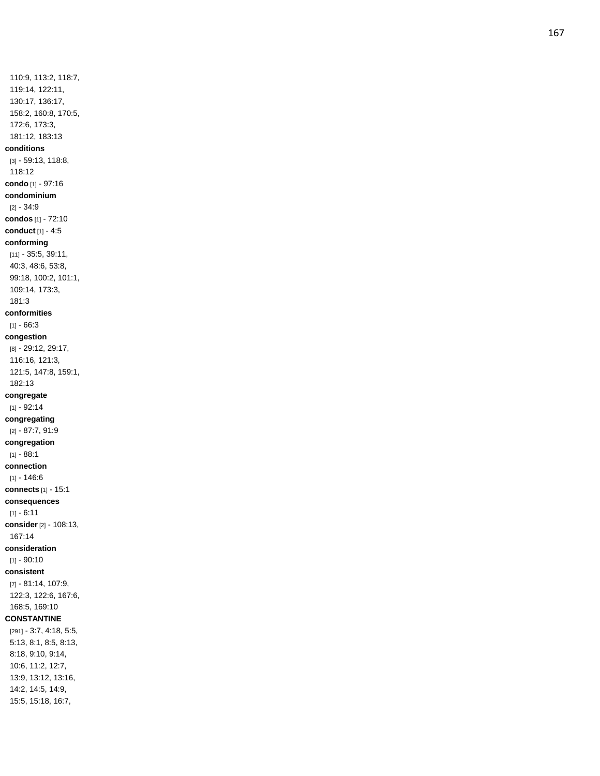110:9, 113:2, 118:7, 119:14, 122:11, 130:17, 136:17, 158:2, 160:8, 170:5, 172:6, 173:3, 181:12, 183:13 **conditions** [3] - 59:13, 118:8, 118:12 **condo** [1] - 97:16 **condominium** [2] - 34:9 **condos** [1] - 72:10 **conduct** [1] - 4:5 **conforming** [11] - 35:5, 39:11, 40:3, 48:6, 53:8, 99:18, 100:2, 101:1, 109:14, 173:3, 181:3 **conformities**  $[1] - 66:3$ **congestion** [8] - 29:12, 29:17, 116:16, 121:3, 121:5, 147:8, 159:1, 182:13 **congregate**  $[1] - 92:14$ **congregating** [2] - 87:7, 91:9 **congregation** [1] - 88:1 **connection**  $[1] - 146:6$ **connects** [1] - 15:1 **consequences**  $[1] - 6:11$ **consider** [2] - 108:13, 167:14 **consideration**  $[1] - 90:10$ **consistent** [7] - 81:14, 107:9, 122:3, 122:6, 167:6, 168:5, 169:10 **CONSTANTINE** [291] - 3:7, 4:18, 5:5, 5:13, 8:1, 8:5, 8:13, 8:18, 9:10, 9:14, 10:6, 11:2, 12:7, 13:9, 13:12, 13:16, 14:2, 14:5, 14:9,

15:5, 15:18, 16:7,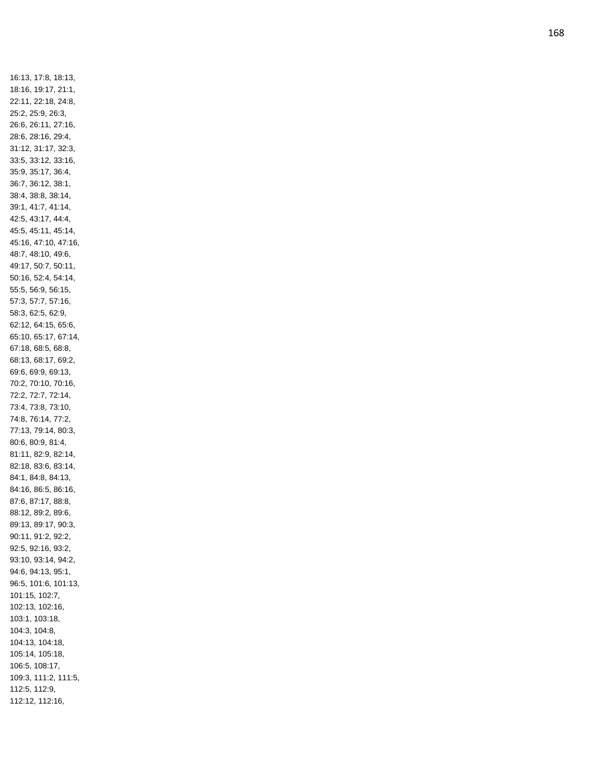16:13, 17:8, 18:13, 18:16, 19:17, 21:1, 22:11, 22:18, 24:8, 25:2, 25:9, 26:3, 26:6, 26:11, 27:16, 28:6, 28:16, 29:4, 31:12, 31:17, 32:3, 33:5, 33:12, 33:16, 35:9, 35:17, 36:4, 36:7, 36:12, 38:1, 38:4, 38:8, 38:14, 39:1, 41:7, 41:14, 42:5, 43:17, 44:4, 45:5, 45:11, 45:14, 45:16, 47:10, 47:16, 48:7, 48:10, 49:6, 49:17, 50:7, 50:11, 50:16, 52:4, 54:14, 55:5, 56:9, 56:15, 57:3, 57:7, 57:16, 58:3, 62:5, 62:9, 62:12, 64:15, 65:6, 65:10, 65:17, 67:14, 67:18, 68:5, 68:8, 68:13, 68:17, 69:2, 69:6, 69:9, 69:13, 70:2, 70:10, 70:16, 72:2, 72:7, 72:14, 73:4, 73:8, 73:10, 74:8, 76:14, 77:2, 77:13, 79:14, 80:3, 80:6, 80:9, 81:4, 81:11, 82:9, 82:14, 82:18, 83:6, 83:14, 84:1, 84:8, 84:13, 84:16, 86:5, 86:16, 87:6, 87:17, 88:8, 88:12, 89:2, 89:6, 89:13, 89:17, 90:3, 90:11, 91:2, 92:2, 92:5, 92:16, 93:2, 93:10, 93:14, 94:2, 94:6, 94:13, 95:1, 96:5, 101:6, 101:13, 101:15, 102:7, 102:13, 102:16, 103:1, 103:18, 104:3, 104:8, 104:13, 104:18, 105:14, 105:18, 106:5, 108:17, 109:3, 111:2, 111:5, 112:5, 112:9, 112:12, 112:16,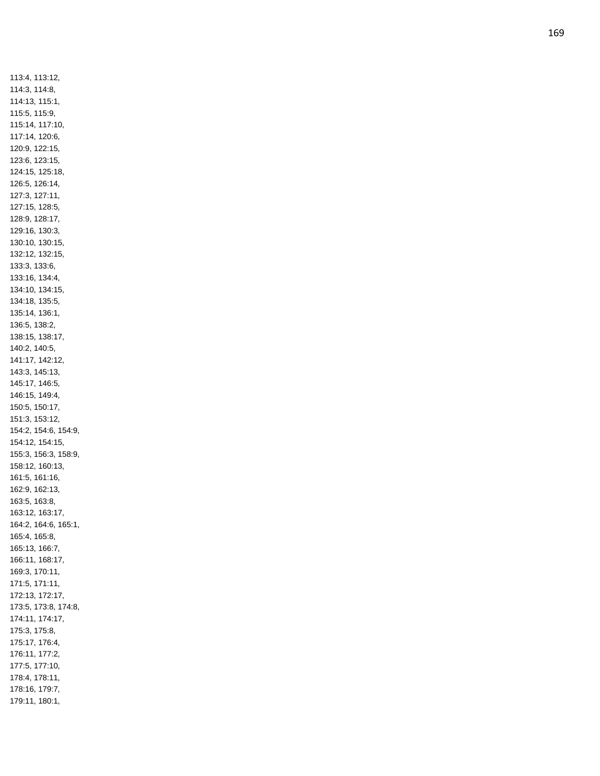113:4, 113:12, 114:3, 114:8, 114:13, 115:1, 115:5, 115:9, 115:14, 117:10, 117:14, 120:6, 120:9, 122:15, 123:6, 123:15, 124:15, 125:18, 126:5, 126:14, 127:3, 127:11, 127:15, 128:5, 128:9, 128:17, 129:16, 130:3, 130:10, 130:15, 132:12, 132:15, 133:3, 133:6, 133:16, 134:4, 134:10, 134:15, 134:18, 135:5, 135:14, 136:1, 136:5, 138:2, 138:15, 138:17, 140:2, 140:5, 141:17, 142:12, 143:3, 145:13, 145:17, 146:5, 146:15, 149:4, 150:5, 150:17, 151:3, 153:12, 154:2, 154:6, 154:9, 154:12, 154:15, 155:3, 156:3, 158:9, 158:12, 160:13, 161:5, 161:16, 162:9, 162:13, 163:5, 163:8, 163:12, 163:17, 164:2, 164:6, 165:1, 165:4, 165:8, 165:13, 166:7, 166:11, 168:17, 169:3, 170:11, 171:5, 171:11, 172:13, 172:17, 173:5, 173:8, 174:8, 174:11, 174:17, 175:3, 175:8, 175:17, 176:4, 176:11, 177:2, 177:5, 177:10, 178:4, 178:11, 178:16, 179:7, 179:11, 180:1,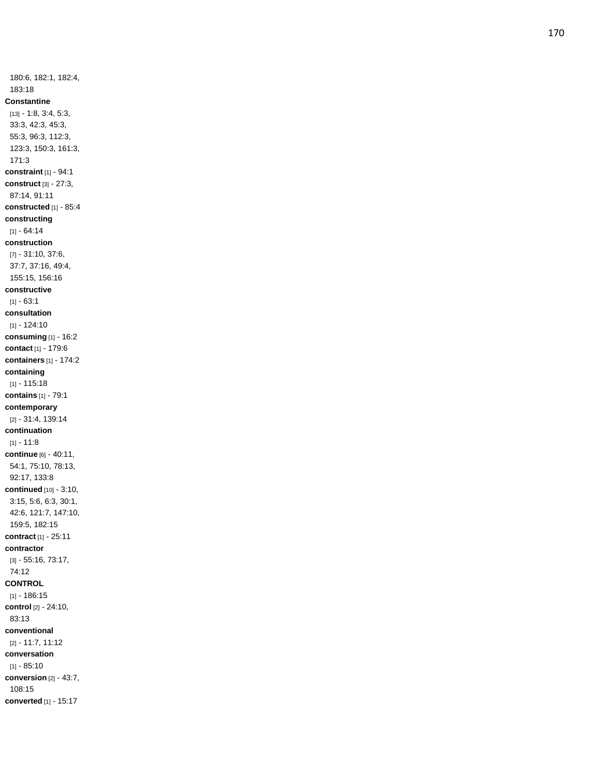180:6, 182:1, 182:4, 183:18 **Constantine** [13] - 1:8, 3:4, 5:3, 33:3, 42:3, 45:3, 55:3, 96:3, 112:3, 123:3, 150:3, 161:3, 171:3 **constraint** [1] - 94:1 **construct** [3] - 27:3, 87:14, 91:11 **constructed** [1] - 85:4 **constructing**  $[1] - 64.14$ **construction** [7] - 31:10, 37:6, 37:7, 37:16, 49:4, 155:15, 156:16 **constructive**  $[1] - 63:1$ **consultation** [1] - 124:10 **consuming** [1] - 16:2 **contact** [1] - 179:6 **containers** [1] - 174:2 **containing** [1] - 115:18 **contains** [1] - 79:1 **contemporary** [2] - 31:4, 139:14 **continuation** [1] - 11:8 **continue** [6] - 40:11, 54:1, 75:10, 78:13, 92:17, 133:8 **continued** [10] - 3:10, 3:15, 5:6, 6:3, 30:1, 42:6, 121:7, 147:10, 159:5, 182:15 **contract** [1] - 25:11 **contractor** [3] - 55:16, 73:17, 74:12 **CONTROL** [1] - 186:15 **control** [2] - 24:10, 83:13 **conventional** [2] - 11:7, 11:12 **conversation**  $[1] - 85:10$ **conversion** [2] - 43:7, 108:15 **converted** [1] - 15:17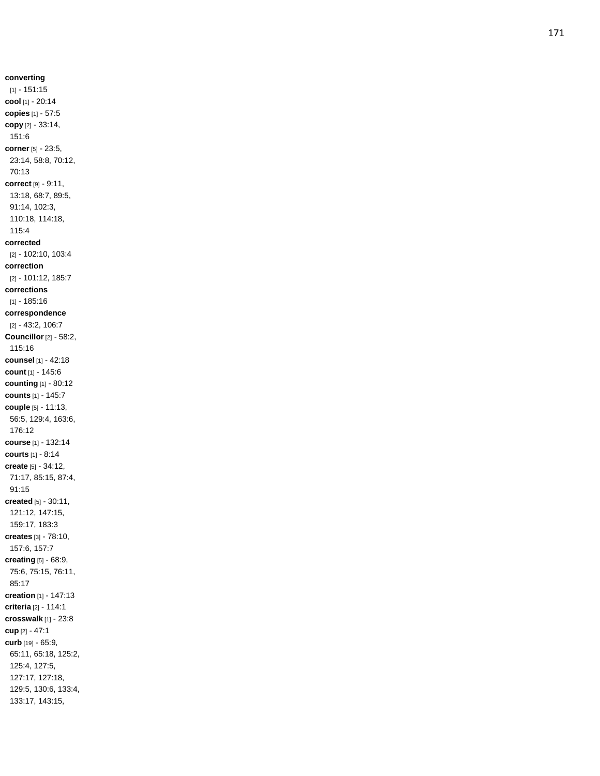**converting** [1] - 151:15 **cool** [1] - 20:14 **copies** [1] - 57:5 **copy** [2] - 33:14, 151:6 **corner** [5] - 23:5, 23:14, 58:8, 70:12, 70:13 **correct** [9] - 9:11, 13:18, 68:7, 89:5, 91:14, 102:3, 110:18, 114:18, 115:4 **corrected** [2] - 102:10, 103:4 **correction** [2] - 101:12, 185:7 **corrections** [1] - 185:16 **correspondence** [2] - 43:2, 106:7 **Councillor** [2] - 58:2, 115:16 **counsel** [1] - 42:18 **count** [1] - 145:6 **counting** [1] - 80:12 **counts** [1] - 145:7 **couple** [5] - 11:13, 56:5, 129:4, 163:6, 176:12 **course** [1] - 132:14 **courts** [1] - 8:14 **create** [5] - 34:12, 71:17, 85:15, 87:4, 91:15 **created** [5] - 30:11, 121:12, 147:15, 159:17, 183:3 **creates** [3] - 78:10, 157:6, 157:7 **creating** [5] - 68:9, 75:6, 75:15, 76:11, 85:17 **creation** [1] - 147:13 **criteria** [2] - 114:1 **crosswalk** [1] - 23:8 **cup** [2] - 47:1 **curb** [19] - 65:9, 65:11, 65:18, 125:2, 125:4, 127:5, 127:17, 127:18, 129:5, 130:6, 133:4, 133:17, 143:15,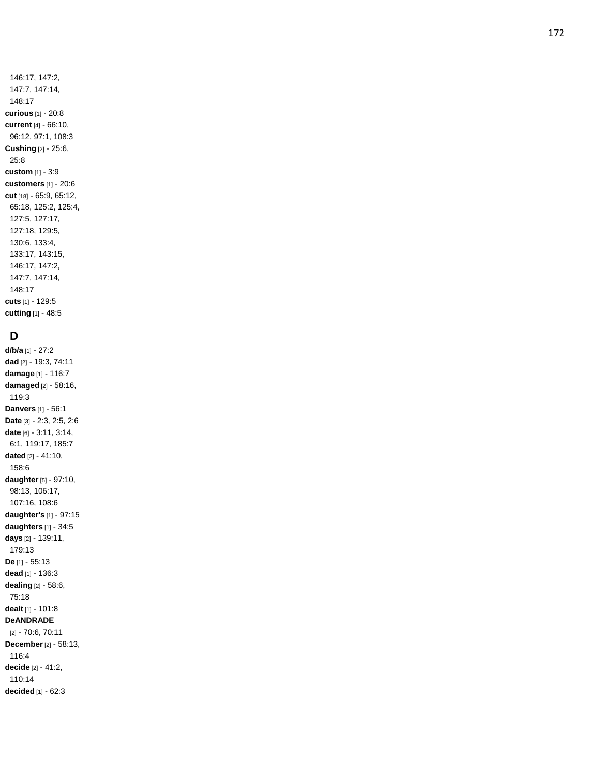25:8 **custom** [1] - 3:9 **customers** [1] - 20:6 **cut** [18] - 65:9, 65:12, 65:18, 125:2, 125:4, 127:5, 127:17, 127:18, 129:5, 130:6, 133:4, 133:17, 143:15, 146:17, 147:2, 147:7, 147:14, 148:17 **cuts** [1] - 129:5 **cutting** [1] - 48:5

# **D**

**d/b/a** [1] - 27:2 **dad** [2 ] - 19:3, 74:11 **damage** [1] - 116:7 **damaged** [2] - 58:16, 119:3 **Danvers** [1] - 56:1 **Date** [3] - 2:3, 2:5, 2:6 **date** [6] - 3:11, 3:14, 6:1, 119:17, 185:7 **dated** [2] - 41:10, 158:6 **daughter** [5] - 97:10, 98:13, 106:17, 107:16, 108:6 **daughter's** [1] - 97:15 **daughters** [1] - 34:5 **days** [2] - 139:11, 179:13 **De** [1] - 55:13 **dead** [1] - 136:3 **dealing** [2] - 58:6, 75:18 **dealt** [1] - 101:8 **DeANDRADE** [2] - 70:6, 70:11 **December** [2] - 58:13, 116:4 **decide** [2] - 41:2, 110:14 **decided** [1] - 62:3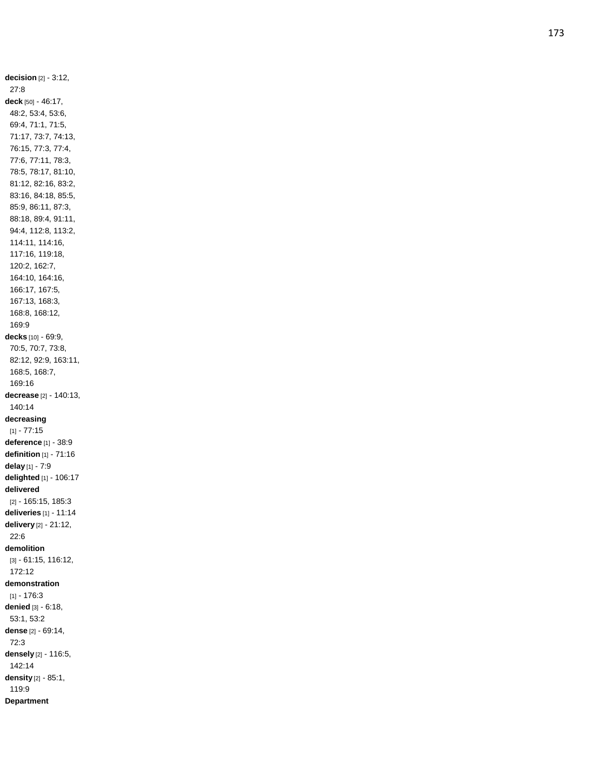**decision** [2] - 3:12, 27:8 **deck** [50] - 46:17, 48:2, 53:4, 53:6, 69:4, 71:1, 71:5, 71:17, 73:7, 74:13, 76:15, 77:3, 77:4, 77:6, 77:11, 78:3, 78:5, 78:17, 81:10, 81:12, 82:16, 83:2, 83:16, 84:18, 85:5, 85:9, 86:11, 87:3, 88:18, 89:4, 91:11, 94:4, 112:8, 113:2, 114:11, 114:16, 117:16, 119:18, 120:2, 162:7, 164:10, 164:16, 166:17, 167:5, 167:13, 168:3, 168:8, 168:12, 169:9 **decks** [10] - 69:9, 70:5, 70:7, 73:8, 82:12, 92:9, 163:11, 168:5, 168:7, 169:16 **decrease** [2] - 140:13, 140:14 **decreasing**  $[1] - 77:15$ **deference** [1] - 38:9 **definition** [1] - 71:16 **delay** [1] - 7:9 **delighted** [1] - 106:17 **delivered** [2] - 165:15, 185:3 **deliveries** [1] - 11:14 **delivery** [2] - 21:12, 22:6 **demolition** [3] - 61:15, 116:12, 172:12 **demonstration**  $[1] - 176:3$ **denied** [3] - 6:18, 53:1, 53:2 **dense** [2] - 69:14, 72:3 **densely** [2] - 116:5, 142:14 **density** [2] - 85:1, 119:9 **Department**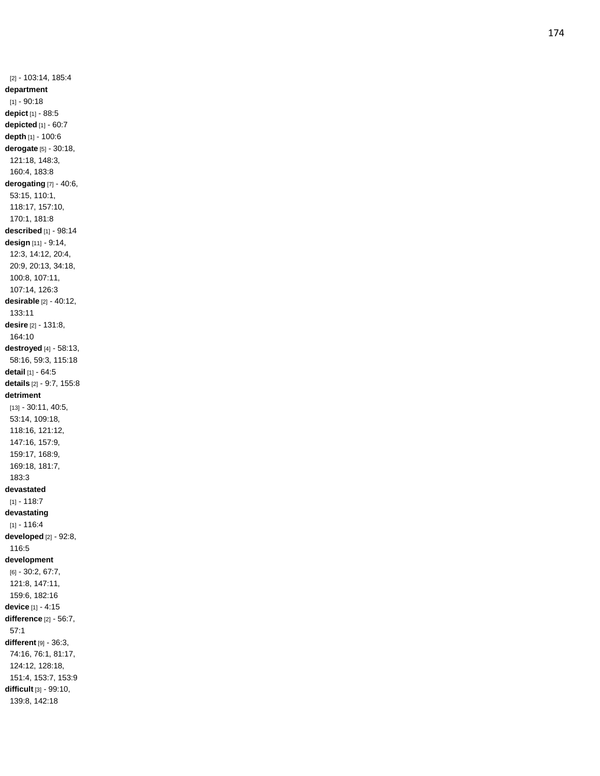[2] - 103:14, 185:4 **department**  $[1] - 90:18$ **depict** [1] - 88:5 **depicted** [1] - 60:7 **depth** [1] - 100:6 **derogate** [5] - 30:18, 121:18, 148:3, 160:4, 183:8 **derogating** [7] - 40:6, 53:15, 110:1, 118:17, 157:10, 170:1, 181:8 **described** [1] - 98:14 **design** [11] - 9:14, 12:3, 14:12, 20:4, 20:9, 20:13, 34:18, 100:8, 107:11, 107:14, 126:3 **desirable** [2] - 40:12, 133:11 **desire** [2] - 131:8, 164:10 **destroyed** [4] - 58:13, 58:16, 59:3, 115:18 **detail** [1] - 64:5 **details** [2] - 9:7, 155:8 **detriment** [13] - 30:11, 40:5, 53:14, 109:18, 118:16, 121:12, 147:16, 157:9, 159:17, 168:9, 169:18, 181:7, 183:3 **devastated**  $[1] - 118:7$ **devastating**  $[1] - 116:4$ **developed** [2] - 92:8, 116:5 **development** [6] - 30:2, 67:7, 121:8, 147:11, 159:6, 182:16 **device** [1] - 4:15 **difference** [2] - 56:7, 57:1 **different** [9] - 36:3, 74:16, 76:1, 81:17, 124:12, 128:18, 151:4, 153:7, 153:9 **difficult** [3] - 99:10, 139:8, 142:18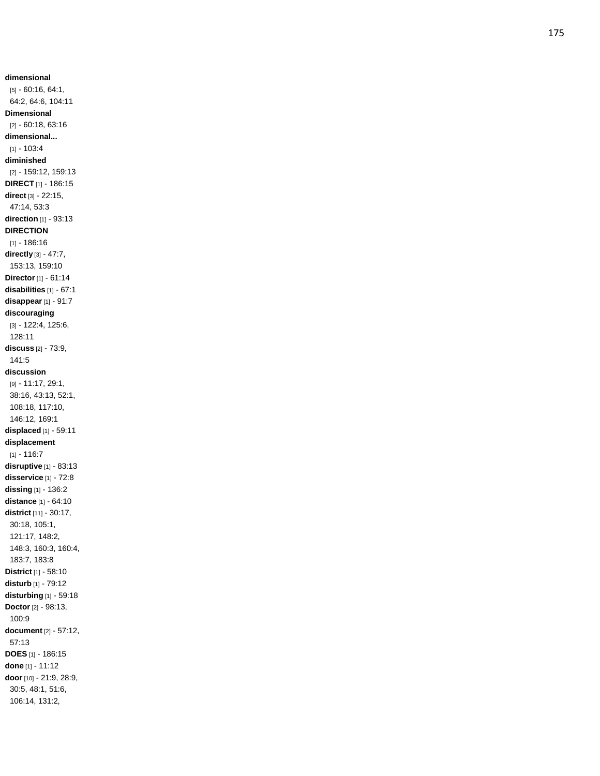**dimensional** [5] - 60:16, 64:1, 64:2, 64:6, 104:11 **Dimensional** [2] - 60:18, 63:16 **dimensional...**  $[1] - 103:4$ **diminished** [2] - 159:12, 159:13 **DIRECT** [1] - 186:15 **direct** [3] - 22:15, 47:14, 53:3 **direction** [1] - 93:13 **DIRECTION** [1] - 186:16 **directly** [3] - 47:7, 153:13, 159:10 **Director** [1] - 61:14 **disabilities** [1] - 67:1 **disappear** [1] - 91:7 **discouraging** [3] - 122:4, 125:6, 128:11 **discuss** [2] - 73:9, 141:5 **discussion** [9] - 11:17, 29:1, 38:16, 43:13, 52:1, 108:18, 117:10, 146:12, 169:1 **displaced** [1] - 59:11 **displacement**  $[1] - 116:7$ **disruptive** [1] - 83:13 **disservice** [1] - 72:8 **dissing** [1] - 136:2 **distance** [1] - 64:10 **district** [11] - 30:17, 30:18, 105:1, 121:17, 148:2, 148:3, 160:3, 160:4, 183:7, 183:8 **District** [1] - 58:10 **disturb** [1] - 79:12 **disturbing** [1] - 59:18 **Doctor** [2] - 98:13, 100:9 **document** [2] - 57:12, 57:13 **DOES** [1] - 186:15 **done** [1] - 11:12 **door** [10] - 21:9, 28:9, 30:5, 48:1, 51:6, 106:14, 131:2,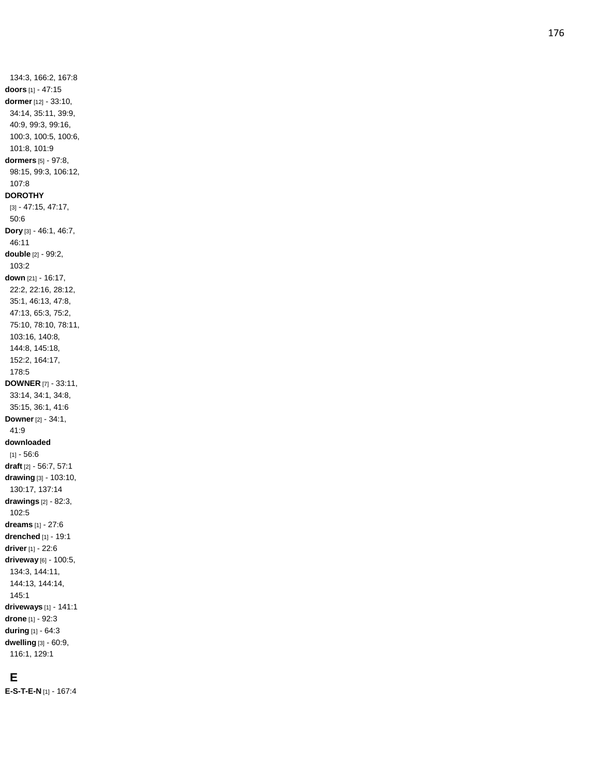134:3, 166:2, 167:8 **doors** [1] - 47:15 **dormer** [12] - 33:10, 34:14, 35:11, 39:9, 40:9, 99:3, 99:16, 100:3, 100:5, 100:6, 101:8, 101:9 **dormers** [5] - 97:8, 98:15, 99:3, 106:12, 107:8 **DOROTHY** [3] - 47:15, 47:17, 50:6 **Dory** [3] - 46:1, 46:7, 46:11 **double** [2] - 99:2, 103:2 **down** [21] - 16:17, 22:2, 22:16, 28:12, 35:1, 46:13, 47:8, 47:13, 65:3, 75:2, 75:10, 78:10, 78:11, 103:16, 140:8, 144:8, 145:18, 152:2, 164:17, 178:5 **DOWNER** [7] - 33:11, 33:14, 34:1, 34:8, 35:15, 36:1, 41:6 **Downer** [2] - 34:1, 41:9 **downloaded** [1] - 56:6 **draft** [2] - 56:7, 57:1 **drawing** [3] - 103:10, 130:17, 137:14 **drawings** [2] - 82:3, 102:5 **dreams** [1] - 27:6 **drenched** [1] - 19:1 **driver** [1] - 22:6 **driveway** [6] - 100:5, 134:3, 144:11, 144:13, 144:14, 145:1 **driveways** [1] - 141:1 **drone** [1] - 92:3 **during** [1] - 64:3 **dwelling** [3] - 60:9, 116:1, 129:1

## **E**

**E - S - T - E - N** [1] - 167:4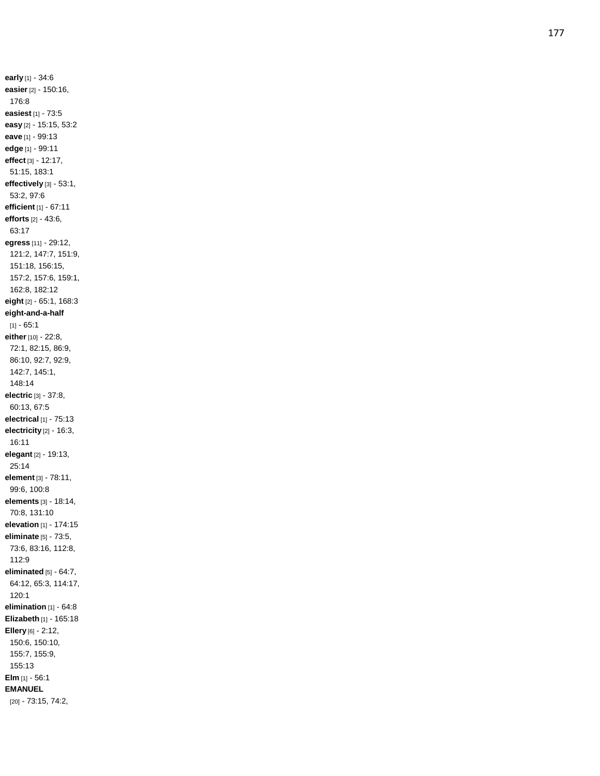**early** [1] - 34:6 **easier** [2] - 150:16, 176:8 **easiest** [1] - 73:5 **easy** [2] - 15:15, 53:2 **eave** [1] - 99:13 **edge** [1] - 99:11 **effect** [3] - 12:17, 51:15, 183:1 **effectively** [3] - 53:1, 53:2, 97:6 **efficient** [1] - 67:11 **efforts** [2] - 43:6, 63:17 **egress** [11] - 29:12, 121:2, 147:7, 151:9, 151:18, 156:15, 157:2, 157:6, 159:1, 162:8, 182:12 **eight** [2] - 65:1, 168:3 **eight -and - a -half**  $[1] - 65:1$ **either** [10] - 22:8, 72:1, 82:15, 86:9, 86:10, 92:7, 92:9, 142:7, 145:1, 148:14 **electric** [3] - 37:8, 60:13, 67:5 **electrical** [1] - 75:13 **electricity** [2] - 16:3, 16:11 **elegant** [2] - 19:13, 25:14 **element** [3] - 78:11, 99:6, 100:8 **elements** [3] - 18:14, 70:8, 131:10 **elevation** [1] - 174:15 **eliminate** [5] - 73:5, 73:6, 83:16, 112:8, 112:9 **eliminated** [5] - 64:7, 64:12, 65:3, 114:17, 120:1 **elimination** [1] - 64:8 **Elizabeth** [1] - 165:18 **Ellery** [6] - 2:12, 150:6, 150:10, 155:7, 155:9, 155:13 **Elm** [1] - 56:1 **EMANUEL** [20] - 73:15, 74:2,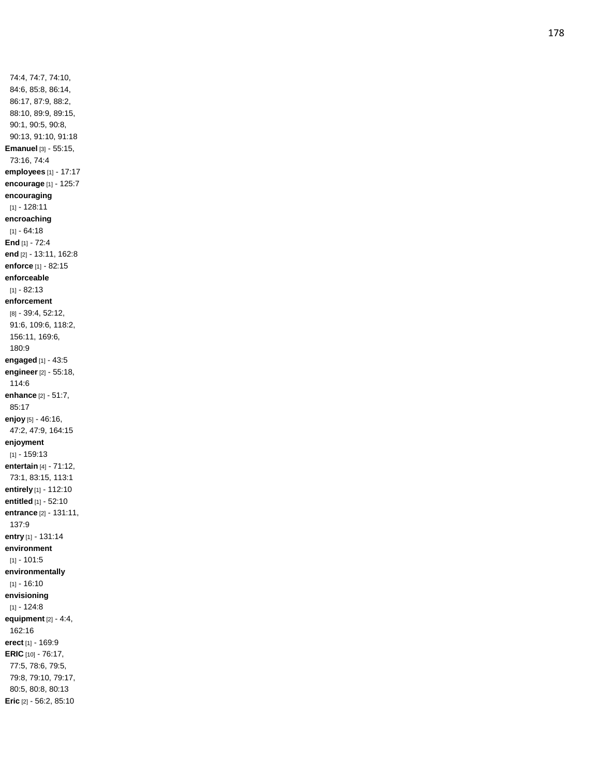74:4, 74:7, 74:10, 84:6, 85:8, 86:14, 86:17, 87:9, 88:2, 88:10, 89:9, 89:15, 90:1, 90:5, 90:8, 90:13, 91:10, 91:18 **Emanuel** [3] - 55:15, 73:16, 74:4 **employees** [1] - 17:17 **encourage** [1] - 125:7 **encouraging** [1] - 128:11 **encroaching**  $[1] - 64:18$ **End** [1] - 72:4 **end** [2] - 13:11, 162:8 **enforce** [1] - 82:15 **enforceable**  $[1] - 82:13$ **enforcement** [8] - 39:4, 52:12, 91:6, 109:6, 118:2, 156:11, 169:6, 180:9 **engaged** [1] - 43:5 **engineer** [2] - 55:18, 114:6 **enhance** [2] - 51:7, 85:17 **enjoy** [5] - 46:16, 47:2, 47:9, 164:15 **enjoyment** [1] - 159:13 **entertain** [4] - 71:12, 73:1, 83:15, 113:1 **entirely** [1] - 112:10 **entitled** [1] - 52:10 **entrance** [2] - 131:11, 137:9 **entry** [1] - 131:14 **environment**  $[1] - 101:5$ **environmentally**  $[1] - 16:10$ **envisioning**  $[1] - 124:8$ **equipment** [2] - 4:4, 162:16 **erect** [1] - 169:9 **ERIC** [10] - 76:17, 77:5, 78:6, 79:5, 79:8, 79:10, 79:17, 80:5, 80:8, 80:13 **Eric** [2] - 56:2, 85:10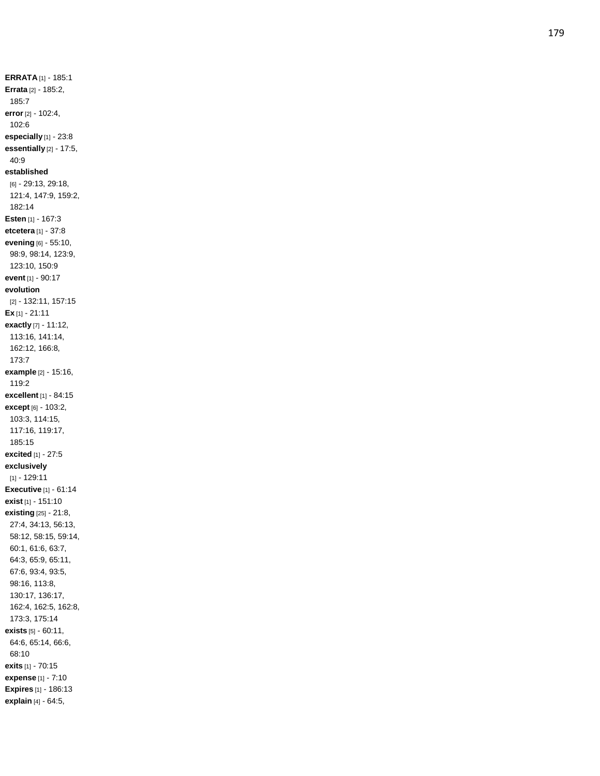**ERRATA** [1] - 185:1 **Errata** [2] - 185:2, 185:7 **error** [2] - 102:4, 102:6 **especially** [1] - 23:8 **essentially** [2] - 17:5, 40:9 **established** [6] - 29:13, 29:18, 121:4, 147:9, 159:2, 182:14 **Esten** [1] - 167:3 **etcetera** [1] - 37:8 **evening** [6] - 55:10, 98:9, 98:14, 123:9, 123:10, 150:9 **event** [1] - 90:17 **evolution** [2] - 132:11, 157:15 **Ex** [1] - 21:11 **exactly** [7] - 11:12, 113:16, 141:14, 162:12, 166:8, 173:7 **example** [2] - 15:16, 119:2 **excellent** [1] - 84:15 **except** [6] - 103:2, 103:3, 114:15, 117:16, 119:17, 185:15 **excited** [1] - 27:5 **exclusively** [1] - 129:11 **Executive** [1] - 61:14 **exist** [1] - 151:10 **existing** [25] - 21:8, 27:4, 34:13, 56:13, 58:12, 58:15, 59:14, 60:1, 61:6, 63:7, 64:3, 65:9, 65:11, 67:6, 93:4, 93:5, 98:16, 113:8, 130:17, 136:17, 162:4, 162:5, 162:8, 173:3, 175:14 **exists** [5] - 60:11, 64:6, 65:14, 66:6, 68:10 **exits** [1] - 70:15 **expense** [1] - 7:10 **Expires** [1] - 186:13 **explain** [4] - 64:5,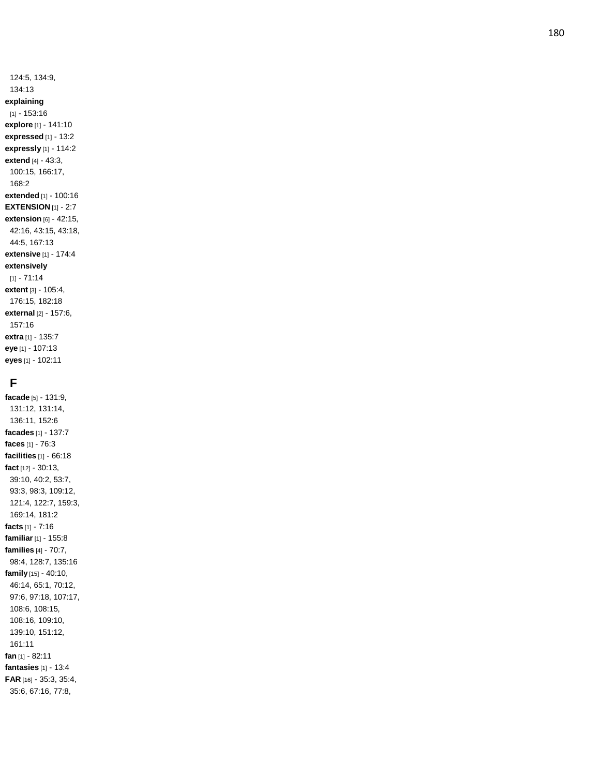124:5, 134:9, 134:13 **explaining** [1] - 153:16 **explore** [1] - 141:10 **expressed** [1] - 13:2 **expressly** [1] - 114:2 **extend** [4] - 43:3, 100:15, 166:17, 168:2 **extended** [1] - 100:16 **EXTENSION** [1] - 2:7 **extension** [6] - 42:15, 42:16, 43:15, 43:18, 44:5, 167:13 **extensive** [1] - 174:4 **extensively**  $[1] - 71:14$ **extent** [3] - 105:4, 176:15, 182:18 **external** [2] - 157:6, 157:16 **extra** [1] - 135:7 **eye** [1] - 107:13 **eyes** [1] - 102:11

## **F**

**facade** [5] - 131:9, 131:12, 131:14, 136:11, 152:6 **facades** [1] - 137:7 **faces** [1] - 76:3 **facilities** [1] - 66:18 **fact** [12] - 30:13, 39:10, 40:2, 53:7, 93:3, 98:3, 109:12, 121:4, 122:7, 159:3, 169:14, 181:2 **facts** [1] - 7:16 **familiar** [1] - 155:8 **families** [4] - 70:7, 98:4, 128:7, 135:16 **family** [15] - 40:10, 46:14, 65:1, 70:12, 97:6, 97:18, 107:17, 108:6, 108:15, 108:16, 109:10, 139:10, 151:12, 161:11 **fan** [1] - 82:11 **fantasies** [1] - 13:4 **FAR** [16] - 35:3, 35:4, 35:6, 67:16, 77:8,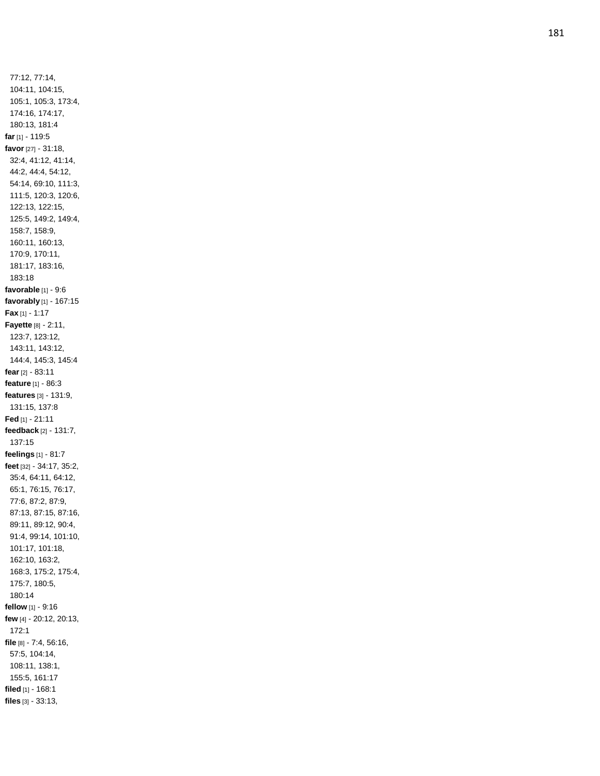77:12, 77:14, 104:11, 104:15, 105:1, 105:3, 173:4, 174:16, 174:17, 180:13, 181:4 **far** [1] - 119:5 **favor** [27] - 31:18, 32:4, 41:12, 41:14, 44:2, 44:4, 54:12, 54:14, 69:10, 111:3, 111:5, 120:3, 120:6, 122:13, 122:15, 125:5, 149:2, 149:4, 158:7, 158:9, 160:11, 160:13, 170:9, 170:11, 181:17, 183:16, 183:18 **favorable** [1] - 9:6 **favorably** [1] - 167:15 **Fax** [1] - 1:17 **Fayette** [8] - 2:11, 123:7, 123:12, 143:11, 143:12, 144:4, 145:3, 145:4 **fear** [2] - 83:11 **feature** [1] - 86:3 **features** [3] - 131:9, 131:15, 137:8 **Fed** [1] - 21:11 **feedback** [2] - 131:7, 137:15 **feelings** [1] - 81:7 **feet** [32] - 34:17, 35:2, 35:4, 64:11, 64:12, 65:1, 76:15, 76:17, 77:6, 87:2, 87:9, 87:13, 87:15, 87:16, 89:11, 89:12, 90:4, 91:4, 99:14, 101:10, 101:17, 101:18, 162:10, 163:2, 168:3, 175:2, 175:4, 175:7, 180:5, 180:14 **fellow** [1] - 9:16 **few** [4] - 20:12, 20:13, 172:1 **file** [8] - 7:4, 56:16, 57:5, 104:14, 108:11, 138:1, 155:5, 161:17 **filed** [1] - 168:1 **files** [3] - 33:13,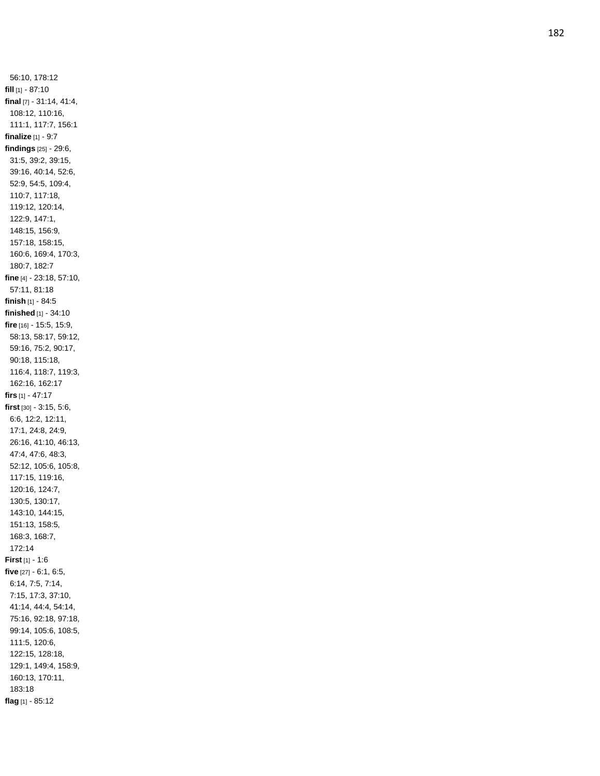56:10, 178:12 **fill** [1] - 87:10 **final** [7] - 31:14, 41:4, 108:12, 110:16, 111:1, 117:7, 156:1 **finalize** [1] - 9:7 **findings** [25] - 29:6, 31:5, 39:2, 39:15, 39:16, 40:14, 52:6, 52:9, 54:5, 109:4, 110:7, 117:18, 119:12, 120:14, 122:9, 147:1, 148:15, 156:9, 157:18, 158:15, 160:6, 169:4, 170:3, 180:7, 182:7 **fine** [4] - 23:18, 57:10, 57:11, 81:18 **finish** [1] - 84:5 **finished** [1] - 34:10 **fire** [16] - 15:5, 15:9, 58:13, 58:17, 59:12, 59:16, 75:2, 90:17, 90:18, 115:18, 116:4, 118:7, 119:3, 162:16, 162:17 **firs** [1] - 47:17 **first** [30] - 3:15, 5:6, 6:6, 12:2, 12:11, 17:1, 24:8, 24:9, 26:16, 41:10, 46:13, 47:4, 47:6, 48:3, 52:12, 105:6, 105:8, 117:15, 119:16, 120:16, 124:7, 130:5, 130:17, 143:10, 144:15, 151:13, 158:5, 168:3, 168:7, 172:14 **First** [1] - 1:6 **five** [27] - 6:1, 6:5, 6:14, 7:5, 7:14, 7:15, 17:3, 37:10, 41:14, 44:4, 54:14, 75:16, 92:18, 97:18, 99:14, 105:6, 108:5, 111:5, 120:6, 122:15, 128:18, 129:1, 149:4, 158:9, 160:13, 170:11, 183:18 **flag** [1] - 85:12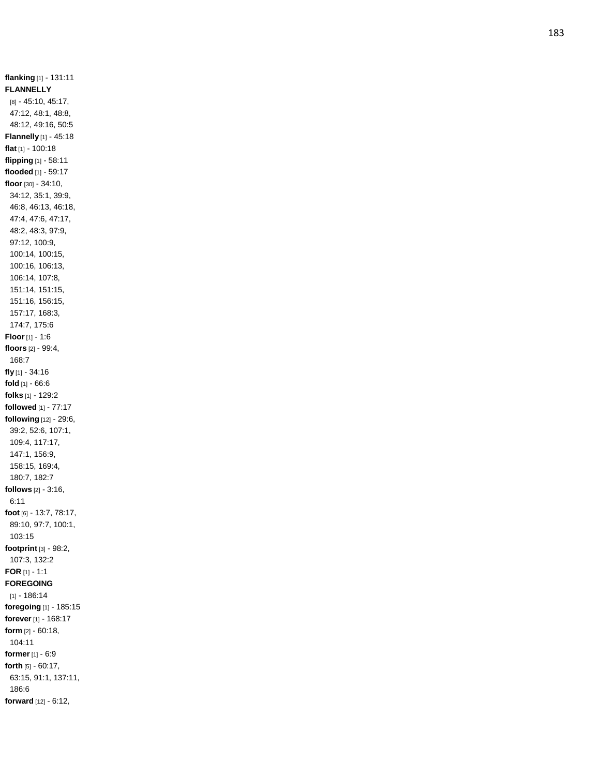**flanking** [1] - 131:11 **FLANNELLY** [8] - 45:10, 45:17, 47:12, 48:1, 48:8, 48:12, 49:16, 50:5 **Flannelly** [1] - 45:18 **flat** [1] - 100:18 **flipping** [1] - 58:11 **flooded** [1] - 59:17 **floor** [30] - 34:10, 34:12, 35:1, 39:9, 46:8, 46:13, 46:18, 47:4, 47:6, 47:17, 48:2, 48:3, 97:9, 97:12, 100:9, 100:14, 100:15, 100:16, 106:13, 106:14, 107:8, 151:14, 151:15, 151:16, 156:15, 157:17, 168:3, 174:7, 175:6 **Floor** [1] - 1:6 **floors** [2] - 99:4, 168:7 **fly** [1] - 34:16 **fold** [1] - 66:6 **folks** [1] - 129:2 **followed** [1] - 77:17 **following** [12] - 29:6, 39:2, 52:6, 107:1, 109:4, 117:17, 147:1, 156:9, 158:15, 169:4, 180:7, 182:7 **follows** [2] - 3:16, 6:11 **foot** [6] - 13:7, 78:17, 89:10, 97:7, 100:1, 103:15 **footprint** [3] - 98:2, 107:3, 132:2 **FOR** [1] - 1:1 **FOREGOING** [1] - 186:14 **foregoing** [1] - 185:15 **forever** [1] - 168:17 **form** [2] - 60:18, 104:11 **former** [1] - 6:9 **forth** [5] - 60:17, 63:15, 91:1, 137:11, 186:6 **forward** [12] - 6:12,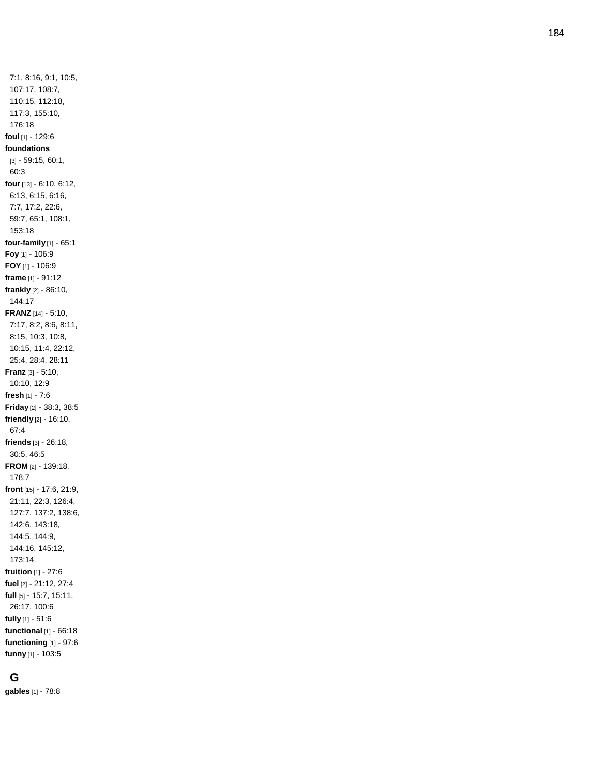7:1, 8:16, 9:1, 10:5, 107:17, 108:7, 110:15, 112:18, 117:3, 155:10, 176:18 **foul** [1] - 129:6 **foundations** [3] - 59:15, 60:1, 60:3 **four** [13] - 6:10, 6:12, 6:13, 6:15, 6:16, 7:7, 17:2, 22:6, 59:7, 65:1, 108:1, 153:18 **four -family** [1] - 65:1 **Foy** [1] - 106:9 **FOY** [1] - 106:9 **frame** [1] - 91:12 **frankly** [2] - 86:10, 144:17 **FRANZ** [14] - 5:10, 7:17, 8:2, 8:6, 8:11, 8:15, 10:3, 10:8, 10:15, 11:4, 22:12, 25:4, 28:4, 28:11 **Franz** [3] - 5:10, 10:10, 12:9 **fresh** [1] - 7:6 **Friday** [2] - 38:3, 38:5 **friendly** [2] - 16:10, 67:4 **friends** [3] - 26:18, 30:5, 46:5 **FROM** [2] - 139:18, 178:7 **front** [15] - 17:6, 21:9, 21:11, 22:3, 126:4, 127:7, 137:2, 138:6, 142:6, 143:18, 144:5, 144:9, 144:16, 145:12, 173:14 **fruition** [1] - 27:6 **fuel** [2] - 21:12, 27:4 **full** [5] - 15:7, 15:11, 26:17, 100:6 **fully** [1] - 51:6 **functional** [1] - 66:18 **functioning** [1] - 97:6 **funny** [1] - 103:5

# **G**

**gables** [1] - 78:8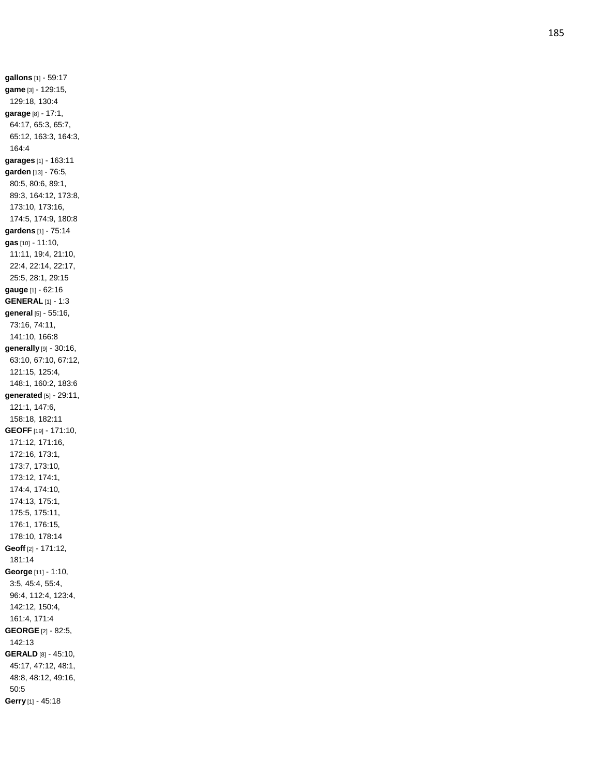**gallons** [1] - 59:17 **game** [3] - 129:15, 129:18, 130:4 **garage** [8] - 17:1, 64:17, 65:3, 65:7, 65:12, 163:3, 164:3, 164:4 **garages** [1] - 163:11 **garden** [13] - 76:5, 80:5, 80:6, 89:1, 89:3, 164:12, 173:8, 173:10, 173:16, 174:5, 174:9, 180:8 **gardens** [1] - 75:14 **gas** [10] - 11:10, 11:11, 19:4, 21:10, 22:4, 22:14, 22:17, 25:5, 28:1, 29:15 **gauge** [1] - 62:16 **GENERAL** [1] - 1:3 **general** [5] - 55:16, 73:16, 74:11, 141:10, 166:8 **generally** [9] - 30:16, 63:10, 67:10, 67:12, 121:15, 125:4, 148:1, 160:2, 183:6 **generated** [5] - 29:11, 121:1, 147:6, 158:18, 182:11 **GEOFF** [19] - 171:10, 171:12, 171:16, 172:16, 173:1, 173:7, 173:10, 173:12, 174:1, 174:4, 174:10, 174:13, 175:1, 175:5, 175:11, 176:1, 176:15, 178:10, 178:14 **Geoff** [2] - 171:12, 181:14 **George** [11] - 1:10, 3:5, 45:4, 55:4, 96:4, 112:4, 123:4, 142:12, 150:4, 161:4, 171:4 **GEORGE** [2] - 82:5, 142:13 **GERALD** [8] - 45:10, 45:17, 47:12, 48:1, 48:8, 48:12, 49:16, 50:5 **Gerry** [1] - 45:18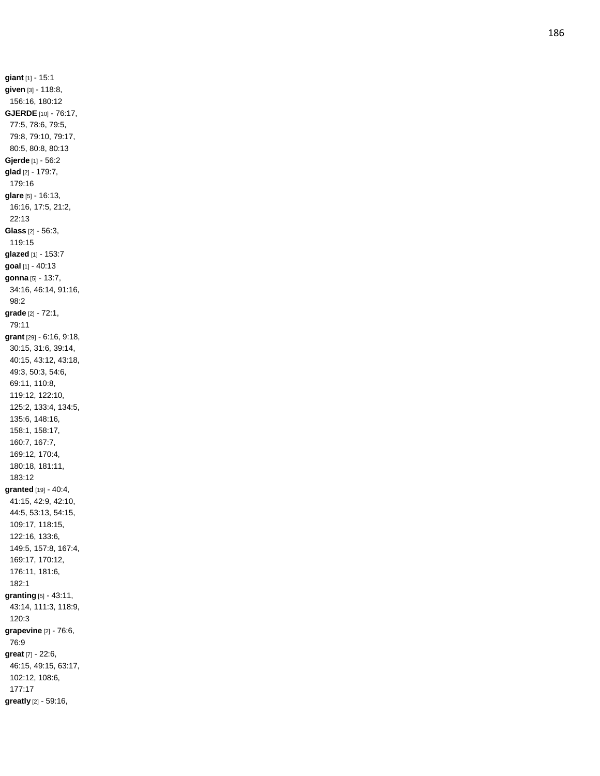**giant** [1] - 15:1 **given** [3] - 118:8, 156:16, 180:12 **GJERDE** [10] - 76:17, 77:5, 78:6, 79:5, 79:8, 79:10, 79:17, 80:5, 80:8, 80:13 **Gjerde** [1] - 56:2 **glad** [2] - 179:7, 179:16 **glare** [5] - 16:13, 16:16, 17:5, 21:2, 22:13 **Glass** [2] - 56:3, 119:15 **glazed** [1] - 153:7 **goal** [1] - 40:13 **gonna** [5] - 13:7, 34:16, 46:14, 91:16, 98:2 **grade** [2] - 72:1, 79:11 **grant** [29] - 6:16, 9:18, 30:15, 31:6, 39:14, 40:15, 43:12, 43:18, 49:3, 50:3, 54:6, 69:11, 110:8, 119:12, 122:10, 125:2, 133:4, 134:5, 135:6, 148:16, 158:1, 158:17, 160:7, 167:7, 169:12, 170:4, 180:18, 181:11, 183:12 **granted** [19] - 40:4, 41:15, 42:9, 42:10, 44:5, 53:13, 54:15, 109:17, 118:15, 122:16, 133:6, 149:5, 157:8, 167:4, 169:17, 170:12, 176:11, 181:6, 182:1 **granting** [5] - 43:11, 43:14, 111:3, 118:9, 120:3 **grapevine** [2] - 76:6, 76:9 **great** [7] - 22:6, 46:15, 49:15, 63:17, 102:12, 108:6, 177:17 **greatly** [2] - 59:16,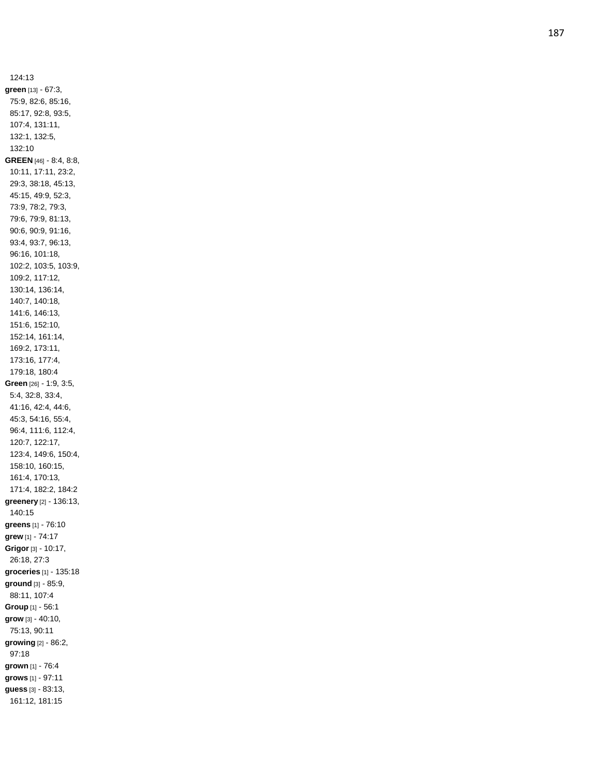124:13 **green** [13] - 67:3, 75:9, 82:6, 85:16, 85:17, 92:8, 93:5, 107:4, 131:11, 132:1, 132:5, 132:10 **GREEN** [46] - 8:4, 8:8, 10:11, 17:11, 23:2, 29:3, 38:18, 45:13, 45:15, 49:9, 52:3, 73:9, 78:2, 79:3, 79:6, 79:9, 81:13, 90:6, 90:9, 91:16, 93:4, 93:7, 96:13, 96:16, 101:18, 102:2, 103:5, 103:9, 109:2, 117:12, 130:14, 136:14, 140:7, 140:18, 141:6, 146:13, 151:6, 152:10, 152:14, 161:14, 169:2, 173:11, 173:16, 177:4, 179:18, 180:4 **Green** [26] - 1:9, 3:5, 5:4, 32:8, 33:4, 41:16, 42:4, 44:6, 45:3, 54:16, 55:4, 96:4, 111:6, 112:4, 120:7, 122:17, 123:4, 149:6, 150:4, 158:10, 160:15, 161:4, 170:13, 171:4, 182:2, 184:2 **greenery** [2] - 136:13, 140:15 **greens** [1] - 76:10 **grew** [1] - 74:17 **Grigor** [3] - 10:17, 26:18, 27:3 **groceries** [1] - 135:18 **ground** [3] - 85:9, 88:11, 107:4 **Group** [1] - 56:1 **grow** [3] - 40:10, 75:13, 90:11 **growing** [2] - 86:2, 97:18 **grown** [1] - 76:4 **grows** [1] - 97:11 **guess** [3] - 83:13, 161:12, 181:15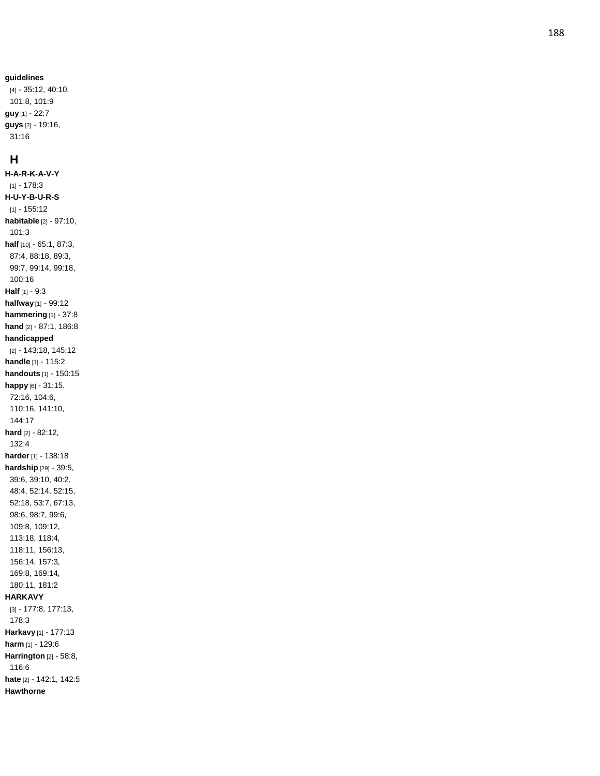#### **guidelines**

[4] - 35:12, 40:10, 101:8, 101:9 **guy** [1] - 22:7 **guys** [2] - 19:16, 31:16

#### **H**

**H - A - R - K - A - V - Y** [1] - 178:3 **H - U - Y - B - U - R - S** [1] - 155:12 **habitable** [2] - 97:10, 101:3 **half** [10] - 65:1, 87:3, 87:4, 88:18, 89:3, 99:7, 99:14, 99:18, 100:16 **Half** [1] - 9:3 **halfway** [1] - 99:12 **hammering** [1] - 37:8 **hand** [2] - 87:1, 186:8 **handicapped** [2] - 143:18, 145:12 **handle** [1] - 115:2 **handouts** [1] - 150:15 **happy** [6] - 31:15, 72:16, 104:6, 110:16, 141:10, 144:17 **hard** [2] - 82:12, 132:4 **harder** [1] - 138:18 **hardship** [29] - 39:5, 39:6, 39:10, 40:2, 48:4, 52:14, 52:15, 52:18, 53:7, 67:13, 98:6, 98:7, 99:6, 109:8, 109:12, 113:18, 118:4, 118:11, 156:13, 156:14, 157:3, 169:8, 169:14, 180:11, 181:2 **HARKAVY** [3] - 177:8, 177:13, 178:3 **Harkavy** [1] - 177:13 **harm** [1] - 129:6 **Harringto n** [2] - 58:8, 116:6 **hate** [2] - 142:1, 142:5 **Hawthorne**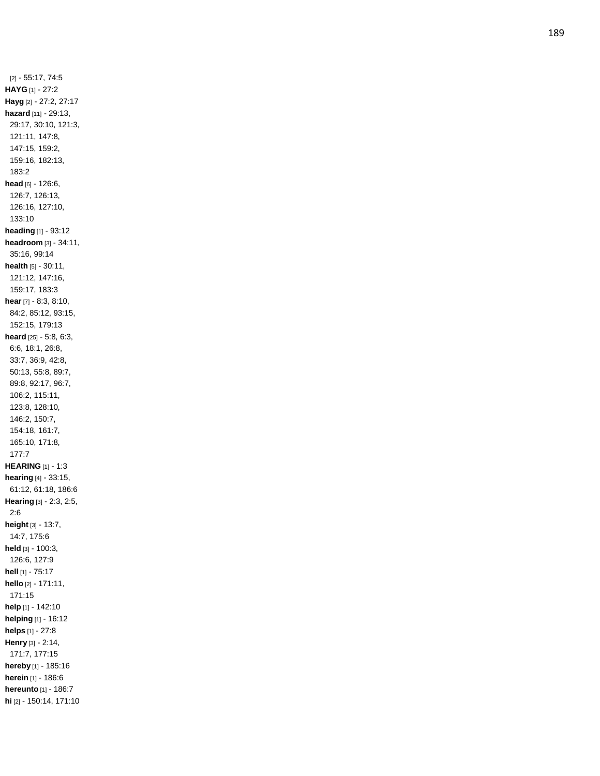[2] - 55:17, 74:5 **HAYG** [1] - 27:2 **Hayg** [2] - 27:2, 27:17 **hazard** [11] - 29:13, 29:17, 30:10, 121:3, 121:11, 147:8, 147:15, 159:2, 159:16, 182:13, 183:2 **head** [6] - 126:6, 126:7, 126:13, 126:16, 127:10, 133:10 **heading** [1] - 93:12 **headroom** [3] - 34:11, 35:16, 99:14 **health** [5] - 30:11, 121:12, 147:16, 159:17, 183:3 **hear** [7] - 8:3, 8:10, 84:2, 85:12, 93:15, 152:15, 179:13 **heard** [25] - 5:8, 6:3, 6:6, 18:1, 26:8, 33:7, 36:9, 42:8, 50:13, 55:8, 89:7, 89:8, 92:17, 96:7, 106:2, 115:11, 123:8, 128:10, 146:2, 150:7, 154:18, 161:7, 165:10, 171:8, 177:7 **HEARING** [1] - 1:3 **hearing** [4] - 33:15, 61:12, 61:18, 186:6 **Hearing** [3] - 2:3, 2:5, 2:6 **height** [3] - 13:7, 14:7, 175:6 **held** [3] - 100:3, 126:6, 127:9 **hell** [1] - 75:17 **hello** [2] - 171:11, 171:15 **help** [1] - 142:10 **helping** [1] - 16:12 **helps** [1] - 27:8 **Henry** [3] - 2:14, 171:7, 177:15 **hereby** [1] - 185:16 **herein** [1] - 186:6 **hereunto** [1] - 186:7 **hi** [2] - 150:14, 171:10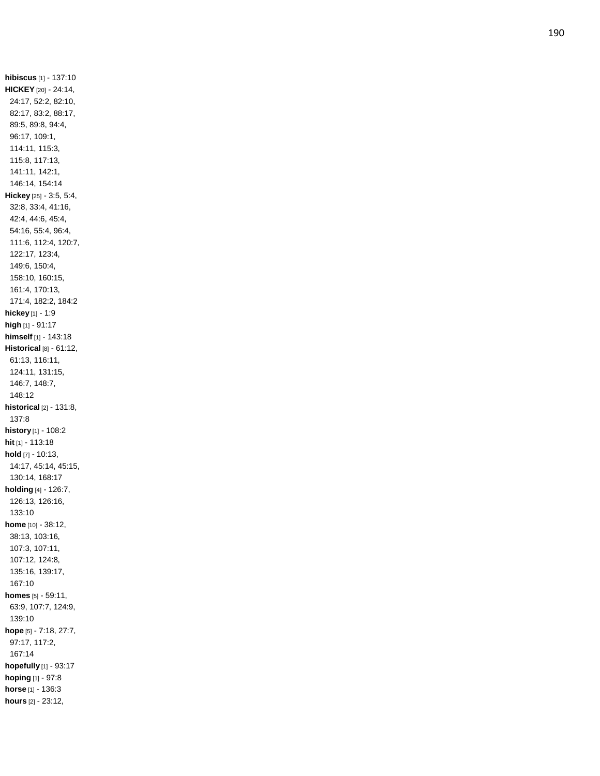**hibiscus** [1] - 137:10 **HICKEY** [20] - 24:14, 24:17, 52:2, 82:10, 82:17, 83:2, 88:17, 89:5, 89:8, 94:4, 96:17, 109:1, 114:11, 115:3, 115:8, 117:13, 141:11, 142:1, 146:14, 154:14 **Hickey** [25] - 3:5, 5:4, 32:8, 33:4, 41:16, 42:4, 44:6, 45:4, 54:16, 55:4, 96:4, 111:6, 112:4, 120:7, 122:17, 123:4, 149:6, 150:4, 158:10, 160:15, 161:4, 170:13, 171:4, 182:2, 184:2 **hickey** [1] - 1:9 **high** [1] - 91:17 **himself** [1] - 143:18 **Historical** [8] - 61:12, 61:13, 116:11, 124:11, 131:15, 146:7, 148:7, 148:12 **historical** [2] - 131:8, 137:8 **history** [1] - 108:2 **hit** [1] - 113:18 **hold** [7] - 10:13, 14:17, 45:14, 45:15, 130:14, 168:17 **holding** [4] - 126:7, 126:13, 126:16, 133:10 **home** [10] - 38:12, 38:13, 103:16, 107:3, 107:11, 107:12, 124:8, 135:16, 139:17, 167:10 **homes** [5] - 59:11, 63:9, 107:7, 124:9, 139:10 **hope** [5] - 7:18, 27:7, 97:17, 117:2, 167:14 **hopefully** [1] - 93:17 **hoping** [1] - 97:8 **horse** [1] - 136:3 **hours** [2] - 23:12,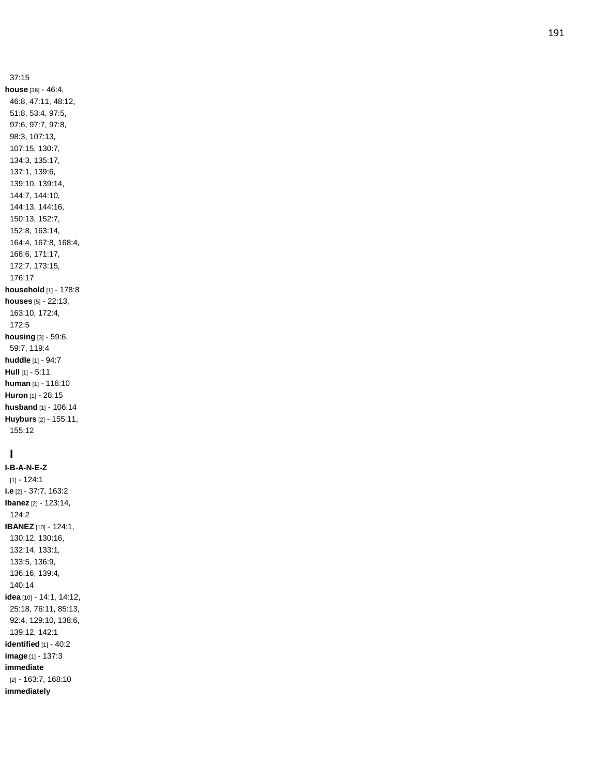37:15 **house** [36] - 46:4, 46:8, 47:11, 48:12, 51:8, 53:4, 97:5, 97:6, 97:7, 97:8, 98:3, 107:13, 107:15, 130:7, 134:3, 135:17, 137:1, 139:6, 139:10, 139:14, 144:7, 144:10, 144:13, 144:16, 150:13, 152:7, 152:8, 163:14, 164:4, 167:8, 168:4, 168:6, 171:17, 172:7, 173:15, 176:17 **household** [1] - 178:8 **houses** [5] - 22:13, 163:10, 172:4, 172:5 **housing** [3] - 59:6, 59:7, 119:4 **huddle** [1] - 94:7 **Hull** [1] - 5:11 **human** [1] - 116:10 **Huron** [1] - 28:15 **husband** [1] - 106:14 **Huyburs** [2] - 155:11, 155:12

# **I**

**I - B - A - N - E - Z**  $[1] - 124:1$ **i.e** [2] - 37:7, 163:2 **Ibanez** [2] - 123:14, 124:2 **IBANEZ** [10] - 124:1, 130:12, 130:16, 132:14, 133:1, 133:5, 136:9, 136:16, 139:4, 140:14 **idea** [10] - 14:1, 14:12, 25:18, 76:11, 85:13, 92:4, 129:10, 138:6, 139:12, 142:1 **identified** [1] - 40:2 **image** [1] - 137:3 **immediate** [2] - 163:7, 168:10 **immediately**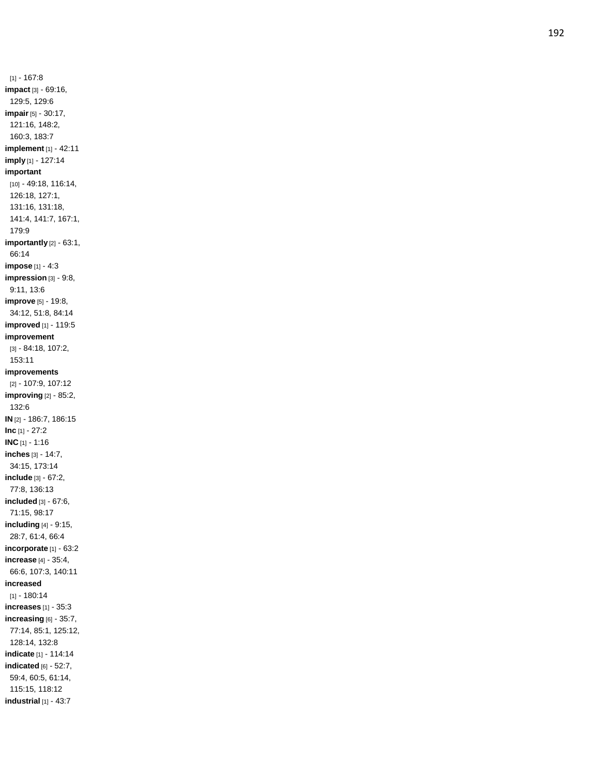$[1] - 167:8$ **impact** [3] - 69:16, 129:5, 129:6 **impair** [5] - 30:17, 121:16, 148:2, 160:3, 183:7 **implement** [1] - 42:11 **imply** [1] - 127:14 **important** [10] - 49:18, 116:14, 126:18, 127:1, 131:16, 131:18, 141:4, 141:7, 167:1, 179:9 **importantly** [2] - 63:1, 66:14 **impose** [1] - 4:3 **impression** [3] - 9:8, 9:11, 13:6 **improve** [5] - 19:8, 34:12, 51:8, 84:14 **improved** [1] - 119:5 **improvement** [3] - 84:18, 107:2, 153:11 **improvements** [2] - 107:9, 107:12 **improving** [2] - 85:2, 132:6 **IN** [2] - 186:7, 186:15 **Inc** [1] - 27:2 **INC** [1] - 1:16 **inches** [3] - 14:7, 34:15, 173:14 **include** [3] - 67:2, 77:8, 136:13 **included** [3] - 67:6, 71:15, 98:17 **including** [4] - 9:15, 28:7, 61:4, 66:4 **incorporate** [1] - 63:2 **increase** [4] - 35:4, 66:6, 107:3, 140:11 **increased** [1] - 180:14 **increases** [1] - 35:3 **increasing** [6] - 35:7, 77:14, 85:1, 125:12, 128:14, 132:8 **indicate** [1] - 114:14 **indicated** [6] - 52:7, 59:4, 60:5, 61:14, 115:15, 118:12 **industrial** [1] - 43:7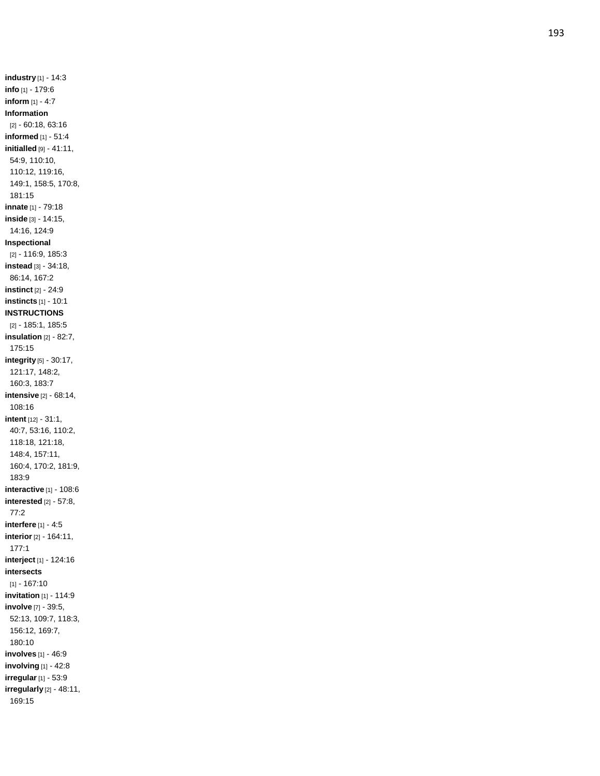**industry** [1] - 14:3 **info** [1] - 179:6 **inform** [1] - 4:7 **Information** [2] - 60:18, 63:16 **informed** [1] - 51:4 **initialled** [9] - 41:11, 54:9, 110:10, 110:12, 119:16, 149:1, 158:5, 170:8, 181:15 **innate** [1] - 79:18 **inside** [3] - 14:15, 14:16, 124:9 **Inspectional** [2] - 116:9, 185:3 **instead** [3] - 34:18, 86:14, 167:2 **instinct** [2] - 24:9 **instincts** [1] - 10:1 **INSTRUCTIONS** [2] - 185:1, 185:5 **insulation** [2] - 82:7, 175:15 **integrity** [5] - 30:17, 121:17, 148:2, 160:3, 183:7 **intensive** [2] - 68:14, 108:16 **intent** [12] - 31:1, 40:7, 53:16, 110:2, 118:18, 121:18, 148:4, 157:11, 160:4, 170:2, 181:9, 183:9 **interactive** [1] - 108:6 **interested** [2] - 57:8, 77:2 **interfere** [1] - 4:5 **interior** [2] - 164:11, 177:1 **interject** [1] - 124:16 **intersects** [1] - 167:10 **invitation** [1] - 114:9 **involve** [7] - 39:5, 52:13, 109:7, 118:3, 156:12, 169:7, 180:10 **involves** [1] - 46:9 **involving** [1] - 42:8 **irregular** [1] - 53:9 **irregularly** [2] - 48:11, 169:15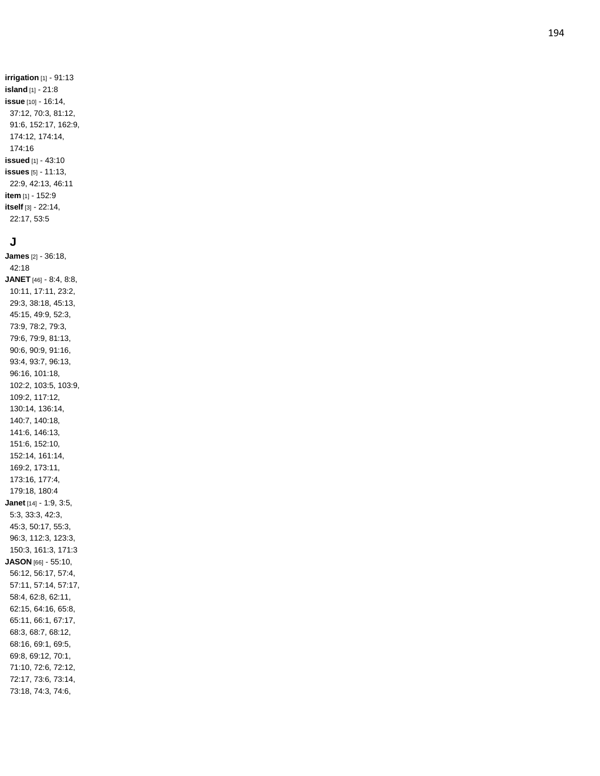**irrigation** [1] - 91:13 **island** [1] - 21:8 **issue** [10] - 16:14, 37:12, 70:3, 81:12, 91:6, 152:17, 162:9, 174:12, 174:14, 174:16 **issued** [1] - 43:10 **issues** [5] - 11:13, 22:9, 42:13, 46:11 **item** [1] - 152:9 **itself** [3] - 22:14, 22:17, 53:5

### **J**

**James** [2] - 36:18, 42:18 **JANET** [46] - 8:4, 8:8, 10:11, 17:11, 23:2, 29:3, 38:18, 45:13, 45:15, 49:9, 52:3, 73:9, 78:2, 79:3, 79:6, 79:9, 81:13, 90:6, 90:9, 91:16, 93:4, 93:7, 96:13, 96:16, 101:18, 102:2, 103:5, 103:9, 109:2, 117:12, 130:14, 136:14, 140:7, 140:18, 141:6, 146:13, 151:6, 152:10, 152:14, 161:14, 169:2, 173:11, 173:16, 177:4, 179:18, 180:4 **Janet** [14] - 1:9, 3:5, 5:3, 33:3, 42:3, 45:3, 50:17, 55:3, 96:3, 112:3, 123:3, 150:3, 161:3, 171:3 **JASON** [66] - 55:10, 56:12, 56:17, 57:4, 57:11, 57:14, 57:17, 58:4, 62:8, 62:11, 62:15, 64:16, 65:8, 65:11, 66:1, 67:17, 68:3, 68:7, 68:12, 68:16, 69:1, 69:5, 69:8, 69:12, 70:1, 71:10, 72:6, 72:12, 72:17, 73:6, 73:14, 73:18, 74:3, 74:6,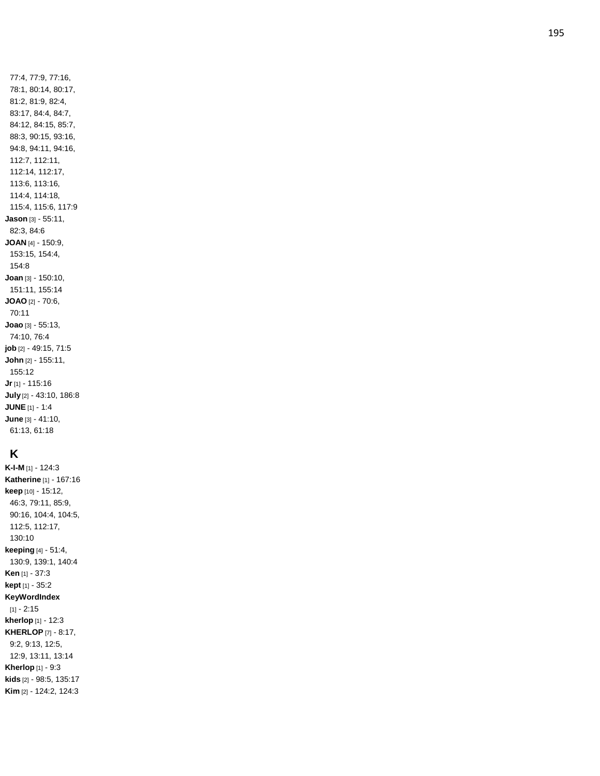77:4, 77:9, 77:16, 78:1, 80:14, 80:17, 81:2, 81:9, 82:4, 83:17, 84:4, 84:7, 84:12, 84:15, 85:7, 88:3, 90:15, 93:16, 94:8, 94:11, 94:16, 112:7, 112:11, 112:14, 112:17, 113:6, 113:16, 114:4, 114:18, 115:4, 115:6, 117:9 **Jason** [3] - 55:11, 82:3, 84:6 **JOAN** [4] - 150:9, 153:15, 154:4, 154:8 **Joan** [3] - 150:10, 151:11, 155:14 **JOAO** [2] - 70:6, 70:11 **Joao** [3] - 55:13, 74:10, 76:4 **job** [2] - 49:15, 71:5 **John** [2] - 155:11, 155:12 **Jr** [1] - 115:16 **July** [2] - 43:10, 186:8 **JUNE** [1] - 1:4 **June** [3] - 41:10, 61:13, 61:18

# **K**

**K-I-M** [1] - 124:3 **Katherine** [1] - 167:16 **keep** [10] - 15:12, 46:3, 79:11, 85:9, 90:16, 104:4, 104:5, 112:5, 112:17, 130:10 **keeping** [4] - 51:4, 130:9, 139:1, 140:4 **Ken** [1] - 37:3 **kept** [1] - 35:2 **KeyWordIndex** [1] - 2:15 **kherlop** [1] - 12:3 **KHERLOP** [7] - 8:17, 9:2, 9:13, 12:5, 12:9, 13:11, 13:14 **Kherlop** [1] - 9:3 **kids** [2] - 98:5, 135:17 **Kim** [2] - 124:2, 124:3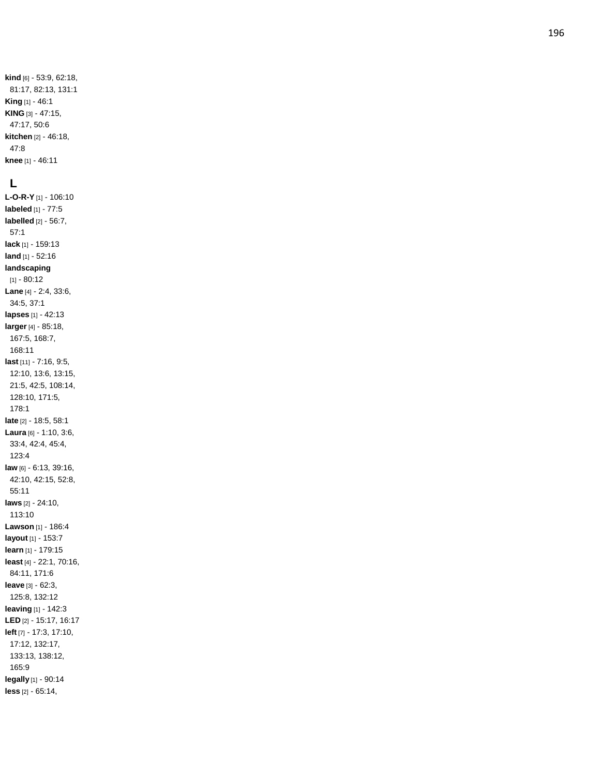## **L**

**L - O - R - Y** [1] - 106:10 **labeled** [1] - 77:5 **labelled** [2] - 56:7, 57:1 **lack** [1] - 159:13 **land** [1] - 52:16 **landscaping** [1] - 80:12 **Lane** [4] - 2:4, 33:6, 34:5, 37:1 **lapses** [1] - 42:13 **larger** [4] - 85:18, 167:5, 168:7, 168:11 **last** [11] - 7:16, 9:5, 12:10, 13:6, 13:15, 21:5, 42:5, 108:14, 128:10, 171:5, 178:1 **late** [2] - 18:5, 58:1 **Laura** [6] - 1:10, 3:6, 33:4, 42:4, 45:4, 123:4 **law** [6] - 6:13, 39:16, 42:10, 42:15, 52:8, 55:11 **laws** [2] - 24:10, 113:10 **Lawson** [1] - 186:4 **layout** [1] - 153:7 **learn** [1] - 179:15 **least** [4] - 22:1, 70:16, 84:11, 171:6 **leave** [3] - 62:3, 125:8, 132:12 **leaving** [1] - 142:3 **LED** [2] - 15:17, 16:17 **left** [7] - 17:3, 17:10, 17:12, 132:17, 133:13, 138:12, 165:9 **legally** [1] - 90:14 **less** [2] - 65:14,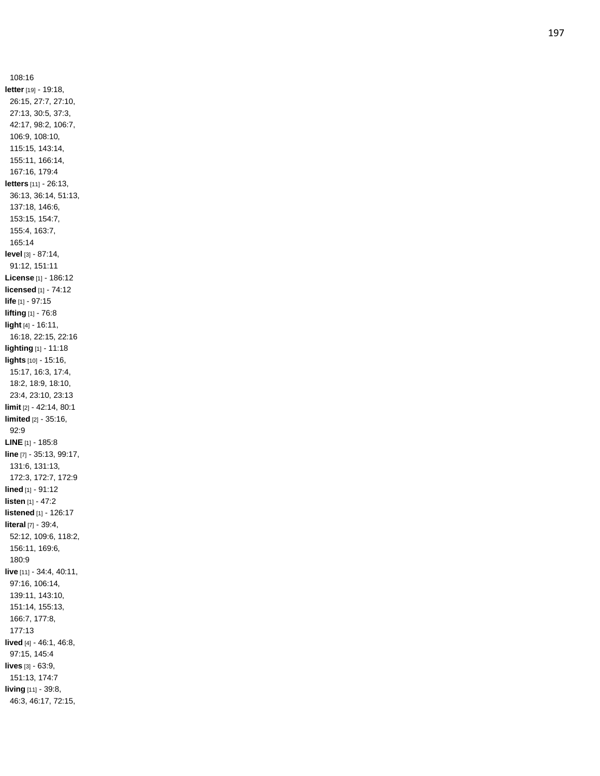108:16 **letter** [19] - 19:18, 26:15, 27:7, 27:10, 27:13, 30:5, 37:3, 42:17, 98:2, 106:7, 106:9, 108:10, 115:15, 143:14, 155:11, 166:14, 167:16, 179:4 **letters** [11] - 26:13, 36:13, 36:14, 51:13, 137:18, 146:6, 153:15, 154:7, 155:4, 163:7, 165:14 **level** [3] - 87:14, 91:12, 151:11 **License** [1] - 186:12 **licensed** [1] - 74:12 **life** [1] - 97:15 **lifting** [1] - 76:8 **light** [4] - 16:11, 16:18, 22:15, 22:16 **lighting** [1] - 11:18 **lights** [10] - 15:16, 15:17, 16:3, 17:4, 18:2, 18:9, 18:10, 23:4, 23:10, 23:13 **limit** [2] - 42:14, 80:1 **limited** [2] - 35:16, 92:9 **LINE** [1] - 185:8 **line** [7] - 35:13, 99:17, 131:6, 131:13, 172:3, 172:7, 172:9 **lined** [1] - 91:12 **listen** [1] - 47:2 **listened** [1] - 126:17 **litera l** [7] - 39:4, 52:12, 109:6, 118:2, 156:11, 169:6, 180:9 **live** [11] - 34:4, 40:11, 97:16, 106:14, 139:11, 143:10, 151:14, 155:13, 166:7, 177:8, 177:13 **lived** [4] - 46:1, 46:8, 97:15, 145:4 **lives** [3] - 63:9, 151:13, 174:7 **living** [11] - 39:8, 46:3, 46:17, 72:15,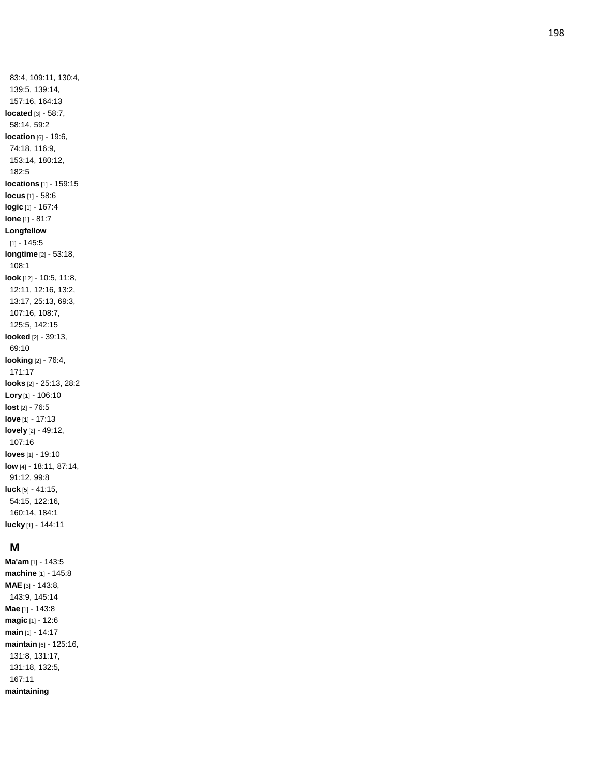83:4, 109:11, 130:4, 139:5, 139:14, 157:16, 164:13 **located** [3] - 58:7, 58:14, 59:2 **location** [6] - 19:6, 74:18, 116:9, 153:14, 180:12, 182:5 **locations** [1] - 159:15 **locus** [1] - 58:6 **logic** [1] - 167:4 **lone** [1] - 81:7 **Longfellow**  $[1] - 145:5$ **longtime** [2] - 53:18, 108:1 **look** [12] - 10:5, 11:8, 12:11, 12:16, 13:2, 13:17, 25:13, 69:3, 107:16, 108:7, 125:5, 142:15 **looked** [2] - 39:13, 69:10 **looking** [2] - 76:4, 171:17 **looks** [2] - 25:13, 28:2 **Lory** [1] - 106:10 **lost** [2] - 76:5 **love** [1] - 17:13 **lovely** [2] - 49:12, 107:16 **loves** [1] - 19:10 **low** [4] - 18:11, 87:14, 91:12, 99:8 **luck** [5] - 41:15, 54:15, 122:16, 160:14, 184:1 **lucky** [1] - 144:11

## **M**

**Ma'am** [1] - 143:5 **machine** [1] - 145:8 **MAE** [3] - 143:8, 143:9, 145:14 **Mae** [1] - 143:8 **magic** [1] - 12:6 **main** [1] - 14:17 **maintain** [6] - 125:16, 131:8, 131:17, 131:18, 132:5, 167:11 **maintaining**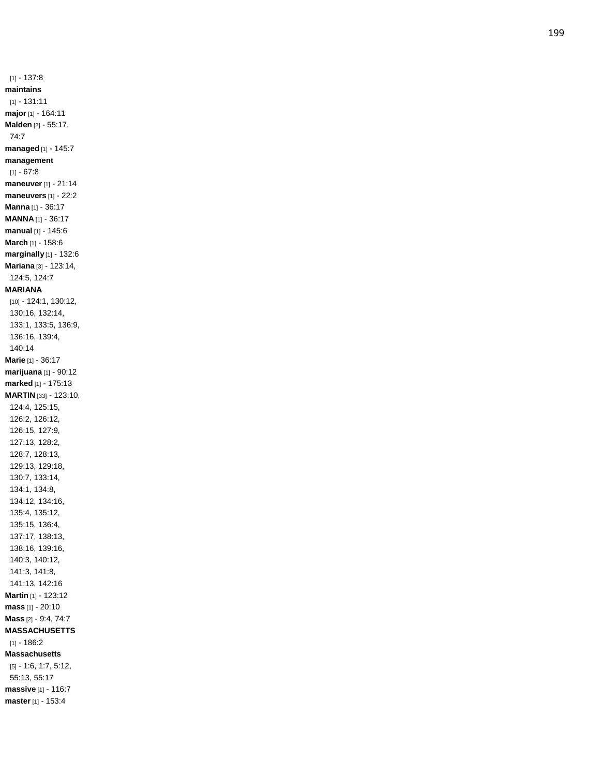$[1] - 137:8$ **maintains** [1] - 131:11 **major** [1] - 164:11 **Malden** [2] - 55:17, 74:7 **managed** [1] - 145:7 **management**  $[1] - 67:8$ **maneuver** [1] - 21:14 **maneuvers** [1] - 22:2 **Manna** [1] - 36:17 **MANNA** [1] - 36:17 **manual** [1] - 145:6 **March** [1] - 158:6 **marginally** [1] - 132:6 **Mariana** [3] - 123:14, 124:5, 124:7 **MARIANA** [10] - 124:1, 130:12, 130:16, 132:14, 133:1, 133:5, 136:9, 136:16, 139:4, 140:14 **Marie** [1] - 36:17 **marijuana** [1] - 90:12 **marked** [1] - 175:13 **MARTIN** [33] - 123:10, 124:4, 125:15, 126:2, 126:12, 126:15, 127:9, 127:13, 128:2, 128:7, 128:13, 129:13, 129:18, 130:7, 133:14, 134:1, 134:8, 134:12, 134:16, 135:4, 135:12, 135:15, 136:4, 137:17, 138:13, 138:16, 139:16, 140:3, 140:12, 141:3, 141:8, 141:13, 142:16 **Martin** [1] - 123:12 **mass** [1] - 20:10 **Mass** [2] - 9:4, 74:7 **MASSACHUSETTS**  $[1] - 186:2$ **Massachusetts** [5] - 1:6, 1:7, 5:12, 55:13, 55:17 **massive** [1] - 116:7 **master** [1] - 153:4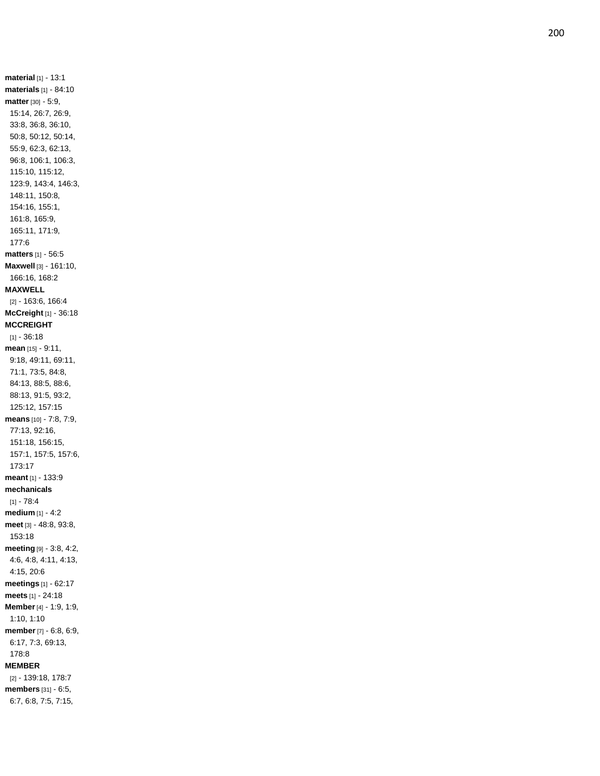**material** [1] - 13:1 **materials** [1] - 84:10 **matter** [30] - 5:9, 15:14, 26:7, 26:9, 33:8, 36:8, 36:10, 50:8, 50:12, 50:14, 55:9, 62:3, 62:13, 96:8, 106:1, 106:3, 115:10, 115:12, 123:9, 143:4, 146:3, 148:11, 150:8, 154:16, 155:1, 161:8, 165:9, 165:11, 171:9, 177:6 **matters** [1] - 56:5 **Maxwell** [3] - 161:10, 166:16, 168:2 **MAXWELL** [2] - 163:6, 166:4 **McCreight** [1] - 36:18 **MCCREIGHT**  $[1] - 36:18$ **mean** [15] - 9:11, 9:18, 49:11, 69:11, 71:1, 73:5, 84:8, 84:13, 88:5, 88:6, 88:13, 91:5, 93:2, 125:12, 157:15 **means** [10] - 7:8, 7:9, 77:13, 92:16, 151:18, 156:15, 157:1, 157:5, 157:6, 173:17 **meant** [1] - 133:9 **mechanicals** [1] - 78:4 **medium** [1] - 4:2 **meet** [3] - 48:8, 93:8, 153:18 **meeting** [9] - 3:8, 4:2, 4:6, 4:8, 4:11, 4:13, 4:15, 20:6 **meetings** [1] - 62:17 **meets** [1] - 24:18 **Member** [4] - 1:9, 1:9, 1:10, 1:10 **member** [7] - 6:8, 6:9, 6:17, 7:3, 69:13, 178:8 **MEMBER** [2] - 139:18, 178:7 **members** [31] - 6:5, 6:7, 6:8, 7:5, 7:15,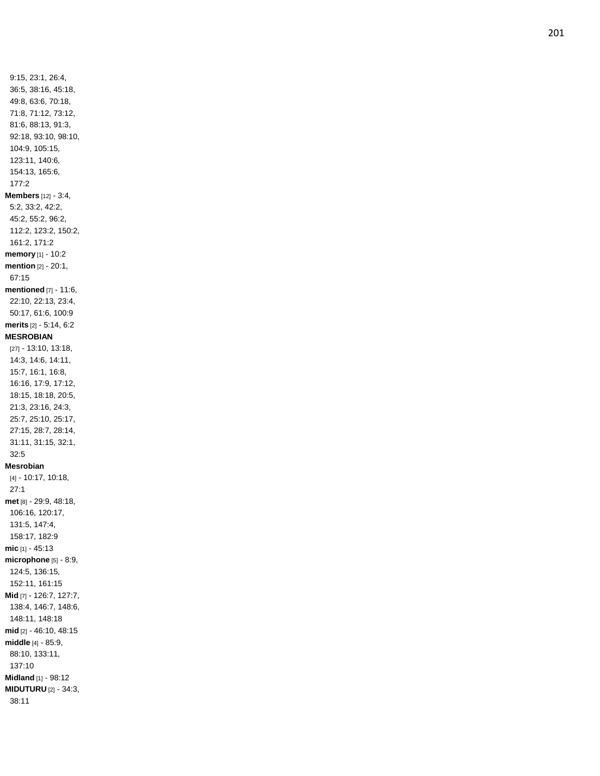9:15, 23:1, 26:4, 36:5, 38:16, 45:18, 49:8, 63:6, 70:18, 71:8, 71:12, 73:12, 81:6, 88:13, 91:3, 92:18, 93:10, 98:10, 104:9, 105:15, 123:11, 140:6, 154:13, 165:6, 177:2 **Members** [12] - 3:4, 5:2, 33:2, 42:2, 45:2, 55:2, 96:2, 112:2, 123:2, 150:2, 161:2, 171:2 **memory** [1] - 10:2 **mention** [2] - 20:1, 67:15 **mentioned** [7] - 11:6, 22:10, 22:13, 23:4, 50:17, 61:6, 100:9 **merits** [2] - 5:14, 6:2 **MESROBIAN** [27] - 13:10, 13:18, 14:3, 14:6, 14:11, 15:7, 16:1, 16:8, 16:16, 17:9, 17:12, 18:15, 18:18, 20:5, 21:3, 23:16, 24:3, 25:7, 25:10, 25:17, 27:15, 28:7, 28:14, 31:11, 31:15, 32:1, 32:5 **Mesrobian** [4] - 10:17, 10:18, 27:1 **met** [8] - 29:9, 48:18, 106:16, 120:17, 131:5, 147:4, 158:17, 182:9 **mic** [1] - 45:13 **microphone** [5] - 8:9, 124:5, 136:15, 152:11, 161:15 **Mid** [7] - 126:7, 127:7, 138:4, 146:7, 148:6, 148:11, 148:18 **mid** [2] - 46:10, 48:15 **middle** [4] - 85:9, 88:10, 133:11, 137:10 **Midland** [1] - 98:12 **MIDUTURU** [2] - 34:3, 38:11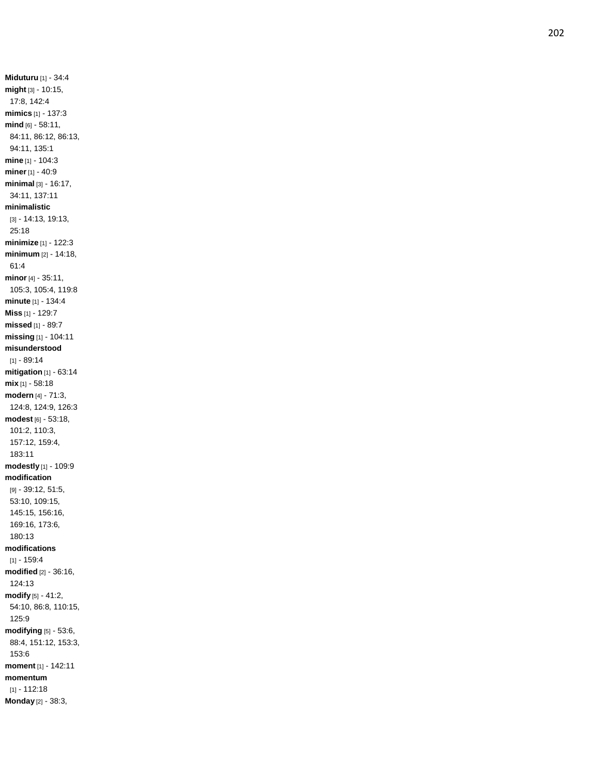**Miduturu** [1] - 34:4 **might** [3] - 10:15, 17:8, 142:4 **mimics** [1] - 137:3 **mind** [6] - 58:11, 84:11, 86:12, 86:13, 94:11, 135:1 **mine** [1] - 104:3 **miner**[1] - 40:9 **minimal** [3] - 16:17, 34:11, 137:11 **minimalistic** [3] - 14:13, 19:13, 25:18 **minimize** [1] - 122:3 **minimum** [2] - 14:18, 61:4 **minor** [4] - 35:11, 105:3, 105:4, 119:8 **minute** [1] - 134:4 **Miss** [1] - 129:7 **missed** [1] - 89:7 **missing** [1] - 104:11 **misunderstood** [1] - 89:14 **mitigation** [1] - 63:14 **mix** [1] - 58:18 **modern** [4] - 71:3, 124:8, 124:9, 126:3 **modest** [6] - 53:18, 101:2, 110:3, 157:12, 159:4, 183:11 **modestly** [1] - 109:9 **modification** [9] - 39:12, 51:5, 53:10, 109:15, 145:15, 156:16, 169:16, 173:6, 180:13 **modifications**  $[1] - 159.4$ **modified** [2] - 36:16, 124:13 **modify** [5] - 41:2, 54:10, 86:8, 110:15, 125:9 **modifying** [5] - 53:6, 88:4, 151:12, 153:3, 153:6 **moment** [1] - 142:11 **momentum** [1] - 112:18 **Monday** [2] - 38:3,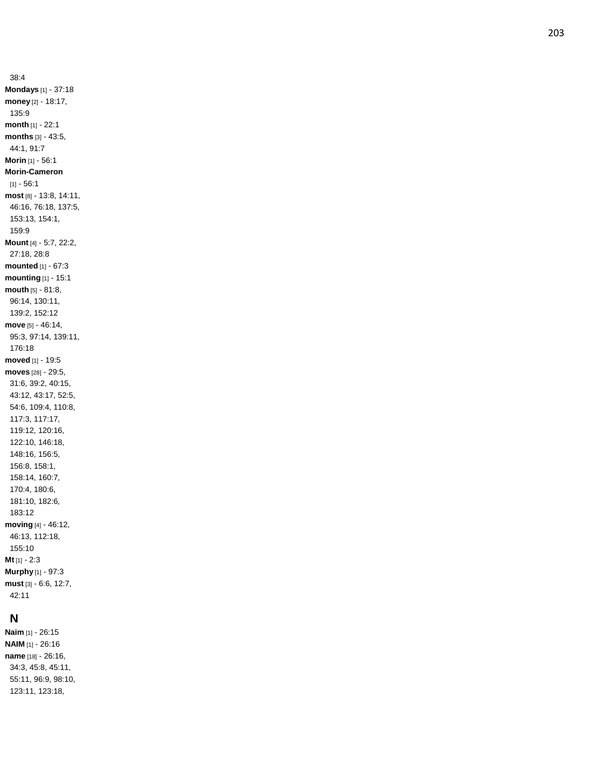38:4 **Mondays** [1] - 37:18 **money** [2] - 18:17, 135:9 **month** [1] - 22:1 **months** [3] - 43:5, 44:1, 91:7 **Morin** [1] - 56: 1 **Morin -Cameron** [1] - 56:1 **most** [8] - 13:8, 14:11, 46:16, 76:18, 137:5, 153:13, 154:1, 159:9 **Mount** [4] - 5:7, 22:2, 27:18, 28:8 **mounted** [1] - 67:3 **mounting** [1] - 15:1 **mouth** [5] - 81:8, 96:14, 130:11, 139:2, 152:12 **move** [5] - 46:14, 95:3, 97:14, 139:11, 176:18 **moved** [1] - 19:5 **moves** [28] - 29:5, 31:6, 39:2, 40:15, 43:12, 43:17, 52:5, 54:6, 109:4, 110:8, 117:3, 117:17, 119:12, 120:16, 122:10, 146:18, 148:16, 156:5, 156:8, 158:1, 158:14, 160:7, 170:4, 180:6, 181:10, 182:6, 183:12 **moving** [4] - 46:12, 46:13, 112:18, 155:10 **Mt** [1] - 2:3 **Murphy** [1] - 97:3 **must** [3] - 6:6, 12:7, 42:11

### **N**

**Naim** [1] - 26:15 **NAIM** [1] - 26:16 **name** [18] - 26:16, 34:3, 45:8, 45:11, 55:11, 96:9, 98:10, 123:11, 123:18,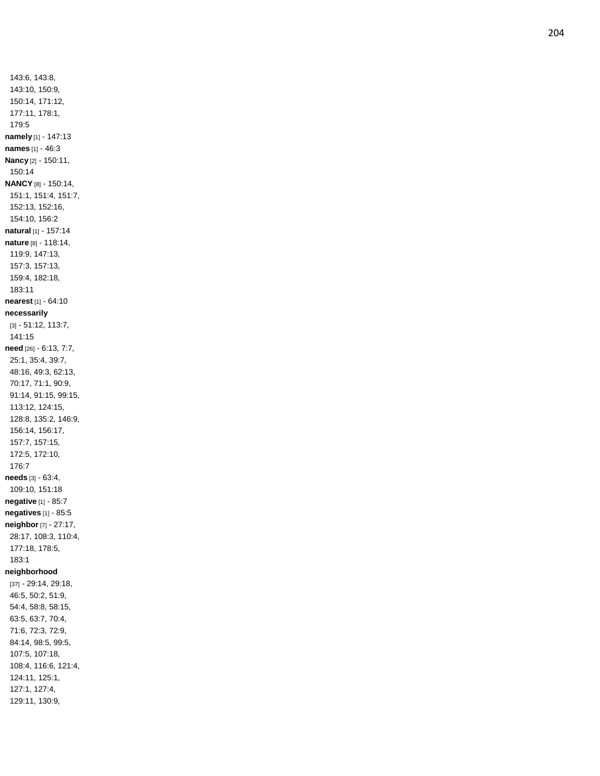143:6, 143:8, 143:10, 150:9, 150:14, 171:12, 177:11, 178:1, 179:5 **namely** [1] - 147:13 **names** [1] - 46:3 **Nancy** [2] - 150:11, 150:14 **NANCY** [8] - 150:14, 151:1, 151:4, 151:7, 152:13, 152:16, 154:10, 156:2 **natural** [1] - 157:14 **nature** [8] - 118:14, 119:9, 147:13, 157:3, 157:13, 159:4, 182:18, 183:11 **nearest** [1] - 64:10 **necessarily** [3] - 51:12, 113:7, 141:15 **need** [26] - 6:13, 7:7, 25:1, 35:4, 39:7, 48:16, 49:3, 62:13, 70:17, 71:1, 90:9, 91:14, 91:15, 99:15, 113:12, 124:15, 128:8, 135:2, 146:9, 156:14, 156:17, 157:7, 157:15, 172:5, 172:10, 176:7 **needs** [3] - 63:4, 109:10, 151:18 **negative** [1] - 85:7 **negatives** [1] - 85:5 **neighbor** [7] - 27:17, 28:17, 108:3, 110:4, 177:18, 178:5, 183:1 **neighborhood** [37] - 29:14, 29:18, 46:5, 50:2, 51:9, 54:4, 58:8, 58:15, 63:5, 63:7, 70:4, 71:6, 72:3, 72:9, 84:14, 98:5, 99:5, 107:5, 107:18, 108:4, 116:6, 121:4, 124:11, 125:1, 127:1, 127:4, 129:11, 130:9,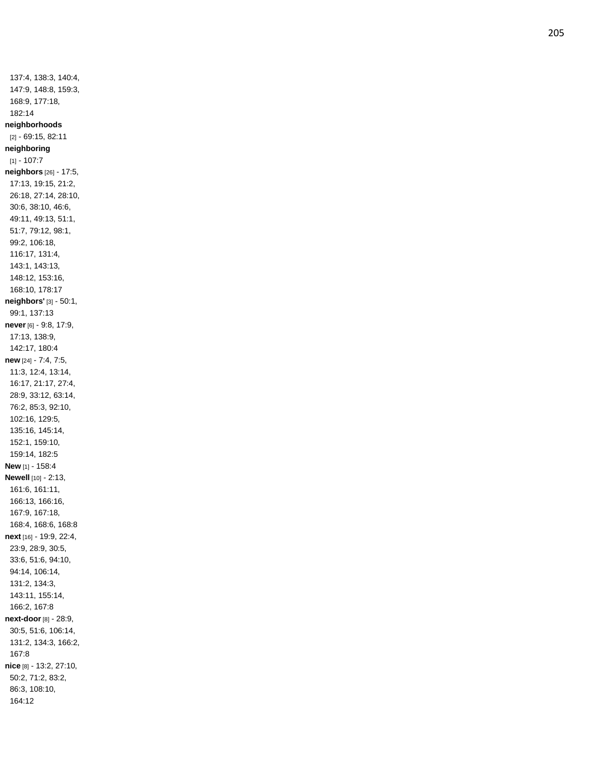137:4, 138:3, 140:4, 147:9, 148:8, 159:3, 168:9, 177:18, 182:14 **neighborhoods** [2] - 69:15, 82:11 **neighboring**  $[1] - 107:7$ **neighbors** [26] - 17:5, 17:13, 19:15, 21:2, 26:18, 27:14, 28:10, 30:6, 38:10, 46:6, 49:11, 49:13, 51:1, 51:7, 79:12, 98:1, 99:2, 106:18, 116:17, 131:4, 143:1, 143:13, 148:12, 153:16, 168:10, 178:17 **neighbors'** [3] - 50:1, 99:1, 137:13 **never** [6] - 9:8, 17:9, 17:13, 138:9, 142:17, 180:4 **new** [24] - 7:4, 7:5, 11:3, 12:4, 13:14, 16:17, 21:17, 27:4, 28:9, 33:12, 63:14, 76:2, 85:3, 92:10, 102:16, 129:5, 135:16, 145:14, 152:1, 159:10, 159:14, 182:5 **New** [1] - 158:4 **Newell** [10] - 2:13, 161:6, 161:11, 166:13, 166:16, 167:9, 167:18, 168:4, 168:6, 168:8 **next** [16] - 19:9, 22:4, 23:9, 28:9, 30:5, 33:6, 51:6, 94:10, 94:14, 106:14, 131:2, 134:3, 143:11, 155:14, 166:2, 167:8 **next -door** [8] - 28:9, 30:5, 51:6, 106:14, 131:2, 134:3, 166:2, 167:8 **nice** [8] - 13:2, 27:10, 50:2, 71:2, 83:2, 86:3, 108:10, 164:12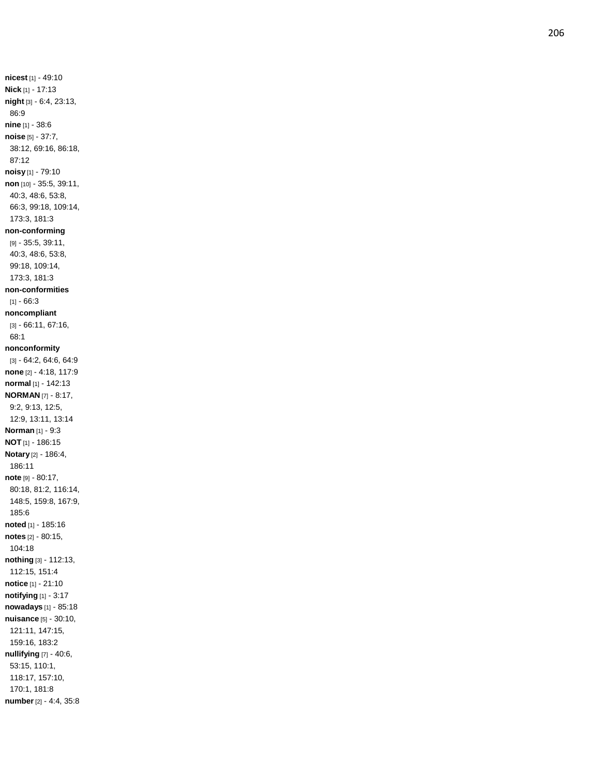**nicest** [1] - 49:10 **Nick** [1] - 17:13 **night** [3] - 6:4, 23:13, 86:9 **nine** [1] - 38:6 **noise** [5] - 37:7, 38:12, 69:16, 86:18, 87:12 **noisy** [1] - 79:10 **non** [10] - 35:5, 39:11, 40:3, 48:6, 53:8, 66:3, 99:18, 109:14, 173:3, 181:3 **non -conforming** [9] - 35:5, 39:11, 40:3, 48:6, 53:8, 99:18, 109:14, 173:3, 181:3 **non -conformities**  $[1] - 66:3$ **noncompliant** [3] - 66:11, 67:16, 68:1 **nonconformity** [3] - 64:2, 64:6, 64:9 **none** [2] - 4:18, 117:9 **normal** [1] - 142:13 **NORMAN** [7] - 8:17, 9:2, 9:13, 12:5, 12:9, 13:11, 13:14 **Norman** [1] - 9:3 **NOT** [1] - 186:15 **Notary** [2] - 186:4, 186:11 **note** [9] - 80:17, 80:18, 81:2, 116:14, 148:5, 159:8, 167:9, 185:6 **noted** [1] - 185:16 **notes** [2] - 80:15, 104:18 **nothing** [3] - 112:13, 112:15, 151:4 **notice** [1] - 21:10 **notifying** [1] - 3:17 **nowadays** [1] - 85:18 **nuisance** [5] - 30:10, 121:11, 147:15, 159:16, 183:2 **nullifying** [7] - 40:6, 53:15, 110:1, 118:17, 157:10, 170:1, 181:8 **number** [2] - 4:4, 35:8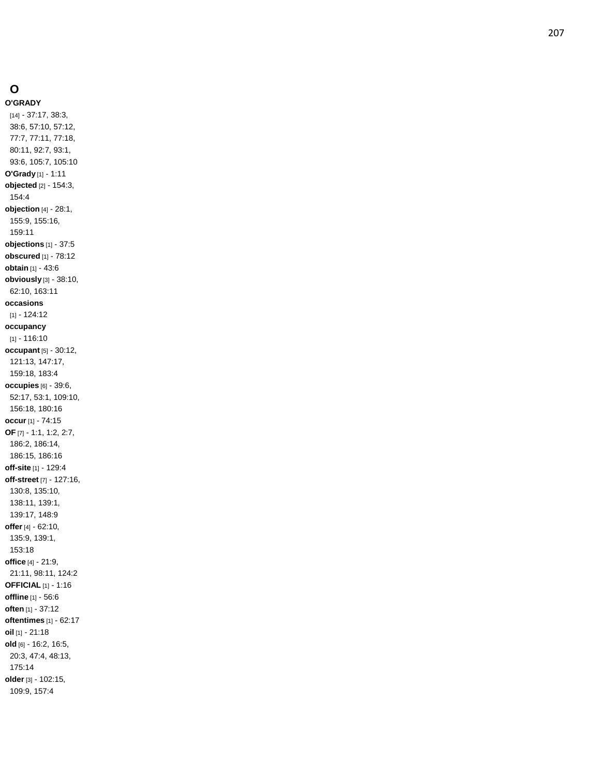# **O**

**O'GRADY** [14] - 37:17, 38:3, 38:6, 57:10, 57:12, 77:7, 77:11, 77:18, 80:11, 92:7, 93:1, 93:6, 105:7, 105:10 **O'Grady** [1] - 1:11 **objected** [2] - 154:3, 154:4 **objection** [4] - 28:1, 155:9, 155:16, 159:11 **objections** [1] - 37:5 **obscured** [1] - 78:12 **obtain** [1] - 43:6 **obviously** [3] - 38:10, 62:10, 163:11 **occasions** [1] - 124:12 **occupancy** [1] - 116:10 **occupant** [5] - 30:12, 121:13, 147:17, 159:18, 183:4 **occupies** [6] - 39:6, 52:17, 53:1, 109:10, 156:18, 180:16 **occur** [1] - 74:15 **OF** [7] - 1:1, 1:2, 2:7, 186:2, 186:14, 186:15, 186:16 **off -site** [1] - 129:4 **off -street** [7] - 127:16, 130:8, 135:10, 138:11, 139:1, 139:17, 148:9 **offer** [4] - 62:10, 135:9, 139:1, 153:18 **office** [4] - 21:9, 21:11, 98:11, 124:2 **OFFICIAL** [1] - 1:16 **offline** [1] - 56:6 **often** [1] - 37:12 **oftentimes** [1] - 62:17 **oil** [1] - 21:18 **old** [6] - 16:2, 16:5, 20:3, 47:4, 48:13, 175:14 **older** [3] - 102:15, 109:9, 157:4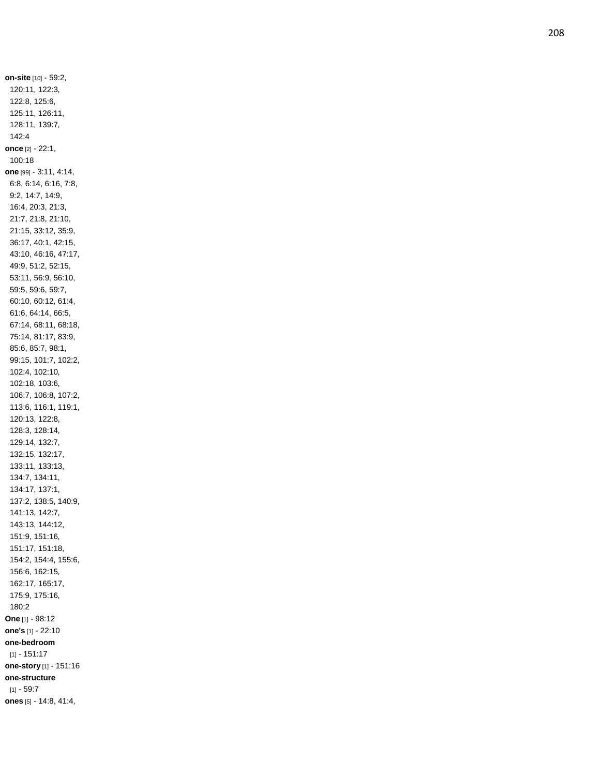**on -site** [10] - 59:2, 120:11, 122:3, 122:8, 125:6, 125:11, 126:11, 128:11, 139:7, 142:4 **once** [2] - 22:1, 100:18 **one** [99] - 3:11, 4:14, 6:8, 6:14, 6:16, 7:8, 9:2, 14:7, 14:9, 16:4, 20:3, 21:3, 21:7, 21:8, 21:10, 21:15, 33:12, 35:9, 36:17, 40:1, 42:15, 43:10, 46:16, 47:17, 49:9, 51:2, 52:15, 53:11, 56:9, 56:10, 59:5, 59:6, 59:7, 60:10, 60:12, 61:4, 61:6, 64:14, 66:5, 67:14, 68:11, 68:18, 75:14, 81:17, 83:9, 85:6, 85:7, 98:1, 99:15, 101:7, 102:2, 102:4, 102:10, 102:18, 103:6, 106:7, 106:8, 107:2, 113:6, 116:1, 119:1, 120:13, 122:8, 128:3, 128:14, 129:14, 132:7, 132:15, 132:17, 133:11, 133:13, 134:7, 134:11, 134:17, 137:1, 137:2, 138:5, 140:9, 141:13, 142:7, 143:13, 144:12, 151:9, 151:16, 151:17, 151:18, 154:2, 154:4, 155:6, 156:6, 162:15, 162:17, 165:17, 175:9, 175:16, 180:2 **One** [1] - 98:12 **one's** [1] - 22:10 **one -bedroom** [1] - 151:17 **one -story** [1] - 151:16 **one -structure** [1] - 59:7 **ones** [5] - 14:8, 41:4,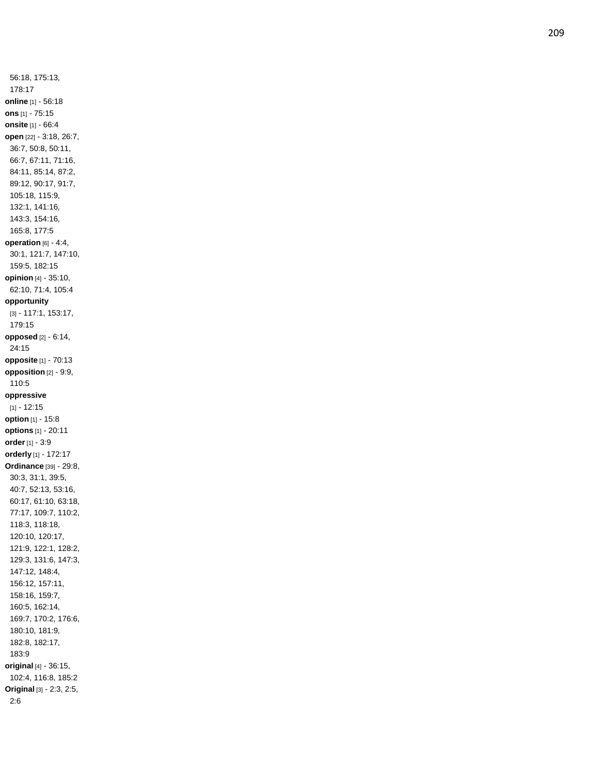56:18, 175:13, 178:17 **online** [1] - 56:18 **ons** [1] - 75:15 **onsite** [1] - 66:4 **open** [22] - 3:18, 26:7, 36:7, 50:8, 50:11, 66:7, 67:11, 71:16, 84:11, 85:14, 87:2, 89:12, 90:17, 91:7, 105:18, 115:9, 132:1, 141:16, 143:3, 154:16, 165:8, 177:5 **operation** [6] - 4:4, 30:1, 121:7, 147:10, 159:5, 182:15 **opinion** [4] - 35:10, 62:10, 71:4, 105:4 **opportunity** [3] - 117:1, 153:17, 179:15 **opposed** [2] - 6:14, 24:15 **opposite** [1] - 70:13 **opposition** [2] - 9:9, 110:5 **oppressive**  $[1] - 12:15$ **option** [1] - 15:8 **options** [1] - 20:11 **order** [1] - 3:9 **orderly** [1] - 172:17 **Ordinance** [39] - 29:8, 30:3, 31:1, 39:5, 40:7, 52:13, 53:16, 60:17, 61:10, 63:18, 77:17, 109:7, 110:2, 118:3, 118:18, 120:10, 120:17, 121:9, 122:1, 128:2, 129:3, 131:6, 147:3, 147:12, 148:4, 156:12, 157:11, 158:16, 159:7, 160:5, 162:14, 169:7, 170:2, 176:6, 180:10, 181:9, 182:8, 182:17, 183:9 **original** [4] - 36:15, 102:4, 116:8, 185:2 **Original** [3] - 2:3, 2:5, 2:6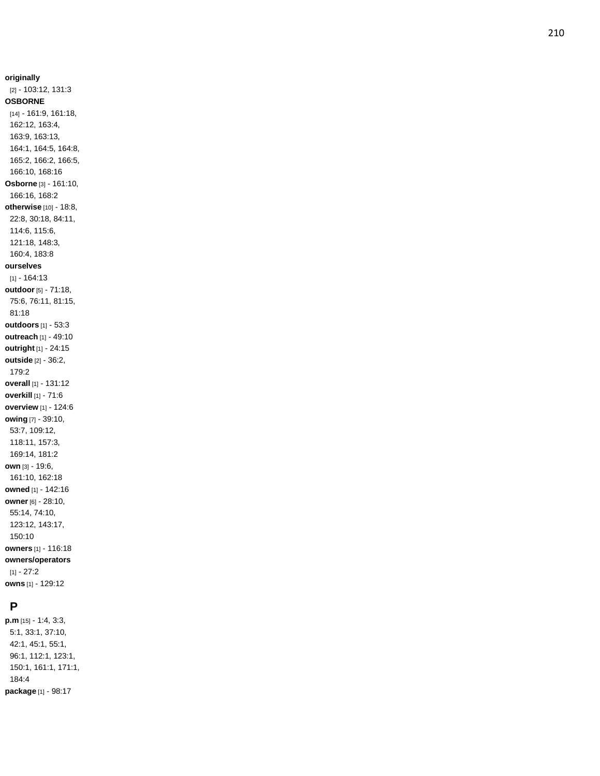**originally** [2] - 103:12, 131:3 **OSBORNE** [14] - 161:9, 161:18, 162:12, 163:4, 163:9, 163:13, 164:1, 164:5, 164:8, 165:2, 166:2, 166:5, 166:10, 168:16 **Osborne** [3] - 161:10, 166:16, 168:2 **otherwise** [10] - 18:8, 22:8, 30:18, 84:11, 114:6, 115:6, 121:18, 148:3, 160:4, 183:8 **ourselves** [1] - 164:13 **outdoor** [5] - 71:18, 75:6, 76:11, 81:15, 81:18 **outdoors** [1] - 53:3 **outreach** [1] - 49:10 **outright** [1] - 24:15 **outside** [2] - 36:2, 179:2 **overall** [1] - 131:12 **overkill** [1] - 71:6 **overview** [1] - 124:6 **owing** [7] - 39:10, 53:7, 109:12, 118:11, 157:3, 169:14, 181:2 **own** [3] - 19:6, 161:10, 162:18 **owned** [1] - 142:16 **owner** [6] - 28:10, 55:14, 74:10, 123:12, 143:17, 150:10 **owners** [1] - 116:18 **owners/operators**  $[1] - 27:2$ **owns** [1] - 129:12

### **P**

**p.m** [15] - 1:4, 3:3, 5:1, 33:1, 37:10, 42:1, 45:1, 55:1, 96:1, 112:1, 123:1, 150:1, 161:1, 171:1, 184:4 **package** [1] - 98:17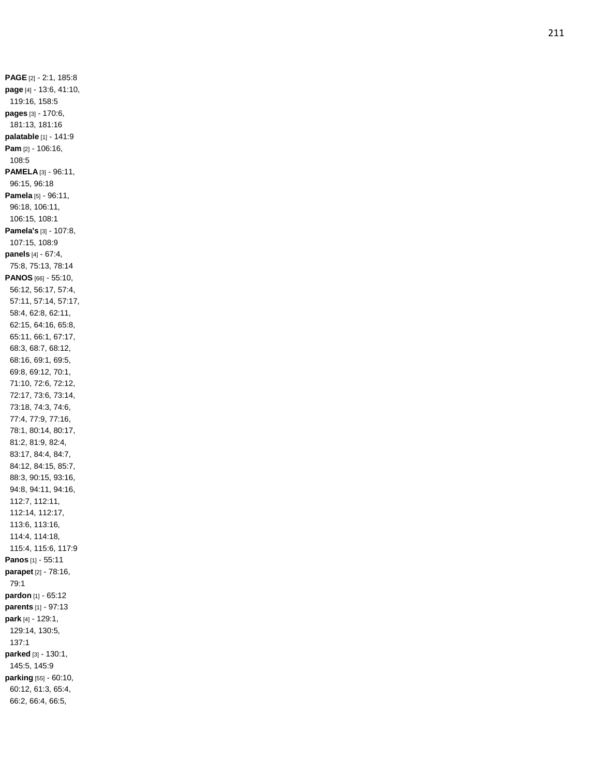**PAGE** [2] - 2:1, 185:8 **page** [4] - 13:6, 41:10, 119:16, 158:5 **pages** [3] - 170:6, 181:13, 181:16 **palatable** [1] - 141:9 **Pam** [2] - 106:16, 108:5 **PAMELA** [3] - 96:11, 96:15, 96:18 **Pamela** [5] - 96:11, 96:18, 106:11, 106:15, 108:1 **Pamela's** [3] - 107:8, 107:15, 108:9 **panels** [4] - 67:4, 75:8, 75:13, 78:14 **PANOS** [66] - 55:10, 56:12, 56:17, 57:4, 57:11, 57:14, 57:17, 58:4, 62:8, 62:11, 62:15, 64:16, 65:8, 65:11, 66:1, 67:17, 68:3, 68:7, 68:12, 68:16, 69:1, 69:5, 69:8, 69:12, 70:1, 71:10, 72:6, 72:12, 72:17, 73:6, 73:14, 73:18, 74:3, 74:6, 77:4, 77:9, 77:16, 78:1, 80:14, 80:17, 81:2, 81:9, 82:4, 83:17, 84:4, 84:7, 84:12, 84:15, 85:7, 88:3, 90:15, 93:16, 94:8, 94:11, 94:16, 112:7, 112:11, 112:14, 112:17, 113:6, 113:16, 114:4, 114:18, 115:4, 115:6, 117:9 **Panos** [1] - 55:11 **parapet** [2] - 78:16, 79:1 **pardon** [1] - 65:12 **parents** [1] - 97:13 **park** [4] - 129:1, 129:14, 130:5, 137:1 **parked** [3] - 130:1, 145:5, 145:9 **parking** [55] - 60:10, 60:12, 61:3, 65:4, 66:2, 66:4, 66:5,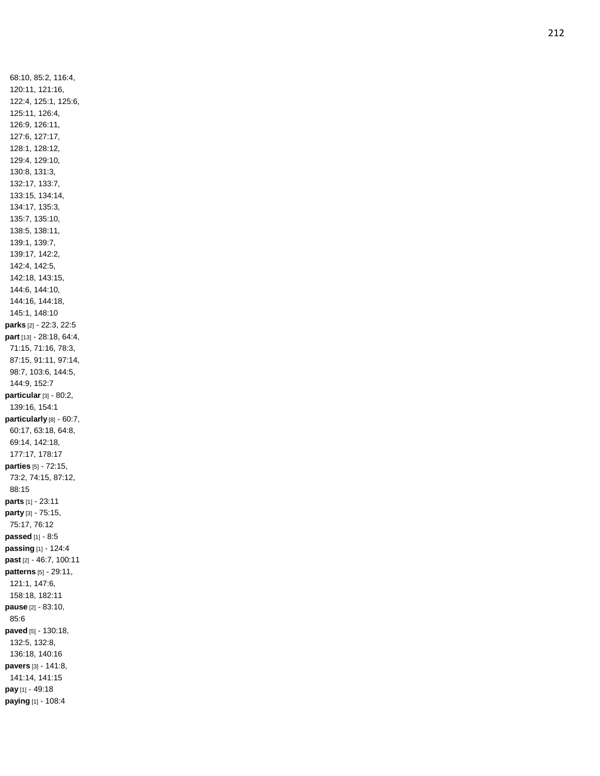68:10, 85:2, 116:4, 120:11, 121:16, 122:4, 125:1, 125:6, 125:11, 126:4, 126:9, 126:11, 127:6, 127:17, 128:1, 128:12, 129:4, 129:10, 130:8, 131:3, 132:17, 133:7, 133:15, 134:14, 134:17, 135:3, 135:7, 135:10, 138:5, 138:11, 139:1, 139:7, 139:17, 142:2, 142:4, 142:5, 142:18, 143:15, 144:6, 144:10, 144:16, 144:18, 145:1, 148:10 **parks** [2] - 22:3, 22:5 **part** [13] - 28:18, 64:4, 71:15, 71:16, 78:3, 87:15, 91:11, 97:14, 98:7, 103:6, 144:5, 144:9, 152:7 **particular** [3] - 80:2, 139:16, 154:1 **particularly** [8] - 60:7, 60:17, 63:18, 64:8, 69:14, 142:18, 177:17, 178:17 **parties** [5] - 72:15, 73:2, 74:15, 87:12, 88:15 **parts** [1] - 23:11 **party** [3] - 75:15, 75:17, 76:12 **passed** [1] - 8:5 **passing** [1] - 124:4 **past** [2] - 46:7, 100:11 **patterns** [5] - 29:11, 121:1, 147:6, 158:18, 182:11 **pause** [2] - 83:10, 85:6 **paved** [5] - 130:18, 132:5, 132:8, 136:18, 140:16 **pavers** [3] - 141:8, 141:14, 141:15 **pay** [1] - 49:18 **paying** [1] - 108:4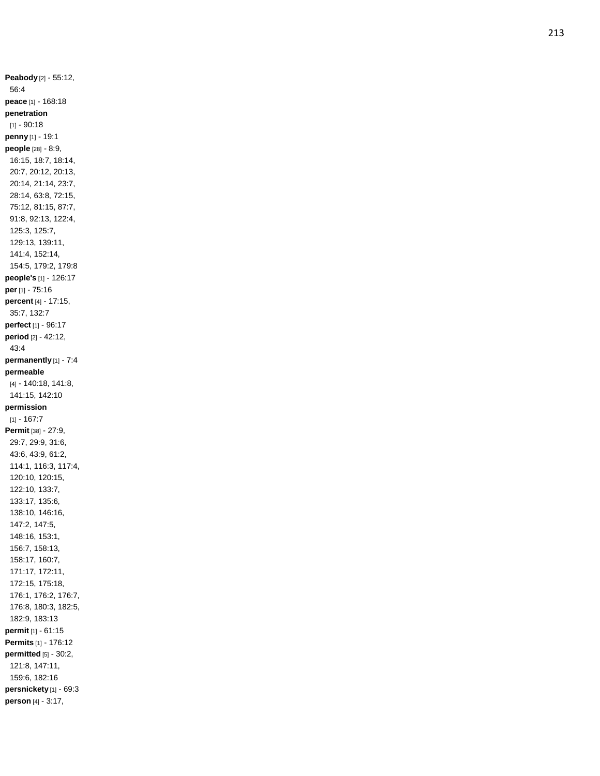**Peabody** [2] - 55:12, 56:4 **peace** [1] - 168:18 **penetration**  $[1] - 90:18$ **penny** [1] - 19:1 **people** [28] - 8:9, 16:15, 18:7, 18:14, 20:7, 20:12, 20:13, 20:14, 21:14, 23:7, 28:14, 63:8, 72:15, 75:12, 81:15, 87:7, 91:8, 92:13, 122:4, 125:3, 125:7, 129:13, 139:11, 141:4, 152:14, 154:5, 179:2, 179:8 **people's** [1] - 126:17 **per** [1] - 75:16 **percent** [4] - 17:15, 35:7, 132:7 **perfect** [1] - 96:17 **period** [2] - 42:12, 43:4 **permanently** [1] - 7:4 **permeable** [4] - 140:18, 141:8, 141:15, 142:10 **permission**  $[1] - 167:7$ **Permit** [38] - 27:9, 29:7, 29:9, 31:6, 43:6, 43:9, 61:2, 114:1, 116:3, 117:4, 120:10, 120:15, 122:10, 133:7, 133:17, 135:6, 138:10, 146:16, 147:2, 147:5, 148:16, 153:1, 156:7, 158:13, 158:17, 160:7, 171:17, 172:11, 172:15, 175:18, 176:1, 176:2, 176:7, 176:8, 180:3, 182:5, 182:9, 183:13 **permit** [1] - 61:15 **Permits** [1] - 176:12 **permitted** [5] - 30:2, 121:8, 147:11, 159:6, 182:16 **persnickety** [1] - 69:3 **person** [4] - 3:17,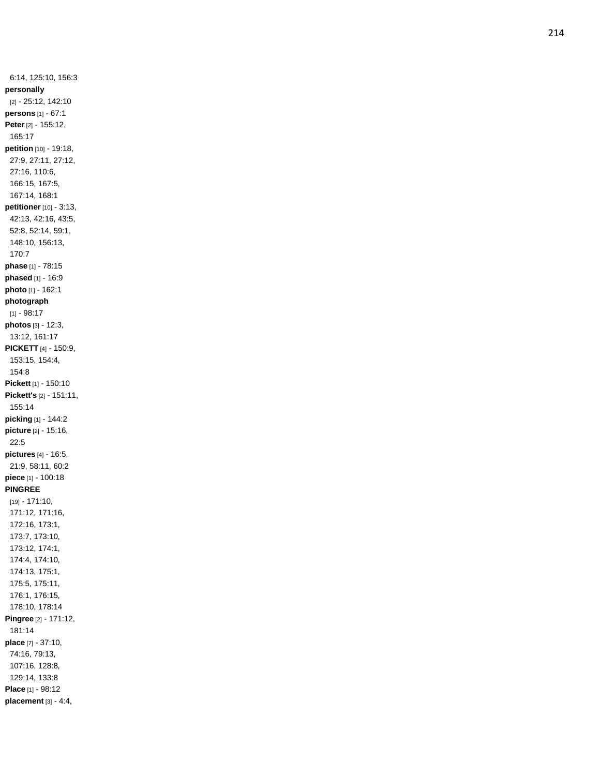6:14, 125:10, 156:3 **personally** [2] - 25:12, 142:10 **persons** [1] - 67:1 **Peter** [2] - 155:12, 165:17 **petition** [10] - 19:18, 27:9, 27:11, 27:12, 27:16, 110:6, 166:15, 167:5, 167:14, 168:1 **petitioner** [10] - 3:13, 42:13, 42:16, 43:5, 52:8, 52:14, 59:1, 148:10, 156:13, 170:7 **phase** [1] - 78:15 **phased** [1] - 16:9 **photo** [1] - 162:1 **photograph**  $[1] - 98:17$ **photos** [3] - 12:3, 13:12, 161:17 **PICKETT** [4] - 150:9, 153:15, 154:4, 154:8 **Pickett** [1] - 150:10 **Pickett's** [2] - 151:11, 155:14 **picking** [1] - 144:2 **picture** [2] - 15:16, 22:5 **pictures** [4] - 16:5, 21:9, 58:11, 60:2 **piece** [1] - 100:18 **PINGREE** [19] - 171:10, 171:12, 171:16, 172:16, 173:1, 173:7, 173:10, 173:12, 174:1, 174:4, 174:10, 174:13, 175:1, 175:5, 175:11, 176:1, 176:15, 178:10, 178:14 **Pingree** [2] - 171:12, 181:14 **place** [7] - 37:10, 74:16, 79:13, 107:16, 128:8, 129:14, 133:8 **Place** [1] - 98:12 **placement** [3] - 4:4,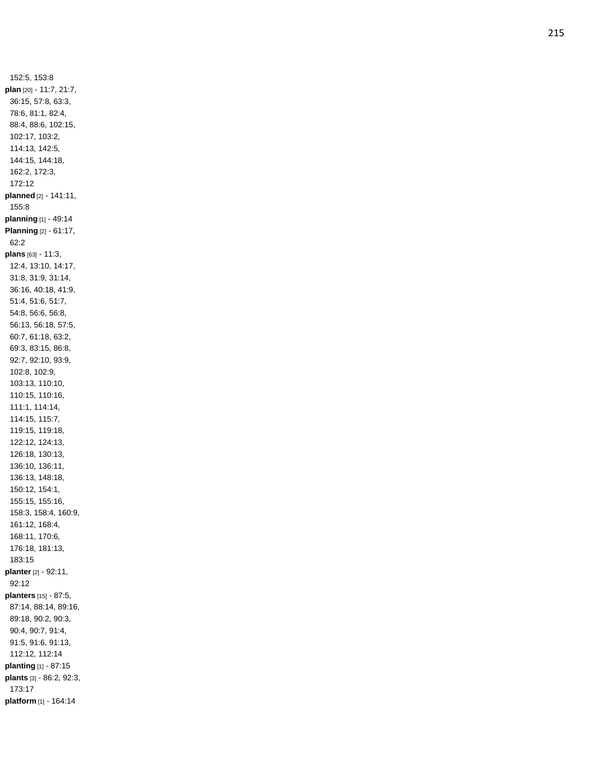152:5, 153:8 **plan** [20] - 11:7, 21:7, 36:15, 57:8, 63:3, 78:6, 81:1, 82:4, 88:4, 88:6, 102:15, 102:17, 103:2, 114:13, 142:5, 144:15, 144:18, 162:2, 172:3, 172:12 **planned** [2] - 141:11, 155:8 **planning** [1] - 49:14 **Planning** [2] - 61:17, 62:2 **plans** [63] - 11:3, 12:4, 13:10, 14:17, 31:8, 31:9, 31:14, 36:16, 40:18, 41:9, 51:4, 51:6, 51:7, 54:8, 56:6, 56:8, 56:13, 56:18, 57:5, 60:7, 61:18, 63:2, 69:3, 83:15, 86:8, 92:7, 92:10, 93:9, 102:8, 102:9, 103:13, 110:10, 110:15, 110:16, 111:1, 114:14, 114:15, 115:7, 119:15, 119:18, 122:12, 124:13, 126:18, 130:13, 136:10, 136:11, 136:13, 148:18, 150:12, 154:1, 155:15, 155:16, 158:3, 158:4, 160:9, 161:12, 168:4, 168:11, 170:6, 176:18, 181:13, 183:15 **planter** [2] - 92:11, 92:12 **planters** [15] - 87:5, 87:14, 88:14, 89:16, 89:18, 90:2, 90:3, 90:4, 90:7, 91:4, 91:5, 91:6, 91:13, 112:12, 112:14 **planting** [1] - 87:15 **plants** [3] - 86:2, 92:3, 173:17 **platform** [1] - 164:14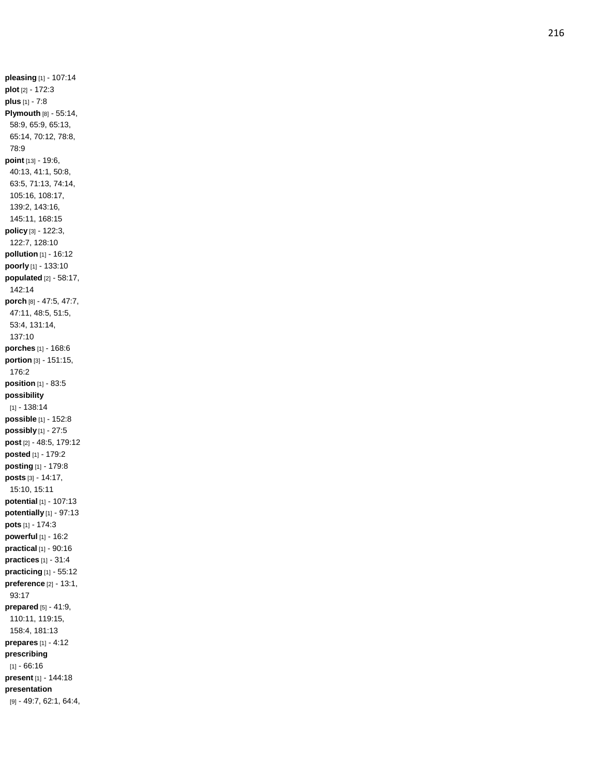**pleasing** [1] - 107:14 **plot** [2] - 172:3 **plus** [1] - 7:8 **Plymouth** [8] - 55:14, 58:9, 65:9, 65:13, 65:14, 70:12, 78:8, 78:9 **poin t** [13] - 19:6, 40:13, 41:1, 50:8, 63:5, 71:13, 74:14, 105:16, 108:17, 139:2, 143:16, 145:11, 168:15 **policy** [3] - 122:3, 122:7, 128:10 **pollution** [1] - 16:12 **poorly** [1] - 133:10 **populated** [2] - 58:17, 142:14 **porch** [8] - 47:5, 47:7, 47:11, 48:5, 51:5, 53:4, 131:14, 137:10 **porches** [1] - 168:6 **portion** [3] - 151:15, 176:2 **position** [1] - 83:5 **possibility** [1] - 138:14 **possible** [1] - 152:8 **possibly** [1] - 27:5 **post** [2] - 48:5, 179:12 **posted** [1] - 179:2 **posting** [1] - 179:8 **posts** [3] - 14:17, 15:10, 15:11 **potential** [1] - 107:13 **potentially** [1] - 97:13 **pots** [1] - 174:3 **powerful** [1] - 16:2 **practical** [1] - 90:16 **practices** [1] - 31:4 **practicing** [1] - 55:12 **preference** [2] - 13:1, 93:17 **prepared** [5] - 41:9, 110:11, 119:15, 158:4, 181:13 **prepares** [1] - 4:12 **prescribing**  $[1] - 66:16$ **present** [1] - 144:18 **presentation** [9] - 49:7, 62:1, 64:4,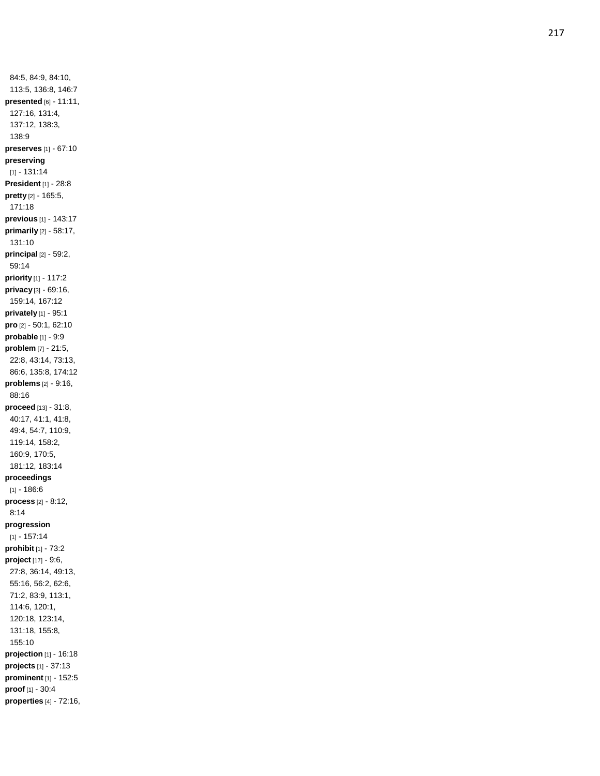84:5, 84:9, 84:10, 113:5, 136:8, 146:7 **presented** [6] - 11:11, 127:16, 131:4, 137:12, 138:3, 138:9 **preserves** [1] - 67:10 **preserving** [1] - 131:14 **President** [1] - 28:8 **pretty** [2] - 165:5, 171:18 **previous** [1] - 143:17 **primarily** [2] - 58:17, 131:10 **principal** [2] - 59:2, 59:14 **priority** [1] - 117:2 **privacy** [3] - 69:16, 159:14, 167:12 **privately** [1] - 95:1 **pro** [2] - 50:1, 62:10 **probable** [1] - 9:9 **problem** [7] - 21:5, 22:8, 43:14, 73:13, 86:6, 135:8, 174:12 **problems** [2] - 9:16, 88:16 **proceed** [13] - 31:8, 40:17, 41:1, 41:8, 49:4, 54:7, 110:9, 119:14, 158:2, 160:9, 170:5, 181:12, 183:14 **proceedings**  $[1] - 186:6$ **process** [2] - 8:12, 8:14 **progression** [1] - 157:14 **prohibit** [1] - 73:2 **project** [17] - 9:6, 27:8, 36:14, 49:13, 55:16, 56:2, 62:6, 71:2, 83:9, 113:1, 114:6, 120:1, 120:18, 123:14, 131:18, 155:8, 155:10 **projection** [1] - 16:18 **projects** [1] - 37:13 **prominent** [1] - 152:5 **proof** [1] - 30:4 **properties** [4] - 72:16,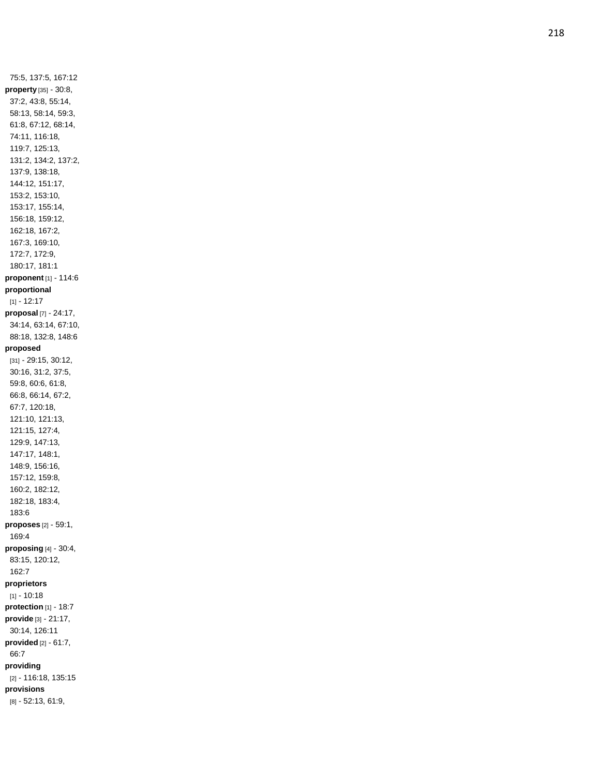75:5, 137:5, 167:12 **property** [35] - 30:8, 37:2, 43:8, 55:14, 58:13, 58:14, 59:3, 61:8, 67:12, 68:14, 74:11, 116:18, 119:7, 125:13, 131:2, 134:2, 137:2, 137:9, 138:18, 144:12, 151:17, 153:2, 153:10, 153:17, 155:14, 156:18, 159:12, 162:18, 167:2, 167:3, 169:10, 172:7, 172:9, 180:17, 181:1 **proponent** [1] - 114:6 **proportional**  $[1] - 12:17$ **proposal** [7] - 24:17, 34:14, 63:14, 67:10, 88:18, 132:8, 148:6 **proposed** [31] - 29:15, 30:12, 30:16, 31:2, 37:5, 59:8, 60:6, 61:8, 66:8, 66:14, 67:2, 67:7, 120:18, 121:10, 121:13, 121:15, 127:4, 129:9, 147:13, 147:17, 148:1, 148:9, 156:16, 157:12, 159:8, 160:2, 182:12, 182:18, 183:4, 183:6 **proposes** [2] - 59:1, 169:4 **proposing** [4] - 30:4, 83:15, 120:12, 162:7 **proprietors**  $[1] - 10:18$ **protection** [1] - 18:7 **provide** [3] - 21:17, 30:14, 126:11 **provided** [2] - 61:7, 66:7 **providin g** [2] - 116:18, 135:15 **provisions** [8] - 52:13, 61:9,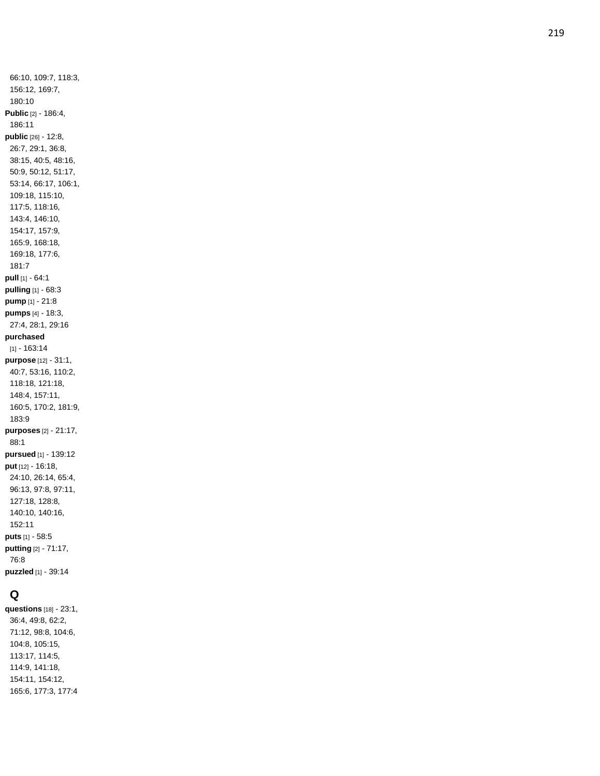66:10, 109:7, 118:3, 156:12, 169:7, 180:10 **Public** [2] - 186:4, 186:11 **public** [26] - 12:8, 26:7, 29:1, 36:8, 38:15, 40:5, 48:16, 50:9, 50:12, 51:17, 53:14, 66:17, 106:1, 109:18, 115:10, 117:5, 118:16, 143:4, 146:10, 154:17, 157:9, 165:9, 168:18, 169:18, 177:6, 181:7 **pull** [1] - 64:1 **pulling** [1] - 68:3 **pump** [1] - 21:8 **pumps** [4] - 18:3, 27:4, 28:1, 29:16 **purchased** [1] - 163:14 **purpose** [12] - 31:1, 40:7, 53:16, 110:2, 118:18, 121:18, 148:4, 157:11, 160:5, 170:2, 181:9, 183:9 **purposes** [2] - 21:17, 88:1 **pursued** [1] - 139:12 **put** [12] - 16:18, 24:10, 26:14, 65:4, 96:13, 97:8, 97:11, 127:18, 128:8, 140:10, 140:16, 152:11 **puts** [1] - 58:5 **putting** [2] - 71:17, 76:8 **puzzled** [1] - 39:14

# **Q**

**questions** [18] - 23:1, 36:4, 49:8, 62:2, 71:12, 98:8, 104:6, 104:8, 105:15, 113:17, 114:5, 114:9, 141:18, 154:11, 154:12, 165:6, 177:3, 177:4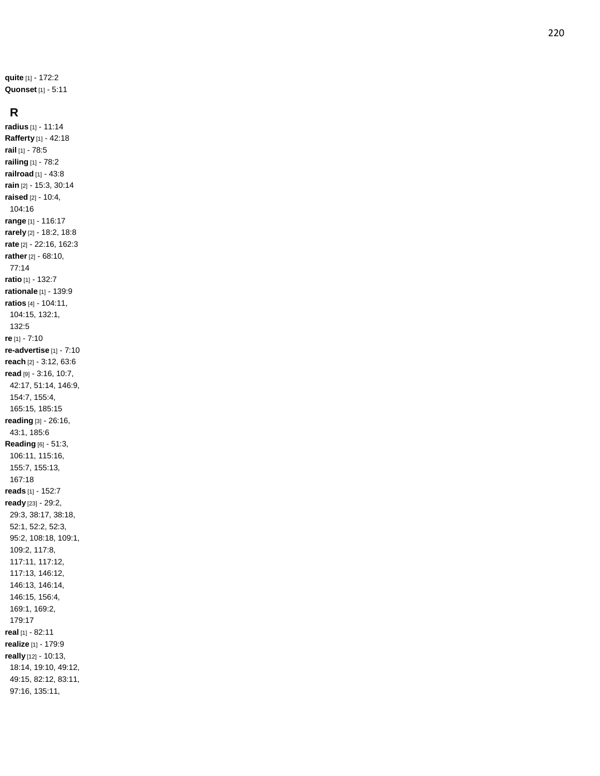**quite** [1] - 172:2 **Quonset** [1] - 5:11

#### **R**

**radius** [1] - 11:14 **Rafferty** [1] - 42:18 **rail** [1] - 78:5 **railing** [1] - 78:2 **railroad** [1] - 43:8 **rain** [2] - 15:3, 30:14 **raised** [2] - 10:4, 104:16 **range** [1] - 116:17 **rarely** [2] - 18:2, 18:8 **rate** [2] - 22:16, 162:3 **rather** [2] - 68:10, 77:14 **ratio** [1] - 132:7 **rationale** [1] - 139:9 **ratios** [4] - 104:11, 104:15, 132:1, 132:5 **re** [1] - 7:10 **re -advertise** [1] - 7:10 **reach** [2] - 3:12, 63:6 **read** [9] - 3:16, 10:7, 42:17, 51:14, 146:9, 154:7, 155:4, 165:15, 185:15 **reading** [3] - 26:16, 43:1, 185:6 **Reading** [6] - 51:3, 106:11, 115:16, 155:7, 155:13, 167:18 **reads** [1] - 152:7 **ready** [23] - 29:2, 29:3, 38:17, 38:18, 52:1, 52:2, 52:3, 95:2, 108:18, 109:1, 109:2, 117:8, 117:11, 117:12, 117:13, 146:12, 146:13, 146:14, 146:15, 156:4, 169:1, 169:2, 179:17 **real** [1] - 82:11 **realize** [1] - 179:9 **really** [12] - 10:13, 18:14, 19:10, 49:12, 49:15, 82:12, 83:11, 97:16, 135:11,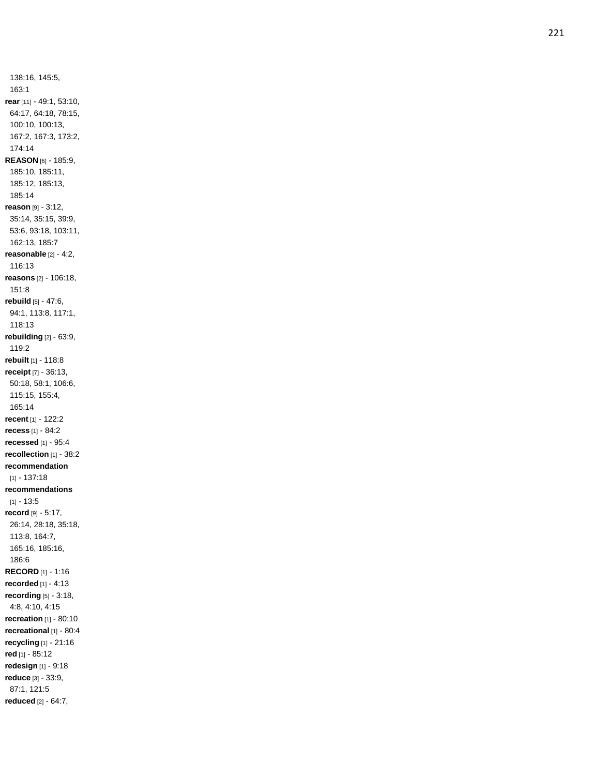138:16, 145:5, 163:1 **rear** [11] - 49:1, 53:10, 64:17, 64:18, 78:15, 100:10, 100:13, 167:2, 167:3, 173:2, 174:14 **REASON** [6] - 185:9, 185:10, 185:11, 185:12, 185:13, 185:14 **reason** [9] - 3:12, 35:14, 35:15, 39:9, 53:6, 93:18, 103:11, 162:13, 185:7 **reasonable** [2] - 4:2, 116:13 **reasons** [2] - 106:18, 151:8 **rebuild** [5] - 47:6, 94:1, 113:8, 117:1, 118:13 **rebuilding** [2] - 63:9, 119:2 **rebuilt** [1] - 118:8 **receipt** [7] - 36:13, 50:18, 58:1, 106:6, 115:15, 155:4, 165:14 **recent** [1] - 122:2 **recess** [1] - 84:2 **recessed** [1] - 95:4 **recollection** [1] - 38:2 **recommendation** [1] - 137:18 **recommendations** [1] - 13:5 **record** [9] - 5:17, 26:14, 28:18, 35:18, 113:8, 164:7, 165:16, 185:16, 186:6 **RECORD** [1] - 1:16 **recorded** [1] - 4:13 **recording** [5] - 3:18, 4:8, 4:10, 4:15 **recreation** [1] - 80:10 **recreational** [1] - 80:4 **recycling** [1] - 21:16 **red** [1] - 85:12 **redesign** [1] - 9:18 **reduce** [3] - 33:9, 87:1, 121:5 **reduced** [2] - 64:7,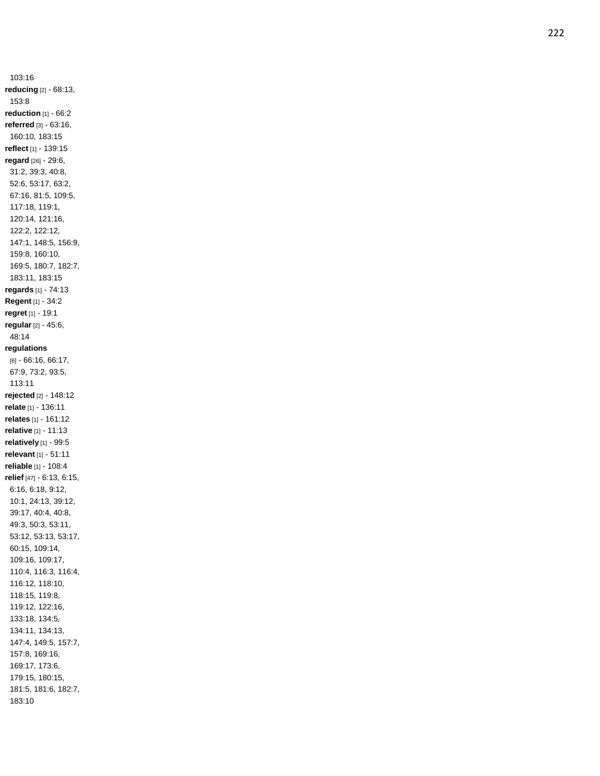103:16 **reducing** [2] - 68:13, 153:8 **reduction** [1] - 66:2 **referred** [3] - 63:16, 160:10, 183:15 **reflect** [1] - 139:15 **regard** [26] - 29:6, 31:2, 39:3, 40:8, 52:6, 53:17, 63:2, 67:16, 81:5, 109:5, 117:18, 119:1, 120:14, 121:16, 122:2, 122:12, 147:1, 148:5, 156:9, 159:8, 160:10, 169:5, 180:7, 182:7, 183:11, 183:15 **regards** [1] - 74:13 **Regent** [1] - 34:2 **regret** [1] - 19:1 **regular** [2] - 45:6, 48:14 **regulations** [6] - 66:16, 66:17, 67:9, 73:2, 93:5, 113:11 **rejected** [2] - 148:12 **relate** [1] - 136:11 **relates** [1] - 161:12 **relative** [1] - 11:13 **relatively** [1] - 99:5 **relevant** [1] - 51:11 **reliable** [1] - 108:4 **relief** [47] - 6:13, 6:15, 6:16, 6:18, 9:12, 10:1, 24:13, 39:12, 39:17, 40:4, 40:8, 49:3, 50:3, 53:11, 53:12, 53:13, 53:17, 60:15, 109:14, 109:16, 109:17, 110:4, 116:3, 116:4, 116:12, 118:10, 118:15, 119:8, 119:12, 122:16, 133:18, 134:5, 134:11, 134:13, 147:4, 149:5, 157:7, 157:8, 169:16, 169:17, 173:6, 179:15, 180:15, 181:5, 181:6, 182:7, 183:10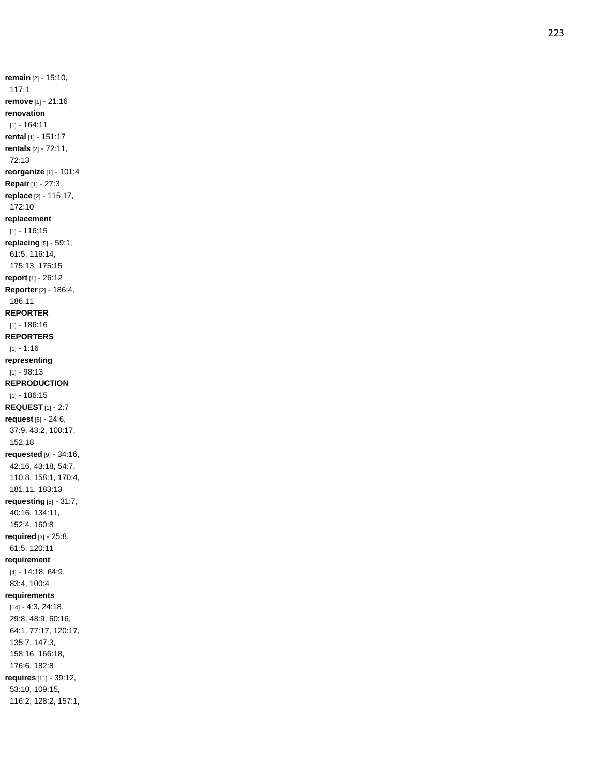**remain** [2] - 15:10, 117:1 **remove** [1] - 21:16 **renovation** [1] - 164:11 **rental** [1] - 151:17 **rentals** [2] - 72:11, 72:13 **reorganize** [1] - 101:4 **Repair** [1] - 27:3 **replace** [2] - 115:17, 172:10 **replacement** [1] - 116:15 **replacing** [5] - 59:1, 61:5, 116:14, 175:13, 175:15 **report** [1] - 26:12 **Reporter** [2] - 186:4, 186:11 **REPORTER** [1] - 186:16 **REPORTERS** [1] - 1:16 **representing** [1] - 98:13 **REPRODUCTION** [1] - 186:15 **REQUEST** [1] - 2:7 **request** [5] - 24:6, 37:9, 43:2, 100:17, 152:18 **requested** [9] - 34:16, 42:16, 43:18, 54:7, 110:8, 158:1, 170:4, 181:11, 183:13 **requesting** [5] - 31:7, 40:16, 134:11, 152:4, 160:8 **required** [3] - 25:8, 61:5, 120:11 **requirement** [4] - 14:18, 64:9, 83:4, 100:4 **requirements** [14] - 4:3, 24:18, 29:8, 48:9, 60:16, 64:1, 77:17, 120:17, 135:7, 147:3, 158:16, 166:18, 176:6, 182:8 **requires** [11] - 39:12, 53:10, 109:15, 116:2, 128:2, 157:1,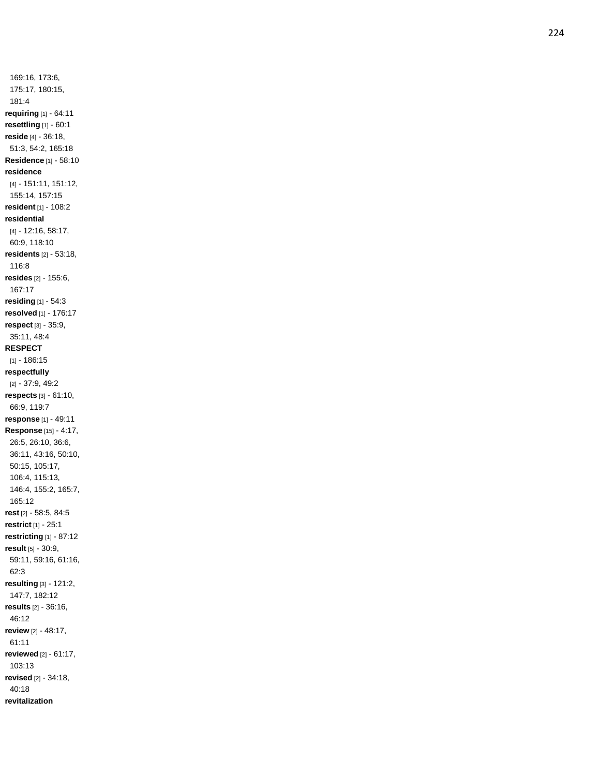169:16, 173:6, 175:17, 180:15, 181:4 **requiring** [1] - 64:11 **resettling** [1] - 60:1 **reside** [4] - 36:18, 51:3, 54:2, 165:18 **Residence** [1] - 58:10 **residence** [4] - 151:11, 151:12, 155:14, 157:15 **resident** [1] - 108:2 **residential** [4] - 12:16, 58:17, 60:9, 118:10 **residents** [2] - 53:18, 116:8 **resides** [2] - 155:6, 167:17 **residing** [1] - 54:3 **resolved** [1] - 176:17 **respect** [3] - 35:9, 35:11, 48:4 **RESPECT** [1] - 186:15 **respectfully** [2] - 37:9, 49:2 **respects** [3] - 61:10, 66:9, 119:7 **response** [1] - 49:11 **Response** [15] - 4:17, 26:5, 26:10, 36:6, 36:11, 43:16, 50:10, 50:15, 105:17, 106:4, 115:13, 146:4, 155:2, 165:7, 165:12 **rest** [2] - 58:5, 84:5 **restrict** [1] - 25:1 **restricting** [1] - 87:12 **result** [5] - 30:9, 59:11, 59:16, 61:16, 62:3 **resulting** [3] - 121:2, 147:7, 182:12 **results** [2] - 36:16, 46:12 **review** [2] - 48:17, 61:11 **reviewed** [2] - 61:17, 103:13 **revised** [2] - 34:18, 40:18 **revitalization**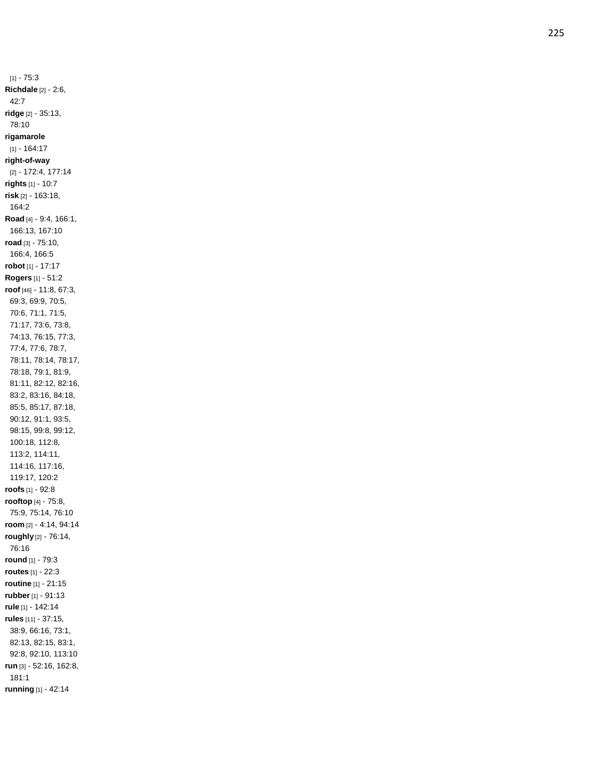[1] - 75:3 **Richdale** [2] - 2:6, 42:7 **ridge** [2] - 35:13, 78:10 **rigamarole** [1] - 164:17 **right -of -way** [2] - 172:4, 177:14 **rights** [1] - 10:7 **risk** [2] - 163:18, 164:2 **Road** [4] - 9:4, 166:1, 166:13, 167:10 **road** [3] - 75:10, 166:4, 166:5 **robot** [1] - 17:17 **Rogers** [1] - 51:2 **roof** [46] - 11:8, 67:3, 69:3, 69:9, 70:5, 70:6, 71:1, 71:5, 71:17, 73:6, 73:8, 74:13, 76:15, 77:3, 77:4, 77:6, 78:7, 78:11, 78:14, 78:17, 78:18, 79:1, 81:9, 81:11, 82:12, 82:16, 83:2, 83:16, 84:18, 85:5, 85:17, 87:18, 90:12, 91:1, 93:5, 98:15, 99:8, 99:12, 100:18, 112:8, 113:2, 114:11, 114:16, 117:16, 119:17, 120:2 **roofs** [1] - 92:8 **rooftop** [4] - 75:8, 75:9, 75:14, 76:10 **room** [2] - 4:14, 94:14 **roughly** [2] - 76:14, 76:16 **round** [1] - 79:3 **routes** [1] - 22:3 **routine** [1] - 21:15 **rubber** [1] - 91:13 **rule** [1] - 142:14 **rules** [11] - 37:15, 38:9, 66:16, 73:1, 82:13, 82:15, 83:1, 92:8, 92:10, 113:10 **run** [3] - 52:16, 162:8, 181:1 **running** [1] - 42:14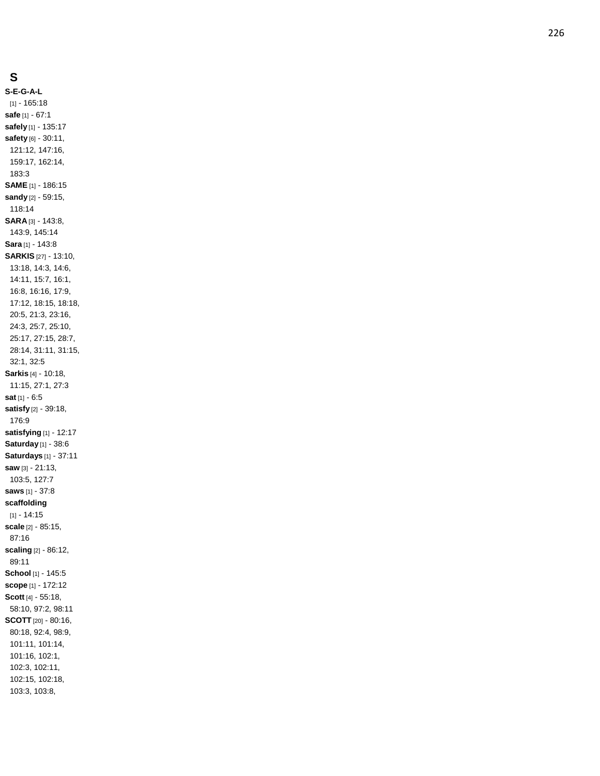### **S**

**S - E - G - A - L** [1] - 165:18 **safe** [1] - 67:1 **safely** [1] - 135:17 **safety** [6] - 30:11, 121:12, 147:16, 159:17, 162:14, 183:3 **SAME** [1] - 186:15 **sandy** [2] - 59:15, 118:14 **SARA** [3] - 143:8, 143:9, 145:14 **Sara** [1] - 143:8 **SARKIS** [27] - 13:10, 13:18, 14:3, 14:6, 14:11, 15:7, 16:1, 16:8, 16:16, 17:9, 17:12, 18:15, 18:18, 20:5, 21:3, 23:16, 24:3, 25:7, 25:10, 25:17, 27:15, 28:7, 28:14, 31:11, 31:15, 32:1, 32:5 **Sarkis** [4] - 10:18, 11:15, 27:1, 27:3 **sat** [1] - 6:5 **satisfy** [2] - 39:18, 176:9 **satisfying** [1] - 12:17 **Saturday** [1] - 38:6 **Saturdays** [1] - 37:11 **saw** [3] - 21:13, 103:5, 127:7 **saws** [1] - 37:8 **scaffolding**  $[1] - 14:15$ **scale** [2] - 85:15, 87:16 **scaling** [2] - 86:12, 89:11 **School** [1] - 145:5 **scope** [1] - 172:12 **Scott** [4] - 55:18, 58:10, 97:2, 98:11 **SCOTT** [20] - 80:16, 80:18, 92:4, 98:9, 101:11, 101:14, 101:16, 102:1, 102:3, 102:11, 102:15, 102:18, 103:3, 103:8,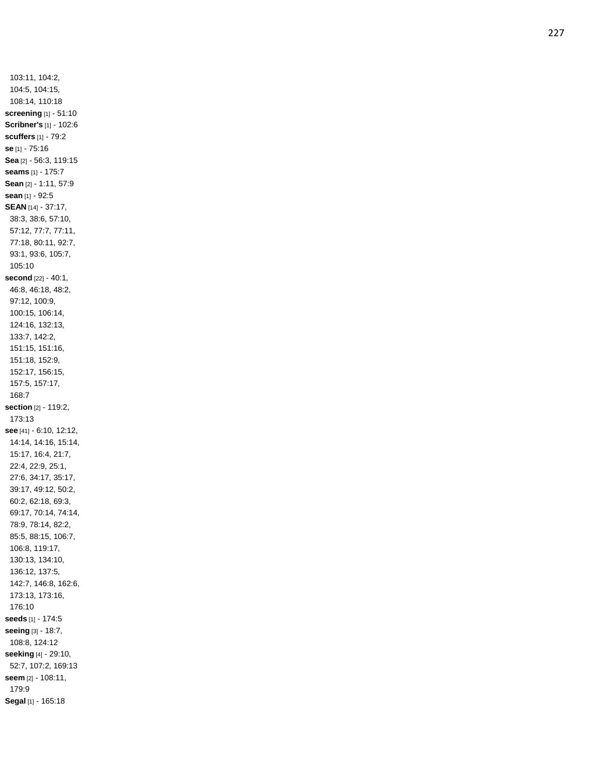103:11, 104:2, 104:5, 104:15, 108:14, 110:18 **screening** [1] - 51:10 **Scribner's** [1] - 102:6 **scuffers** [1] - 79:2 **se** [1] - 75:16 **Sea** [2] - 56:3, 119:15 **seams** [1] - 175:7 **Sean** [2] - 1:11, 57:9 **sean** [1] - 92:5 **SEAN** [14] - 37:17, 38:3, 38:6, 57:10, 57:12, 77:7, 77:11, 77:18, 80:11, 92:7, 93:1, 93:6, 105:7, 105:10 **second** [22] - 40:1, 46:8, 46:18, 48:2, 97:12, 100:9, 100:15, 106:14, 124:16, 132:13, 133:7, 142:2, 151:15, 151:16, 151:18, 152:9, 152:17, 156:15, 157:5, 157:17, 168:7 **section** [2] - 119:2, 173:13 **see** [41] - 6:10, 12:12, 14:14, 14:16, 15:14, 15:17, 16:4, 21:7, 22:4, 22:9, 25:1, 27:6, 34:17, 35:17, 39:17, 49:12, 50:2, 60:2, 62:18, 69:3, 69:17, 70:14, 74:14, 78:9, 78:14, 82:2, 85:5, 88:15, 106:7, 106:8, 119:17, 130:13, 134:10, 136:12, 137:5, 142:7, 146:8, 162:6, 173:13, 173:16, 176:10 **seeds** [1] - 174:5 **seeing** [3] - 18:7, 108:8, 124:12 **seeking** [4] - 29:10, 52:7, 107:2, 169:13 **seem** [2] - 108:11, 179:9 **Segal** [1] - 165:18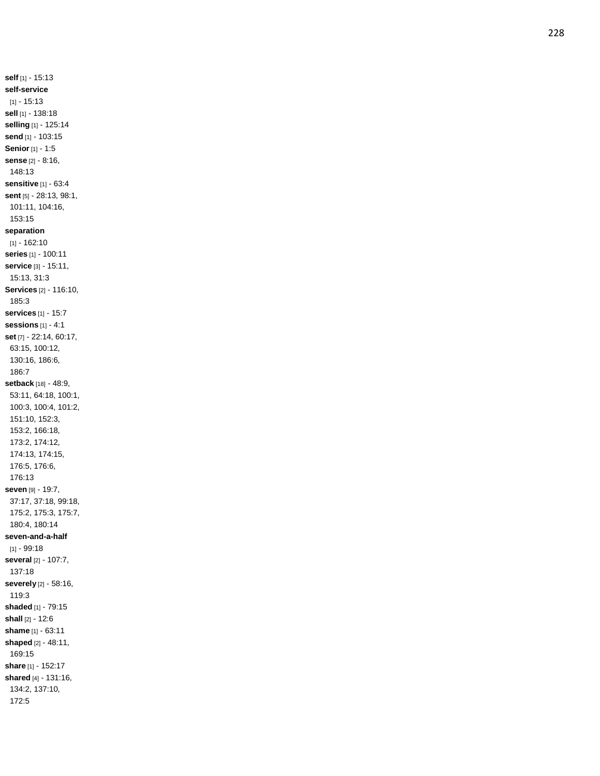**self** [1] - 15:13 **self -service**  $[1] - 15:13$ **sell** [1] - 138:18 **selling** [1] - 125:14 **send** [1] - 103:15 **Senior** [1] - 1:5 **sense** [2] - 8:16, 148:13 **sensitive** [1] - 63:4 **sent** [5] - 28:13, 98:1, 101:11, 104:16, 153:15 **separation** [1] - 162:10 **series** [1] - 100:11 **service** [3] - 15:11, 15:13, 31:3 **Services** [2] - 116:10, 185:3 **services** [1] - 15:7 **sessions** [1] - 4:1 **set** [7] - 22:14, 60:17, 63:15, 100:12, 130:16, 186:6, 186:7 **setback** [18] - 48:9, 53:11, 64:18, 100:1, 100:3, 100:4, 101:2, 151:10, 152:3, 153:2, 166:18, 173:2, 174:12, 174:13, 174:15, 176:5, 176:6, 176:13 **seven** [9] - 19:7, 37:17, 37:18, 99:18, 175:2, 175:3, 175:7, 180:4, 180:14 **seven -and - a -half** [1] - 99:18 **several** [2] - 107:7, 137:18 **severely** [2] - 58:16, 119:3 **shaded** [1] - 79:15 **shall** [2] - 12:6 **shame** [1] - 63:11 **shaped** [2] - 48:11, 169:15 **share** [1] - 152:17 **shared** [4] - 131:16, 134:2, 137:10, 172:5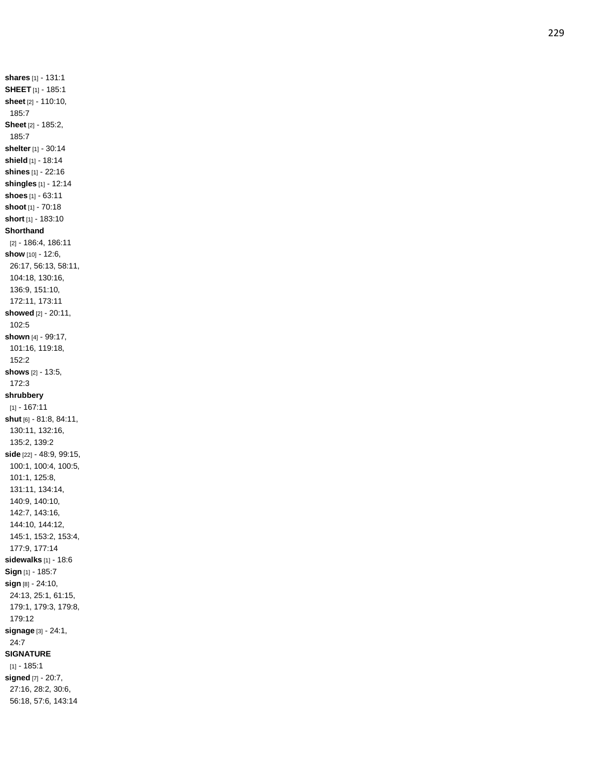**shares** [1] - 131:1 **SHEET** [1] - 185:1 **sheet** [2] - 110:10, 185:7 **Sheet** [2] - 185:2, 185:7 **shelter** [1] - 30:14 **shield** [1] - 18:14 **shines** [1] - 22:16 **shingles** [1] - 12:14 **shoes** [1] - 63:11 **shoot** [1] - 70:18 **short** [1] - 183:10 **Shorthand** [2] - 186:4, 186:11 **show** [10] - 12:6, 26:17, 56:13, 58:11, 104:18, 130:16, 136:9, 151:10, 172:11, 173:11 **showed** [2] - 20:11, 102:5 **shown** [4] - 99:17, 101:16, 119:18, 152:2 **shows** [2] - 13:5, 172:3 **shrubbery** [1] - 167:11 **shut** [6] - 81:8, 84:11, 130:11, 132:16, 135:2, 139:2 **side** [22] - 48:9, 99:15, 100:1, 100:4, 100:5, 101:1, 125:8, 131:11, 134:14, 140:9, 140:10, 142:7, 143:16, 144:10, 144:12, 145:1, 153:2, 153:4, 177:9, 177:14 **sidewalks** [1] - 18:6 **Sign** [1] - 185:7 **sign** [8] - 24:10, 24:13, 25:1, 61:15, 179:1, 179:3, 179:8, 179:12 **signage** [3] - 24:1, 24:7 **SIGNATUR E**  $[1] - 185:1$ **signed** [7] - 20:7, 27:16, 28:2, 30:6,

56:18, 57:6, 143:14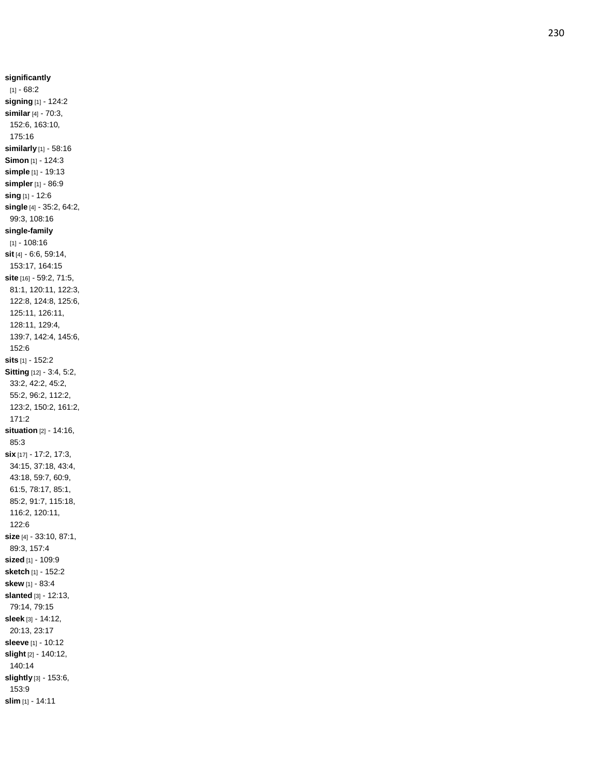**significantly**  $[1] - 68:2$ **signing** [1] - 124:2 **similar** [4] - 70:3, 152:6, 163:10, 175:16 **similarly** [1] - 58:16 **Simon** [1] - 124:3 **simple** [1] - 19:13 **simpler** [1] - 86:9 **sing** [1] - 12:6 **single** [4] - 35:2, 64:2, 99:3, 108:16 **single -family** [1] - 108:16 **sit** [4] - 6:6, 59:14, 153:17, 164:15 **site** [16] - 59:2, 71:5, 81:1, 120:11, 122:3, 122:8, 124:8, 125:6, 125:11, 126:11, 128:11, 129:4, 139:7, 142:4, 145:6, 152:6 **sits** [1] - 152:2 **Sitting** [12] - 3:4, 5:2, 33:2, 42:2, 45:2, 55:2, 96:2, 112:2, 123:2, 150:2, 161:2, 171:2 **situation** [2] - 14:16, 85:3 **six** [17] - 17:2, 17:3, 34:15, 37:18, 43:4, 43:18, 59:7, 60:9, 61:5, 78:17, 85:1, 85:2, 91:7, 115:18, 116:2, 120:11, 122:6 **size** [4] - 33:10, 87:1, 89:3, 157:4 **sized** [1] - 109:9 **sketch** [1] - 152:2 **skew** [1] - 83:4 **slanted** [3] - 12:13, 79:14, 79:15 **sleek** [3] - 14:12, 20:13, 23:17 **sleeve** [1] - 10:12 **slight** [2] - 140:12, 140:14 **slightly** [3] - 153:6, 153:9 **slim** [1] - 14:11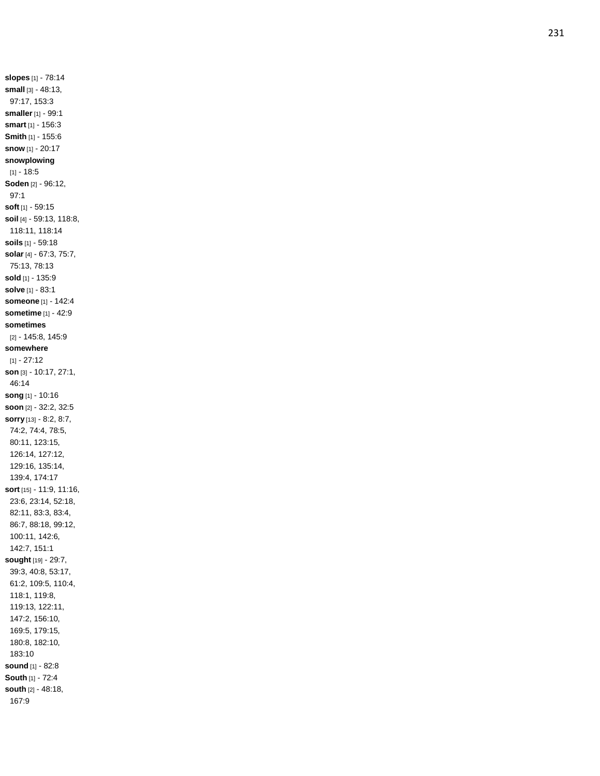**slopes** [1] - 78:14 **small** [3] - 48:13, 97:17, 153:3 **smaller** [1] - 99:1 **smart** [1] - 156:3 **Smith** [1] - 155:6 **snow** [1] - 20:17 **snowplowing** [1] - 18:5 **Soden** [2] - 96:12, 97:1 **soft** [1] - 59:15 **soil** [4] - 59:13, 118:8, 118:11, 118:14 **soils** [1] - 59:18 **solar** [4] - 67:3, 75:7, 75:13, 78:13 **sold** [1] - 135:9 **solve** [1] - 83:1 **someone** [1] - 142:4 **sometime** [1] - 42:9 **sometimes** [2] - 145:8, 145:9 **somewhere**  $[1] - 27:12$ **son** [3] - 10:17, 27:1, 46:14 **song** [1] - 10:16 **soon** [2] - 32:2, 32:5 **sorry** [13] - 8:2, 8:7, 74:2, 74:4, 78:5, 80:11, 123:15, 126:14, 127:12, 129:16, 135:14, 139:4, 174:17 **sort** [15] - 11:9, 11:16, 23:6, 23:14, 52:18, 82:11, 83:3, 83:4, 86:7, 88:18, 99:12, 100:11, 142:6, 142:7, 151:1 **sought** [19] - 29:7, 39:3, 40:8, 53:17, 61:2, 109:5, 110:4, 118:1, 119:8, 119:13, 122:11, 147:2, 156:10, 169:5, 179:15, 180:8, 182:10, 183:10 **sound** [1] - 82:8 **South** [1] - 72:4 **south** [2] - 48:18, 167:9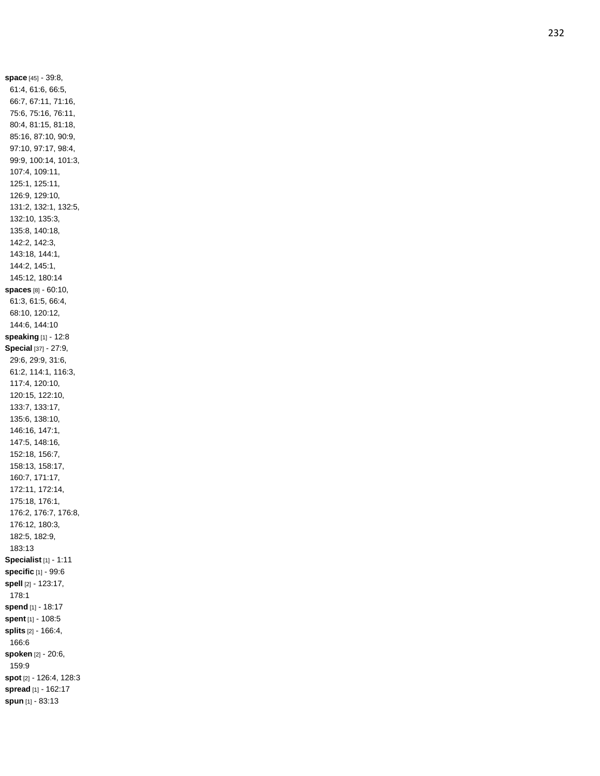**space** [45] - 39:8, 61:4, 61:6, 66:5, 66:7, 67:11, 71:16, 75:6, 75:16, 76:11, 80:4, 81:15, 81:18, 85:16, 87:10, 90:9, 97:10, 97:17, 98:4, 99:9, 100:14, 101:3, 107:4, 109:11, 125:1, 125:11, 126:9, 129:10, 131:2, 132:1, 132:5, 132:10, 135:3, 135:8, 140:18, 142:2, 142:3, 143:18, 144:1, 144:2, 145:1, 145:12, 180:14 **spaces** [8] - 60:10, 61:3, 61:5, 66:4, 68:10, 120:12, 144:6, 144:10 **speaking** [1] - 12:8 **Special** [37] - 27:9, 29:6, 29:9, 31:6, 61:2, 114:1, 116:3, 117:4, 120:10, 120:15, 122:10, 133:7, 133:17, 135:6, 138:10, 146:16, 147:1, 147:5, 148:16, 152:18, 156:7, 158:13, 158:17, 160:7, 171:17, 172:11, 172:14, 175:18, 176:1, 176:2, 176:7, 176:8, 176:12, 180:3, 182:5, 182:9, 183:13 **Specialist** [1] - 1:11 **specific** [1] - 99:6 **spell** [2] - 123:17, 178:1 **spend** [1] - 18:17 **spent** [1] - 108:5 **splits** [2] - 166:4, 166:6 **spoken** [2] - 20:6, 159:9 **spot** [2] - 126:4, 128:3 **spread** [1] - 162:17 **spun** [1] - 83:13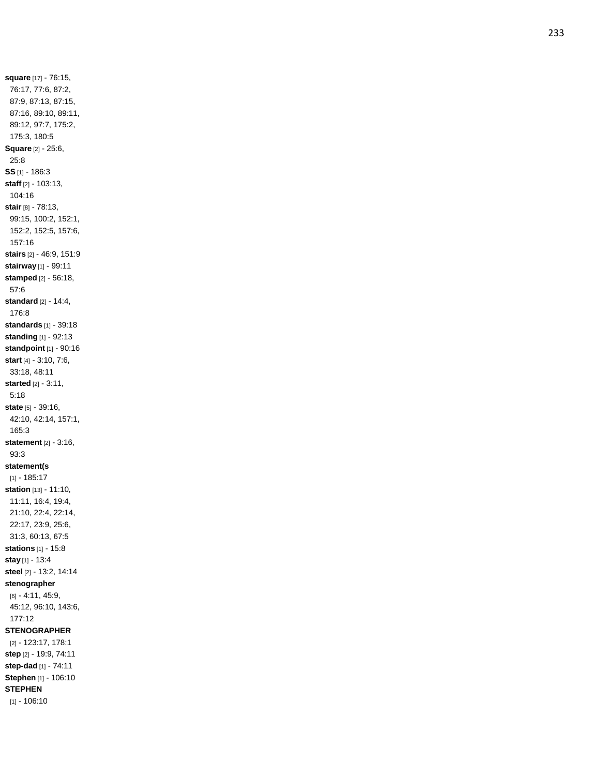**square** [17] - 76:15, 76:17, 77:6, 87:2, 87:9, 87:13, 87:15, 87:16, 89:10, 89:11, 89:12, 97:7, 175:2, 175:3, 180:5 **Square** [2] - 25:6, 25:8 **SS** [1] - 186:3 **staff** [2] - 103:13, 104:16 **stair** [8] - 78:13, 99:15, 100:2, 152:1, 152:2, 152:5, 157:6, 157:16 **stairs** [2] - 46:9, 151:9 **stairway** [1] - 99:11 **stamped** [2] - 56:18, 57:6 **standard** [2] - 14:4, 176:8 **standards** [1] - 39:18 **standing** [1] - 92:13 **standpoint** [1] - 90:16 **start** [4] - 3:10, 7:6, 33:18, 48:11 **started** [2] - 3:11, 5:18 **state** [5] - 39:16, 42:10, 42:14, 157:1, 165:3 **statement** [2] - 3:16, 93:3 **statement(s** [1] - 185:17 **station** [13] - 11:10, 11:11, 16:4, 19:4, 21:10, 22:4, 22:14, 22:17, 23:9, 25:6, 31:3, 60:13, 67:5 **stations** [1] - 15:8 **stay** [1] - 13:4 **steel** [2] - 13:2, 14:14 **stenographer** [6] - 4:11, 45:9, 45:12, 96:10, 143:6, 177:12 **STENOGRAPHER** [2] - 123:17, 178:1 **step** [2] - 19:9, 74:11 **step -dad** [1] - 74:11 **Stephen** [1] - 106:10 **STEPHEN** [1] - 106:10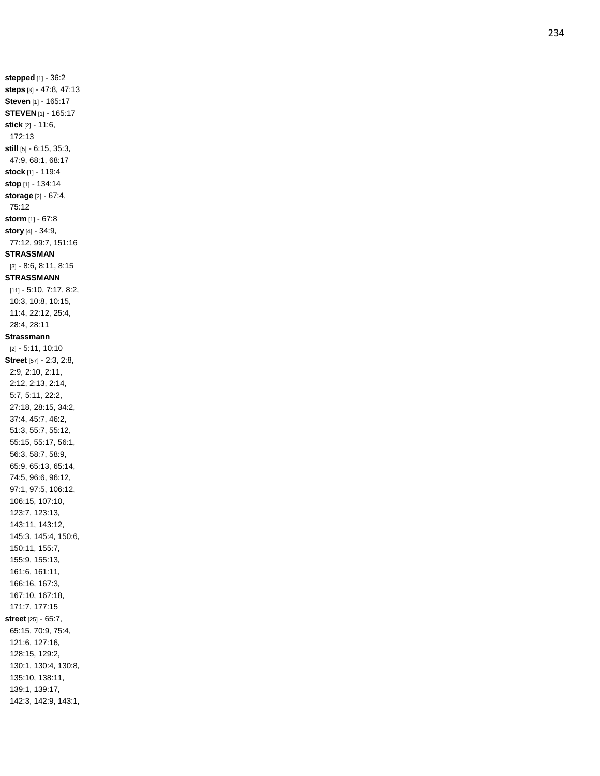**stepped** [1] - 36:2 **steps** [3] - 47:8, 47:13 **Steven** [1] - 165:17 **STEVEN** [1] - 165:17 **stick** [2] - 11:6, 172:13 **still** [5] - 6:15, 35:3, 47:9, 68:1, 68:17 **stock** [1] - 119:4 **stop** [1] - 134:14 **storage** [2] - 67:4, 75:12 **storm** [1] - 67:8 **story** [4] - 34:9, 77:12, 99:7, 151:16 **STRASSMAN** [3] - 8:6, 8:11, 8:15 **STRASSMANN** [11] - 5:10, 7:17, 8:2, 10:3, 10:8, 10:15, 11:4, 22:12, 25:4, 28:4, 28:11 **Strassmann** [2] - 5:11, 10:10 **Street** [57] - 2:3, 2:8, 2:9, 2:10, 2:11, 2:12, 2:13, 2:14, 5:7, 5:11, 22:2, 27:18, 28:15, 34:2, 37:4, 45:7, 46:2, 51:3, 55:7, 55:12, 55:15, 55:17, 56:1, 56:3, 58:7, 58:9, 65:9, 65:13, 65:14, 74:5, 96:6, 96:12, 97:1, 97:5, 106:12, 106:15, 107:10, 123:7, 123:13, 143:11, 143:12, 145:3, 145:4, 150:6, 150:11, 155:7, 155:9, 155:13, 161:6, 161:11, 166:16, 167:3, 167:10, 167:18, 171:7, 177:15 **street** [25] - 65:7, 65:15, 70:9, 75:4, 121:6, 127:16, 128:15, 129:2, 130:1, 130:4, 130:8, 135:10, 138:11, 139:1, 139:17, 142:3, 142:9, 143:1,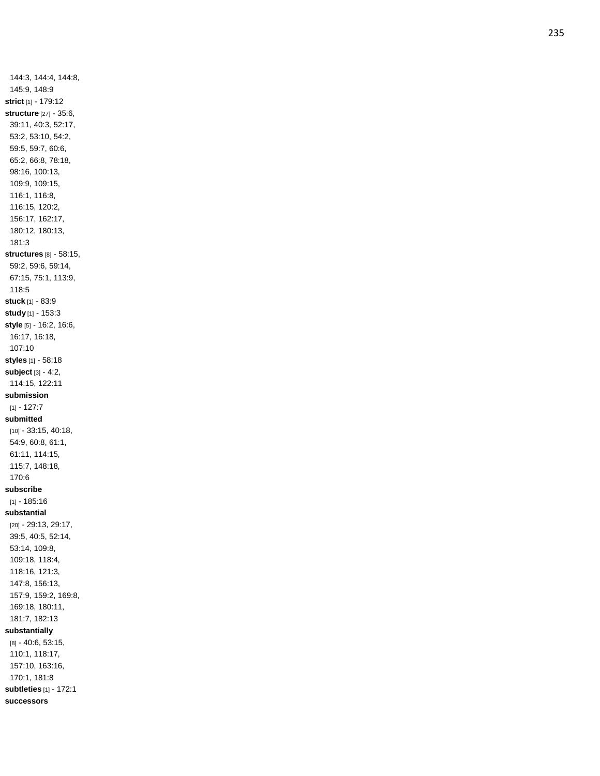144:3, 144:4, 144:8, 145:9, 148:9 **strict** [1] - 179:12 **structure** [27] - 35:6, 39:11, 40:3, 52:17, 53:2, 53:10, 54:2, 59:5, 59:7, 60:6, 65:2, 66:8, 78:18, 98:16, 100:13, 109:9, 109:15, 116:1, 116:8, 116:15, 120:2, 156:17, 162:17, 180:12, 180:13, 181:3 **structures** [8] - 58:15, 59:2, 59:6, 59:14, 67:15, 75:1, 113:9, 118:5 **stuck** [1] - 83:9 **study** [1] - 153:3 **style** [5] - 16:2, 16:6, 16:17, 16:18, 107:10 **styles** [1] - 58:18 **subject** [3] - 4:2, 114:15, 122:11 **submission**  $[1] - 127:7$ **submitted** [10] - 33:15, 40:18, 54:9, 60:8, 61:1, 61:11, 114:15, 115:7, 148:18, 170:6 **subscribe** [1] - 185:16 **substantial** [20] - 29:13, 29:17, 39:5, 40:5, 52:14, 53:14, 109:8, 109:18, 118:4, 118:16, 121:3, 147:8, 156:13, 157:9, 159:2, 169:8, 169:18, 180:11, 181:7, 182:13 **substantially** [8] - 40:6, 53:15, 110:1, 118:17, 157:10, 163:16, 170:1, 181:8 **subtleties** [1] - 172:1 **successors**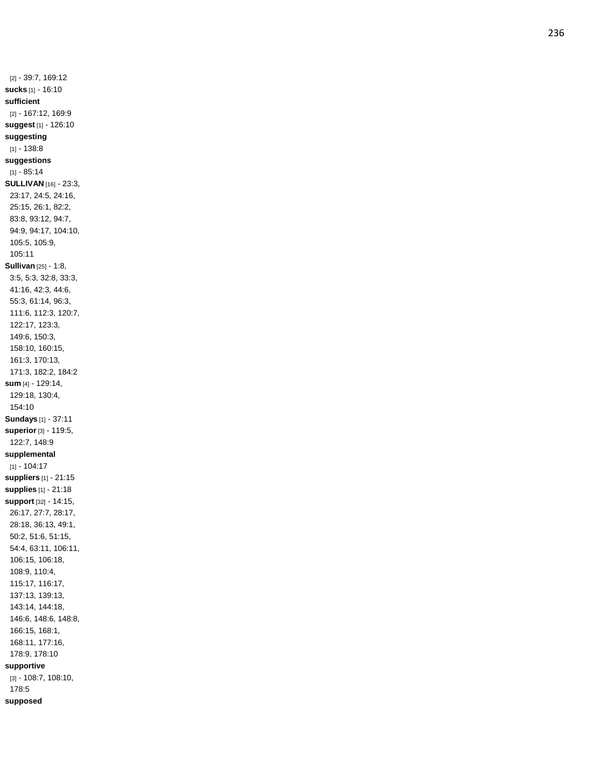[2] - 39:7, 169:12 **sucks** [1] - 16:10 **sufficient** [2] - 167:12, 169:9 **suggest** [1] - 126:10 **suggesting**  $[1] - 138.8$ **suggestions**  $[1] - 85.14$ **SULLIVAN** [16] - 23:3, 23:17, 24:5, 24:16, 25:15, 26:1, 82:2, 83:8, 93:12, 94:7, 94:9, 94:17, 104:10, 105:5, 105:9, 105:11 **Sullivan** [25] - 1:8, 3:5, 5:3, 32:8, 33:3, 41:16, 42:3, 44:6, 55:3, 61:14, 96:3, 111:6, 112:3, 120:7, 122:17, 123:3, 149:6, 150:3, 158:10, 160:15, 161:3, 170:13, 171:3, 182:2, 184:2 **sum** [4] - 129:14, 129:18, 130:4, 154:10 **Sundays** [1] - 37:11 **superior** [3] - 119:5, 122:7, 148:9 **supplemental** [1] - 104:17 **suppliers** [1] - 21:15 **supplies** [1] - 21:18 **support** [32] - 14:15, 26:17, 27:7, 28:17, 28:18, 36:13, 49:1, 50:2, 51:6, 51:15, 54:4, 63:11, 106:11, 106:15, 106:18, 108:9, 110:4, 115:17, 116:17, 137:13, 139:13, 143:14, 144:18, 146:6, 148:6, 148:8, 166:15, 168:1, 168:11, 177:16, 178:9, 178:10 **supportive** [3] - 108:7, 108:10, 178:5 **supposed**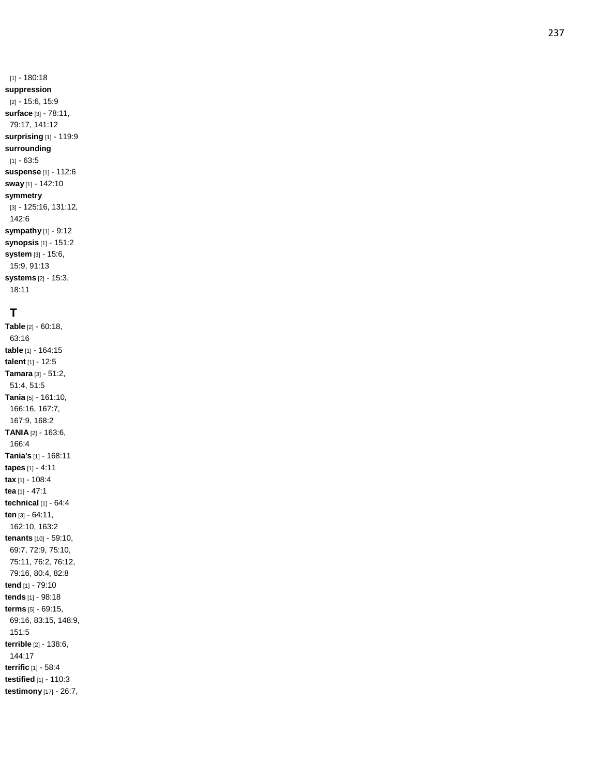[1] - 180:18 **suppression** [2] - 15:6, 15:9 **surface** [3] - 78:11, 79:17, 141:12 **surprising** [1] - 119:9 **surrounding**  $[1] - 63.5$ **suspense** [1] - 112:6 **sway** [1] - 142:10 **symmetry** [3] - 125:16, 131:12, 142:6 **sympathy** [1] - 9:12 **synopsis** [1] - 151:2 **system** [3] - 15:6, 15:9, 91:13 **systems** [2] - 15:3,

# **T**

18:11

**Table** [2] - 60:18, 63:16 **table** [1] - 164:15 **talent** [1] - 12:5 **Tamara** [3] - 51:2, 51:4, 51:5 **Tania** [5] - 161:10, 166:16, 167:7, 167:9, 168:2 **TANIA** [2] - 163:6, 166: 4 **Tania's** [1] - 168:11 **tapes** [1] - 4:11 **tax** [1] - 108:4 **tea** [1] - 47:1 **technical** [1] - 64:4 **ten** [3] - 64:11, 162:10, 163:2 **tenants** [10] - 59:10, 69:7, 72:9, 75:10, 75:11, 76:2, 76:12, 79:16, 80:4, 82:8 **tend** [1] - 79:10 **tends** [1] - 98:18 **terms** [5] - 69:15, 69:16, 83:15, 148:9, 151:5 **terrible** [2] - 138:6, 144:17 **terrific** [1] - 58:4 **testified** [1] - 110:3 **testimony** [17] - 26:7,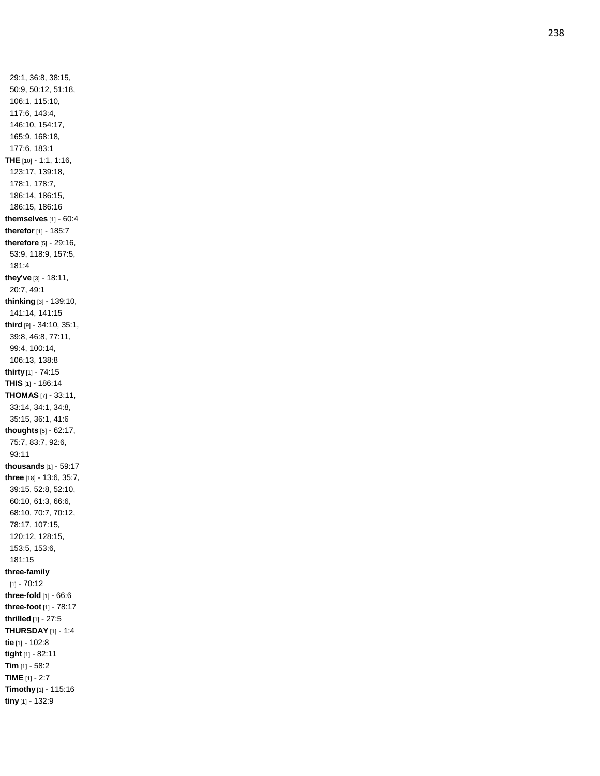29:1, 36:8, 38:15, 50:9, 50:12, 51:18, 106:1, 115:10, 117:6, 143:4, 146:10, 154:17, 165:9, 168:18, 177:6, 183:1 **THE** [10] - 1:1, 1:16, 123:17, 139:18, 178:1, 178:7, 186:14, 186:15, 186:15, 186:16 **themselves** [1] - 60:4 **therefor** [1] - 185:7 **therefore** [5] - 29:16, 53:9, 118:9, 157:5, 181:4 **they've** [3] - 18:11, 20:7, 49:1 **thinking** [3] - 139:10, 141:14, 141:15 **third** [9] - 34:10, 35:1, 39:8, 46:8, 77:11, 99:4, 100:14, 106:13, 138:8 **thirty** [1] - 74:15 **THIS** [1] - 186:14 **THOMAS** [7] - 33:11, 33:14, 34:1, 34:8, 35:15, 36:1, 41:6 **thoughts** [5] - 62:17, 75:7, 83:7, 92:6, 93:11 **thousands** [1] - 59:17 **three** [18] - 13:6, 35:7, 39:15, 52:8, 52:10, 60:10, 61:3, 66:6, 68:10, 70:7, 70:12, 78:17, 107:15, 120:12, 128:15, 153:5, 153:6, 181:15 **three -family**  $[1] - 70:12$ **three -fold** [1] - 66:6 **three -foot** [1] - 78:17 **thrilled** [1] - 27:5 **THURSDAY** [1] - 1:4 **tie** [1] - 102:8 **tight** [1] - 82:11 **Tim** [1] - 58:2 **TIME** [1] - 2:7 **Timothy** [1] - 115:16 **tiny** [1] - 132:9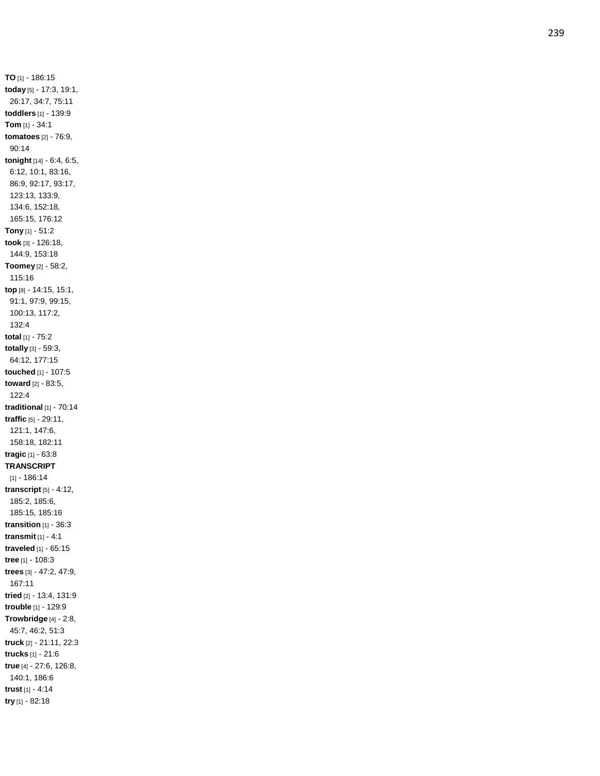**TO** [1] - 186:15 **today** [5] - 17:3, 19:1, 26:17, 34:7, 75:11 **toddlers** [1] - 139:9 **Tom** [1] - 34:1 **tomatoes** [2] - 76:9, 90:14 **tonight** [14] - 6:4, 6:5, 6:12, 10:1, 83:16, 86:9, 92:17, 93:17, 123:13, 133:9, 134:6, 152:18, 165:15, 176:12 **Tony** [1] - 51:2 **took** [3] - 126:18, 144:9, 153:18 **Toomey** [2] - 58:2, 115:16 **top** [8] - 14:15, 15:1, 91:1, 97:9, 99:15, 100:13, 117:2, 132:4 **total** [1] - 75:2 **totall y** [3] - 59:3, 64:12, 177:15 **touched** [1] - 107:5 **toward** [2] - 83:5, 122:4 **traditional** [1] - 70:14 **traffic** [5] - 29:11, 121:1, 147:6, 158:18, 182:11 **tragic** [1] - 63:8 **TRANSCRIPT** [1] - 186:14 **transcript** [5] - 4:12, 185:2, 185:6, 185:15, 185:16 **transition** [1] - 36:3 **transmit** [1] - 4:1 **traveled** [1] - 65:15 **tree** [1] - 108:3 **trees** [3] - 47:2, 47:9, 167:11 **tried** [2] - 13:4, 131:9 **trouble** [1] - 129:9 **Trowbridge** [4] - 2:8, 45:7, 46:2, 51:3 **truck** [2] - 21:11, 22:3 **trucks** [1] - 21:6 **true** [4] - 27:6, 126:8, 140:1, 186:6 **trust** [1] - 4:14 **try** [1] - 82:18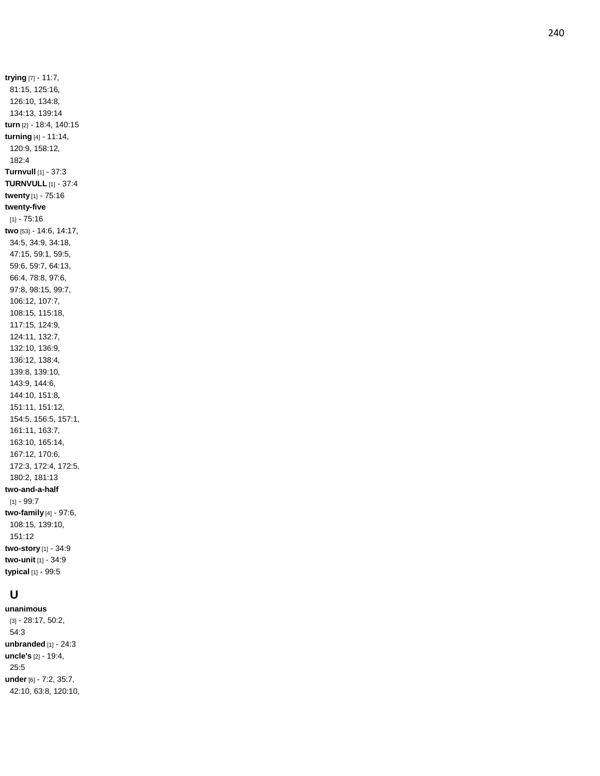**trying** [7] - 11:7, 81:15, 125:16, 126:10, 134:8, 134:13, 139:14 **turn** [2] - 18:4, 140:15 **turning** [4] - 11:14, 120:9, 158:12, 182:4 **Turnvull** [1] - 37:3 **TURNVULL** [1] - 37:4 **twenty** [1] - 75:16 **twenty-five**  $[1] - 75.16$ **two** [53] - 14:6, 14:17, 34:5, 34:9, 34:18, 47:15, 59:1, 59:5, 59:6, 59:7, 64:13, 66:4, 78:8, 97:6, 97:8, 98:15, 99:7, 106:12, 107:7, 108:15, 115:18, 117:15, 124:9, 124:11, 132:7, 132:10, 136:9, 136:12, 138:4, 139:8, 139:10, 143:9, 144:6, 144:10, 151:8, 151:11, 151:12, 154:5, 156:5, 157:1, 161:11, 163:7, 163:10, 165:14, 167:12, 170:6, 172:3, 172:4, 172:5, 180:2, 181:13 **two -and - a -half** [1] - 99:7 **two -family** [4] - 97:6, 108:15, 139:10, 151:12 **two -story** [1] - 34:9 **two -unit** [1] - 34:9 **typical** [1] - 99:5

# **U**

**unanimous** [3] - 28:17, 50:2, 54:3 **unbranded** [1] - 24:3 **uncle's** [2] - 19:4, 25:5 **under** [6] - 7:2, 35:7, 42:10, 63:8, 120:10,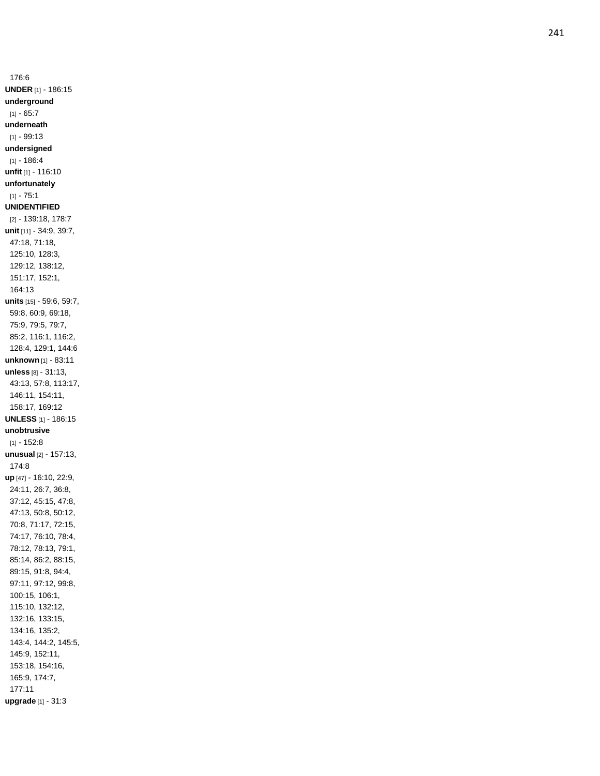176:6 **UNDER** [1] - 186:15 **underground**  $[1] - 65:7$ **underneath** [1] - 99:13 **undersigned**  $[1] - 186:4$ **unfit** [1] - 116:10 **unfortunately** [1] - 75:1 **UNIDENTIFIED** [2] - 139:18, 178:7 **unit** [11] - 34:9, 39:7, 47:18, 71:18, 125:10, 128:3, 129:12, 138:12, 151:17, 152:1, 164:13 **units** [15] - 59:6, 59:7, 59:8, 60:9, 69:18, 75:9, 79:5, 79:7, 85:2, 116:1, 116:2, 128:4, 129:1, 144:6 **unknown** [1] - 83:11 **unless** [8] - 31:13, 43:13, 57:8, 113:17, 146:11, 154:11, 158:17, 169:12 **UNLESS** [1] - 186:15 **unobtrusive**  $[1] - 152:8$ **unusual** [2] - 157:13, 174:8 **up** [47] - 16:10, 22:9, 24:11, 26:7, 36:8, 37:12, 45:15, 47:8, 47:13, 50:8, 50:12, 70:8, 71:17, 72:15, 74:17, 76:10, 78:4, 78:12, 78:13, 79:1, 85:14, 86:2, 88:15, 89:15, 91:8, 94:4, 97:11, 97:12, 99:8, 100:15, 106:1, 115:10, 132:12, 132:16, 133:15, 134:16, 135:2, 143:4, 144:2, 145:5, 145:9, 152:11, 153:18, 154:16, 165:9, 174:7, 177:11 **upgrade** [1] - 31:3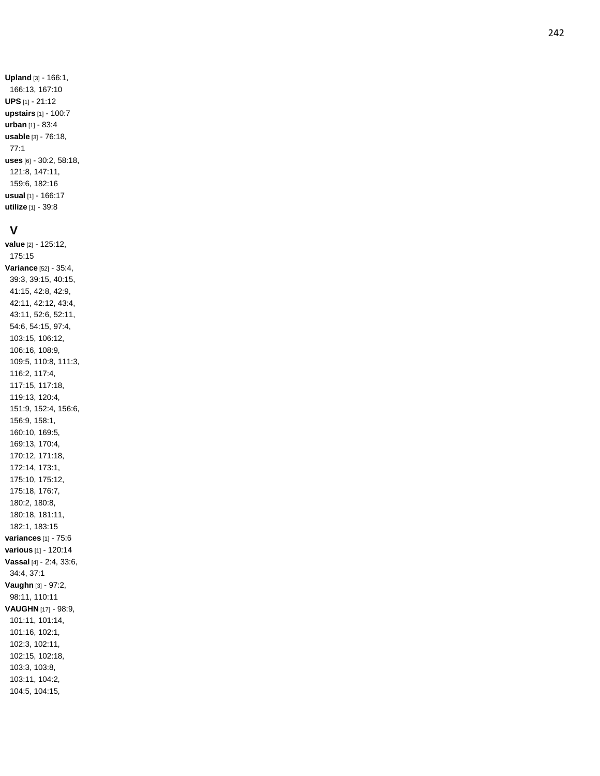#### **V**

**value** [2] - 125:12, 175:15 **Variance** [52] - 35:4, 39:3, 39:15, 40:15, 41:15, 42:8, 42:9, 42:11, 42:12, 43:4, 43:11, 52:6, 52:11, 54:6, 54:15, 97:4, 103:15, 106:12, 106:16, 108:9, 109:5, 110:8, 111:3, 116:2, 117:4, 117:15, 117:18, 119:13, 120:4, 151:9, 152:4, 156:6, 156:9, 158:1, 160:10, 169:5, 169:13, 170:4, 170:12, 171:18, 172:14, 173:1, 175:10, 175:12, 175:18, 176:7, 180:2, 180:8, 180:18, 181:11, 182:1, 183:15 **variances** [1] - 75:6 **various** [1] - 120:14 **Vassal** [4] - 2:4, 33:6, 34:4, 37:1 **Vaughn** [3] - 97:2, 98:11, 110:11 **VAUGHN** [17] - 98:9, 101:11, 101:14, 101:16, 102:1, 102:3, 102:11, 102:15, 102:18, 103:3, 103:8, 103:11, 104:2, 104:5, 104:15,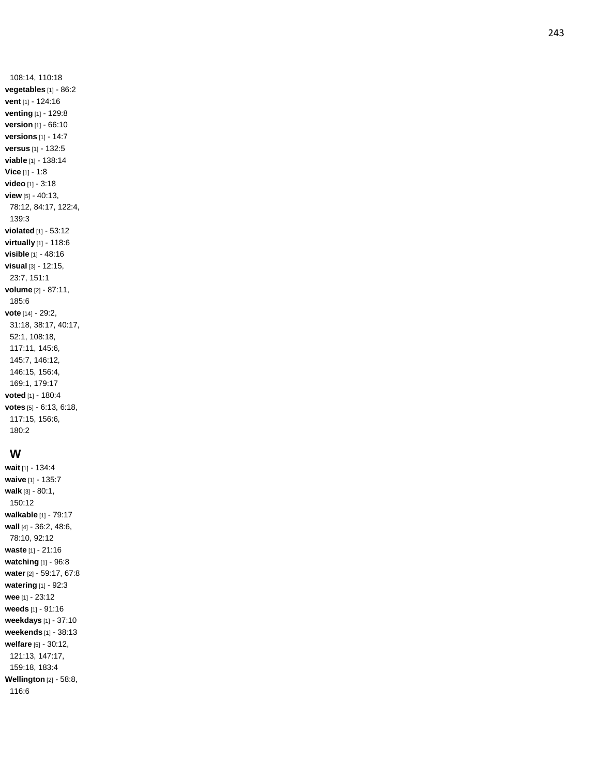108:14, 110:18 **vegetables** [1] - 86:2 **vent** [1] - 124:16 **venting** [1] - 129:8 **version** [1] - 66:10 **versions** [1] - 14:7 **versus** [1] - 132:5 **viable** [1 ] - 138:14 **Vice** [1] - 1:8 **video** [1] - 3:18 **view** [5] - 40:13, 78:12, 84:17, 122:4, 139:3 **violated** [1] - 53:12 **virtually** [1] - 118:6 **visible** [1] - 48:16 **visual** [3] - 12:15, 23:7, 151:1 **volume** [2] - 87:11, 185:6 **vote** [14] - 29:2, 31:18, 38:17, 40:17, 52:1, 108:18, 117:11, 145:6, 145:7, 146:12, 146:15, 156:4, 169:1, 179:17 **voted** [1] - 180:4 **votes** [5] - 6:13, 6:18, 117:15, 156:6, 180:2

#### **W**

**wait** [1] - 134:4 **waive** [1] - 135:7 **walk** [3] - 80:1, 150:12 **walkable** [1] - 79:17 **wall** [4] - 36:2, 48:6, 78:10, 92:12 **waste** [1] - 21:16 **watching** [1] - 96:8 **water** [2] - 59:17, 67:8 **watering** [1] - 92:3 **wee** [1] - 23:12 **weeds** [1] - 91:16 **weekdays** [1] - 37:10 **weekends** [1] - 38:13 **welfare** [5] - 30:12, 121:13, 147:17, 159:18, 183:4 **Wellington** [2] - 58:8, 116:6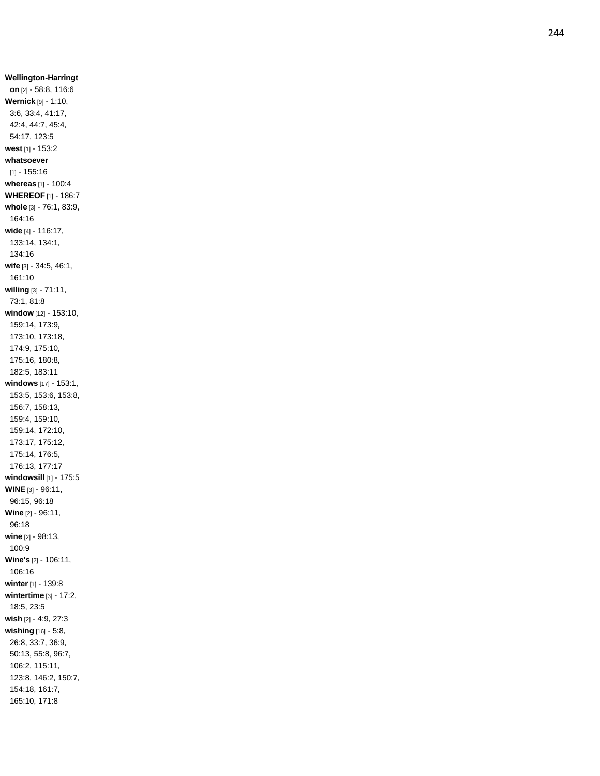**Wellington -Harringt on** [2] - 58:8, 116:6 **Wernick** [9] - 1:10, 3:6, 33:4, 41:17, 42:4, 44:7, 45:4, 54:17, 123:5 **west** [1] - 153:2 **whatsoever** [1] - 155:16 **whereas** [1] - 100:4 **WHEREOF** [1] - 186:7 **whole** [3] - 76:1, 83:9, 164:16 **wide** [4] - 116:17, 133:14, 134:1, 134:16 **wife** [3] - 34:5, 46:1, 161:10 **willing** [3] - 71:11, 73:1, 81:8 **window** [12] - 153:10, 159:14, 173:9, 173:10, 173:18, 174:9, 175:10, 175:16, 180:8, 182:5, 183:11 **windows** [17] - 153:1, 153:5, 153:6, 153:8, 156:7, 158:13, 159:4, 159:10, 159:14, 172:10, 173:17, 175:12, 175:14, 176:5, 176:13, 177:17 **windowsill** [1] - 175:5 **WINE** [3] - 96:11, 96:15, 96:18 **Wine** [2] - 96:11, 96:18 **wine** [2] - 98:13, 100:9 **Wine's** [2] - 106:11, 106:16 **winter** [1] - 139:8 **wintertime** [3] - 17:2, 18:5, 23:5 **wish** [2] - 4:9, 27:3 **wishing** [16] - 5:8, 26:8, 33:7, 36:9, 50:13, 55:8, 96:7, 106:2, 115:11, 123:8, 146:2, 150:7, 154:18, 161:7, 165:10, 171:8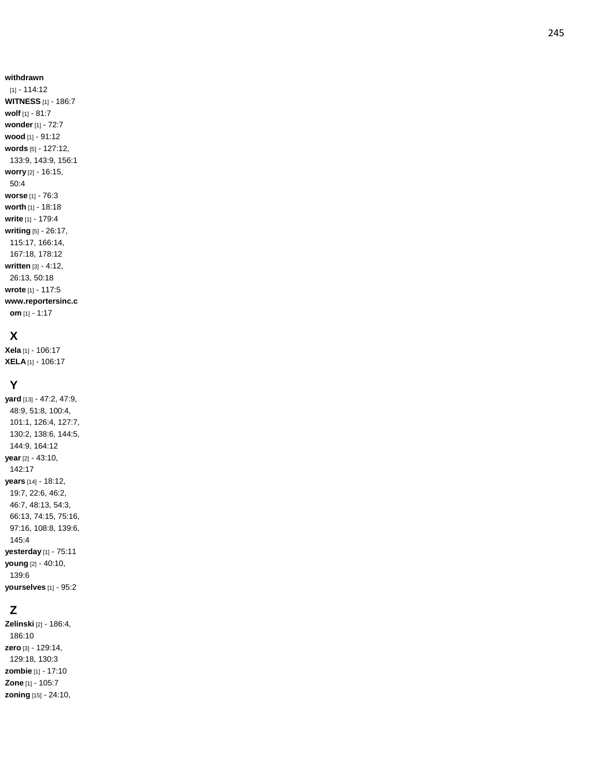#### **withdrawn**

[1] - 114:12 **WITNESS** [1] - 186:7 **wolf** [1] - 81:7 **wonder** [1] - 72:7 **wood** [1] - 91:12 **words** [5] - 127:12, 133:9, 143:9, 156:1 **worry** [2] - 16:15, 50:4 **worse** [1] - 76:3 **worth** [1] - 18:18 **write** [1] - 179:4 **writing** [5] - 26:17, 115:17, 166:14, 167:18, 178:12 **written** [3] - 4:12, 26:13, 50:18 **wrote** [1] - 117:5 **www.reportersinc.c om** [1] - 1:17

### **X**

**Xela** [1] - 106:17 **XELA** [1] - 106:17

#### **Y**

**yard** [13] - 47:2, 47:9, 48:9, 51:8, 100:4, 101:1, 126:4, 127:7, 130:2, 138:6, 144:5, 144:9, 164:12 **year** [2] - 43:10, 142:17 **years** [14] - 18:12, 19:7, 22:6, 46:2, 46:7, 48:13, 54:3, 66:13, 74:15, 75:16, 97:16, 108:8, 139:6, 145:4 **yesterday** [1] - 75:11 **young** [2] - 40:10, 139:6 **yourselves** [1] - 95:2

## **Z**

**Zelinski** [2] - 186:4, 186:10 **zero** [3] - 129:14, 129:18, 130:3 **zombie** [1] - 17:10 **Zone** [1] - 105:7 **zoning** [15] - 24:10,